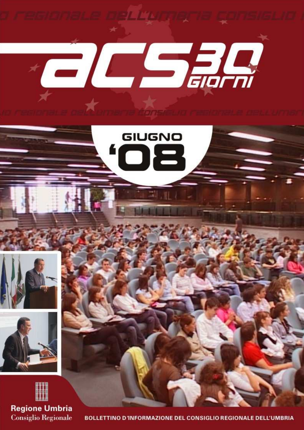

BOLLETTINO D'INFORMAZIONE DEL CONSIGLIO REGIONALE DELL'UMBRIA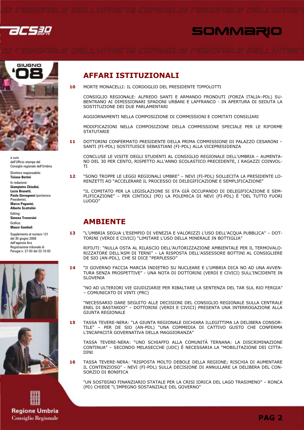





a cura dell'Ufficio stampa del Consiglio regionale dell'Umbria

Direttore responsabile: **Tiziano Bertini** In redazione: **Giampietro Chiodini**, Lucio Brunetti, Paolo Giovagnoni (portavoce Presidente). Marco Paganini, **Alberto Scattolini** Editing: Simona Traversini Grafica: Mauro Gambuli

Supplemento al numero 131 del 30 giugno 2008 dell'agenzia Acs Registrazione tribunale di Perugia n. 27-93 del 22-10-93





**Regione Umbria Consiglio Regionale** 

### **AFFARI ISTITUZIONALI**

MORTE MONACELLI: IL CORDOGLIO DEL PRESIDENTE TIPPOLOTTI  $10$ 

CONSIGLIO REGIONALE: ALFREDO SANTI E ARMANDO FRONDUTI (FORZA ITALIA-PDL) SU-BENTRANO AI DIMISSIONARI SPADONI URBANI E LAFFRANCO - IN APERTURA DI SEDUTA LA SOSTITUZIONE DEI DUE PARLAMENTARI

AGGIORNAMENTI NELLA COMPOSIZIONE DI COMMISSIONI E COMITATI CONSILIARI

MODIFICAZIONI NELLA COMPOSIZIONE DELLA COMMISSIONE SPECIALE PER LE RIFORME **STATUTARIE** 

DOTTORINI CONFERMATO PRESIDENTE DELLA PRIMA COMMISSIONE DI PALAZZO CESARONI -11 SANTI (FI-PDL) SOSTITUISCE SEBASTIANI (FI-PDL) ALLA VICEPRESIDENZA

CONCLUSE LE VISITE DEGLI STUDENTI AL CONSIGLIO REGIONALE DELL'UMBRIA - AUMENTA-NO DEL 30 PER CENTO, RISPETTO ALL'ANNO SCOLASTICO PRECEDENTE, I RAGAZZI COINVOL-**TI** 

 $12<sub>2</sub>$ "SONO TROPPE LE LEGGI REGIONALI UMBRE" - NEVI (FI-PDL) SOLLECITA LA PRESIDENTE LO-RENZETTI AD "ACCELERARE IL PROCESSO DI DELEGIFICAZIONE E SEMPLIFICAZIONE"

"IL COMITATO PER LA LEGISLAZIONE SI STA GIÀ OCCUPANDO DI DELEGIFICAZIONE E SEM-PLIFICAZIONE" - PER CINTIOLI (PD) LA POLEMICA DI NEVI (FI-PDL) È "DEL TUTTO FUORI **LUOGO"** 

### **AMBIENTE**

"L'UMBRIA SEGUA L'ESEMPIO DI VENEZIA E VALORIZZI L'USO DELL'ACQUA PUBBLICA" - DOT-13 TORINI (VERDI E CIVICI) "LIMITARE L'USO DELLA MINERALE IN BOTTIGLIA"

RIFIUTI: "NULLA OSTA AL RILASCIO DELL'AUTORIZZAZIONE AMBIENTALE PER IL TERMOVALO-RIZZATORE DELL'ASM DI TERNI" - LA RISPOSTA DELL'ASSESSORE BOTTINI AL CONSIGLIERE DE SIO (AN-PDL), CHE SI DICE "PERPLESSO"

"Il GOVERNO FACCIA MARCIA INDIETRO SU NUCLEARE E L'UMBRIA DICA NO AD UNA AVVEN-14 TURA SENZA PROSPETTIVE" - UNA NOTA DI DOTTORINI (VERDI E CIVICI) SULL'INCIDENTE IN **SLOVENIA** 

"NO AD ULTERIORI VIE GIUDIZIARIE PER RIBALTARE LA SENTENZA DEL TAR SUL RIO FERGIA" - COMUNICATO DI VINTI (PRC)

"NECESSARIO DARE SEGUITO ALLE DECISIONI DEL CONSIGLIO REGIONALE SULLA CENTRALE ENEL DI BASTARDO" - DOTTORINI (VERDI E CIVICI) PRESENTA UNA INTERROGAZIONE ALLA **GIUNTA REGIONALE** 

TASSA TEVERE-NERA: "LA GIUNTA REGIONALE DICHIARA ILLEGITTIMA LA DELIBERA CONSOR-15 TILE" - PER DE SIO (AN-PDL) "UNA COMMEDIA DI CATTIVO GUSTO CHE CONFERMA L'INCAPACITÀ GOVERNATIVA DELLA MAGGIORANZA"

TASSA TEVERE-NERA: "UNO SCHIAFFO ALLA COMUNITÀ TERNANA: LA DISCRIMINAZIONE CONTINUA" - SECONDO MELASECCHE (UDC) È NECESSARIA LA "MOBILITAZIONE DEI CITTA-**DINI** 

TASSA TEVERE-NERA: "RISPOSTA MOLTO DEBOLE DELLA REGIONE; RISCHIA DI AUMENTARE 16 IL CONTENZIOSO" - NEVI (FI-PDL) SULLA DECISIONE DI ANNULLARE LA DELIBERA DEL CON-SORZIO DI BONIFICA

"UN SOSTEGNO FINANZIARIO STATALE PER LA CRISI IDRICA DEL LAGO TRASIMENO" - RONCA (PD) CHIEDE "L'IMPEGNO SOSTANZIALE DEL GOVERNO"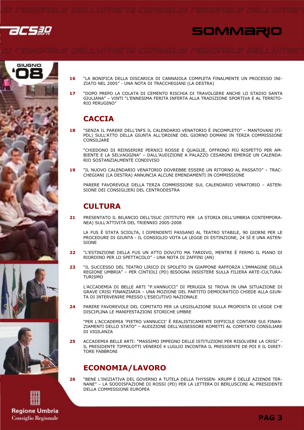











"DOPO PREPO LA COLATA DI CEMENTO RISCHIA DI TRAVOLGERE ANCHE LO STADIO SANTA  $17$ GIULIANA" - VINTI "L'ENNESIMA FERITA INFERTA ALLA TRADIZIONE SPORTIVA E AL TERRITO-RIO PERUGINO"

## **CACCIA**

18 "SENZA IL PARERE DELL'INFS IL CALENDARIO VENATORIO È INCOMPLETO" – MANTOVANI (FI-PDL) SULL'ATTO DELLA GIUNTA ALL'ORDINE DEL GIORNO DOMANI IN TERZA COMMISSIONE CONSILIARE

"CHIEDONO DI REINSERIRE PERNICI ROSSE E QUAGLIE, OFFRONO PIÙ RISPETTO PER AM-BIFNTE F LA SFLVAGGINA" - DALL'AUDIZIONE A PALAZZO CESARONI EMFRGE UN CALENDA-RIO SOSTANZIALMENTE CONDIVISO

"IL NUOVO CALENDARIO VENATORIO DOVREBBE ESSERE UN RITORNO AL PASSATO" - TRAC-19 CHEGIANI (LA DESTRA) ANNUNCIA ALCUNI EMENDAMENTI IN COMMISSIONE

PARERE FAVOREVOLE DELLA TERZA COMMISSIONE SUL CALENDARIO VENATORIO - ASTEN-SIONE DEI CONSIGLIERI DEL CENTRODESTRA

## **CULTURA**

21 PRESENTATO IL BILANCIO DELL'ISUC (ISTITUTO PER LA STORIA DELL'UMBRIA CONTEMPORA-NEA) SULL'ATTIVITÀ DEL TRIENNIO 2005-2008

LA FUS È STATA SCIOLTA, I DIPENDENTI PASSANO AL TEATRO STABILE, 90 GIORNI PER LE PROCEDURE DI GIUNTA - IL CONSIGLIO VOTA LA LEGGE DI ESTINZIONE, 24 SÌ E UNA ASTEN-**SIONE** 

- $22$ "L'ESTINZIONE DELLA FUS UN ATTO DOVUTO MA TARDIVO, MENTRE È FERMO IL PIANO DI RIORDINO PER LO SPETTACOLO" - UNA NOTA DI ZAFFINI (AN)
- "IL SUCCESSO DEL TEATRO LIRICO DI SPOLETO IN GIAPPONE RAFFORZA L'IMMAGINE DELLA  $23$ REGIONE UMBRIA" - PER CINTIOLI (PD) BISOGNA INSISTERE SULLA FILIERA ARTE-CULTURA-**TURISMO**

L'ACCADEMIA DI BELLE ARTI "P.VANNUCCI" DI PERUGIA SI TROVA IN UNA SITUAZIONE DI<br>GRAVE CRISI FINANZIARIA – UNA MOZIONE DEL PARTITO DEMOCRATICO CHIEDE ALLA GIUN-TA DI INTERVENIRE PRESSO L'ESECUTIVO NAZIONALE

 $24$ PARERE FAVOREVOLE DEL COMITATO PER LA LEGISLAZIONE SULLA PROPOSTA DI LEGGE CHE DISCIPLINA LE MANIFESTAZIONI STORICHE LIMBRE

"PER L'ACCADEMIA 'PIETRO VANNUCCI' È REALISTICAMENTE DIFFICILE CONTARE SUI FINAN-ZIAMENTI DELLO STATO" - AUDIZIONE DELL'ASSESSORE ROMETTI AL COMITATO CONSILIARE DI VIGILANZA

ACCADEMIA BELLE ARTI: "MASSIMO IMPEGNO DELLE ISTITUZIONI PER RISOLVERE LA CRISI" -25 IL PRESIDENTE TIPPOLOTTI VENERDÌ 4 LUGLIO INCONTRA IL PRESIDENTE DE POI E IL DIRET-**TORE FABBRONI** 

### **ECONOMIA/LAVORO**

"BENE L'INIZIATIVA DEL GOVERNO A TUTELA DELLA THYSSEN- KRUPP E DELLE AZIENDE TER-NANE" - LA SODDISFAZIONE DI ROSSI (PD) PER LA LETTERA DI BERLUSCONI AL PRESIDENTE DELLA COMMISSIONE FUROPEA



**Regione Umbria Consiglio Regionale**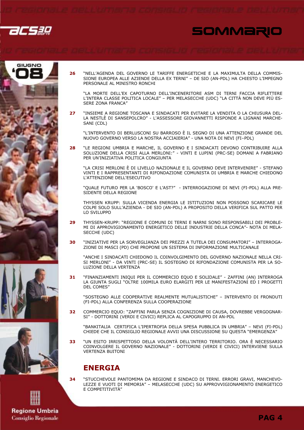26530

## SOMMARIO







**Regione Umbria Consiglio Regionale** 

26 "NELL'AGENDA DEL GOVERNO LE TARIFFE ENERGETICHE E LA MAXIMULTA DELLA COMMIS-SIONE EUROPEA ALLE AZIENDE DELLA EX TERNI" - DE SIO (AN-PDL) HA CHIESTO L'IMPEGNO PERSONALE AL MINISTRO RONCHI

"LA MORTE DELL'EX CAPOTURNO DELL'INCENERITORE ASM DI TERNI FACCIA RIFLETTERE L'INTERA CLASSE POLITICA LOCALE" - PER MELASECCHE (UDC) "LA CITTÀ NON DEVE PIÙ ES-SERE ZONA FRANCA"

"INSIEME A REGIONE TOSCANA E SINDACATI PER EVITARE LA VENDITA O LA CHIUSURA DEL- $27$ LA NESTLÈ DI SANSEPOLCRO" - L'ASSESSORE GIOVANNETTI RISPONDE A LIGNANI MARCHE-SANI (CDL)

"L'INTERVENTO DI BERLUSCONI SU BARROSO È IL SEGNO DI UNA ATTENZIONE GRANDE DEL NUOVO GOVERNO VERSO LA NOSTRA ACCIAIERIA" - UNA NOTA DI NEVI (FI-PDL)

"LE REGIONI UMBRIA E MARCHE, IL GOVERNO E I SINDACATI DEVONO CONTRIBUIRE ALLA 28 SOLUZIONE DELLA CRISI ALLA MERLONI:" - VINTI E LUPINI (PRC-SE) DOMANI A FABRIANO PER UN'INIZIATIVA POLITICA CONGIUNTA

"LA CRISI MERLONI È DI LIVELLO NAZIONALE E IL GOVERNO DEVE INTERVENIRE" - STEFANO VINTI F I RAPPRESENTANTI DI RIFONDAZIONE COMUNISTA DI UMBRIA E MARCHE CHIEDONO **L'ATTENZIONE DELL'ESECUTIVO** 

"OUALE FUTURO PER LA 'BOSCO' E L'AST?" - INTERROGAZIONE DI NEVI (FI-PDL) ALLA PRE-SIDENTE DELLA REGIONE

THYSSEN KRUPP: SULLA VICENDA ENERGIA LE ISTITUZIONI NON POSSONO SCARICARE LE COLPE SOLO SULL'AZIENDA - DE SIO (AN-PDL) A PROPOSITO DELLA VERIFICA SUL PATTO PER LO SVILUPPO

- THYSSEN-KRUPP: "REGIONE E COMUNI DI TERNI E NARNI SONO RESPONSABILI DEI PROBLE- $2<sub>q</sub>$ MI DI APPROVIGIONAMENTO ENERGETICO DELLE INDUSTRIE DELLA CONCA"- NOTA DI MELA-SECCHE (UDC)
- 30 "INIZIATIVE PER LA SORVEGLIANZA DEI PREZZI A TUTELA DEI CONSUMATORI" - INTERROGA-ZIONE DI MASCI (PD) CHE PROPONE UN SISTEMA DI INFORMAZIONE MULTICANALE

"ANCHE I SINDACATI CHIEDONO IL COINVOLGIMENTO DEL GOVERNO NAZIONALE NELLA CRI-SI MERLONI" - DA VINTI (PRC-SE) IL SOSTEGNO DI RIFONDAZIONE COMUNISTA PER LA SO-LUZIONE DELLA VERTENZA

"FINANZIAMENTI INIQUI PER IL COMMERCIO EQUO E SOLIDALE" - ZAFFINI (AN) INTERROGA 31 LA GIUNTA SUGLI "OLTRE 100MILA EURO ELARGITI PER LE MANIFESTAZIONI ED I PROGETTI **DEL COMES"** 

"SOSTEGNO ALLE COOPERATIVE REALMENTE MUTUALISTICHE" - INTERVENTO DI FRONDUTI (FI-PDL) ALLA CONFERENZA SULLA COOPERAZIONE

COMMERCIO EQUO: "ZAFFINI PARLA SENZA COGNIZIONE DI CAUSA, DOVREBBE VERGOGNAR-32 SI" - DOTTORINI (VERDI E CIVICI) REPLICA AL CAPOGRUPPO DI AN-PDL

"BANKITALIA CERTIFICA L'IPERTROFIA DELLA SPESA PUBBLICA IN UMBRIA" - NEVI (FI-PDL) CHIEDE CHE IL CONSIGLIO REGIONALE AVVII UNA DISCUSSIONE SU QUESTA "EMERGENZA"

"UN ESITO IRRISPETTOSO DELLA VOLONTÀ DELL'INTERO TERRITORIO. ORA È NECESSARIO  $33$ COINVOLGERE IL GOVERNO NAZIONALE" - DOTTORINI (VERDI E CIVICI) INTERVIENE SULLA **VERTENZA BUITONI** 

### **ENERGIA**

 $34$ 

"STUCCHEVOLE PANTOMIMA DA REGIONE E SINDACO DI TERNI. ERRORI GRAVI, MANCHEVO-LEZZE E VUOTI DI MEMORIA" - MELASECCHE (UDC) SU APPROVVIGIONAMENTO ENERGETICO E COMPETITIVITÀ"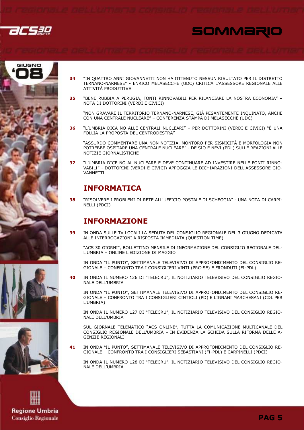









- "IN OUATTRO ANNI GIOVANNETTI NON HA OTTENUTO NESSUN RISULTATO PER IL DISTRETTO  $34$ TERNANO-NARNESE" - ENRICO MELASECCHE (UDC) CRITICA L'ASSESSORE REGIONALE ALLE ATTIVITÀ PRODUTTIVE
- "BENE RUBBIA A PERUGIA, FONTI RINNOVABILI PER RILANCIARE LA NOSTRA ECONOMIA" -35 NOTA DI DOTTORINI (VERDI E CIVICI)

"NON GRAVARE IL TERRITORIO TERNANO-NARNESE, GIÀ PESANTEMENTE INOUINATO, ANCHE CON UNA CENTRALE NUCLEARE" - CONFERENZA STAMPA DI MELASECCHE (UDC)

"L'UMBRIA DICA NO ALLE CENTRALI NUCLEARI" - PER DOTTORINI (VERDI E CIVICI) "È UNA  $36$ FOLLIA LA PROPOSTA DEL CENTRODESTRA"

"ASSURDO COMMENTARE UNA NON NOTIZIA, MONTORO PER SISMICITÀ E MORFOLOGIA NON POTREBBE OSPITARE UNA CENTRALE NUCLEARE" - DE SIO E NEVI (PDL) SULLE REAZIONI ALLE NOTIZIE GIORNALISTICHE

"L'UMBRIA DICE NO AL NUCLEARE E DEVE CONTINUARE AD INVESTIRE NELLE FONTI RINNO-37 VABILI" - DOTTORINI (VERDI E CIVICI) APPOGGIA LE DICHIARAZIONI DELL'ASSESSORE GIO-**VANNETTI** 

### **INFORMATICA**

"RISOLVERE I PROBLEMI DI RETE ALL'UFFICIO POSTALE DI SCHEGGIA" - UNA NOTA DI CARPI-38 NELLI (PDCI)

### **INFORMAZIONE**

IN ONDA SULLE TV LOCALI LA SEDUTA DEL CONSIGLIO REGIONALE DEL 3 GIUGNO DEDICATA 39 ALLE INTERROGAZIONI A RISPOSTA IMMEDIATA (QUESTION TIME)

"ACS 30 GIORNI", BOLLETTINO MENSILE DI INFORMAZIONE DEL CONSIGLIO REGIONALE DEL-L'UMBRIA - ONLINE L'EDIZIONE DI MAGGIO

IN ONDA "IL PUNTO", SETTIMANALE TELEVISIVO DI APPROFONDIMENTO DEL CONSIGLIO RE-GIONALE – CONFRONTO TRA I CONSIGLIERI VINTI (PRC-SE) E FRONDUTI (FI-PDL)

40 IN ONDA IL NUMERO 126 DI "TELECRU", IL NOTIZIARIO TELEVISIVO DEL CONSIGLIO REGIO-NALE DELL'UMBRIA

IN ONDA "IL PUNTO", SETTIMANALE TELEVISIVO DI APPROFONDIMENTO DEL CONSIGLIO RE-GIONALE - CONFRONTO TRA I CONSIGLIERI CINTIOLI (PD) E LIGNANI MARCHESANI (CDL PER L'UMBRIA)

IN ONDA IL NUMERO 127 DI "TELECRU", IL NOTIZIARIO TELEVISIVO DEL CONSIGLIO REGIO-NALE DELL'UMBRIA

SUL GIORNALE TELEMATICO "ACS ONLINE", TUTTA LA COMUNICAZIONE MULTICANALE DEL CONSIGLIO REGIONALE DELL'UMBRIA - IN EVIDENZA LA SCHEDA SULLA RIFORMA DELLE A-**GENZIE REGIONALI** 

IN ONDA "IL PUNTO", SETTIMANALE TELEVISIVO DI APPROFONDIMENTO DEL CONSIGLIO REGIONALE – CONFRONTO TRA I CONSIGLIERI SEBASTIANI (FI-PDL) E CARPINELLI (PDCI) 41

IN ONDA IL NUMERO 128 DI "TELECRU", IL NOTIZIARIO TELEVISIVO DEL CONSIGLIO REGIO-**NALE DELL'UMBRIA**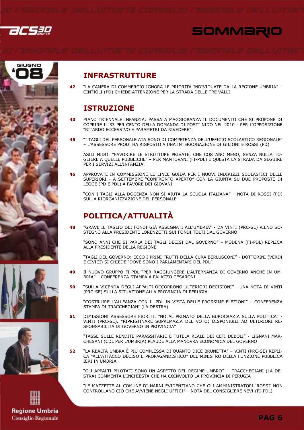







## **Regione Umbria Consiglio Regionale**

### **INFRASTRUTTURE**

"LA CAMERA DI COMMERCIO IGNORA LE PRIORITÀ INDIVIDUATE DALLA REGIONE UMBRIA" -42 CINTIOLI (PD) CHIEDE ATTENZIONE PER LA STRADA DELLE TRE VALLI

### **ISTRUZIONE**

- PIANO TRIENNALE INFANZIA: PASSA A MAGGIORANZA IL DOCUMENTO CHE SI PROPONE DI 43 COPRIRE IL 33 PER CENTO DELLA DOMANDA DI POSTI NIDO NEL 2010 - PER L'OPPOSIZIONE "RITARDO ECCESSIVO E PARAMETRI DA RIVEDERE".
- "I TAGLI DEL PERSONALE ATA SONO DI COMPETENZA DELL'UFFICIO SCOLASTICO REGIONALE"  $45$ - L'ASSESSORE PRODI HA RISPOSTO A UNA INTERROGAZIONE DI GILIONI E ROSSI (PD)

ASILI NIDO: "FAVORIRE LE STRUTTURE PRIVATE, CHE COSTANO MENO, SENZA NULLA TO-GLIERE A OUELLE PUBBLICHE" - PER MANTOVANI (FI-PDL) È OUESTA LA STRADA DA SEGUIRE PER I SERVIZI ALL'INFANZIA

APPROVATE IN COMMISSIONE LE LINEE GUIDA PER I NUOVI INDIRIZZI SCOLASTICI DELLE  $46$ SUPERIORI - A SETTEMBRE "CONFRONTO APERTO" CON LA GIUNTA SU DUE PROPOSTE DI LEGGE (PD E PDL) A FAVORE DEI GIOVANI

"CON I TAGLI ALLA DOCENZA NON SI AIUTA LA SCUOLA ITALIANA" - NOTA DI ROSSI (PD) SULLA RIORGANIZZAZIONE DEL PERSONALE

### POLITICA/ATTUALITÀ

"GRAVE IL TAGLIO DEI FONDI GIÀ ASSEGNATI ALL'UMBRIA" - DA VINTI (PRC-SE) PIENO SO-48 STEGNO ALLA PRESIDENTE LORENZETTI SUI FONDI TOLTI DAL GOVERNO

"SONO ANNI CHE SI PARLA DEI TAGLI DECISI DAL GOVERNO" - MODENA (FI-PDL) REPLICA ALLA PRESIDENTE DELLA REGIONE

"TAGLI DEL GOVERNO: ECCO I PRIMI FRUTTI DELLA CURA BERLUSCONI" - DOTTORINI (VERDI E CIVICI) SI CHIEDE "DOVE SONO I PARLAMENTARI DEL PDL"

- 49 II NUOVO GRUPPO FI-PDL "PER RAGGIUNGERE L'ALTERNANZA DI GOVERNO ANCHE IN UM-BRIA" - CONFERENZA STAMPA A PALAZZO CESARONI
- 50 "SULLA VICENDA DEGLI APPALTI OCCORRONO ULTERIORI DECISIONI" - UNA NOTA DI VINTI (PRC-SE) SULLA SITUAZIONE ALLA PROVINCIA DI PERUGIA

"COSTRUIRE L'ALLEANZA CON IL PDL IN VISTA DELLE PROSSIME ELEZIONI" - CONFERENZA STAMPA DI TRACCHEGIANI (LA DESTRA)

DIMISSIONI ASSESSORE FIORITI: "NO AL PRIMATO DELLA BUROCRAZIA SULLA POLITICA" -51 VINTI (PRC-SE), "RIPRISTINARE SUPREMAZIA DEL VOTO; DISPONIBILI AD ULTERIORI RE-SPONSABILITÀ DI GOVERNO IN PROVINCIA"

"TASSE SULLE RENDITE PARASSITARIE E TUTELA REALE DEI CETI DEBOLI" - LIGNANI MAR-CHESANI (CDL PER L'UMBRIA) PLAUDE ALLA MANOVRA ECONOMICA DEL GOVERNO

"LA REALTÀ UMBRA È PIÙ COMPLESSA DI QUANTO DICE BRUNETTA" - VINTI (PRC-SE) REPLI-52 CA "ALL'ATTACCO DECISO E PROPAGANDISTICO" DEL MINISTRO DELLA FUNZIONE PUBBLICA **IERI IN UMBRIA** 

"GLI APPALTI PILOTATI SONO UN ASPETTO DEL REGIME UMBRO" - TRACCHEGIANI (LA DE-STRA) COMMENTA L'INCHIESTA CHE HA COINVOLTO LA PROVINCIA DI PERUGIA

"LE MAZZETTE AL COMUNE DI NARNI EVIDENZIANO CHE GLI AMMINISTRATORI 'ROSSI' NON CONTROLLANO CIÒ CHE AVVIENE NEGLI UFFICI" - NOTA DEL CONSIGLIERE NEVI (FI-PDL)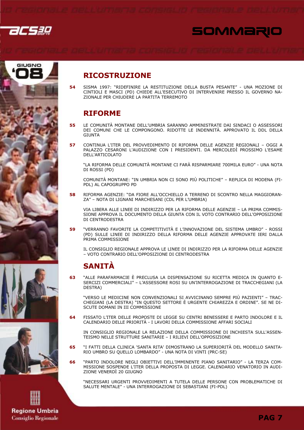





#### 54 SISMA 1997: "RIDEFINIRE LA RESTITUZIONE DELLA BUSTA PESANTE" - UNA MOZIONE DI CINTIOLI E MASCI (PD) CHIEDE ALL'ESECUTIVO DI INTERVENIRE PRESSO IL GOVERNO NA-ZIONALE PER CHIUDERE LA PARTITA TERREMOTO

RICOSTRUZIONE

### RIFORME

- 55 LE COMUNITÀ MONTANE DELL'UMBRIA SARANNO AMMINISTRATE DAI SINDACI O ASSESSORI DEI COMUNI CHE LE COMPONGONO. RIDOTTE LE INDENNITÀ. APPROVATO IL DDL DELLA GIUNTA
- 57 CONTINUA L'ITER DEL PROVVEDIMENTO DI RIFORMA DELLE AGENZIE REGIONALI OGGI A PALAZZO CESARONI L'AUDIZIONE CON I PRESIDENTI. DA MERCOLEDÌ PROSSIMO L'ESAME DELL'ARTICOLATO

"LA RIFORMA DELLE COMUNITÀ MONTANE CI FARÀ RISPARMIARE 700MILA EURO" - UNA NOTA DI ROSSI (PD)

COMUNITÀ MONTANE: "IN UMBRIA NON CI SONO PIÙ POLITICHE" – REPLICA DI MODENA (FI-PDL) AL CAPOGRUPPO PD

58 RIFORMA AGENZIE: "DA FIORE ALL'OCCHIELLO A TERRENO DI SCONTRO NELLA MAGGIORAN-ZA" – NOTA DI LIGNANI MARCHESANI (CDL PER L'UMBRIA)

VIA LIBERA ALLE LINEE DI INDIRIZZO PER LA RIFORMA DELLE AGENZIE – LA PRIMA COMMIS-SIONE APPROVA IL DOCUMENTO DELLA GIUNTA CON IL VOTO CONTRARIO DELL'OPPOSIZIONE DI CENTRODESTRA

59 "VERRANNO FAVORITE LA COMPETITIVITÀ E L'INNOVAZIONE DEL SISTEMA UMBRO" - ROSSI (PD) SULLE LINEE DI INDIRIZZO DELLA RIFORMA DELLE AGENZIE APPROVATE IERI DALLA PRIMA COMMISSIONE

IL CONSIGLIO REGIONALE APPROVA LE LINEE DI INDIRIZZO PER LA RIFORMA DELLE AGENZIE – VOTO CONTRARIO DELL'OPPOSIZIONE DI CENTRODESTRA

## SANITÀ

63 "ALLE PARAFARMACIE È PRECLUSA LA DISPENSAZIONE SU RICETTA MEDICA IN QUANTO E-SERCIZI COMMERCIALI" – L'ASSESSORE ROSI SU UN'INTERROGAZIONE DI TRACCHEGIANI (LA DESTRA)

"VERSO LE MEDICINE NON CONVENZIONALI SI AVVICINANO SEMPRE PIÙ PAZIENTI" – TRAC-CHEGIANI (LA DESTRA) "IN QUESTO SETTORE È URGENTE CHIAREZZA E ORDINE". SE NE DI-SCUTE DOMANI IN III COMMISSIONE

64 FISSATO L'ITER DELLE PROPOSTE DI LEGGE SU CENTRI BENESSERE E PARTO INDOLORE E IL CALENDARIO DELLE PRIORITÀ - I LAVORI DELLA COMMISSIONE AFFARI SOCIALI

IN CONSIGLIO REGIONALE LA RELAZIONE DELLA COMMISSIONE DI INCHIESTA SULL'ASSEN-TEISMO NELLE STRUTTURE SANITARIE – I RILIEVI DELL'OPPOSIZIONE

- 65 "I FATTI DELLA CLINICA 'SANTA RITA' DIMOSTRANO LA SUPERIORITÀ DEL MODELLO SANITA-RIO UMBRO SU QUELLO LOMBARDO" - UNA NOTA DI VINTI (PRC-SE)
- 66 "PARTO INDOLORE NEGLI OBIETTIVI DELL'IMMINENTE PIANO SANITARIO" LA TERZA COM-MISSIONE SOSPENDE L'ITER DELLA PROPOSTA DI LEGGE. CALENDARIO VENATORIO IN AUDI-ZIONE VENERDÌ 20 GIUGNO

"NECESSARI URGENTI PROVVEDIMENTI A TUTELA DELLE PERSONE CON PROBLEMATICHE DI SALUTE MENTALE" - UNA INTERROGAZIONE DI SEBASTIANI (FI-PDL)





**Regione Umbria Consiglio Regionale**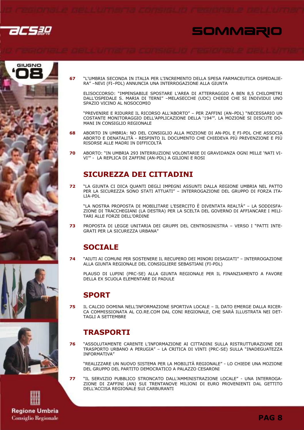

67





- 
- 



COSTANTE MONITORAGGIO DELL'APPLICAZIONE DELLA '194‴. LA MOZIONE SI DISCUTE DO-MANI IN CONSIGLIO REGIONALE

SPAZIO VICINO AL NOSOCOMIO

RA" -NEVI (FI-PDL) ANNUNCIA UNA INTERROGAZIONE ALLA GIUNTA

68 ABORTO IN UMBRIA: NO DEL CONSIGLIO ALLA MOZIONE DI AN-PDL E FI-PDL CHE ASSOCIA ABORTO E DENATALITÀ - RESPINTO IL DOCUMENTO CHE CHIEDEVA PIÙ PREVENZIONE E PIÙ RISORSE ALLE MADRI IN DIFFICOLTÀ

"L'UMBRIA SECONDA IN ITALIA PER L'INCREMENTO DELLA SPESA FARMACEUTICA OSPEDALIE-

ELISOCCORSO: "IMPENSABILE SPOSTARE L'AREA DI ATTERRAGGIO A BEN 8.5 CHILOMETRI DALL'OSPEDALE S. MARIA DI TERNI" -MELASECCHE (UDC) CHIEDE CHE SI INDIVIDUI UNO

"PREVENIRE E RIDURRE IL RICORSO ALL'ABORTO" - PER ZAFFINI (AN-PDL) "NECESSARIO UN

70 ABORTO: "IN UMBRIA 293 INTERRUZIONI VOLONTARIE DI GRAVIDANZA OGNI MILLE 'NATI VI-VI" - LA REPLICA DI ZAFFINI (AN-PDL) A GILIONI E ROSI

### **SICUREZZA DEI CITTADINI**

"LA GIUNTA CI DICA QUANTI DEGLI IMPEGNI ASSUNTI DALLA REGIONE UMBRIA NEL PATTO 72 PER LA SICUREZZA SONO STATI ATTUATI" - INTERROGAZIONE DEL GRUPPO DI FORZA ITA-LIA-PDL

"LA NOSTRA PROPOSTA DI MOBILITARE L'ESERCITO È DIVENTATA REALTÀ" – LA SODDISFA-ZIONE DI TRACCHEGIANI (LA DESTRA) PER LA SCELTA DEL GOVERNO DI AFFIANCARE I MILI-TART ALLE FORZE DELL'ORDINE

73 PROPOSTA DI LEGGE UNITARIA DEI GRUPPI DEL CENTROSINISTRA - VERSO I "PATTI INTE-GRATI PER LA SICUREZZA URBANA"

## **SOCIALE**

 $74$ "AIUTI AI COMUNI PER SOSTENERE IL RECUPERO DEI MINORI DISAGIATI" - INTERROGAZIONE ALLA GIUNTA REGIONALE DEL CONSIGLIERE SEBASTIANI (FI-PDL)

PLAUSO DI LUPINI (PRC-SE) ALLA GIUNTA REGIONALE PER IL FINANZIAMENTO A FAVORE DELLA EX SCUOLA ELEMENTARE DI PADULE

### **SPORT**

 $77$ 

75 IL CALCIO DOMINA NELL'INFORMAZIONE SPORTIVA LOCALE - IL DATO EMERGE DALLA RICER-CA COMMISSIONATA AL CO.RE.COM DAL CONI REGIONALE, CHE SARÀ ILLUSTRATA NEI DET-TAGLI A SETTEMBRE

### **TRASPORTI**

"ASSOLUTAMENTE CARENTE L'INFORMAZIONE AI CITTADINI SULLA RISTRUTTURAZIONE DEI 76 TRASPORTO URBANO A PERUGIA" - LA CRITICA DI VINTI (PRC-SE) SULLA "INADEGUATEZZA INFORMATIVA"

"REALIZZARE UN NUOVO SISTEMA PER LA MOBILITÀ REGIONALE" - LO CHIEDE UNA MOZIONE DEL GRUPPO DEL PARTITO DEMOCRATICO A PALAZZO CESARONI

"IL SERVIZIO PUBBLICO STRONCATO DALL'AMMINISTRAZIONE LOCALE" - UNA INTERROGA-ZIONE DI ZAFFINI (AN) SUI TRENTANOVE MILIONI DI EURO PROVENIENTI DAL GETTITO DELL'ACCISA REGIONALE SUI CARBURANTI

**Regione Umbria Consiglio Regionale**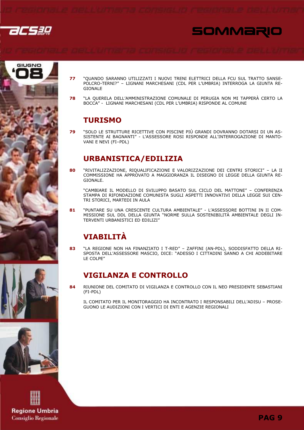











- "OUANDO SARANNO UTILIZZATI I NUOVI TRENI ELETTRICI DELLA FCU SUL TRATTO SANSE-77 POLCRO-TERNI?" - LIGNANI MARCHESANI (CDL PER L'UMBRIA) INTERROGA LA GIUNTA RE-**GIONALE**
- "LA QUERELA DELL'AMMINISTRAZIONE COMUNALE DI PERUGIA NON MI TAPPERÀ CERTO LA 78 BOCCA" - LIGNANI MARCHESANI (CDL PER L'UMBRIA) RISPONDE AL COMUNE

### **TURISMO**

79 "SOLO LE STRUTTURE RICETTIVE CON PISCINE PIÙ GRANDI DOVRANNO DOTARSI DI UN AS-SISTENTE AI BAGNANTI" - L'ASSESSORE ROSI RISPONDE ALL'INTERROGAZIONE DI MANTO-VANI E NEVI (FI-PDL)

### **URBANISTICA/EDILIZIA**

80 "RIVITALIZZAZIONE, RIQUALIFICAZIONE E VALORIZZAZIONE DEI CENTRI STORICI" - LA II COMMISSIONE HA APPROVATO A MAGGIORANZA IL DISEGNO DI LEGGE DELLA GIUNTA RE-GIONALE.

"CAMBIARE IL MODELLO DI SVILUPPO BASATO SUL CICLO DEL MATTONE" - CONFERENZA STAMPA DI RIFONDAZIONE COMUNISTA SUGLI ASPETTI INNOVATIVI DELLA LEGGE SUI CEN-TRI STORICI, MARTEDI IN AULA

"PUNTARE SU UNA CRESCENTE CULTURA AMBIENTALE" - L'ASSESSORE BOTTINI IN II COM-81 MISSIONE SUL DDL DELLA GIUNTA "NORME SULLA SOSTENIBILITÀ AMBIENTALE DEGLI IN-TERVENTI URBANISTICI ED EDILIZI"

## **VIARTI TTÀ**

"LA REGIONE NON HA FINANZIATO I T-RED" - ZAFFINI (AN-PDL), SODDISFATTO DELLA RI- $\overline{R}$ SPOSTA DELL'ASSESSORE MASCIO, DICE: "ADESSO I CITTADINI SANNO A CHI ADDEBITARE LE COLPE"

### **VIGILANZA E CONTROLLO**

84 RIUNIONE DEL COMITATO DI VIGILANZA E CONTROLLO CON IL NEO PRESIDENTE SEBASTIANI (FI-PDL)

IL COMITATO PER IL MONITORAGGIO HA INCONTRATO I RESPONSABILI DELL'ADISU - PROSE-GUONO LE AUDIZIONI CON I VERTICI DI ENTI E AGENZIE REGIONALI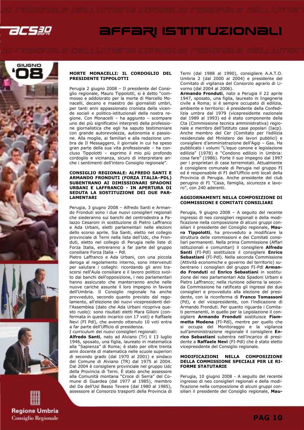

## AFFARI ISTITUZIONALI









#### MORTE MONACELLI: IL CORDOGLIO DEL PRESIDENTE TIPPOLOTTI

Perugia 2 giugno 2008 – Il presidente del Consiglio regionale, Mauro Tippolotti, si è detto "commosso e addolorato per la morte di Marcello Monacelli, decano e maestro dei giornalisti umbri, per tanti anni appassionato cronista della vicende sociali e politico-istituzionali della nostra regione. Con Monacelli – ha aggiunto – scompare uno dei più significativi interpreti della professione giornalistica che egli ha saputo testimoniare con grande autorevolezza, autonomia e passione. Alla moglie, ai familiari e alla redazione umbra de Il Messaggero, il giornale in cui ha speso gran parte della sua vita professionale – ha concluso Tippolotti – esprimo il mio più profondo cordoglio e vicinanza, sicuro di interpretare anche i sentimenti dell'intero Consiglio regionale".

#### CONSIGLIO REGIONALE: ALFREDO SANTI E ARMANDO FRONDUTI (FORZA ITALIA–PDL) SUBENTRANO AI DIMISSIONARI SPADONI URBANI E LAFFRANCO - IN APERTURA DI SEDUTA LA SOSTITUZIONE DEI DUE PAR-LAMENTARI

Perugia, 3 giugno 2008 – Alfredo Santi e Armando Fronduti sono i due nuovi consiglieri regionali che siederanno sui banchi del centrodestra a Palazzo Cesaroni in sostituzione di Pietro Laffranco e Ada Urbani, eletti parlamentari nelle elezioni dello scorso aprile. Sia Santi, eletto nel collegio provinciale di Terni nella lista dell'Udc, che Fronduti, eletto nel collegio di Perugia nelle liste di Forza Italia, entreranno a far parte del gruppo consiliare Forza Italia – Pdl.

Pietro Laffranco e Ada Urbani, con una piccola deroga al regolamento interno, sono intervenuti per salutare i colleghi: ricordando gli anni trascorsi nell'Aula consiliare e il lavoro politico svolto dai banchi dell'opposizione, i neo parlamentari hanno assicurato che manterranno anche nelle nuove cariche assunte il loro impegno in favore dell'Umbria. Il Consiglio regionale ha anche provveduto, secondo quanto previsto dal regolamento, all'elezione dei nuovi vicepresidenti dell'Assemblea (dato che Ada Urbani ricopriva questo ruolo): sono risultati eletti Mara Gilioni (confermata in questo incarico con 17 voti) e Raffaele Nevi (FI Pdl), che avendo ottenuto 10 voti entra a far parte dell'Ufficio di presidenza.

I curriculum dei nuovi consiglieri regionali:

Alfredo Santi, nato ad Alviano (Tr) il 13 luglio 1946, sposato, una figlia, laureato in matematica alla "Sapienza" di Roma; è stato per oltre trenta anni docente di matematica nelle scuole superiori di secondo grado (dal 1970 al 2001) e sindaco del Comune di Alviano (TR) dal 1975 al 2004. Dal 2004 è consigliere provinciale nel gruppo Udc della Provincia di Terni. È stato anche assessore alla Comunità montana "Croce di Serra" del Comune di Guardea (dal 1977 al 1985), membro del Da dell'Usl Basso Tevere (dal 1980 al 1985), assessore al Consorzio trasporti della Provincia di

Terni (dal 1988 al 1990), consigliere A.A.T.O. Umbria 2 (dal 2000 al 2004) e presidente del Comitato di vigilanza del Consorzio agrario di Livorno (dal 2004 al 2006).

Armando Fronduti, nato a Perugia il 22 aprile 1947, sposato, una figlia, laureato in Ingegneria civile a Roma; si è sempre occupato di edilizia, ambiente e territorio: è presidente della Confedilizia umbra dal 1979 (vicepresidente nazionale dal 1989 al 1993) ed è stato componente della Cta (Commissione tecnica amministrativa) regionale e membro dell'Istituto case popolari (Iacp). Anche membro del Cer (Comitato per l'edilizia residenziale del Ministero dei lavori pubblici) e consigliere d'amministrazione dell'Agip – Gas. Ha pubblicato i volumi "L'equo canone e legislazione edilizia" (1978) e "Condono edilizio in Umbria: cosa fare" (1986). Forte il suo impegno dal 1997 per i proprietari di case terremotati. Attualmente è consigliere comunale di Perugia nel gruppo FI ed è responsabile di FI dell'Ufficio enti locali della Provincia di Perugia. Anche presidente del club perugino di FI "Casa, famiglia, sicurezza e lavoro", con 240 aderenti.

#### AGGIORNAMENTI NELLA COMPOSIZIONE DI COMMISSIONI E COMITATI CONSILIARI

Perugia, 9 giugno 2008 – A seguito del recente ingresso di neo consiglieri regionali e della modificazione nella composizione di alcuni gruppi consiliari il presidente del Consiglio regionale, Mauro Tippolotti, ha provveduto a modificare la struttura delle commissioni e dei Comitati consiliari permanenti. Nella prima Commissione (Affari istituzionali e comunitari) il consigliere Alfredo Santi (FI-Pdl) sostituisce il consigliere Enrico Sebastiani (FI-Pdl). Nella seconda Commissione (Attività economiche e governo del territorio) subentrano i consiglieri del gruppo FI-Pdl Armando Fronduti ed Enrico Sebastiani in sostituzione dei neo parlamentari Ada Spadoni Urbani e Pietro Laffranco; nella riunione odierna la seconda Commissione ha ratificato gli ingressi dei due consiglieri e provveduto alla elezione del presidente, con la riconferma di Franco Tomassoni (Pd), e del vicepresidente, con l'indicazione di Armando Fronduti. Per quanto riguarda i Comitati permanenti, in quello per la Legislazione il consigliere Armando Fronduti sostituisce Fiammetta Modena (FI-Pdl), mentre per quello che si occupa del Monitoraggio e la vigilanza sull'amministrazione regionale il consigliere Enrico Sebastiani subentra nell'incarico di presidente a Raffaele Nevi (FI-Pdl) che è stato eletto vicepresidente del Consiglio regionale.

#### MODIFICAZIONI NELLA COMPOSIZIONE DELLA COMMISSIONE SPECIALE PER LE RI-FORME STATUTARIE

Perugia, 10 giugno 2008 - A seguito del recente ingresso di neo consiglieri regionali e della modificazione nella composizione di alcuni gruppi consiliari il presidente del Consiglio regionale, Mau-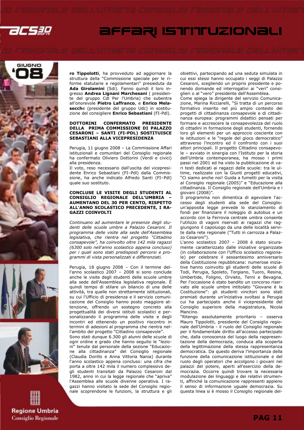

## AFFARI ISTITUZIONALI









ro Tippolotti, ha provveduto ad aggiornare la struttura della "Commissione speciale per le riforme statutarie e regolamentari" presieduta da Ada Girolamini (Sdi). Fanno quindi il loro ingresso Andrea Lignani Marchesani ( presidente del gruppo Cdl Per l'Umbria) che subentra all'onorevole Pietro Laffranco, e Enrico Melasecche (presidente del gruppo Udc) in sostituzione del consigliere Enrico Sebastiani (FI-Pdl).

#### DOTTORINI CONFERMATO PRESIDENTE DELLA PRIMA COMMISSIONE DI PALAZZO CESARONI – SANTI (FI-PDL) SOSTITUISCE SEBASTIANI ALLA VICEPRESIDENZA

Perugia, 11 giugno 2008 – La Commissione Affari istituzionali e comunitari del Consiglio regionale ha confermato Oliviero Dottorini (Verdi e civici) alla presidenza.

Il voto, reso necessario dall'uscita del vicepresidente Enrico Sebastiani (FI–Pdl) dalla Commissione, ha anche indicato Alfredo Santi (FI–Pdl) quale suo sostituto.

#### CONCLUSE LE VISITE DEGLI STUDENTI AL CONSIGLIO REGIONALE DELL'UMBRIA – AUMENTANO DEL 30 PER CENTO, RISPETTO ALL'ANNO SCOLASTICO PRECEDENTE, I RA-GAZZI COINVOLTI

Continuano ad aumentare le presenze degli studenti delle scuole umbre a Palazzo Cesaroni. Il programma delle visite alla sede dell'Assemblea legislativa, che rientra nel progetto "Cittadino consapevole", ha coinvolto oltre 142 mila ragazzi (6300 solo nell'anno scolastico appena concluso) per i quali sono stati predisposti percorsi e programmi di vista personalizzati e differenziati.

Perugia, 18 giugno 2008 – Con il termine dell'anno scolastico 2007 – 2008 si sono conclude anche le visite degli studenti delle scuole umbre alla sede dell'Assemblea legislativa regionale. È quindi tempo di stilare un bilancio di una delle attività, tra quelle non strettamente istituzionali, su cui l'Ufficio di presidenza e il servizio comunicazione del Consiglio hanno posto maggiore attenzione, offrendo un sostegno concreto alla progettualità dei diversi istituti scolastici e personalizzando il programma delle visite e degli incontri ed ottenendo un positivo riscontro in termini di adesioni al programma che rientra nell'ambito del progetto "Cittadino consapevole". Sono stati dunque 6.300 gli alunni delle scuole di ogni ordine e grado che hanno seguito le "lezioni" tenute dal personale della sezione "Educazione alla cittadinanza" del Consiglio regionale (Claudia Dorillo e Anna Vittoria Nania) durante l'anno scolastico appena concluso: una cifra che porta a oltre 142 mila il numero complessivo degli studenti transitati da Palazzo Cesaroni dal 1982, anno in cui la legge regionale che "apriva" l'Assemblea alle scuole divenne operativa. I ragazzi hanno visitato la sede del Consiglio regionale scoprendone le funzioni, la struttura e gli obiettivi, partecipando ad una seduta simulata in cui essi stessi hanno occupato i seggi di Palazzo Cesaroni, scegliendo un proprio presidente e ponendo domande ed interrogativi ai "veri" consiglieri o al "vero" presidente dell'Assemblea.

Come spiega la dirigente del servizio Comunicazione, Marina Ricciarelli, "Si tratta di un percorso formativo inserito nel più ampio contesto dei progetti di cittadinanza consapevole e di cittadinanza europea: programmi didattici pensati per formare e accrescere la consapevolezza del ruolo di cittadini in formazione degli studenti, fornendo loro gli elementi per un approccio cosciente con le istituzioni e le "regole del gioco democratico" attraverso l'incontro ed il confronto con i suoi attori principali. Il progetto Cittadino consapevole – avviato in sinergia con l'Istituto per la storia dell'Umbria contemporanea, ha mosso i primi passi nel 2001 ed ha visto la pubblicazione di vari testi dedicati ai ragazzi delle scuole: tra le ultime, realizzate con la Giunti progetti educativi, "Ci siamo anche noi! Guida a fumetti per la visita al Consiglio regionale (2005)" e "Educazione alla cittadinanza. Il Consiglio regionale dell'Umbria e i giovani (2008)".

Il programma non dimentica di agevolare l'accesso degli studenti alla sede del Consiglio: un'apposita legge prevede lo stanziamento di fondi per finanziare il noleggio di autobus e un accordo con la Ferrovia centrale umbra consente l'utilizzo di vagoni riservati ai ragazzi che raggiungono il capoluogo da una delle località servite dalla rete regionale ("Tutti in carrozza a Palazzo Cesaroni").

L'anno scolastico 2007 – 2008 è stato sicuramente caratterizzato dalle iniziative organizzate (in collaborazione con l'Ufficio scolastico regionale) per celebrare il sessantesimo anniversario della Costituzione repubblicana: numerose iniziative hanno coinvolto gli studenti delle scuole di Todi, Perugia, Spoleto, Torgiano, Tuoro, Resina, Umbertide, Foligno, Orvieto, Terni e Bevagna. Per l'occasione è stato bandito un concorso riservato alle scuole umbre intitolato "Giovane è la Costituzione": gli studenti vincitori sono stati premiati durante un'iniziativa svoltasi a Perugia cui ha partecipato anche il vicepresidente del Consiglio superiore della magistratura, Nicola Mancino.

"Ritengo assolutamente prioritario – osserva Mauro Tippolotti, presidente del Consiglio regionale dell'Umbria - il ruolo del Consiglio regionale per il fondamentale diritto all'accesso partecipato che, dalla conoscenza del luogo della rappresentazione della democrazia, conduca alla scoperta della legittimazione della stessa rappresentanza democratica. Da questo deriva l'importanza della funzione della comunicazione istituzionale e del ruolo degli operatori che accolgono i giovani nei palazzi del potere, aperti all'esercizio della democrazia. Occorre quindi trovare la necessaria modulazione dei linguaggi e dei relativi strumenti, affinché la comunicazione rappresenti appieno il senso di informazione uguale democrazia. Su questa linea si è mosso il Consiglio regionale del-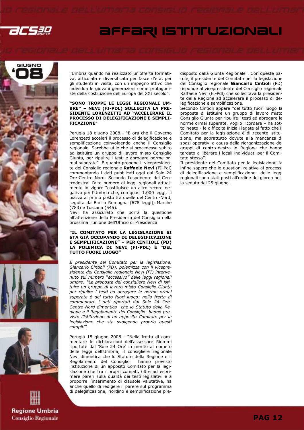

## AFFARI ISTITUZIONALI









l'Umbria quando ha realizzato un'offerta formativa, articolata e diversificata per fasce d'età, per gli studenti in visita, con un impegno attivo che individua le giovani generazioni come protagoniste della costruzione dell'Europa del XXI secolo".

#### "SONO TROPPE LE LEGGI REGIONALI UM-BRE" – NEVI (FI-PDL) SOLLECITA LA PRE-SIDENTE LORENZETTI AD "ACCELERARE IL PROCESSO DI DELEGIFICAZIONE E SEMPLI-FICAZIONE"

Perugia 18 giugno 2008 - "È ora che il Governo Lorenzetti acceleri il processo di delegificazione e semplificazione coinvolgendo anche il Consiglio regionale. Sarebbe utile che si procedesse subito ad istituire un gruppo di lavoro misto Consiglio Giunta, per ripulire i testi e abrogare norme ormai superate". È quanto propone il vicepresidente del Consiglio regionale Raffaele Nevi (FI-Pdl) commentando i dati pubblicati oggi dal Sole 24 Ore-Centro Nord. Secondo l'esponente del Centrodestra, l'alto numero di leggi regionali attualmente in vigore "costituisce un altro record negativo per l'Umbria che, con quasi 1.000 leggi, si piazza al primo posto tra quelle del Centro-Nord, seguita da Emilia Romagna (678 leggi), Marche (783) e Toscana (545).

Nevi ha assicurato che porrà la questione all'attenzione della Presidenza del Consiglio nella prossima riunione dell'Ufficio di Presidenza.

#### "IL COMITATO PER LA LEGISLAZIONE SI STA GIÀ OCCUPANDO DI DELEGIFICAZIONE E SEMPLIFICAZIONE" – PER CINTIOLI (PD) LA POLEMICA DI NEVI (FI-PDL) È "DEL TUTTO FUORI LUOGO"

Il presidente del Comitato per la legislazione, Giancarlo Cintioli (PD), polemizza con il vicepresidente del Consiglio regionale Nevi (FI) intervenuto sul numero "eccessivo" delle leggi regionali umbre: "La proposta del consigliere Nevi di istituire un gruppo di lavoro misto Consiglio-Giunta per ripulire i testi ed abrogare le norme ormai superate è del tutto fuori luogo: nella fretta di commentare i dati riportati dal Sole 24 Ore-Centro-Nord dimentica che lo Statuto della Regione e il Regolamento del Consiglio hanno previsto l'istituzione di un apposito Comitato per la legislazione che sta svolgendo proprio questi compiti".

Perugia 18 giugno 2008 - "Nella fretta di commentare le dichiarazioni dell'assessore Riommi riportate dal 'Sole 24 Ore' in merito al numero delle leggi dell'Umbria, il consigliere regionale Nevi dimentica che lo Statuto della Regione e il Regolamento del Consiglio l'istituzione di un apposito Comitato per la legislazione che tra i propri compiti, oltre ad esprimere pareri sulla qualità dei testi legislativi e a proporre l'inserimento di clausole valutative, ha anche quello di redigere il parere sul programma di delegificazione, riordino e semplificazione predisposto dalla Giunta Regionale". Con queste parole, il presidente del Comitato per la legislazione del Consiglio regionale Giancarlo Cintioli (PD) risponde al vicepresidente del Consiglio regionale Raffaele Nevi (FI-Pdl) che sollecitava la presidente della Regione ad accelerare il processo di delegificazione e semplificazione.

Secondo Cintioli appare "del tutto fuori luogo la proposta di istituire un gruppo di lavoro misto Consiglio Giunta per ripulire i testi ed abrogare le norme ormai superate. Voglio ricordare – ha sottolineato - le difficoltà iniziali legate al fatto che il Comitato per la legislazione è di recente istituzione, ma soprattutto dovute alla mancanza di spazi operativi a causa della riorganizzazione dei gruppi di centro-destra in Regione che hanno tardato a liberare i locali individuati per il Comitato stesso".

Il presidente del Comitato per la legislazione fa infine sapere che le questioni relative ai processi di delegificazione e semplificazione delle leggi regionali sono stati posti all'ordine del giorno nella seduta del 25 giugno.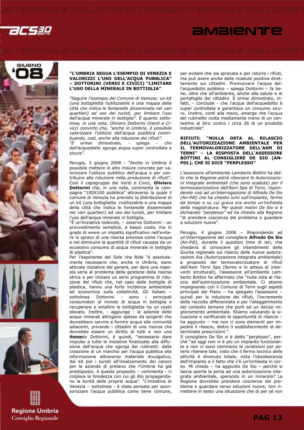









#### "L'UMBRIA SEGUA L'ESEMPIO DI VENEZIA E VALORIZZI L'USO DELL'ACQUA PUBBLICA" – DOTTORINI (VERDI E CIVICI) "LIMITARE L'USO DELLA MINERALE IN BOTTIGLIA"

"Seguire l'esempio del Comune di Venezia: un kit (una bottiglietta riutilizzabile e una mappa della città che indica le fontanelle disseminate nei vari quartieri) ad uso dei turisti, per limitare l'uso dell'acqua minerale in bottiglia". È quanto sottolinea, in una nota, Oliviero Dottorini (Verdi e Civici) convinto che, "anche in Umbria, è possibile valorizzare l'utilizzo dell'acqua pubblica contribuendo, così, anche alla riduzione dei rifiuti".

"È ormai dimostrato, - spiega – che dall'acquedotto sgorga acqua super controllata e sicura".

Perugia, 3 giugno 2008 - "Anche in Umbria è possibile mettere in atto misure concrete per valorizzare l'utilizzo pubblico dell'acqua e per contribuire alla riduzione nella produzione di rifiuti". Così il capogruppo dei Verdi e Civici, Oliviero Dottorini che, in una nota, commenta la campagna "100X100 pubblica" attraverso la quale il comune di Venezia ha previsto la distribuzione di un kit (una bottiglietta riutilizzabile e una mappa della città che indica le fontanelle disseminate nei vari quartieri) ad uso dei turisti, per limitare l'uso dell'acqua minerale in bottiglia.

"È un'iniziativa lodevole, – osserva Dottorini - un provvedimento semplice, a basso costo, ma in grado di avere un impatto significativo nell'evitare lo spreco di una risorsa preziosa come l'acqua e nel diminuire la quantità di rifiuti causata da un eccessivo consumo di acqua minerale in bottiglie di plastica".

Per l'esponente del Sole che Ride "è assolutamente necessario che, anche in Umbria, siano attivate iniziative del genere, per dare una risposta seria al problema della gestione della risorsa idrica e per iniziare un serio programma di riduzione dei rifiuti che, nel caso delle bottiglie di plastica, hanno una forte incidenza ambientale ed economica sulla collettività. Gli italiani – sottolinea Dottorini - sono i principali consumatori al mondo di acqua in bottiglia e recuperare e smaltire le bottigliette ha un costo elevato. Inoltre, - aggiunge - le aziende delle acque minerali attingono spesso da sorgenti che dovrebbero servire a fornire acqua alle comunità adiacenti, privando i cittadini di una risorsa che dovrebbe essere un diritto di tutti e non una fiente do Dottorini, è quindi, "necessario dare impulso a tutte le iniziative finalizzate alla diffusione dell'acqua che sgorga dai rubinetti: dalla creazione di un marchio per l'acqua pubblica alla informazione attraverso materiale divulgativo, dai kit per i turisti all'innalzamento dei canoni per le aziende di prelievo che l'Umbria ha già predisposto. A questo proposito – commenta - ci colpisce la timidezza con cui gli Ato propagandano la bontà delle proprie acque". "L'iniziativa di Venezia – sottolinea - è stata pensata per sponsorizzare l'acqua pubblica come bene comune, per evitare che sia sprecata e per ridurre i rifiuti, ma può avere anche delle ricadute positive direttamente sui cittadini. Promuovere l'acqua dell'acquedotto pubblico – spiega Dottorini – fa bene, oltre che all'ambiente, anche alla salute e al portafoglio dei cittadini. È ormai dimostrato, infatti, - conclude - che l'acqua dell'acquedotto è super controllata e garantisce un consumo sicuro. Inoltre, conti alla mano, emerge che l'acqua del rubinetto costa mediamente meno di un centesimo al litro contro i circa 26 di un prodotto industriale".

AMBIENTE

#### RIFIUTI: "NULLA OSTA AL RILASCIO DELL'AUTORIZZAZIONE AMBIENTALE PER IL TERMOVALORIZZATORE DELL'ASM DI TERNI" – LA RISPOSTA DELL'ASSESSORE BOTTINI AL CONSIGLIERE DE SIO (AN-PDL), CHE SI DICE "PERPLESSO"

L'assessore all'ambiente Lamberto Bottini ha detto che la Regione potrà rilasciare le Autorizzazioni integrate ambientali (che sono scadute) per il termovalorizzatore dell'Asm Spa di Terni, rispondendo così ad un'interrogazione di Alfredo De Sio (An-Pdl) che ha chiesto lumi sull'impianto, fermo da tempo e su cui grava ora anche un'inchiesta della magistratura. Per questi motivi De Sio si è dichiarato "perplesso" ed ha chiesto alla Regione "di prendere coscienza del problema e guardare a soluzioni nuove".

Perugia, 4 giugno 2008 – Rispondendo ad un'interrogazione del consigliere Alfredo De Sio (An-Pdl), durante il question time di ieri, che chiedeva di conoscere gli intendimenti della Giunta regionale sul rilascio delle nuove autorizzazioni Aia (Autorizzazione integrata ambientale) a proposito del termovalorizzatore di rifiuti dell'Asm Terni Spa (fermo e in attesa di interventi strutturali), l'assessore all'ambiente Lamberto Bottini ha affermato che "nulla osta al rilascio dell'autorizzazione ambientale. Ci stiamo impegnando con il Comune di Terni sugli aspetti principali del Piano – ha spiegato l'assessore – quindi per la riduzione dei rifiuti, l'incremento della raccolta differenziata e per l'alleggerimento del contesto ternano che porti ad un deciso miglioramento ambientale. Stiamo valutando la situazione e verificando le opportunità di rilancio – ha aggiunto – ma non ci sono elementi per impedire il rilascio, dietro il soddisfacimento di determinate prescrizioni ".

Il consigliere De Sio si è detto "perplesso", perché "ad oggi non vi è più un impianto funzionante e non vi sono nemmeno le condizioni per poterlo ritenere tale, visto che il fermo tecnico delle attività è divenuto totale, vista l'obsolescenza dell'impianto e il fatto che c'è un'inchiesta in corso. Mi chiedo – ha aggiunto De Sio – perché si lascia aperta la porta ad una autorizzazione integrata ambientale, sperando in un miracolo? La Regione dovrebbe prendere coscienza del problema e guardare verso soluzioni nuove, non rimettere in sesto una situazione che di per sé non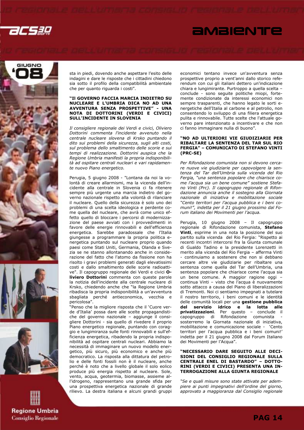

## *<u>AMBIENTE</u>*







sta in piedi, dovendo anche aspettare l'esito delle indagini e dare le risposte che i cittadini chiedono sia sotto il profilo della compatibilità ambientale che per quanto riguarda i costi".

#### "Il GOVERNO FACCIA MARCIA INDIETRO SU NUCLEARE E L'UMBRIA DICA NO AD UNA AVVENTURA SENZA PROSPETTIVE" - UNA NOTA DI DOTTORINI (VERDI E CIVICI) SULL'INCIDENTE IN SLOVENIA

Il consigliere regionale dei Verdi e civici, Oliviero Dottorini commenta l'incidente avvenuto nella centrale nucleare slovena di Krsko puntando il dito sui problemi della sicurezza, sugli alti costi, sul problema dello smaltimento delle scorie e sui tempi di realizzazione. Dottorini auspica che la Regione Umbria manifesti la propria indisponibilità ad ospitare centrali nucleari e vari rapidamente nuovo Piano energetico.

Perugia, 5 giugno 2008 - "Lontana da noi la volontà di creare allarmismi, ma la vicenda dell'incidente alla centrale in Slovenia ci fa ritenere sempre più urgente una marcia indietro del governo nazionale rispetto alla volontà di rilanciare il nucleare. Quello della sicurezza è solo uno dei problemi di una scelta ideologica e perdente come quella del nucleare, che avrà come unico effetto quello di bloccare i percorsi di modernizzazione del paese avviati con i provvedimenti in favore delle energie rinnovabili e dell'efficienza energetica. Sarebbe paradossale che l'Italia giungesse a programmare la propria politica energetica puntando sul nucleare proprio quando paesi come Stati Uniti, Germania, Olanda e Svezia se ne stanno allontanando anche in considerazione del fatto che l'atomo da fissione non ha risolto i gravi problemi generati dagli elevatissimi costi e dallo smaltimento delle scorie radioattive". Il capogruppo regionale dei Verdi e civici Oliviero Dottorini commenta con queste parole la notizia dell'incidente alla centrale nucleare di Krsko, chiedendo anche che "la Regione Umbria ribadisca la propria indisponibilità a un'avventura sbagliata perché antieconomica, vecchia e pericolosa".

"Penso che la migliore risposta che il 'Cuore verde d'Italia' possa dare alle scelte propagandistiche del governo nazionale – aggiunge il consigliere Dottorini - sia quello di rivedere il proprio Piano energetico regionale, puntando con coraggio e lungimiranza sulle fonti rinnovabili e sull'efficienza energetica, ribadendo la propria indisponibilità ad ospitare centrali nucleari. Abbiamo la necessità di immaginare un nuovo modello energetico, più sicuro, più economico e anche più democratico. La risposta alla dittatura del petrolio e delle fonti fossili non è il nucleare, anche perché è noto che a livello globale il solo eolico produce più energia rispetto al nucleare. Sole, vento, acqua, geotermia, biomasse, assieme all'idrogeno, rappresentano una grande sfida per una prospettiva energetica nazionale di grande rilievo. La destra italiana e alcuni grandi gruppi economici tentano invece un'avventura senza prospettive proprio a vent'anni dallo storico referendum con cui gli italiani dettero un'indicazione chiara e lungimirante. Purtroppo a quella scelta – conclude - sono seguite politiche miopi, fortemente condizionate da interessi economici non sempre trasparenti, che hanno legato le sorti energetiche dell'Italia al carbone e al petrolio, non consentendo lo sviluppo di una filiera energetica pulita e rinnovabile. Tutte scelte che l'attuale governo pare intenzionato a incentivare e che non ci fanno immaginare nulla di buono".

#### "NO AD ULTERIORI VIE GIUDIZIARIE PER RIBALTARE LA SENTENZA DEL TAR SUL RIO FERGIA" – COMUNICATO DI STEFANO VINTI (PRC-SE)

Per Rifondazione comunista non si devono cercare nuove vie giudiziarie per capovolgere la sentenza del Tar dell'Umbria sulla vicenda del Rio Fergia, "una sentenza popolare che chiarisce come l'acqua sia un bene comune" sostiene Stefano Vinti (Prc). Il capogruppo regionale di Rifondazione annuncia anche il sostegno alla Giornata nazionale di iniziativa e mobilitazione sociale "Cento territori per l'acqua pubblica e i beni comuni!", indetta per il 21 giugno prossimo dal Forum italiano dei Movimenti per l'acqua.

Perugia, 10 giugno 2008 – Il capogruppo regionale di Rifondazione comunista, Stefano Vinti, esprime in una nota la posizione del suo partito sulla vicenda del Rio Fergia: "Rispetto ai recenti incontri intercorsi fra la Giunta comunale di Gualdo Tadino e la presidente Lorenzetti in merito alla vicenda del Rio Fergia – afferma Vinti - continuiamo a sostenere che non si debbano cercare altre vie giudiziarie per ribaltare una sentenza come quella del Tar dell'Umbria, una sentenza popolare che chiarisce come l'acqua sia un bene comune. A maggior ragione oggi – continua Vinti – visto che l'acqua è nuovamente sotto attacco a causa del Piano di liberalizzazioni di Tremonti. Noi ci sentiamo impegnati a tutelare il nostro territorio, i beni comuni e le identità delle comunità locali per una gestione pubblica del servizio idrico e la lotta alle privatizzazioni. Per questo – conclude il ecapogruppo di Rifondazione comunista sosterremo la Giornata nazionale di iniziativa, mobilitazione e comunicazione sociale - 'Cento territori per l'acqua pubblica e i beni comuni!' indetta per il 21 giugno 2008 dal Forum Italiano dei Movimenti per l'Acqua".

#### "NECESSARIO DARE SEGUITO ALLE DECI-SIONI DEL CONSIGLIO REGIONALE SULLA CENTRALE ENEL DI BASTARDO" – DOTTO-RINI (VERDI E CIVICI) PRESENTA UNA IN-TERROGAZIONE ALLA GIUNTA REGIONALE

"Se e quali misure sono state attivate per adempiere ai punti impegnativi dell'ordine del giorno, approvato a maggioranza dal Consiglio regionale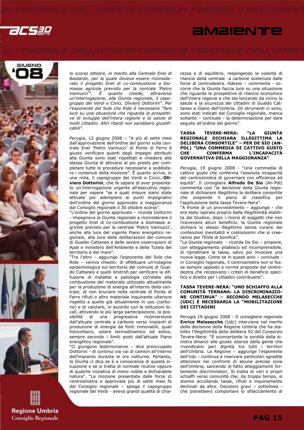

## *<u>AMBIENTE</u>*









lo scorso ottobre, in merito alla Centrale Enel di Bastardo, per la quale doveva essere riconsiderato il progetto Enel di co-combustione a biomasse agricole previsto per la centrale 'Pietro Vannucci $\overline{''}$ . È quanto chiede, attraverso un'interrogazione, alla Giunta regionale, il capogruppo dei Verdi e Civici, Oliviero Dottorini". Per l'esponente del Sole che Ride è necessario "fare luce su una situazione che riguarda le prospettive di sviluppo dell'intera regione e la salute di molti cittadini. Altri ritardi non sarebbero giustificabili".

Perugia, 12 giugno 2008 – "A più di sette mesi dall'approvazione dell'ordine del giorno sulla centrale Enel 'Pietro Vannucci' di Ponte di Ferro è giusto verificare quanti degli impegni attribuiti alla Giunta sono stati rispettati e chiedere alla stessa Giunta di attivarsi al più presto per completare tutte le procedure necessarie a soddisfare i contenuti della mozione". È quanto scrive, in una nota, il capogruppo dei Verdi e Civici, Oliviero Dottorini, che fa sapere di aver presentato un'interrogazione urgente all'esecutivo regionale per sapere "se e quali misure siano state attivate per adempiere ai punti impegnativi dell'ordine del giorno approvato a maggioranza dal Consiglio regionale il 30 ottobre scorso".

"L'ordine del giorno approvato – ricorda Dottorini - impegnava la Giunta regionale a riconsiderare il progetto Enel di co-combustione a biomasse agricole previsto per la centrale 'Pietro Vannucci', anche alla luce del vigente Piano energetico regionale, alla luce delle deliberazioni del comune di Gualdo Cattaneo e delle severe osservazioni di Apat e ministero dell'Ambiente e della Tutela del territorio e del mare".

"Tra l'altro – aggiunge l'esponente del Sole che Ride – veniva chiesto: di effettuare un'indagine epidemiologica sul territorio del comune di Gualdo Cattaneo e quelli limitrofi per verificare la diffusione di malattie e patologie correlate alla combustione del materiale utilizzato attualmente per la produzione di energia all'interno della centrale; di non bruciare nella centrale di Ponte di Ferro rifiuti o altro materiale inquinante ulteriore rispetto a quello già attualmente in uso (carbone) e di valutare, in accordo con le istituzioni locali, attivando la più larga partecipazione, la possibilità di una progressiva riconversione dall'attuale centrale a carbone verso impianti di produzione di energia da fonti rinnovabili, quali fotovoltaico, solare termodinamico ed eolico, sempre secondo i limiti posti dall'attuale Piano energetico regionale".

"Ci giungono testimonianze – dice preoccupato Dottorini - di continui via vai di camion all'interno dell'impianto durante le ore notturne. Pertanto, la Giunta ci dica se è a conoscenza di questa situazione e se si tratta di normale routine oppure di qualche iniziativa di meno nobile e dichiarabile natura". "La mozione presentata dalle forze di centrosinistra e approvata più di sette mesi fa dal Consiglio regionale – spiega il capogruppo regionale dei Verdi - aveva grandi qualità di chiarezza e di equilibrio, respingendo la volontà di rilancio della centrale a carbone sostenuta dalle forze di centrodestra. Adesso – commenta - occorre che la Giunta faccia luce su una situazione che riguarda le prospettive di rilancio economico dell'intera regione e che sta toccando da vicino la salute e la sicurezza dei cittadini di Gualdo Cattaneo e Giano dell'Umbria. Gli strumenti ci sono, sono stati indicati dal Consiglio regionale, manca soltanto – conclude - la determinazione per dare seguito all'ordine del giorno".

#### TASSA TEVERE-NERA: "LA GIUNTA REGIONALE DICHIARA ILLEGITTIMA LA DELIBERA CONSORTILE" – PER DE SIO (AN-PDL) "UNA COMMEDIA DI CATTIVO GUSTO CHE CONFERMA L'INCAPACITÀ GOVERNATIVA DELLA MAGGIORANZA"

Perugia, 19 giugno 2008 - "Una commedia di cattivo gusto che conferma l'assoluta incapacità del centrosinistra di governare con efficienza ed equità". Il consigliere **Alfredo De Sio** (An-Pdl) commenta così "la decisione della Giunta regionale di dichiarare illegittima la delibera consortile che sospende il piano di classifica per l'applicazione della tassa Tevere-Nera".

"A fronte di un provvedimento – aggiunge - che era stato ispirato proprio dalla illegittimità stabilita dal Giudice, dopo i ricorsi di soggetti che non ricevevano alcun beneficio, la Giunta regionale dichiara lo stesso illegittimo senza curarsi dei contenziosi inevitabili e costosissimi che si creeranno per l'Ente di bonifica".

"La Giunta regionale - ricorda De Sio – propone, con atteggiamento pilatesco ed incomprensibile, di ripristinare la tassa, salvo poi invocare una nuova legge. Come se in questi anni – conclude in Consiglio regionale, il centrosinistra non si fosse sempre opposto a norme proposte dal centrodestra che recepivano i criteri di beneficio specifico e diretto per i cittadini contribuenti".

#### TASSA TEVERE-NERA: "UNO SCHIAFFO ALLA COMUNITÀ TERNANA: LA DISCRIMINAZIO-NE CONTINUA" – SECONDO MELASECCHE (UDC) È NECESSARIA LA "MOBILITAZIONE DEI CITTADINI

Perugia 19 giugno 2008 - Il consigliere regionale Enrico Melasecche (Udc) interviene nel merito della decisione della Regione Umbria che ha stabilito l'illegittimità della delibera 92 del Consorzio Tevere-Nera: "È sconcertante la sordità della sinistra dinanzi alle giuste istanze della gente che rivendicano pari dignità tra tutti i territori dell'Umbria. La Regione – aggiunge l'esponente dell'Udc - continua a riservare particolari sgradite attenzioni nei confronti di alcune precise zone dell'Umbria, sancendo di fatto atteggiamenti fortemente discriminatori. Si tratta di veri e propri schiaffi verso comunità che, da troppo tempo, si stanno accollando tasse, rifiuti e inquinamento declinati da altre. Decisioni gravi – sottolinea che potrebbero comportare lo sfilacciamento di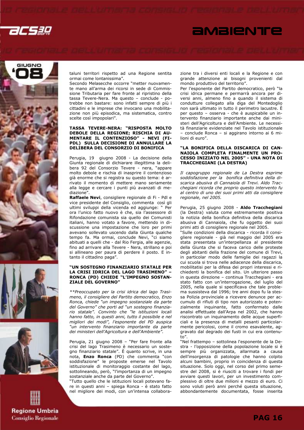

# *<u>AMBIENTE</u>*









taluni territori rispetto ad una Regione sentita ormai come lontanissima".

Secondo Melasecche occorre "metter nuovamente mano all'arma dei ricorsi in sede di Commissione Tributaria per fare fronte al ripristino della tassa Tevere-Nera. Ma questo – conclude - potrebbe non bastare: sono infatti sempre di più i cittadini e le imprese che invocano una mobilitazione non più episodica, ma sistematica, contro scelte così impopolari".

#### TASSA TEVERE-NERA: "RISPOSTA MOLTO DEBOLE DELLA REGIONE; RISCHIA DI AU-MENTARE IL CONTENZIOSO" - NEVI (FI-PDL) SULLA DECISIONE DI ANNULLARE LA DELIBERA DEL CONSORZIO DI BONIFICA

Perugia, 19 giugno 2008 - La decisione della Giunta regionale di dichiarare illegittima la delibera 92 del Consorzio Tevere - nera, "appare molto debole e rischia di inasprire il contenzioso già enorme che si registra su questo tema: è arrivato il momento di mettere mano seriamente alla legge e cercare i punti più avanzati di mediazione".

Raffaele Nevi, consigliere regionale di Fi - Pdl e vice presidente del Consiglio, commenta così gli ultimi sviluppi della vicenda ed aggiunge: " Per ora l'unico fatto nuovo è che, sia l'assessore di Rifondazione comunista sia quello dei Comunisti italiani, hanno votato a favore, mettendo in discussione una impostazione che loro per primi avevano sollevato uscendo dalla Giunta qualche tempo fa. Ma ormai, conclude Nevi, "ci siamo abituati a quelli che - dal Rio Fergia, alle agenzie, fino ad arrivare alla Tevere - Nera, strillano e poi si allineano per paura di perdere il posto. E intanto il cittadino paga".

#### "UN SOSTEGNO FINANZIARIO STATALE PER LA CRISI IDRICA DEL LAGO TRASIMENO" – RONCA (PD) CHIEDE "L'IMPEGNO SOSTAN-ZIALE DEL GOVERNO"

\*\*Preoccupato per la crisi idrica del lago Trasimeno, il consigliere del Partito democratico, Enzo Ronca, chiede "un impegno sostanziale da parte del Governo" che porti ad "un sostegno finanziario statale". Convinto che "le istituzioni locali hanno fatto, in questi anni, tutto il possibile e nel migliori dei modi", l'esponente del PD auspica "un intervento finanziario importante da parte dei ministeri dell'Agricoltura e dell'Ambiente".

Perugia, 21 giugno 2008 – "Per fare fronte alla crisi del lago Trasimeno è necessario un sostegno finanziario statale". È quanto scrive, in una nota, Enzo Ronca (PD) che commenta "con soddisfazione" le proposte emerse nel Tavolo istituzionale di monitoraggio costante del lago, sottolineando, però, "l'importanza di un impegno sostanziale anche da parte del Governo".

"Tutto quello che le istituzioni locali potevano fare in questi anni – spiega Ronca - è stato fatto nel migliore dei modi, con un'intensa collaborazione tra i diversi enti locali e la Regione e con grande attenzione ai bisogni provenienti dal mondo produttivo del territorio".

Per l'esponente del Partito democratico, però "la crisi idrica permane e permarrà ancora per diversi anni, almeno fino a quando il sistema di condutture collegato alla diga del Montedoglio non sarà ultimato in tutto il perimetro lacustre. È per questo – osserva - che è auspicabile un intervento finanziario importante anche dai ministeri dell'Agricoltura e dell'Ambiente. Le necessità finanziarie evidenziate nel Tavolo istituzionale – conclude Ronca – si aggirano intorno ai 6 milioni di euro".

#### "LA BONIFICA DELLA DISCARICA DI CAN-NAIOLA COMPLETA FINALMENTE UN PRO-CESSO INIZIATO NEL 2005" - UNA NOTA DI TRACCHEGIANI (LA DESTRA)

Il capogruppo regionale de La Destra esprime soddisfazione per la bonifica definitiva della discarica abusiva di Cannaiola di Trevi. Aldo Tracchegiani ricorda che proprio questo intervento fu al centro di uno dei suoi primi atti da consigliere regionale, nel 2005.

Perugia, 25 giugno 2008 - Aldo Tracchegiani (la Destra) valuta come estremamente positiva la notizia della bonifica definitiva della discarica abusiva di Cannaiola, che fu oggetto dei suoi primi atti di consigliere regionale nel 2005.

"Sulle condizioni della discarica - ricorda il consigliere regionale - già nel maggio del 2005 era stata presentata un'interpellanza al presidente della Giunta che si faceva carico delle proteste degli abitanti della frazione del comune di Trevi, in particolar modo delle famiglie dei ragazzi la cui scuola si trova nelle adiacenze della discarica, mobilitatisi per la difesa dei propri interessi e richiedenti la bonifica del sito. Un ulteriore passo in questa direzione – continua Tracchegiani - era stato fatto con un'interrogazione, del luglio del 2005, nella quale si specificava che tale problema sussisteva dal 1996; tre anni dopo fu la stessa Polizia provinciale a ricevere denunce per accumulo di rifiuti di tipo non autorizzato e potenzialmente inquinante, fatto confermato dalle analisi effettuate dall'Arpa nel 2002, che hanno riscontrato un inquinamento delle acque superficiali e la presenza di metalli pesanti particolarmente pericolosi, come il cromo esavalente, aggravato dal degrado dei fusti in cui era contenuto".

"Nel frattempo – sottolinea l'esponente de la Destra - l'opposizione della popolazione locale si è sempre più organizzata, allarmata a causa dell'insorgenza di patologie che hanno colpito alcuni bambini, proprio in coincidenza di questa situazione. Solo oggi, nel corso del primo semestre del 2008, si è riusciti a trovare i fondi per avviare questi lavori, per un investimento complessivo di oltre due milioni e mezzo di euro. Ci sono voluti però anni perché questa situazione, abbondantemente documentata, fosse inserita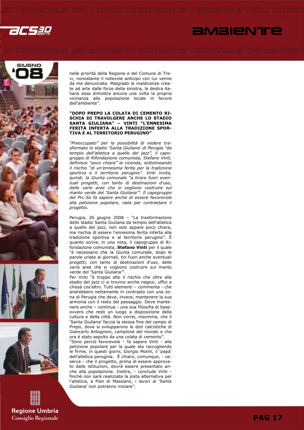2CS3Q

## *<u>AMBIENTE</u>*







nelle priorità della Regione e del Comune di Trevi, nonostante il notevole anticipo con cui venne da me denunciata. Malgrado le maldicenze create ad arte dalle forze della sinistra, la destra italiana essa dimostra ancora una volta la propria vicinanza alla popolazione locale in favore dell'ambiente".

#### "DOPO PREPO LA COLATA DI CEMENTO RI-SCHIA DI TRAVOLGERE ANCHE LO STADIO SANTA GIULIANA" – VINTI "L'ENNESIMA FERITA INFERTA ALLA TRADIZIONE SPOR-TIVA E AL TERRITORIO PERUGINO"

"Preoccupato" per la possibilità di vedere trasformato lo stadio 'Santa Giuliana' di Perugia "da tempio dell'atletica a quello del jazz", il capogruppo di Rifondazione comunista, Stefano Vinti, definisce "poco chiara" la vicenda, sottolineando il rischio "di un'ennesima ferita per la tradizione sportiva e il territorio perugino". Vinti invita, quindi, la Giunta comunale "a tirare fuori eventuali progetti, con tanto di destinazioni d'uso, delle varie aree che si vogliono costruire sul manto verde del 'Santa Giuliana'". Il capogruppo del Prc-Se fa sapere anche di essere favorevole alla petizione popolare, nata per contrastare il progetto.

Perugia, 26 giugno 2008 – "La trasformazione dello stadio Santa Giuliana da tempio dell'atletica a quello del jazz, non solo appare poco chiara, ma rischia di essere l'ennesima ferita inferta alla tradizione sportiva e al territorio perugino". È quanto scrive, in una nota, il capogruppo di Rifondazione comunista, Stefano Vinti per il quale "è necessario che la Giunta comunale, dopo le parole urlate ai giornali, tiri fuori anche eventuali progetti, con tanto di destinazioni d'uso, delle varie aree che si vogliono costruire sul manto verde del 'Santa Giuliana'".

Per Vinti "è troppo alto il rischio che oltre alla stadio del jazz ci si trovino anche negozi, uffici e chissà cos'altro. Tutti elementi – commenta - che andrebbero nettamente in contrasto con una zona di Perugia che deve, invece, mantenere la sua armonia con il resto del paesaggio. Deve mantenere anche – continua - una sua filosofia di base: ovvero che resti un luogo a disposizione della cultura e della città. Non vorrei, insomma, che il 'Santa Giuliana' faccia la stessa fine del campo di Prepo, dove si svilupparono le doti calcistiche di Giancarlo Antognoni, campione del mondo e che ora è stato sepolto da una colata di cemento".

"Sono perciò favorevole – fa sapere Vinti - alla petizione popolare per la quale sta raccogliendo le firme, in questi giorni, Giorgio Molini, il 'papà' dell'atletica perugina. È chiaro, comunque, - osserva - che il progetto, prima di essere approvato dalle istituzioni, dovrà essere presentato anche alla popolazione. Inoltre, - conclude Vinti finché non sarà realizzata la pista alternativa per l'atletica, a Pian di Massiano, i lavori al 'Santa Giuliana' non potranno iniziare".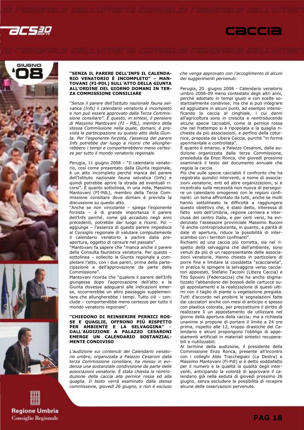









#### "SENZA IL PARERE DELL'INFS IL CALENDA-RIO VENATORIO È INCOMPLETO" – MAN-TOVANI (FI-PDL) SULL'ATTO DELLA GIUNTA ALL'ORDINE DEL GIORNO DOMANI IN TER-**ZA COMMISSIONE CONSILIARE**

"Senza il parere dell'Istituto nazionale fauna selvatica (Infs) il calendario venatorio è incompleto e non può essere approvato dalla Terza Commissione consiliare". È questo, in sintesi, il pensiero di Massimo Mantovani (FI - PdL), membro della stessa Commissione nella quale, domani, è prevista la partecipazione su questo atto della Giunta. Per l'esponente forzista, l'assenza del parere Infs potrebbe dar luogo a ricorsi che allungherebbero i tempi e comporterebbero meno certezze per tutto il mondo venatorio regionale.

Perugia, 11 giugno 2008 – "Il calendario venatorio, così come presentato dalla Giunta regionale, è un atto incompleto perché manca del parere dell'Istituto nazionale fauna selvatica (Infs) e quindi potrebbe aprire la strada ad eventuali ricorsi". È quanto sottolinea, in una nota, Massimo Mantovani (FI-PdL), membro della Terza Commissione consiliare dove domani è prevista la discussione su questo atto.

"Anche se non vincolante – spiega l'esponente forzista – è di grande importanza il parere dell'Infs perché, come già accaduto negli anni precedenti, potrebbe dar luogo a ricorsi. Poi – aggiunge – l'assenza di questo parere impedisce al Consiglio regionale di valutare compiutamente il calendario venatorio a partire dalla preapertura, oggetto di censure nel passato".

"Mantovani fa sapere che "manca anche il parere della Consulta faunistica venatoria. Per questo – sottolinea – sollecito la Giunta regionale a completare l'atto, con i due pareri, prima della partecipazione e dell'approvazione da parte della Commissione".

Mantovani ricorda che "qualora il parere dell'Infs giungesse dopo l'approvazione dell'atto e la Giunta dovesse adeguarsi alle indicazioni emerse, occorrerebbe un altro passaggio supplementare che allungherebbe i tempi. Tutto ciò – conclude – comporterebbe meno certezze per tutto il mondo venatorio regionale".

#### "CHIEDONO DI REINSERIRE PERNICI ROS-SE E QUAGLIE, OFFRONO PIÙ RISPETTO PER AMBIENTE E LA SELVAGGINA" – DALL'AUDIZIONE A PALAZZO CESARONI EMERGE UN CALENDARIO SOSTANZIAL-MENTE CONDIVISO

L'audizione sui contenuti del Calendario venatorio umbro, organizzata a Palazzo Cesaroni dalla terza Commissione consiliare, ha messo in evidenza una sostanziale condivisione da parte delle associazioni venatorie. È stata chiesta la reintroduzione della caccia alla pernice rossa ed alla quaglia. Il testo verrà esaminato dalla stessa commissione, giovedì 26 giugno, e non è escluso che venga approvato con l'accoglimento di alcuni dei suggerimenti pervenuti.

**Caccia** 

Perugia, 20 giugno 2008 - Calendario venatorio umbro 2008-09 meno contestato degli altri anni, perché adottato in tempi giusti e con scelte sostanzialmente condivise; ma che si può integrare ed aggiustare in alcuni punti, ad esempio intensificando la caccia al cinghiale, i cui danni all'agricoltura sono in crescita e reintroducendo alcune specie cacciabili, come la pernice rossa che nel frattempo si è ripopolata e la quaglia richieste da più associazioni, e perfino della coturnice, proposta da Libera Caccia, purché "in forma sperimentale e controllata".

È quanto è emerso, a Palazzo Cesaroni, dalla audizione organizzata dalla terza Commissione, presieduta da Enzo Ronca, che giovedì prossimo esaminerà il testo del documento annuale che regola la caccia.

Più che sulle specie cacciabili il confronto che ha registrato quindici interventi, a nome di associazioni venatorie, enti ed altre organizzazioni, si è incentrato sulla necessità non nuova di perseguire un calendario omogeneo con le regioni confinanti: un tema affrontato da tutti, anche se molti hanno sottolineato la difficoltà a raggiungere questo obiettivo che, è stato detto, interessa di fatto solo dell'Umbria, regione cerniera e interclusa del centro Italia, e per certi versi, ha evidenziato l'assessore provinciale Massimo Buconi "è anche controproducente, in quanto, a parità di date di apertura, riduce la possibilità di interscambio con i territori confinanti".

Richiami ad una caccia più corretta, sia nel rispetto della selvaggina che dell'ambiente, sono venuti da più di un rappresentante delle associazioni venatorie. Hanno chiesto in particolare di porre fine e limitare la cosiddetta "scacciarella", in pratica lo spingere la selvaggina verso cacciatori appostati, Stefano Tacconi (Libera Caccia) e Tito Sposini (Federcaccia) che ha anche stigmatizzato l'abbandono dei bossoli delle cartucce sugli appostamenti e la realizzazione di questi ultimi con il taglio di piante o vegetazione pregiata. Tutti d'accordo nel proibire le segnalazioni fatte dai cacciatori anche con mesi di anticipo e spesso con plastica colorata, per precostituire il diritto di realizzare lì un appostamento da utilizzare nel giorno della apertura della caccia; ma a richiesta unanime si propone di portare il limite a 24 ore prima, rispetto alle 12, troppo drastiche del Calendario e alcuni propongono l'obbligo di appostamenti artificiali in materiali sintetici recuperabili e riutilizzabili.

Al termine della audizione, il presidente della Commissione Enzo Ronca, presente all'incontro con i colleghi Aldo Tracchegiani (La Destra) e Massimo Mantovani (Fi-Pdl) si è detto soddisfatto per il numero e la qualità la qualità degli interventi, anticipando la volontà di approvare il calendario già nella seduta di giovedì prossimo 26 giugno, senza escludere la possibilità di recepire alcune delle osservazioni pervenute.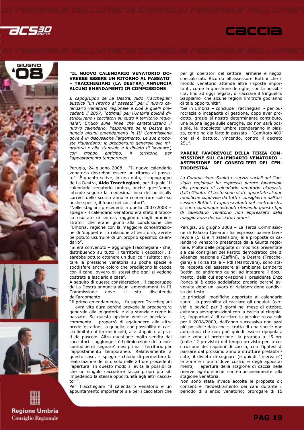









#### "IL NUOVO CALENDARIO VENATORIO DO-VREBBE ESSERE UN RITORNO AL PASSATO" – TRACCHEGIANI (LA DESTRA) ANNUNCIA ALCUNI EMENDAMENTI IN COMMISSIONE

Il capogruppo de La Destra, Aldo Tracchegiani auspica "un ritorno al passato" per il nuovo calendario venatorio regionale e cioè a quelli precedenti il 2007, "ottimali per l'Umbria poiché distribuivano i cacciatori su tutto il territorio regionale". Critico sulle linee che caratterizzano il nuovo calendario, l'esponente de la Destra annuncia alcuni emendamenti in III Commissione dove è in discussione l'argomento. Le sue proposte riguardano: la preapertura generale alla migratoria e alla stanziale e il divieto di 'segnare', con troppo anticipo, il territorio per l'appostamento temporaneo.

Perugia, 24 giugno 2008 – "Il nuovo calendario venatorio dovrebbe essere un ritorno al passato"- È quanto scrive, in una nota, il capogruppo de La Destra, Aldo Tracchegiani, per il quale "Il calendario venatorio umbro, anche quest'anno, intende seguire la medesima linea del politically correct dello scorso anno e concentrare solo su poche specie, il fuoco dei cacciatori".

"Nelle stagioni precedenti a quella 2007/2008 – spiega - il calendario venatorio era stato il faticoso risultato di sintesi, raggiunto dagli amministratori che erano giunti alla conclusione che l'Umbria, regione con la maggiore concentrazione di 'doppiette' in relazione al territorio, avrebbe potuto usufruire di un proprio specifico calendario".

"Si era convenuto – aggiunge Tracchegiani - che, distribuendo su tutto il territorio i cacciatori, si sarebbe potuto ottenere un duplice risultato: evitare la pressione venatoria su poche specie e soddisfare anche coloro che prediligono la caccia con il cane, ovvero gli stessi che oggi si vedono costretti a lasciarlo a casa".

A seguito di queste considerazioni, il capogruppo de La Destra annuncia alcuni emendamenti in III Commissione dove si sta discutendo dell'argomento.

"Il primo emendamento, - fa sapere Tracchegiani avrà vita dura perché prevede la preapertura generale alla migratoria e alla stanziale come in passato. Se questa opzione venisse bocciata – commenta - proporrò di aggiungere alle altre prede 'estatine', la quaglia, con possibilità di caccia limitata ai terreni incolti, alle stoppie e ai prati da pascolo. Altra questione molto sentita dai cacciatori – aggiunge - è l'eliminazione della consuetudine di 'segnare' mesi prima il territorio per l'appostamento temporaneo. Relativamente a questo caso, – spiega - chiedo di permettere la realizzazione del sito solo nelle 24 ore precedenti l'apertura. In questo modo si evita la possibilità che un singolo cacciatore faccia propri più siti impedendo la stessa opportunità agli altri cacciatori".

Per Tracchegiani "il calendario venatorio è un appuntamento importante sia per i cacciatori che per gli operatori del settore: armerie e negozi specializzati. Ricordo all'assessore Bottini che il mondo venatorio attende altre risposte importanti, come la questione deroghe, con la possibilità, fino ad oggi negata, di cacciare il fringuello. Sappiamo che alcune regioni limitrofe godranno di tale opportunità".

**Caccia** 

"Se in Umbria – conclude Tracchegiani - per burocrazia o incapacità di gestione, dopo aver prodotto, grazie al nostro determinante contributo, una buona legge sulle deroghe, ciò non sarà possibile, le 'doppiette' umbre scenderanno in piazza, come ha già fatto in passato il 'Comitato 409' che si è battuto, vincendo, contro il decreto 251".

#### PARERE FAVOREVOLE DELLA TERZA COM-MISSIONE SUL CALENDARIO VENATORIO – ASTENSIONE DEI CONSIGLIERI DEL CEN-**TRODESTRA**

La Commissione Sanità e servizi sociali del Consiglio regionale ha espresso parere favorevole alla proposta di calendario venatorio elaborata dalla Giunta. Al testo sono state apportate alcune modifiche condivise da tutti i consiglieri e dall'assessore Bottini. I rappresentanti del centrodestra si sono comunque astenuti ritenendo questo tipo di calendario venatorio non apprezzato dalla maggioranza dei cacciatori umbri.

Perugia, 26 giugno 2008 – La Terza Commissione di Palazzo Cesaroni ha espresso parere favorevole (5 sì e 4 astensioni) alla proposta di calendario venatorio presentata dalla Giunta regionale. Molte delle proposte di modifica presentate sia dai consiglieri del Partito democratico che di Alleanza nazionale (Zaffini), la Destra (Tracchegiani) e Forza Italia – Pdl (Mantovani), sono state recepite dall'assessore all'ambiente Lamberto Bottini ed andranno quindi ad integrare il documento, della cui approvazione il presidente Enzo Ronca si è detto soddisfatto proprio perché avvenuta dopo un lavoro di rielaborazione condivisa del testo.

Le principali modifiche apportate al calendario sono: la possibilità di cacciare gli ungulati (cervidi e bovidi) per 3 giorni nel mese di ottobre, evitando sovrapposizioni con la caccia al cinghiale; l'opportunità di cacciare la pernice rossa solo per il 2008/2009, dall'anno successivo non sarà più possibile dato che si tratta di una specie non autoctona che non può quindi essere ripopolata nelle zone di protezione; la proroga a 15 ore (dalle 12 previste) del tempo previsto per la costruzione dei capanni di caccia, con l'ipotesi di passare dal prossimo anno a strutture prefabbricate; il divieto di segnare (e quindi "riservare") le zone e i punti dove costruire degli appostamenti; l'apertura della stagione di caccia nelle riserve agrituristiche contemporaneamente alla stagione venatoria.

Non sono state invece accolte le proposte di: consentire l'addestramento dei cani durante il periodo di silenzio venatorio; prorogare di 15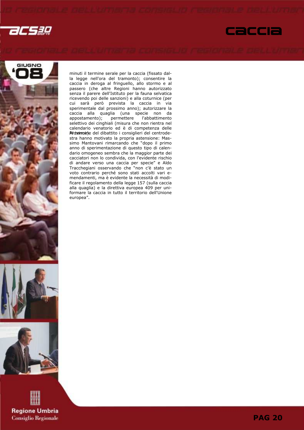







**Regione Umbria Consiglio Regionale**  minuti il termine serale per la caccia (fissato dalla legge nell'ora del tramonto); consentire la caccia in deroga al fringuello, allo stormo e al passero (che altre Regioni hanno autorizzato senza il parere dell'Istituto per la fauna selvatica ricevendo poi delle sanzioni) e alla coturnice (per cui sarà però prevista la caccia in via sperimentale dal prossimo anno); autorizzare la caccia alla quaglia (una specie non da<br>appostamento); permettere l'abbattimento permettere l'abbattimento selettivo dei cinghiali (misura che non rientra nel calendario venatorio ed è di competenza delle Rideimone) del dibattito i consiglieri del centrodestra hanno motivato la propria astensione: Massimo Mantovani rimarcando che "dopo il primo anno di sperimentazione di questo tipo di calendario omogeneo sembra che la maggior parte dei cacciatori non lo condivida, con l'evidente rischio di andare verso una caccia per specie" e Aldo Tracchegiani osservando che "non c'è stato un voto contrario perché sono stati accolti vari emendamenti, ma è evidente la necessità di modificare il regolamento della legge 157 (sulla caccia alla quaglia) e la direttiva europea 409 per uniformare la caccia in tutto il territorio dell'Unione europea".

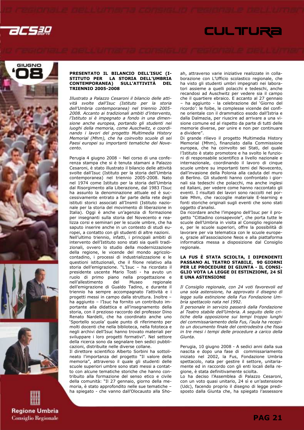

GIUGNO

**Regione Umbria Consiglio Regionale** 



#### PRESENTATO IL BILANCIO DELL'ISUC (I-STITUTO PER LA STORIA DELL'UMBRIA<br>CONTEMPORANEA) SULL'ATTIVITÀ DEL SULL'ATTIVITÀ DEL TRIENNIO 2005-2008

Illustrato a Palazzo Cesaroni il bilancio delle attività svolte dall'Isuc (Istituto per la storia dell'Umbria contemporanea) nel triennio 2005- 2008. Accanto ai tradizionali ambiti d'intervento, l'Istituto si è impegnato a fondo in una dimensione anche europea, portando gli studenti nei luoghi della memoria, come Auschwitz, e coordinando i lavori del progetto Multimedia History Memorial (Mhm), che ha coinvolto scuole di sei Paesi europei su importanti tematiche del Novecento.

Perugia 4 giugno 2008 – Nel corso di una conferenza stampa che si è tenuta stamani a Palazzo Cesaroni, è stato illustrato il bilancio delle attività svolte dall'Isuc (Istituto per la storia dell'Umbria contemporanea) nel triennio 2005-2008. Nato nel 1974 come Istituto per la storia dell'Umbria dal Risorgimento alla Liberazione, dal 1983 l'Isuc ha assunto la denominazione attuale ed è successivamente entrato a far parte della rete degli istituti storici associati all'Insmli (Istituto nazionale per la storia del movimento di liberazione in Italia). Oggi è anche un'agenzia di formazione per insegnanti sulla storia del Novecento e realizza corsi e seminari per le scuole umbre, che ha saputo inserire anche in un contesto di studi europei, a contatto con gli studenti di altre nazioni. Nell'ultimo triennio, infatti, i principali ambiti di intervento dell'Istituto sono stati sia quelli tradizionali, ovvero lo studio della modernizzazione della regione, le vicende del mondo agricolocontadino, i processi di industrializzazione e le questioni istituzionali, che il filone relativo alla storia dell'emigrazione. "L'Isuc – ha ricordato il presidente uscente Mario Tosti - ha avuto un ruolo di primo piano nella progettazione e nell'allestimento del Museo regionale dell'emigrazione di Gualdo Tadino, e durante il triennio ha sempre accompagnato l'attività e i progetti messi in campo dalla struttura. Inoltre – ha aggiunto – l'Isuc ha fornito un contributo importante alla didattica e all'insegnamento della storia, con il prezioso raccordo del professor Dino Renato Nardelli, che ha coordinato anche uno 'Sportello scuola' quale punto di riferimento per molti docenti che nella biblioteca, nella fototeca e negli archivi dell'Isuc hanno trovato materiali per sviluppare i loro progetti formativi". Nel settore della ricerca sono da segnalare ben sedici pubblicazioni, distribuite nelle diverse collane.

Il direttore scientifico Alberto Sorbini ha sottolineato l'importanza del progetto "Il valore della memoria", attraverso il quale gli studenti delle scuole superiori umbre sono stati messi a contatto con alcune tematiche storiche che hanno contribuito alla formazione del senso etico e civile della comunità: "Il 27 gennaio, giorno della memoria, è stato approfondito nelle sue tematiche – ha spiegato - che vanno dall'Olocausto alla Sho-

ah, attraverso varie iniziative realizzate in collaborazione con L'Ufficio scolastico regionale, che ha visto gli studenti umbri impegnati nei laboratori assieme a quelli polacchi e tedeschi, anche recandosi ad Auschwitz per vedere sia il campo che il quartiere ebraico. E accanto al 27 gennaio – ha aggiunto - la celebrazione del 'Giorno del ricordo': le foibe, le complesse vicende del confine orientale con il drammatico esodo dall'Istria e dalla Dalmazia, per riuscire ad arrivare a una visione comune ed al rispetto da parte di tutti delle memorie diverse, per unire e non per continuare a dividere".

**CULTIURA** 

Di grande rilievo il progetto Multimedia History Memorial (Mhm), finanziato dalla Commissione europea, che ha coinvolto sei Stati, del quale l'Istituto è stato promotore e ha svolto le funzioni di responsabile scientifico a livello nazionale e internazionale, coordinando il lavoro di cinque scuole umbre su importanti temi del Novecento, dall'invasione della Polonia alla caduta del muro di Berlino. Gli studenti hanno confrontato i giornali sia tedeschi che polacchi, ma anche inglesi ed italiani, per vedere come hanno raccontato gli eventi. I risultati dei lavori sono raccolti nel portale Mhm, che raccoglie materiale E-learning e fonti storiche originali sugli eventi che sono stati oggetto d'analisi.

Da ricordare anche l'impegno dell'Isuc per il progetto "Cittadino consapevole", che porta tutte le scuole dell'Umbria in visita al Consiglio regionale e, per le scuole superiori, offre la possibilità di lavorare per via telematica con le scuole europee, grazie all'associazione Neos e alla piattaforma informatica messa a disposizione dal Consiglio regionale.

#### LA FUS È STATA SCIOLTA, I DIPENDENTI PASSANO AL TEATRO STABILE, 90 GIORNI PER LE PROCEDURE DI GIUNTA - IL CONSI-GLIO VOTA LA LEGGE DI ESTINZIONE, 24 SÌ E UNA ASTENSIONE

Il Consiglio regionale, con 24 voti favorevoli ed una sola astensione, ha approvato il disegno di legge sulla estinzione della Fus Fondazione Umbria spettacolo nata nel 1992.

Il personale in servizio passerà dalla Fondazione al Teatro stabile dell'Umbria. A seguito delle critiche della opposizione sui tempi troppo lunghi del commissariamento della Fus, l'aula ha recepito un documento finale del centrodestra che fissa in tre mesi i tempi delle procedure a carico della Giunta.

Perugia, 10 giugno 2008 - A sedici anni dalla sua nascita e dopo una fase di commissariamento iniziato nel 2002, la Fus, Fondazione Umbria spettacolo, nata per gestire il settore, unitariamente ed in raccordo con gli enti locali della regione, è stata definitivamente sciolta.

Lo ha deciso l'Assemblea di Palazzo Cesaroni, con un voto quasi unitario, 24 sì e un'astensione (Udc), facendo proprio il disegno di legge predisposto dalla Giunta che, ha spiegato l'assessore

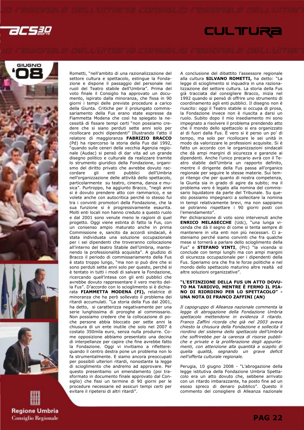









Rometti, "nell'ambito di una razionalizzazione del settore cultura e spettacolo, estingue la Fondazione e dispone il passaggio del personale nei ruoli del Teatro stabile dell'Umbria". Prima del voto finale il Consiglio ha approvato un documento, ispirato dalla minoranza, che fissa in 90 giorni i tempi delle previste procedure a carico della Giunta. Critiche per il prolungato commissariamento della Fus erano state espresse da Fiammetta Modena che così ha spiegato la necessità di fissare tempi certi "non possiamo credere che si siano perduti sette anni solo per ricollocare pochi dipendenti" Illustrando l'atto il relatore di maggioranza FABRIZIO BRACCO (Pd) ha ripercorso la storia della Fus dal 1992, "quando sulle ceneri della vecchia Agenzia regionale (Audac) si pensò di dar vita ad un grande disegno politico e culturale da realizzare tramite lo strumento giuridico della Fondazione, organismo del diritto privato che avrebbe dovuto raccordare gli enti pubblici dell'Umbria nell'organizzazione delle attività dello spettacolo, particolarmente su teatro, cinema, danza e musica". Purtroppo, ha aggiunto Bracco, "negli anni si è dovuto prendere atto con rammarico, e se volete anche con autocritica perché io stesso fui tra i convinti promotori della Fondazione, che la sua funzione si è progressivamente esaurita. Molti enti locali non hanno creduto a questo ruolo e dal 2001 sono venute meno le ragioni di quel progetto. Oggi viene estinta di fatto la Fus, con un consenso ampio maturato anche in prima Commissione e, sancito da accordi sindacali, è stata individuata una soluzione occupazionale per i sei dipendenti che troveranno collocazione all'interno del teatro Stabile dell'Umbria, mantenendo la professionalità acquisita". A giudizio di Bracco il periodo di commissariamento della Fus è stato troppo lungo, "ma non si può dire che si sono perduti sette anni solo per questo, perché si è tentato in tutti i modi di salvare la Fondazione, ricercando quell'intesa con gli enti pubblici che avrebbe dovuto rappresentare il vero merito della Fus". D'accordo con lo scioglimento si è dichiarata FIAMMETTA MODENA (FI), relatrice di minoranza che ha però sollevato il problema dei ritardi accumulati. "La storia della Fus dal 2001, ha detto, si caratterizza negativamente per una serie lunghissima di proroghe al commissario. Non possiamo credere che la collocazione di poche persone abbia bloccato per sette anni la chiusura di un ente inutile che solo nel 2007 è costato 350mila euro, senza nulla produrre. Come opposizione abbiamo presentato una decina di interpellanze per capire che fine avrebbe fatto la Fondazione. Oggi vi invitiamo a riflettere: quando il centro destra pone un problema non lo fa strumentalmente. E siamo ancora preoccupati per possibili ulteriori ritardi, nonostante la legge di scioglimento che andremo ad approvare. Per questo presentiamo un emendamento (poi trasformato in documento finale approvato dal Consiglio) che fissi un termine di 90 giorni per le procedure necessarie ed assicuri tempi certi per evitare il ripetersi di altri ritardi".

A conclusione del dibattito l'assessore regionale alla cultura **SILVANO ROMETTI**, ha detto: "La legge di scioglimento si inquadra in una razionalizzazione del settore cultura. La storia della Fus già tracciata dal consigliere Bracco, inizia nel 1992 quando si pensò di offrire uno strumento di coordinamento agli enti pubblici. Il disegno non è riuscito: oggi il Teatro stabile si occupa di prosa, la Fondazione invece non è riuscita a darsi un ruolo. Subito dopo il mio insediamento mi sono impegnato a risolvere il problema prendendo atto che il mondo dello spettacolo si era organizzato al di fuori dalla Fus. È vero si è perso un po' di tempo, ma solo per ricollocare le sei unità in modo da valorizzare le professioni acquisite. Si è fatto un accordo con le organizzazioni sindacali che dà ampi margini di sicurezza e garanzie ai dipendenti. Anche l'unico precario avrà con il Teatro stabile dell'Umbria un rapporto definito, mentre il dirigente della Fus passa all'organico regionale per seguire le stesse materie. Sui tempi ritengo che per quanto di nostra competenza, la Giunta sia in grado di agire da subito; ma il problema vero è legato alla nomina del commissario liquidatore da parte del Tribunale. Su questo possiamo impegnarci a sollecitare la nomina in tempi relativamente brevi, ma non sappiamo se potranno rispettare i 90 giorni posti con l'emendamento".

Per dichiarazione di voto sono intervenuti anche ENRICO MELASECCHE (Udc), "una lunga vicenda che dà il segno di come si tenta sempre di mantenere in vita enti non più necessari. Ci asteniamo perché siamo convinti che fra qualche mese si tornerà a parlare dello scioglimento della Fus" e **STEFANO VINTI**, (Prc) "la vicenda si conclude con tempi lunghi ma con ampi margini di sicurezza occupazionale per i dipendenti della Fus. Speriamo ora che fra le forze politiche e nel mondo dello spettacolo maturino altre realtà ed altre soluzioni organizzative".

#### "L'ESTINZIONE DELLA FUS UN ATTO DOVU-TO MA TARDIVO, MENTRE È FERMO IL PIA-NO DI RIORDINO PER LO SPETTACOLO" - UNA NOTA DI FRANCO ZAFFINI (AN)

Il capogruppo di Alleanza nazionale commenta la legge di abrogazione della Fondazione Umbria spettacolo mettendone in evidenza il ritardo. Franco Zaffini ricorda che già nel 2003 aveva chiesto la chiusura della Fondazione e sollecita il riordino del sistema dello spettacolo dell'Umbria che soffrirebbe per la carenza di risorse pubbliche e private e la proliferazione degli appuntamenti, con attenzione alla quantità a scapito di quella qualità, segnando un grave deficit nell'offerta culturale regionale.

Perugia, 10 giugno 2008 - "L'abrogazione della legge istitutiva della Fondazione Umbria Spettacolo era un atto dovuto che, sebbene arrivato con un ritardo imbarazzante, ha posto fine ad un esoso spreco di denaro pubblico". Questo il commento del consigliere di Alleanza nazionale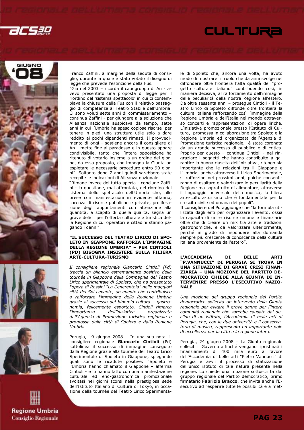











Franco Zaffini, a margine della seduta di consiglio, durante la quale è stato votato il disegno di legge che prevede l'estinzione della Fus.

"Già nel 2003 – ricorda il capogruppo di An - avevo presentato una proposta di legge per il riordino del 'sistema spettacolo' in cui ci contemplava la chiusura della Fus con il relativo passaggio di competenze al Teatro Stabile dell'Umbria. Ci sono voluti sette anni di commissariamento – continua Zaffini - per giungere alla soluzione che Alleanza nazionale auspicava da tempo, sette anni in cui l'Umbria ha speso copiose risorse per tenere in piedi una struttura utile solo a dare reddito ai pochi dipendenti rimasti. Il provvedimento di oggi - sostiene ancora il consigliere di An - mette fine al paradosso e in questo appare condivisibile, tanto che l'intera opposizione ha ritenuto di votarlo insieme a un ordine del giorno, da essa proposto, che impegna la Giunta ad espletare le necessarie procedure entro 90 giorni". Soltanto dopo 7 anni quindi sarebbero state recepite le indicazioni di Alleanza nazionale.

"Rimane invece del tutto aperta - conclude Zaffini - la questione, mai affrontata, del riordino del sistema dello spettacolo dell'Umbria che, alle prese con manifestazioni in evidente affanno, carenza di risorse pubbliche e private, proliferazione degli appuntamenti con attenzione alla quantità, a scapito di quella qualità, segna un grave deficit per l'offerta culturale e turistica della Regione di cui operatori e cittadini stanno pagando i danni".

#### "IL SUCCESSO DEL TEATRO LIRICO DI SPO-LETO IN GIAPPONE RAFFORZA L'IMMAGINE DELLA REGIONE UMBRIA" – PER CINTIOLI (PD) BISOGNA INSISTERE SULLA FILIERA ARTE-CULTURA-TURISMO

Il consigliere regionale Giancarlo Cintioli (Pd) traccia un bilancio estremamente positivo della tournée in Giappone della Compagnia del Teatro Lirico sperimentale di Spoleto, che ha presentato l'opera di Rossini "La Cenerentola" nelle maggiori città del Sol Levante, un evento che contribuisce a rafforzare l'immagine della Regione Umbria grazie al successo del binomio cultura – gastronomia, felicemente esportato. Cintioli rimarca l'importanza dell'iniziativa organizzata dall'Agenzia di Promozione turistica regionale e promossa dalla città di Spoleto e dalla Regione Umbria.

Perugia, 19 giugno 2008 – In una sua nota, il consigliere regionale Giancarlo Cintioli (Pd) sottolinea il successo di immagine conseguito dalla Regione grazie alla tournée del Teatro Lirico Sperimentale di Spoleto in Giappone, spiegando quali sono le ricadute positive: "Spoleto e l'Umbria hanno chiamato il Giappone – afferma Cintioli - e lo hanno fatto con una manifestazione culturale ed eno-gastronomica promozionale svoltasi nei giorni scorsi nella prestigiosa sede dell'Istituto Italiano di Cultura di Tokyo, in occasione della tournée del Teatro Lirico Sperimentale di Spoleto che, ancora una volta, ha avuto modo di mostrare il ruolo che da anni svolge nel diffondere oltre frontiera l'alta qualità del "progetto culturale italiano" contribuendo così, in maniera decisiva, al rafforzamento dell'immagine delle peculiarità della nostra Regione all'estero. Da oltre sessanta anni – prosegue Cintioli - il Teatro Lirico di Spoleto diffonde oltre frontiera la cultura italiana rafforzando così l'immagine della Regione Umbria e dell'Italia nel mondo attraverso concerti e rappresentazioni di opere liriche. L'iniziativa promozionale presso l'Istituto di Cultura, promossa in collaborazione tra Spoleto e la Regione Umbria ed organizzata dall'Agenzia di Promozione turistica regionale, è stata coronata da un grande successo di pubblico e di critica. Proprio per questo – continua Cintioli - nel ringraziare i soggetti che hanno contribuito a garantire la buona riuscita dell'iniziativa, ritengo sia importante che le relazioni tra il Giappone e l'Umbria, anche attraverso il Lirico Sperimentale, si rafforzino nei prossimi anni, poiché consentiranno di esaltare e valorizzare le peculiarità della Regione ma soprattutto di alimentare, attraverso il linguaggio universale della musica, la filiera arte-cultura-turismo che è fondamentale per la crescita civile ed umana dei popoli".

Il consigliere del Pd aggiunge che "la formula utilizzata dagli enti per organizzare l'evento, ossia la capacità di unire risorse umane e finanziarie oltre che di creare un mix tra arte e tradizioni gastronomiche, è da valorizzare ulteriormente, perché in grado di rispondere alla domanda sempre più crescente di conoscenza della cultura italiana proveniente dall'estero".

#### L'ACCADEMIA DI BELLE ARTI "P.VANNUCCI" DI PERUGIA SI TROVA IN UNA SITUAZIONE DI GRAVE CRISI FINAN-ZIARIA – UNA MOZIONE DEL PARTITO DE-MOCRATICO CHIEDE ALLA GIUNTA DI IN-TERVENIRE PRESSO L'ESECUTIVO NAZIO-NALE

Una mozione del gruppo regionale del Partito democratico sollecita un intervento della Giunta regionale per evitare il grave danno per l'intera comunità regionale che sarebbe causato dal declino di un istituto, l'Accademia di belle arti di Perugia, che, con le due università e il conservatorio di musica, rappresenta un importante polo di eccellenza per la città e la regione intera.

Perugia, 24 giugno 2008 – La Giunta regionale solleciti il Governo affinché vengano ripristinati i finanziamenti di 400 mila euro a favore dell'Accademia di belle arti "Pietro Vannucci" di Perugia e avvii il processo di statizzazione dell'unico istituto di tale natura presente nella regione. Lo chiede una mozione sottoscritta dal gruppo regionale del Partito democratico, primo firmatario Fabrizio Bracco, che invita anche l'Esecutivo ad "esperire tutte le possibilità e a met-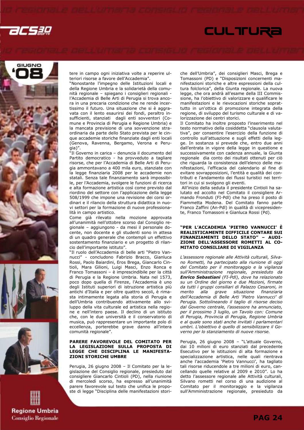











tere in campo ogni iniziativa volte a reperire ulteriori risorse a favore dell'Accademia".

"Nonostante l'impegno delle Istituzioni locali e della Regione Umbria e la solidarietà della comunità regionale – spiegano i consiglieri regionali l'Accademia di Belle Arti di Perugia si trova ancora in una precaria condizione che ne rende incertissimo il futuro. Una situazione che si è aggravata con il lento esaurirsi dei fondi, peraltro insufficienti, stanziati dagli enti sovventori (Comune e Provincia di Perugia e Regione Umbria) e la mancata previsione di una sovvenzione straordinaria da parte dello Stato prevista per le cinque accademie storiche finanziate dagli enti locali (Genova, Ravenna, Bergamo, Verona e Perugia)".

"Il Governo in carica – denuncia il documento del Partito democratico - ha provveduto a tagliare risorse, che per l'Accademia di Belle Arti di Perugia ammontavano a 400 mila euro, stanziate con la legge finanziaria 2008 per le accademie non statali. Senza tale finanziamento sarà impossibile, per l'Accademia, svolgere le funzioni di ricerca e alta formazione artistica così come previsto dal riordino del settore con l'applicazione della legge 508/1999 che impone una revisione dei corsi ordinari e il rilancio della struttura didattica in nuovi settori per la formazione di nuove professionalità in campo artistico.

Come già rilevato nella mozione approvata all'unanimità nell'ottobre scorso dal Consiglio regionale – aggiungono - da mesi il personale docente, non docente e gli studenti sono in attesa di un quadro generale che contempli un effettivo sostentamento finanziario e un progetto di rilancio dell'importante istituto".

"Il ruolo dell'Accademia di belle arti "Pietro Vannucci" - concludono Fabrizio Bracco, Gianluca Rossi, Paolo Baiardini, Eros Brega, Giancarlo Cintioli, Mara Gilioni, Luigi Masci, Enzo Ronca e Franco Tomassoni – è imprescindibile per la città di Perugia e la Regione Umbria. Nata nel 1573, poco dopo quella di Firenze, l'Accademia è uno degli Istituti superiori di istruzione artistica più antichi d'Italia e per oltre quattro secoli, è rimasta intimamente legata alla storia di Perugia e dell'Umbria contribuendo attivamente allo sviluppo della vita culturale ed artistica nella regione e nell'intero paese. Il declino di un istituto che, con le due università e il conservatorio di musica, può rappresentare un importante polo di eccellenza, porterebbe grave danno all'intera comunità regionale".

#### PARERE FAVOREVOLE DEL COMITATO PER LA LEGISLAZIONE SULLA PROPOSTA DI LEGGE CHE DISCIPLINA LE MANIFESTA-ZIONI STORICHE UMBRE

Perugia, 26 giugno 2008 – Il Comitato per la legislazione del Consiglio regionale, presieduto dal consigliere Giancarlo Cintioli (PD), nella riunione di mercoledì scorso, ha espresso all'unanimità parere favorevole sul testo che unifica le proposte di legge "Disciplina delle manifestazioni storiche dell'Umbria", dei consiglieri Masci, Brega e Tomassoni (PD) e "Disposizioni concernenti manifestazioni storiche e altre espressioni della cultura folclorica", della Giunta regionale. La nuova legge, che ora andrà all'esame della III Commissione, ha l'obiettivo di valorizzare e qualificare le manifestazioni e le rievocazioni storiche soprattutto in un'ottica di promozione integrata della regione, di sviluppo del turismo culturale e di valorizzazione dei centri storici.

Il Comitato ha inoltre proposto l'inserimento nel testo normativo della cosiddetta "clausola valutativa", per consentire l'esercizio della funzione di controllo sull'attuazione e sugli effetti della legge. In sostanza si prevede che, entro due anni dall'entrata in vigore della legge in questione e successivamente con cadenza annuale, la Giunta regionale dia conto dei risultati ottenuti per ciò che riguarda la consistenza dell'elenco delle manifestazioni, l'efficacia del calendario al fine di evitare sovrapposizioni, l'entità e qualità dei contributi e l'andamento dei flussi turistici nei territori in cui si svolgono gli eventi.

 All'inizio della seduta il presidente Cintioli ha salutato ed accolto nel Comitato il consigliere Armando Fronduti (FI-Pdl) che ha preso il posto di Fiammetta Modena. Del Comitato fanno parte Franco Zaffini (An-Pdl) in qualità di vicepresidente, Franco Tomassoni e Gianluca Rossi (Pd).

#### "PER L'ACCADEMIA 'PIETRO VANNUCCI' È REALISTICAMENTE DIFFICILE CONTARE SUI FINANZIAMENTI DELLO STATO" – AUDI-ZIONE DELL'ASSESSORE ROMETTI AL CO-MITATO CONSILIARE DI VIGILANZA

L'assessore regionale alle Attività culturali, Silvano Rometti, ha partecipato alla riunione di oggi del Comitato per il monitoraggio e la vigilanza sull'Amministrazione regionale, presieduto da Enrico Sebastiani (FI-Pdl), dove ha relazionato su un Ordine del giorno e due Mozioni, firmate da tutti i gruppi consiliari di Palazzo Cesaroni, in merito alla grave situazione finanziaria dell'Accademia di Belle Arti 'Pietro Vannucci' di Perugia. Sottolineando il taglio di risorse deciso dal Governo centrale, l'assessore ha annunciato, per il prossimo 3 luglio, un Tavolo con: Comune di Perugia, Provincia di Perugia, Regione Umbria e al quale sono stati anche invitati i parlamentari umbri. L'obiettivo è quello di sensibilizzare il Governo per lo stanziamento di nuove risorse.

Perugia, 26 giugno 2008 – "L'attuale Governo, dai 10 milioni di euro stanziati dal precedente Esecutivo per le istituzioni di alta formazione e specializzazione artistica, nelle quali rientrava anche l'accademia 'Pietro Vannucci', ha tagliato tali risorse riducendole a tre milioni di euro, cancellando quelle relative al 2009 e 2010". Lo ha detto l'assessore regionale alle Attività culturali, Silvano rometti nel corso di una audizione al Comitato per il monitoraggio e la vigilanza sull'Amministrazione regionale, presieduto da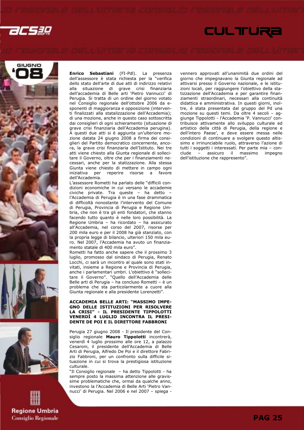











Enrico Sebastiani (FI-Pdl). La presenza dell'assessore è stata richiesta per la "verifica dello stato dell'arte di due atti di indirizzo relativi alla situazione di grave crisi finanziaria dell'accademia di Belle arti 'Pietro Vannucci' di Perugia. Si tratta di un ordine del giorno votato nel Consiglio regionale dell'ottobre 2006 da esponenti di maggioranza e opposizione (interventi finalizzati alla statalizzazione dell'Accademia); di una mozione, anche in questo caso sottoscritta dai consiglieri di ogni schieramento (situazione di grave crisi finanziaria dell'Accademia perugina). A questi due atti si è aggiunta un'ulteriore mozione datata 24 giugno 2008 a firma dei consiglieri del Partito democratico concernente, ancora, la grave crisi finanziaria dell'Istituto. Nei tre atti viene chiesto alla Giunta regionale di sollecitare il Governo, oltre che per i finanziamenti necessari, anche per la statizzazione. Alla stessa Giunta viene chiesto di mettere in campo ogni iniziativa per reperire risorse a favore reperire risorse a favore dell'Accademia.

L'assessore Rometti ha parlato delle "difficili condizioni economiche in cui versano le accademie civiche private. Tra queste – ha detto – l'Accademia di Perugia è in una fase drammatica di difficoltà nonostante l'intervento del Comune di Perugia, Provincia di Perugia e Regione Umbria, che non è tra gli enti fondatori, che stanno facendo tutto quanto è nelle loro possibilità. La Regione Umbria – ha ricordato – ha assicurato all'Accademia, nel corso del 2007, risorse per 200 mila euro e per il 2008 ha già stanziato, con la propria legge di bilancio, ulteriori 150 mila euro. Nel 2007, l'Accademia ha avuto un finanziamento statale di 400 mila euro".

Rometti ha fatto anche sapere che il prossimo 3 luglio, promosso dal sindaco di Perugia, Renato Locchi, ci sarà un incontro al quale sono stati invitati, insieme a Regione e Provincia di Perugia, anche i parlamentari umbri. L'obiettivo è "sollecitare il Governo". "Quello dell'Accademia delle Belle arti di Perugia – ha concluso Rometti – è un problema che sta particolarmente a cuore alla Giunta regionale e alla presidente Lorenzetti".

#### ACCADEMIA BELLE ARTI: "MASSIMO IMPE-GNO DELLE ISTITUZIONI PER RISOLVERE LA CRISI" - IL PRESIDENTE TIPPOLOTTI VENERDÌ 4 LUGLIO INCONTRA IL PRESI-DENTE DE POI E IL DIRETTORE FABBRONI

Perugia 27 giugno 2008 - Il presidente del Consiglio regionale Mauro Tippolotti incontrerà, venerdì 4 luglio prossimo alle ore 12, a palazzo Cesaroni, il presidente dell'Accademia di Belle Arti di Perugia, Alfredo De Poi e il direttore Fabrizio Fabbroni, per un confronto sulla difficile situazione in cui si trova la prestigiosa istituzione culturale.

"Il Consiglio regionale – ha detto Tippolotti - ha sempre posto la massima attenzione alle gravissime problematiche che, ormai da qualche anno, investono la l'Accademia di Belle Arti 'Pietro Vannucci' di Perugia. Nel 2006 e nel 2007 – spiega -

vennero approvati all'unanimità due ordini del giorno che impegnavano la Giunta regionale ad attivarsi presso il Governo nazionale, e le istituzioni locali, per raggiungere l'obiettivo della statizzazione dell'Accademia e per garantire finanziamenti straordinari, necessari alla continuità didattica e amministrativa. In questi giorni, inoltre, è stata presentata dal gruppo del Pd una mozione su questi temi. Da oltre 4 secoli – aggiunge Tippolotti - l'Accademia 'P. Vannucci' contribuisce attivamente allo sviluppo culturale ed artistico della città di Perugia, della regione e dell'intero Paese', e deve essere messa nelle condizioni di continuare a svolgere questo altissimo e irrinunciabile ruolo, attraverso l'azione di tutti i soggetti i interessati. Per parte mia – conclude – assicuro il massimo impegno dell'istituzione che rappresento".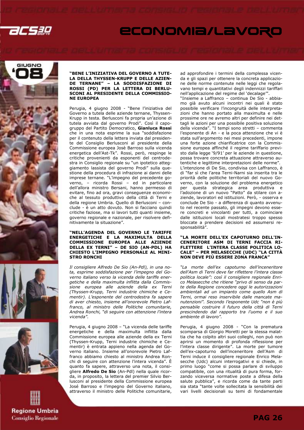









#### "BENE L'INIZIATIVA DEL GOVERNO A TUTE-LA DELLA THYSSEN-KRUPP E DELLE AZIEN-DE TERNANE" – LA SODDISFAZIONE DI ROSSI (PD) PER LA LETTERA DI BERLU-SCONI AL PRESIDENTE DELLA COMMISSIO-NE EUROPEA

Perugia, 4 giugno 2008 - "Bene l'iniziativa del Governo a tutela delle aziende ternane, Thyssen-Krupp in testa. Berlusconi fa propria un'azione di tutela avviata dal governo Prodi". Così il capogruppo del Partito Democratico, Gianluca Rossi che in una nota esprime la sua "soddisfazione per il contenuto della lettera inviata dal presidente del Consiglio Berlusconi al presidente della Commissione europea Josè Barroso sulla vicenda energetica dell'Ast-Tk". Rossi, però, respinge le critiche provenienti da esponenti del centrodestra in Consiglio regionale su "un ipotetico atteggiamento lassista del governo Prodi" sulla questione della procedura di infrazione ai danni delle imprese ternane. "L'impegno del precedente governo, – ricorda Rossi – ed in particolare dell'allora ministro Bersani, hanno permesso di evitare, fino ad ora, gravi conseguenze economiche al tessuto produttivo della città di Terni e della regione Umbria. Quello di Berlusconi – conclude - è un atto dovuto. Non si facciano quindi critiche faziose, ma si lavori tutti quanti insieme, governo regionale e nazionale, per risolvere definitivamente la situazione".

#### "NELL'AGENDA DEL GOVERNO LE TARIFFE ENERGETICHE E LA MAXIMULTA DELLA COMMISSIONE EUROPEA ALLE AZIENDE DELLA EX TERNI" – DE SIO (AN-PDL) HA CHIESTO L'IMPEGNO PERSONALE AL MINI-STRO RONCHI

Il consigliere Alfredo De Sio (An-Pdl), in una nota, esprime soddisfazione per l'impegno del Governo italiano verso la vicenda delle tariffe energetiche e della maximulta inflitta dalla Commissione europea alle aziende della ex Terni (Thyssen-Krupp, Terni industrie chimiche e Cementir). L'esponente del centrodestra fa sapere di aver chiesto, insieme all'onorevole Pietro Laffranco, al ministro delle Politiche comunitarie, Andrea Ronchi, "di seguire con attenzione l'intera vicenda".

Perugia, 4 giugno 2008 – "La vicenda delle tariffe energetiche e della maximulta inflitta dalla Commissione europea alle aziende della ex Terni (Thyssen-Krupp, Terni industrie chimiche e Cementir) è entrata appieno nella agenda del Governo italiano. Insieme all'onorevole Pietro Laffranco abbiamo chiesto al ministro Andrea Ronchi di seguire con attenzione l'intera vicenda". È quanto fa sapere, attraverso una nota, il consigliere Alfredo De Sio (An-Pdl) nella quale ricorda, in proposito, la lettera del premier Silvio Berlusconi al presidente della Commissione europea José Barroso e l'impegno del Governo italiano, attraverso il ministro delle Politiche comunitarie, ad approfondire i termini della complessa vicenda e gli spazi per ottenere la concreta applicazione delle norme contenute nelle leggi che regolavano tempi e quantitativi degli indennizzi tariffari nell'applicazione del regime del 'decalage'".

"Insieme a Laffranco – continua De Sio - abbiamo già avuto alcuni incontri nei quali è stato possibile verificare l'incongruità delle interpretazioni che hanno portato alla maximulta e nelle prossime ore ne avremo altri per definire nei dettagli le azioni per una possibile positiva soluzione della vicenda". "I tempi sono stretti – commenta l'esponente di An - e la poca attenzione che vi è stata sull'argomento nei mesi precedenti, impone una forte azione chiarificatrice con la Commissione europea affinché il regime tariffario previsto dalla legge '9/91' per le aziende in questione, possa trovare concreta attuazione attraverso autentiche e legittime interpretazioni delle norme". L'intenzione di De Sio, condivisa con Laffranco, è di "far sì che l'area Terni-Narni sia inserita tra le priorità delle politiche territoriali del nuovo Governo, con la soluzione del problema energetico per questa strategica area produttiva e l'adozione di un nuovo "Patto" da stilare con aziende, lavoratori ed istituzioni. Però, - osserva e conclude De Sio - a differenza di quanto avvenuto nel recente passato, gli impegni devono essere concreti e vincolanti per tutti, a cominciare dalle istituzioni locali mostratesi troppo spesso bloccate a prendere decisioni ed assumersi responsabilità".

#### "LA MORTE DELL'EX CAPOTURNO DELL'IN-CENERITORE ASM DI TERNI FACCIA RI-FLETTERE L'INTERA CLASSE POLITICA LO-CALE" – PER MELASECCHE (UDC) "LA CITTÀ NON DEVE PIÙ ESSERE ZONA FRANCA"

"La morte dell'ex capoturno dell'inceneritore dell'Asm di Terni deve far riflettere l'intera classe politica locale": così il consigliere regionale Enrico Melasecche che ritiene "privo di senso da parte della Regione concedere oggi le autorizzazioni ambientali ad un impianto come quello Asm di Terni, ormai reso inservibile dalle mancate manutenzioni". Secondo l'esponente Udc "non è più pensabile costruire il futuro della città di Terni prescindendo dal rapporto tra l'uomo e il suo ambiente di lavoro".

Perugia, 4 giugno 2008 - "Con la prematura scomparsa di Giorgio Moretti per la stessa malattia che ha colpito altri suoi colleghi, non può non aprirsi un momento di profonda riflessione per l'intera classe dirigente". La morte per tumore dell'ex-capoturno dell'inceneritore dell'Asm di Terni induce il consigliere regionale Enrico Melasecche (Udc) alcuni interrogativi e si chiede, in primo luogo "come si possa parlare di sviluppo compatibile, con una ritualità di pura forma, forzando viceversa normative poste a difesa della salute pubblica", e ricorda come da tante parti sia stata "tante volte sollecitata la sensibilità dei vari livelli decisionali su temi di fondamentale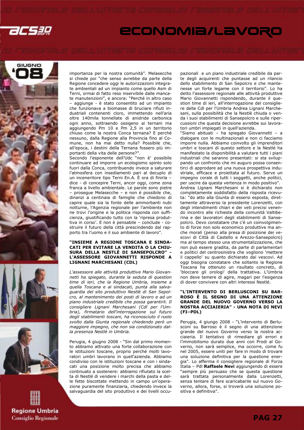









importanza per la nostra comunità". Melasecche si chiede poi "che senso avrebbe da parte della Regione concedere oggi le autorizzazioni integrate ambientali ad un impianto come quello Asm di Terni, ormai di fatto reso inservibile dalle mancate manutenzioni", e ancora: "Perché in altro caso – aggiunge - è stato consentito ad un impianto che funzionava a biomasse di bruciare rifiuti industriali contenenti cloro, immettendo nell'aria oltre 140mila tonnellate di anidride carbonica ogni anno, sottraendo ossigeno ai ternani ma aggiungendo Pm 10 e Pm 2,5 in un territorio chiuso come la nostra Conca ternana? E perché nessuno, dalla Regione alla Provincia fino al Comune, non ha mai detto nulla? Possibile che, all'epoca, i destini della Ternana fossero più importanti della vita delle persone?".

Secondo l'esponente dell'Udc "non è' possibile continuare ad imporre un ecologismo spinto solo fuori dalla Conca, contribuendo invece a saturare l'atmosfera con insediamenti pari al decuplo di un inceneritore tipo Terni En.A. È ora di finirla – dice - di concepire Terni, ancor oggi, come zona franca a livello ambientale. Le parole sono pietre – prosegue Melasecche – e non è possibile che, dinanzi a centinaia di famiglie che chiedono di capire quale sia la fonte delle ammorbanti nubi notturne, l'Agenzia regionale per l'ambiente non ne trovi l'origine e la politica risponda con sufficienza, giustificando tutto con la 'ripresa produttiva in corso'. E non è pensabile – conclude - costruire il futuro della città prescindendo dal rapporto tra l'uomo e il suo ambiente di lavoro".

#### "INSIEME A REGIONE TOSCANA E SINDA-CATI PER EVITARE LA VENDITA O LA CHIU-SURA DELLA NESTLÈ DI SANSEPOLCRO" L'ASSESSORE GIOVANNETTI RISPONDE A LIGNANI MARCHESANI (CDL)

L'assessore alle attività produttive Mario Giovannetti ha spiegato, durante la seduta di question time di ieri, che la Regione Umbria, insieme a quella Toscana e ai sindacati, punta alla salvaguardia del sito produttivo Nestlé di San Sepolcro, al mantenimento dei posti di lavoro e ad un piano industriale credibile che possa garantirli. Il consigliere Lignani Marchesani (Cdl per l'Umbria), firmatario dell'interrogazione sul futuro degli stabilimenti toscani, ha riconosciuto il ruolo svolto dalla Giunta regionale chiedendo però un maggiore impegno, che non sia condizionato dalla presenza Nestlé in Umbria.

Perugia, 4 giugno 2008 - "Sin dal primo momento abbiamo attivato una forte collaborazione con le istituzioni toscane, proprio perché molti lavoratori umbri lavorano in quell'azienda. Abbiamo condiviso con le istituzioni toscane e con i sindacati una posizione molto precisa che abbiamo continuato a sostenere: abbiamo rifiutato la scelta di Nestlé di vendere i marchi della pasta e delle fette biscottate mettendo in campo un'operazione puramente finanziaria, chiedendo invece la salvaguardia del sito produttivo e dei livelli occupazionali e un piano industriale credibile da parte degli acquirenti che puntasse ad un rilancio dello stabilimento di San Sepolcro e che mantenesse un forte legame con il territorio". Lo ha detto l'assessore regionale alle attività produttive Mario Giovannetti rispondendo, durante il question time di ieri, all'interrogazione del consigliere della Cdl per l'Umbria Andrea Lignani Marchesani, sulla possibilità che la Nestlè chiuda o venda i suoi stabilimenti di Sansepolcro e sulle ripercussioni che questa decisione avrebbe sui lavoratori umbri impiegati in quell'azienda.

"Siamo abituati – ha spiegato Giovannetti – a dialogare con le multinazionali e non ci facciamo imporre nulla. Abbiamo coinvolto gli imprenditori umbri e toscani di questo settore e la Nestlé ha manifestato la disponibilità a valutare tutti i piani industriali che saranno presentati: si sta sviluppando un confronto che mi auguro possa consentirci di approdare ad una nuova prospettiva industriale, efficace e proiettata al futuro. Serve un impegno corale di tutti i soggetti, anche politici, per uscire da questa vertenza in modo positivo". Andrea Lignani Marchesani si è dichiarato non completamente soddisfatto della risposta ricevuta: "do atto alla Giunta di essersi esposta, direttamente attraverso la presidente Lorenzetti, con degli intendimenti chiari e dei veti precisi venendo incontro alle richieste della comunità Valtiberina e dei lavoratori degli stabilimenti di Sansepolcro. Devo constatare che c'è un coinvolgimento di forze non solo economico produttive ma anche morali (penso alla presa di posizione dei vescovi di Città di Castello e Arezzo-Sansepolcro) ma al tempo stesso una strumentalizzazione, che non può essere gradita, da parte di parlamentari e politici del centrosinistra che vogliono 'mettere il cappello' su quanto dichiarato dai vescovi. Ad oggi bisogna constatare che soltanto la Regione Toscana ha ottenuto un risultato concreto, di 'bloccare gli orologi' della trattativa. L'Umbria non deve temere di agire, magari per l'esigenza di dover convivere con altri interessi Nestlé.

#### "L'INTERVENTO DI BERLUSCONI SU BAR-ROSO È IL SEGNO DI UNA ATTENZIONE GRANDE DEL NUOVO GOVERNO VERSO LA NOSTRA ACCIAIERIA" - UNA NOTA DI NEVI (FI–PDL)

Perugia, 4 giungo 2008 - "L'intervento di Berlusconi su Barroso è il segno di una attenzione grande del nuovo Governo verso la nostra acciaieria. Il tentativo di rimediare gli errori e l'immobilismo durato due anni con Prodi al Governo, non sarà semplice, ma occorre, come fu nel 2005, essere uniti per fare in modo di trovare una soluzione definitiva per la questione energia". Lo afferma il consigliere regionale di Forza Italia - Pdl Raffaele Nevi aggiungendo di essere "sempre più persuaso che se questa questione sarà trattata personalmente dalla Lorenzetti, senza tentare di fare scaricabarile sul nuovo Governo, allora, forse, si troverà una soluzione positiva e definitiva".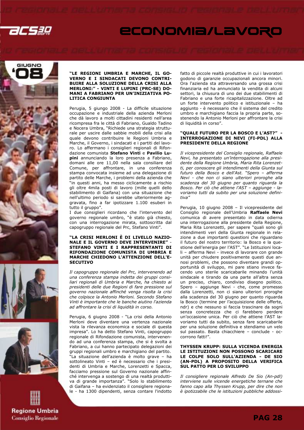









#### "LE REGIONI UMBRIA E MARCHE, IL GO-VERNO E I SINDACATI DEVONO CONTRI-BUIRE ALLA SOLUZIONE DELLA CRISI ALLA MERLONI:" - VINTI E LUPINI (PRC-SE) DO-MANI A FABRIANO PER UN'INIZIATIVA PO-LITICA CONGIUNTA

Perugia, 5 giungo 2008 - La difficile situazione occupazione e industriale della azienda Merloni che dà lavoro a molti cittadini residenti nell'area ricompresa fra le città di Fabriano, Gualdo Tadino e Nocera Umbra, "Richiede una strategia strutturale per uscire dalle sabbie mobili della crisi alla quale devono contribuire le Regioni Umbria e Marche, il Governo, i sindacati e i partiti del lavoro. Lo affermano i consiglieri regionali di Rifondazione comunista Stefano Vinti e Pavilio Lupini annunciando la loro presenza a Fabriano, domani alle ore 11,00 nella sala consiliare del Comune, per affrontare, in una conferenza stampa convocata insieme ad una delegazione di partito delle Marche, i problemi della azienda che "in questi anni, ha messo ciclicamente a rischio gli oltre 4mila posti di lavoro (mille quelli dello stabilimento di Gaifana) con una situazione che nell'ultimo periodo si sarebbe ulteriormente aggravata, fino a far ipotizzare 1.100 esuberi in tutto il gruppo".

I due consiglieri ricordano che l'intervento del governo regionale umbro, "è stato già chiesto, con una interrogazione mirata, sottoscritta dal capogruppo regionale del Prc, Stefano Vinti".

#### "LA CRISI MERLONI È DI LIVELLO NAZIO-NALE E IL GOVERNO DEVE INTERVENIRE" - STEFANO VINTI E I RAPPRESENTANTI DI RIFONDAZIONE COMUNISTA DI UMBRIA E MARCHE CHIEDONO L'ATTENZIONE DELL'E-**SECUTIVO**

Il capogruppo regionale del Prc, intervenendo ad una conferenza stampa indetta dei gruppi consiliari regionali di Umbria e Marche, ha chiesto ai presidenti delle due Regioni di fare pressione sul governo nazionale affinché venga risolta la crisi che colpisce la Antonio Merloni. Secondo Stefano Vinti è importante che le banche aiutino l'azienda ad affrontare la crisi di liquidità in corso.

Perugia, 6 giugno 2008 - "La crisi della Antonio Merloni deve diventare una vertenza nazionale vista la rilevanza economica e sociale di questa impresa". Lo ha detto Stefano Vinti, capogruppo regionale di Rifondazione comunista, intervenendo ad una conferenza stampa, che si è svolta a Fabriano, a cui hanno partecipato delegazioni dei gruppi regionali umbro e marchigiano del partito. "La situazione dell'azienda è molto grave – ha sottolineato Vinti – ed è necessario che i presidenti di Umbria e Marche, Lorenzetti e Spacca, facciamo pressione sul Governo nazionale affinché intervenga a sostengo di una realtà produttiva di grande importanza". "Solo lo stabilimento di Gaifana – ha evidenziato il consigliere regionale - ha 1300 dipendenti, senza contare l'indotto fatto di piccole realtà produttive in cui i lavoratori godono di garanzie occupazionali ancora minori. Ora l'azienda sta attraversando una grossa crisi finanziaria ed ha annunciato la vendita di alcuni settori, la chiusura di uno dei due stabilimenti di Fabriano e una forte ricapitalizzazione. Oltre ad un forte intervento politico e istituzionale – ha aggiunto - è necessario che il sistema del credito umbro e marchigiano faccia la propria parte, sostenendo la Antonio Merloni per affrontare la crisi di liquidità in corso".

#### "QUALE FUTURO PER LA BOSCO E L'AST?" - INTERROGAZIONE DI NEVI (FI-PDL) ALLA PRESIDENTE DELLA REGIONE

Il vicepresidente del Consiglio regionale, Raffaele Nevi, ha presentato un'interrogazione alla presidente della Regione Umbria, Maria Rita Lorenzetti, per conoscere gli intendimenti della Giunta sul futuro della Bosco e dell'Ast. "Spero – afferma Nevi - che non ci siano ulteriori proroghe alla scadenza del 30 giugno per quanto riguarda la Bosco. Per ciò che attiene l'AST – aggiunge - lavoriamo tutti da subito per una soluzione definitiva"

Perugia, 10 giugno 2008 – Il vicepresidente del Consiglio regionale dell'Umbria Raffaele Nevi comunica di avere presentato in data odierna una interrogazione alla presidente della Regione, Maria Rita Lorenzetti, per sapere "quali sono gli intendimenti veri della Giunta regionale in relazione a due importanti questioni che riguardano il futuro del nostro territorio: la Bosco e la questione dell'energia per l'AST". "Le Istituzioni locali – afferma Nevi - invece di lavorare con grande unità per chiudere positivamente questi due annosi problemi, che possono diventare grandi opportunità di sviluppo, mi pare stiano invece facendo uno sterile scaricabarile minando l'unità sindacale e tirando da una parte all'altra senza un preciso, chiaro, condiviso disegno politico. Spero – aggiunge Nevi - che, come promesso dalla Lorenzetti, non ci siano ulteriori proroghe alla scadenza del 30 giugno per quanto riguarda la Bosco (termine per l'acquisizione delle offerte, ndr) e che nessuno si faccia trascinare da sogni senza concretezza che ci farebbero perdere un'occasione unica. Per ciò che attiene l'AST lavoriamo tutti da subito, senza fare scaricabarile per una soluzione definitiva e stendiamo un velo sul passato. Basta chiacchiere – conclude - occorrono fatti!".

#### THYSSEN KRUPP: SULLA VICENDA ENERGIA LE ISTITUZIONI NON POSSONO SCARICARE LE COLPE SOLO SULL'AZIENDA - DE SIO (AN-PDL) A PROPOSITO DELLA VERIFICA SUL PATTO PER LO SVILUPPO

Il consigliere regionale Alfredo De Sio (An-pdl) interviene sulle vicende energetiche ternane che fanno capo alla Thyssen Krupp, per dire che non è ipotizzabile che le istituzioni pubbliche addossi-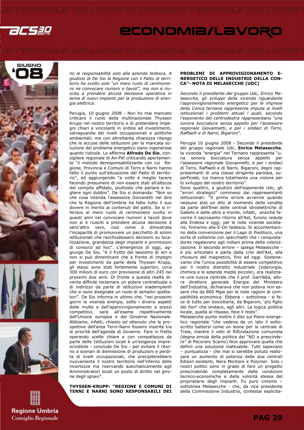







no le responsabilità solo alla azienda tedesca. A giudizio di De Sio la Regione con il Patto di territorio ha svolto solo "un mero ruolo di cerimoniere ne convocare riunioni e tavoli", ma non è riuscita a prendere alcuna decisione operativa in tema di nuovi impianti per la produzione di energia elettrica.

Perugia, 10 giugno 2008 - Non ho mai mancato criticare il ruolo della multinazionale Thyssen Krupp nel nostro territorio e di pretendere impegni chiari e vincolanti in ordine ad investimenti, salvaguardia dei livelli occupazionali e politiche ambientali; ma con altrettanta chiarezza ritengo che le accuse delle istituzioni per la mancata soluzione del problema energetico siano ingenerose quanto ridicole. Lo afferma Alfredo De Sio, consigliere regionale di An-Pdl criticando apertamente "il metodo deresponsabilizzante con cui Regione, Provincia e Comuni di Terni e Narni hanno fatto il punto sull'attuazione del Patto di territorio", ed aggiungendo "a volte è meglio tacere facendo presumere di non essere stati all'altezza del compito affidato, piuttosto che parlare e togliere ogni dubbio". De Sio si domanda: "Non so che cosa intenda l'assessore Giovanetti nel dire che la Regione dell'Umbria ha fatto tutto il suo dovere in merito ai contenuti del patto. Se si riferisce al mero ruolo di cerimoniere svolto in questi anni nel convocare riunioni e tavoli dove non si è riusciti a prendere alcuna decisione è senz'altro vero, così come è dimostrata l'incapacità di promuovere un pacchetto di azioni istituzionali che racchiudessero decisioni su localizzazione, grandezza degli impianti e promozioni di consorzi ad hoc". L'emergenza di oggi, aggiunge De Sio, "è il frutto del lassismo di ieri e non si può dimenticare che a fronte di impegni per investimenti da parte della Thyssen Krupp, gli stessi sono stati fortemente superiori, circa 300 milioni di euro con previsione di altri 245 nei prossimi due anni. Di fronte a questa realtà diventa difficile reclamare un potere contrattuale o di indirizzo da parte di istituzioni inadempienti che si sono disegnate un ruolo di semplici spettatori". De Sio informa in ultimo che, "nei prossimi giorni la vicenda energia, sotto i diversi aspetti delle multe e dell'approvvigionamento a prezzi competitivi, sarà all'esame rispettivamente dell'Unione europea e del Governo Nazionale. Abbiamo, infatti, chiesto ed ottenuto che le prospettive dell'area Terni-Narni fossero inserite tra le priorità dell'agenda di Governo. Fare in fretta operando scelte chiare e con compattezza da parte delle Istituzioni locali è un'esigenza imprescindibile - conclude De Sio - per evitare il ritorno a scenari di dismissione di produzioni e perdita di livelli occupazionali, che precipiterebbero nuovamente il nostro territorio nell'inferno delle incertezze ma riservando automaticamente agli Amministratori locali un posto di diritto nel girone degli ignavi".

THYSSEN-KRUPP: "REGIONE E COMUNI DI TERNI E NARNI SONO RESPONSABILI DEI

#### PROBLEMI DI APPROVIGIONAMENTO E-NERGETICO DELLE INDUSTRIE DELLA CON-CA"- NOTA DI MELASECCHE (UDC)

Secondo il presidente del gruppo Udc, Enrico Melasecche, gli sviluppi della vicenda riguardante l'approvvigionamento energetico per le imprese della Conca ternana rappresenta imputa ai livelli istituzionali i problemi attuali i quali, secondo l'esponente del centrodestra rappresentano "una sonora bocciatura senza appello per l'assessore regionale Giovannetti, e per i sindaci di Terni, Raffaelli e di Narni, Bigaroni".

Perugia 10 giugno 2008 - Secondo il presidente del gruppo regionale Udc, Enrico Melasecche, la vicenda "energia" nel Ternano rappresenta "una sonora bocciatura senza appello per l'assessore regionale Giovannetti, e per i sindaci di Terni, Raffaelli e di Narni, Bigaroni, degni rappresentanti di una classe dirigente parolaia, superficiale, cui manca totalmente una visione per lo sviluppo del nostro territorio".

Sono quattro, a giudizio dell'esponente Udc, gli "errori strategici" commessi dai rappresentanti istituzionali: "Il primo errore avvenne quando nessuno alzò un dito al momento della vendita da parte dell'Enel delle centrali idroelettriche di Galleto e delle altre a monte, infatti, anziché favorire il sacrosanto ritorno all'Ast, furono cedute alla Endesa e oggi, per le note vicende societarie, finiranno alla E-On tedesca. Si accontentarono della convenzione per il Lago di Piediluco, una sorta di collanine con specchietti che i conquistadores regalavano agli indiani prima della colonizzazione. Il secondo errore – spiega Melasecche è più articolato e parte dalla crisi dell'Ast, alla chiusura del magnetico, fino ad oggi. Sostenevamo che l'unica possibilità di essere competitivo per il nostro distretto industriale (siderurgia, chimica e le aziende medio piccole), era realizzare una nuova centrale che il prof. Garribba, allora direttore generale Energia del Ministero dell'Industria, dichiarava che non poteva non essere che da 800 Mgw per le note ragioni di compatibilità economica. Ebbene – sottolinea - si fece di tutto per boicottarla, da Bigaroni, 'più figlio dei fiori' che sindaco, agli altri. La logica politica locale, quella al ribasso, fece il resto".

Melasecche punta inoltre il dito sul Piano energetico regionale "che vedeva da un lato il sottoscritto battersi come un leone per la centrale di Treie, mentre il veto di Rifondazione comunista (degna emula della politica del "NO a prescindere" di Pecoraro Scanio) fece approvare quella che definii una soluzione inattuabile. Tutti sapevano – puntualizza - che mai si sarebbe potuto realizzare un aumento di potenza delle due centrali Edison esistenti, Nera Montoro e Polymer. Solo i nostri politici sono in grado di fare un progetto prescindendo completamente dalle condizioni tecnico-economiche e dalla volontà stessa del proprietario degli impianti. Fu puro cinismo – sottolinea Melasecche - che, da vice presidente della Commissione Industria, contestai esplicita-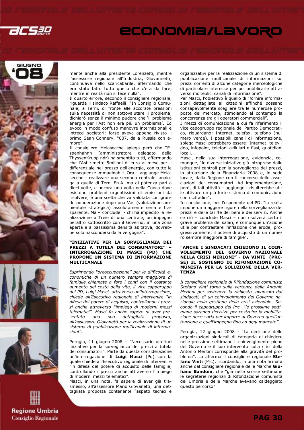









mente anche alla presidente Lorenzetti, mentre l'assessore regionale all'Industria, Giovannetti, continuava nello scaricabarile, affermando che era stato fatto tutto quello che c'era da fare, mentre in realtà non si fece nulla".

Il quarto errore, secondo il consigliere regionale, riguarda il sindaco Raffaelli: "In Consiglio Comunale, a Terni, di fronte alle accorate pressioni sulla necessità di non sottovalutare il problema, dichiarò senza il minimo pudore che 'il problema energia per l'Ast non era più un problema'. Ed evocò in modo confuso manovre internazionali e intrecci societari: forse aveva appena rivisto il primo Sean Connery, "007, dalla Russia con amore".

Il consigliere Melasecche spiega però che "Espenhahnn (amministratore delegato della ThyssenKrupp ndr) ha smentito tutti, affermando che l'Ast rimette 5milioni di euro al mese per il differenziale nel prezzo dell'energia, con tutte le conseguenze immaginabili. Ora – aggiunge Melasecche - realizzare una seconda centrale, analoga a quella di Terni En.A. ma di potenza pari a dieci volte, e ancora una volta nella Conca dove esistono problemi urgentissimi di emissioni da risolvere, è una scelta che va valutata con grande ponderazione dopo una Vas (valutazione ambientale strategica) assolutamente seria e trasparente. Ma – conclude - chi ha impedito la realizzazione a Treie di una centrale, un impegno peraltro sottoscritto con il Governo, in una zona aperta e a bassissima densità abitativa, dovrebbe solo nascondersi dalla vergogna".

#### "INIZIATIVE PER LA SORVEGLIANZA DEI PREZZI A TUTELA DEI CONSUMATORI" INTERROGAZIONE DI MASCI (PD) CHE PROPONE UN SISTEMA DI INFORMAZIONE MULTICANALE

Esprimendo "preoccupazione" per le difficoltà economiche di un numero sempre maggiore di famiglie chiamate a fare i conti con il costante aumento del costo della vita, il vice capogruppo del PD, Luigi Masci, attraverso un'interrogazione, chiede all'Esecutivo regionale di intervenire "in difesa del potere di acquisto, controllando i prezzi anche attraverso l'impiego di moderni mezzi telematici". Masci fa anche sapere di aver presentato una sua dettagliata proposta, all'assessore Giovanetti per la realizzazione di un sistema di pubblicazione multicanale di informazioni".

Perugia, 11 giugno 2008 – "Necessarie ulteriori iniziative per la sorveglianza dei prezzi a tutela dei consumatori". Parte da questa considerazione un'interrogazione di Luigi Masci (Pd) con la quale chiede all'Esecutivo regionale di intervenire "in difesa del potere di acquisto delle famiglie, controllando i prezzi anche attraverso l'impiego di moderni mezzi telematici".

Masci, in una nota, fa sapere di aver già trasmesso, all'assessore Mario Giovanetti, una dettagliata proposta contenente "aspetti tecnici e organizzativi per la realizzazione di un sistema di pubblicazione multicanale di informazioni sui prezzi correnti di alcune categorie merceologiche di particolare interesse per poi pubblicarle attraverso molteplici canali di informazione".

Per Masci, l'obiettivo è quello di "fornire informazioni dettagliate al cittadini affinché possano consapevolmente scegliere tra le numerose proposte del mercato, stimolando al contempo la concorrenza tra gli operatori commerciali".

I mezzi di comunicazione a cui fa riferimento il vice capogruppo regionale del Partito Democratico, riguardano: Internet, telefax, telefono (numero verde). I possibili canali di informazione, spiega Masci potrebbero essere: Internet, televideo, infopoint, telefoni cellulari e fissi, quotidiani locali.

Masci, nella sua interrogazione, evidenzia, comunque, "le diverse iniziative già intraprese dalle istituzioni centrali per la sorveglianza dei prezzi, in attuazione della Finanziaria 2008 e, in sede locale, dalla Regione con il concorso delle associazioni dei consumatori. Ad implementazione, però, di tali attività – aggiunge - risulterebbe utile attivare un più forte sistema di comunicazione con i cittadini".

In conclusione, per l'esponente del PD, "la realtà impone un maggiore rigore nella sorveglianza dei prezzi e delle tariffe dei beni e dei servizi. Anche se ciò – conclude Masci – non risolverà certo il grave problema dei salari, è comunque un'azione utile per contrastare l'inflazione che erode, progressivamente, il potere di acquisto di un numero sempre maggiore di famiglie".

#### "ANCHE I SINDACATI CHIEDONO IL COIN-VOLGIMENTO DEL GOVERNO NAZIONALE NELLA CRISI MERLONI" - DA VINTI (PRC-SE) IL SOSTEGNO DI RIFONDAZIONE CO-MUNISTA PER LA SOLUZIONE DELLA VER-**TENZA**

Il consigliere regionale di Rifondazione comunista Stefano Vinti torna sulla vertenza della Antonio Merloni per sostenere la richiesta, avanzata dai sindacati, di un coinvolgimento del Governo nazionale nella gestione della crisi aziendale. Secondo il capogruppo del Prc "le prossime settimane saranno decisive per costruire la mobilitazione necessaria per imporre al Governo quell'attenzione e quell'impegno fino ad oggi mancato".

Perugia, 12 giugno 2008 - "La decisione delle organizzazioni sindacali di categoria di chiedere nelle prossime settimane il coinvolgimento pieno del Governo e il suo intervento sulla crisi della Antonio Merloni corrisponde alla gravità del problema". Lo afferma il consigliere regionale Stefano Vinti (Prc), ricordando, in una nota firmata anche dal consigliere regionale delle Marche Giuliano Bandoni, che "già nelle scorse settimane le segreterie regionali di Rifondazione comunista dell'Umbria e delle Marche avevano caldeggiato questo percorso".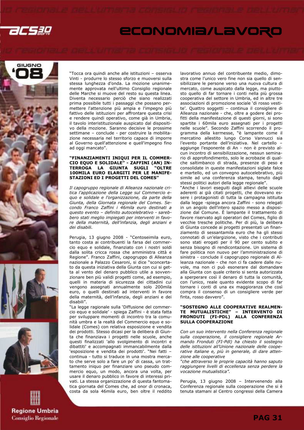









"Tocca ora quindi anche alle istituzioni – osserva Vinti - produrre lo stesso sforzo e muoversi sulla stessa lunghezza d'onda. La mozione unanimemente approvata nell'ultimo Consiglio regionale delle Marche si muove del resto su questa linea. Diventa necessario perciò che siano realizzati prima possibile tutti i passaggi che possano permettere l'attenzione più ampia e l'impegno più fattivo delle istituzioni per affrontare questa crisi e rendere quindi operativo, come già in Umbria, il tavolo interistituzionale auspicato dal dispositivo della mozione. Saranno decisive le prossime settimane – conclude - per costruire la mobilitazione necessaria nel territorio capace di imporre al Governo quell'attenzione e quell'impegno fino ad oggi mancato".

#### "FINANZIAMENTI INIQUI PER IL COMMER-CIO EQUO E SOLIDALE" - ZAFFINI (AN) IN-TERROGA LA GIUNTA SUGLI "OLTRE 100MILA EURO ELARGITI PER LE MANIFE-STAZIONI ED I PROGETTI DEL COMES"

Il capogruppo regionale di Alleanza nazionale critica l'applicazione della Legge sul Commercio equo e solidale e l'organizzazione, da parte della Giunta, della Giornata regionale del Comes. Secondo Franco Zaffini i 46mila euro destinati a questo evento – definito autocelebrativo - sarebbero stati meglio impiegati per interventi in favore della maternità, dell'infanzia, degli anziani e dei disabili.

Perugia, 13 giugno 2008 - "Centoseimila euro, tanto costa ai contribuenti la farsa del commercio equo e solidale, finanziato con i nostri soldi dalla solita cricca rossa che amministra città e Regione". Franco Zaffini, capogruppo di Alleanza nazionale a Palazzo Cesaroni, si dice "sconcertato da questa iniziativa della Giunta con cui si getta al vento del denaro pubblico utile a sovvenzionare ben più validi progetti come, ad esempio, quelli in materia di sicurezza dei cittadini cui vengono assegnati annualmente solo 200mila euro, o quelli destinati ad interventi in favore della maternità, dell'infanzia, degli anziani e dei disabili".

"La legge ragionale sulla 'Diffusione del commercio equo e solidale' - spiega Zaffini - è stata fatta per sviluppare momenti di incontro tra la comunità umbra e la realtà del Commercio equo e solidale (Comes) con relativa esposizione e vendita dei prodotti. Stesso dicasi per la delibera di Giunta che finanziava i progetti nelle scuole, anche questi finalizzati 'allo svolgimento di incontri e dibattiti' e accompagnati immancabilmente dalla 'esposizione e vendita dei prodotti'. "Nei fatti – continua - tutto si traduce in una mostra mercato che serve solo a fare un po' di cassa, un trattamento iniquo per finanziare uno pseudo commercio equo, un modo, ancora una volta, per usare il denaro pubblico in favore di interessi privati. La stessa organizzazione di questa fantomatica giornata del Comes che, ad onor di cronaca, costa da sola 46mila euro, ben oltre il reddito lavorativo annuo del contribuente medio, dimostra come l'unico vero fine non sia quello di sensibilizzare le persone verso una nuova cultura di mercato, come auspicato dalla legge, ma piuttosto quello di far tornare i conti nella più grossa cooperativa del settore in Umbria, ed in altre tre associazioni di promozione sociale 'di rosso vestite'. Quattro soggetti – continua il consigliere di Alleanza nazionale - che, oltre a godere dei profitti della manifestazione di questi giorni, si sono spartite i 60mila euro assegnati per i progetti nelle scuole". Secondo Zaffini scorrendo il programma della kermesse, "è lampante come il mercatino allestito lungo Corso Vannucci sia l'evento portante dell'iniziativa. Nel cartello – aggiunge l'esponente di An - non è previsto alcun incontro di sensibilizzazione, nessun seminario di approfondimento, solo le acrobazie di qualche saltimbanco di strada, presenze di peso e consolidate in queste manifestazioni siglate falce e martello, ed un convegno autocelebrativo, più simile ad una conferenza stampa, tenuto dagli stessi politici autori della legge regionale".

"Anche i lavori eseguiti dagli allievi delle scuole aderenti ai già citati progetti, che dovevano essere i protagonisti di tutta la campagna istituita dalla legge -spiega ancora Zaffini - sono relegati in un angolo dell'intero spazio messo a disposizione dal Comune. È lampante il trattamento di favore riservato agli operatori del Comes, figlio di vecchie tresche politiche. Per di più, la delibera di Giunta concede ai progetti presentati un finanziamento di sessantamila euro che ha gli stessi connotati di un'elargizione, visto che i contributi sono stati erogati per il 90 per cento subito e senza bisogno di rendicontazione. Un sistema di fare politica non nuovo per l'amministrazione di sinistra - conclude il capogruppo regionale di Alleanza nazionale - che non ci fa cadere dalle nuvole, ma non ci può esonerare dal domandare alla Giunta con quale criterio si senta autorizzata a sperperare così il denaro di tutta la comunità, con l'unico, reale quanto evidente scopo di far tornare i conti di una ex maggioranza che così compra il consenso di un consigliere verde per finta, rosso davvero".

#### "SOSTEGNO ALLE COOPERATIVE REALMEN-TE MUTUALISTICHE" – INTERVENTO DI FRONDUTI (FI-PDL) ALLA CONFERENZA SULLA COOPERAZIONE

Con un suo intervento nella Conferenza regionale sulla cooperazione, il consigliere regionale Armando Fronduti (FI-Pdl) ha chiesto il sostegno delle istituzioni all'Unione nazionale delle cooperative italiane e, più in generale, di dare attenzione alle cooperative

"che attraverso le proprie capacità hanno saputo raggiungere livelli di eccellenza senza perdere la vocazione mutualistica".

Perugia, 13 giugno 2008 – Intervenendo alla Conferenza regionale sulla cooperazione che si è tenuta stamani al Centro congressi della Camera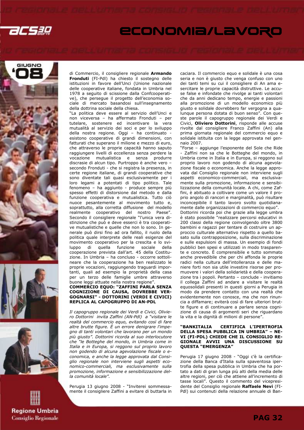









di Commercio, il consigliere regionale Armando Fronduti (FI-Pdl) ha chiesto il sostegno delle istituzioni in favore dell'Unci (Unione nazionale delle cooperative italiane, fondata in Umbria nel 1978 a seguito di scissione dalla Confcooperative), che persegue il progetto dell'economia sociale di mercato basandosi sull'insegnamento della dottrina sociale della chiesa.

"La politica deve essere al servizio dell'Unci e non viceversa – ha affermato Fronduti – per tutelare, sostenere ed incentivare la vera mutualità al servizio dei soci e per lo sviluppo della nostra regione. Oggi – ha continuato esistono cooperative di grandi dimensioni, con fatturati che superano il milione e mezzo di euro, che attraverso le proprie capacità hanno saputo raggiungere livelli di eccellenza senza perdere la vocazione mutualistica e senza produrre discrasie di alcun tipo. Purtroppo è anche vero – secondo Fronduti - che si registra la presenza, in certe regione italiane, di grandi cooperative che sono diventate tali quasi esclusivamente per i loro legami a potentati di tipo politico. Tale fenomeno – ha aggiunto - produce sempre più spesso effetti di distorsione dal metodo e dalla funzione cooperativa e mutualistica. Tutto ciò nuoce pesantemente al movimento tutto e, soprattutto, alla corretta diffusione del modello realmente cooperativo del nostro Paese". Secondo il consigliere regionale "l'unica vera distinzione che può e deve esserci è tra cooperative mutualistiche e quelle che non lo sono. In generale può dirsi fino ad ora fallito, il ruolo della politica quale interprete delle reali esigenze del movimento cooperativo per la crescita e lo sviluppo di quella funzione sociale della cooperazione prevista dall'art. 45 della Costituzione. In Umbria – ha concluso - occorre sottolineare che la cooperazione ha ben realizzato le proprie vocazioni, raggiungendo traguardi importanti, quali ad esempio la proprietà della casa per un terzo delle famiglie umbre attraverso buone leggi attuate nella nostra regione".

### COMMERCIO EQUO: "ZAFFINI PARLA SENZA COGNIZIONE DI CAUSA, DOVREBBE VER-GOGNARSI" - DOTTORINI (VERDI E CIVICI) REPLICA AL CAPOGRUPPO DI AN-PDL

Il capogruppo regionale dei Verdi e Civici, Oliviero Dottorini invita Zaffini (AN-Pdl) a "visitare le realtà del commercio equo, evitando così di fare altre brutte figure. È un errore denigrare l'impegno di tanti volontari che lavorano per un mondo più giusto". Dottorini ricorda al suo interlocutore che "le Botteghe del mondo, in Umbria come in Italia e in Europa, si reggono sul proprio lavoro non godendo di alcuna agevolazione fiscale o economica, e anche la legge approvata dal Consiglio regionale non interviene sugli aspetti economico-commerciali, ma esclusivamente sulla promozione, informazione e sensibilizzazione della comunità locale".

Perugia 13 giugno 2008 - "Inviterei sommessamente il consigliere Zaffini a evitare di buttarla in caciara. Il commercio equo e solidale è una cosa seria e non è giusto che venga confuso con uno dei tanti temi su cui il consigliere di An ama esercitare le proprie capacità distruttive. Le accuse false e infondate che rivolge ai tanti volontari che da anni dedicano tempo, energie e passioni alla promozione di un modello economico più giusto e solidale dovrebbero far vergogna a qualunque persona dotata di buon senso". Con queste parole il capogruppo regionale dei Verdi e Civici, **Oliviero Dottorini**, risponde alle accuse rivolte dal consigliere Franco Zaffini (An) alla prima giornata regionale del commercio equo e solidale istituita con la legge approvata nel gennaio 2007.

"Forse – aggiunge l'esponente del Sole che Ride - Zaffini non sa che le Botteghe del mondo, in Umbria come in Italia e in Europa, si reggono sul proprio lavoro non godendo di alcuna agevolazione fiscale o economica. Anche la legge approvata dal Consiglio regionale non interviene sugli aspetti economico-commerciali, ma esclusivamente sulla promozione, informazione e sensibilizzazione della comunità locale. A chi, come Zaffini, è abituato a coltivare come un valore il proprio angolo di rancori e marginalità, può risultare inconcepibile il tanto lavoro svolto quotidianamente dalle organizzazioni di commercio equo".

Dottorini ricorda poi che grazie alla legge umbra è stato possibile "realizzare percorsi educativi in 200 classi della regione coinvolgendo oltre 3800 bambini e ragazzi per tentare di costruire un approccio culturale alternativo rispetto a quello basato sulla contrapposizione, sulla discriminazione e sulle espulsioni di massa. Un esempio di fondi pubblici ben spesi e utilizzati in modo trasparente e concreto. È comprensibile e tutto sommato anche prevedibile che per chi affonda le proprie radici nella cultura dell'intolleranza e delle maniere forti non sia utile investire risorse per promuovere i valori della solidarietà e della cooperazione tra i popoli. Pertanto – conclude - invitiamo il collega Zaffini ad andare a visitare le realtà equosolidali presenti in questi giorni a Perugia in modo da prendere contatto con una realtà che evidentemente non conosce, ma che non rinuncia a diffamare; eviterà così di fare ulteriori brutte figure e di continuare a parlare senza cognizione di causa di argomenti seri che riguardano la vita e la dignità di milioni di persone".

#### "BANKITALIA CERTIFICA L'IPERTROFIA DELLA SPESA PUBBLICA IN UMBRIA" – NE-VI (FI-PDL) CHIEDE CHE IL CONSIGLIO RE-GIONALE AVVII UNA DISCUSSIONE SU QUESTA "EMERGENZA"

Perugia 17 giugno 2008 - "Oggi c'è la certificazione della Banca d'Italia sulla spaventosa ipertrofia della spesa pubblica in Umbria che ha portato a dati di gran lunga più alti della media delle altre regioni, per ciò che attiene all'incremento di tasse locali". Questo il commento del vicepresidente del Consiglio regionale Raffaele Nevi (FI-Pdl) sui contenuti della relazione annuale di Ban-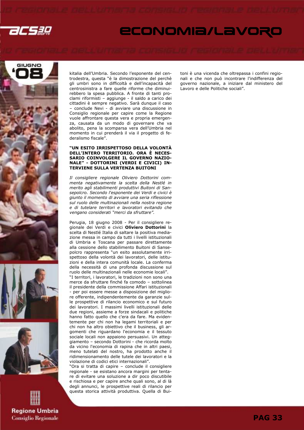







kitalia dell'Umbria. Secondo l'esponente del centrodestra, questa "è la dimostrazione del perchè gli umbri sono in difficoltà e dell'incapacità del centrosinistra a fare quelle riforme che diminuirebbero la spesa pubblica. A fronte di tanti proclami riformisti – aggiunge - il saldo a carico dei cittadini è sempre negativo. Sarà dunque il caso – conclude Nevi - di avviare una discussione in Consiglio regionale per capire come la Regione vuole affrontare questa vera e propria emergenza, causata da un modo di governare che va abolito, pena la scomparsa vera dell'Umbria nel momento in cui prenderà il via il progetto di federalismo fiscale".

#### "UN ESITO IRRISPETTOSO DELLA VOLONTÀ DELL'INTERO TERRITORIO. ORA È NECES-SARIO COINVOLGERE IL GOVERNO NAZIO-NALE" - DOTTORINI (VERDI E CIVICI) IN-TERVIENE SULLA VERTENZA BUITONI

Il consigliere regionale Oliviero Dottorini commenta negativamente la scelta della Nestlé in merito agli stabilimenti produttivi Buitoni di Sansepolcro. Secondo l'esponente dei Verdi e civici è giunto il momento di avviare una seria riflessione sul ruolo delle multinazionali nella nostra regione e di tutelare territori e lavoratori evitando che vengano considerati "merci da sfruttare".

Perugia, 18 giugno 2008 - Per il consigliere regionale dei Verdi e civici Oliviero Dottorini la scelta di Nestlé Italia di saltare la positiva mediazione messa in campo da tutti i livelli istituzionali di Umbria e Toscana per passare direttamente alla cessione dello stabilimento Buitoni di Sansepolcro rappresenta "un esito assolutamente irrispettoso della volontà dei lavoratori, delle istituzioni e della intera comunità locale. La conferma della necessità di una profonda discussione sul ruolo delle multinazionali nelle economie locali". "I territori, i lavoratori, le tradizioni non sono una merce da sfruttare finché fa comodo – sottolinea il presidente della commissione Affari istituzionali - per poi essere messe a disposizione del migliore offerente, indipendentemente da garanzie sulle prospettive di rilancio economico e sul futuro dei lavoratori. I massimi livelli istituzionali delle due regioni, assieme a forze sindacali e politiche hanno fatto quello che c'era da fare. Ma evidentemente per chi non ha legami territoriali e per chi non ha altro obiettivo che il business, gli argomenti che riguardano l'economia e il tessuto sociale locali non appaiono persuasivi. Un atteggiamento – secondo Dottorini - che ricorda molto da vicino l'economia di rapina che in altri paesi, meno tutelati del nostro, ha prodotto anche il ridimensionamento delle tutele dei lavoratori e la violazione di codici etici internazionali".

"Ora si tratta di capire – conclude il consigliere regionale - se esistano ancora margini per tentare di evitare una soluzione a dir poco discutibile e rischiosa e per capire anche quali sono, al di là degli annunci, le prospettive reali di rilancio per questa storica attività produttiva. Quella di Buitoni è una vicenda che oltrepassa i confini regionali e che non può incontrare l'indifferenza del governo nazionale, a iniziare dal ministero del Lavoro e delle Politiche sociali".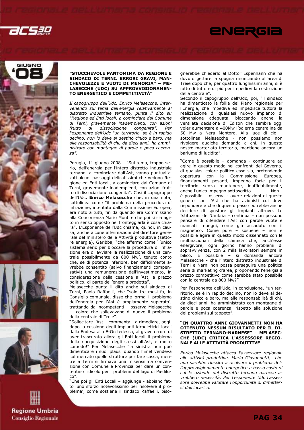









#### "STUCCHEVOLE PANTOMIMA DA REGIONE E SINDACO DI TERNI. ERRORI GRAVI, MAN-CHEVOLEZZE E VUOTI DI MEMORIA" – ME-LASECCHE (UDC) SU APPROVVIGIONAMEN-TO ENERGETICO E COMPETITIVITÀ"

Il capogruppo dell'Udc, Enrico Melasecche, intervenendo sul tema dell'energia relativamente al distretto industriale ternano, punta il dito su "Regione ed Enti locali, a cominciare dal Comune di Terni, gravemente inadempienti, con azioni frutto di dissociazione congenita". Per l'esponente dell'Udc "un territorio, se è in rapido declino, non lo deve al destino cinico e baro, ma alle responsabilità di chi, da dieci anni, ha amministrato con montagne di parole e poca coerenza".

Perugia, 11 giugno 2008 – "Sul tema, troppo serio, dell'energia per l'intero distretto industriale ternano, a cominciare dall'Ast, vanno puntualizzati alcuni passaggi delicatissimi che vedono Regione ed Enti locali, a cominciare dal Comune di Terni, gravemente inadempienti, con azioni frutto di dissociazione congenita". Così il capogruppo dell'Udc, Enrico Melasecche che, in una nota, sottolinea come "il problema della procedura di infrazione, intentata dalla Commissione Europea, era noto a tutti, fin da quando era Commissario alla Concorrenza Mario Monti e che poi si sia agito in senso opposto nel fronteggiarla è cosa chiara". L'Esponente dell'Udc chiama, quindi, in causa, anche alcune affermazioni del direttore generale del ministero delle Attività produttive (settore energia), Garibba, "che affermò come 'l'unico sistema serio per bloccare la procedura di infrazione era di avviare la realizzazione di una centrale possibilmente da 800 Mw', tenuto conto che, se di potenza inferiore, ben difficilmente avrebbe consentito (salvo finanziamenti compensativi) una remunerazione dell'investimento, in considerazione della cessione all'Ast, a prezzo politico, di parte dell'energia prodotta".

Melasecche punta il dito anche sul sindaco di Terni, Paolo Raffaelli, che "solo tre mesi fa, in Consiglio comunale, disse che 'ormai il problema dell'energia per l'Ast è ampiamente superato', trattando da incompetenti – osserva Melasecche coloro che sollevavano di nuovo il problema della centrale di Treie".

"Sollecitare l'Ast – commenta - a rimediare, oggi, dopo la cessione degli impianti idroelettrici locali dalla Endesa alla E-On tedesca, al grave errore di aver trascurato allora gli Enti locali il problema della riacquisizione degli stessi all'Ast, è molto comodo!" Per Melasecche "la sinistra non può dimenticare i suoi plausi quando l'Enel vendeva sul mercato quelle strutture per fare cassa, mentre a Terni si firmava una miserissima convenzione con Comune e Provincia per dare un contentino ridicolo per i problemi del lago di Piediluco".

"Che poi gli Enti Locali – aggiunge - abbiano fatto 'uno sforzo notevolissimo per risolvere il problema', come sostiene il sindaco Raffaelli, biso-

gnerebbe chiederlo al Dottor Espenhann che ha dovuto gettare la spugna rinunciando all'area di Treie dopo che, per quattro lunghissimi anni, si è fatto di tutto e di più per impedirvi la costruzione della centrale".

ENERGIA

Secondo il capogruppo dell'Udc, poi, "il sindaco ha dimenticato la follia del Piano regionale per l'Energia, che impediva ed impedisce tuttora la realizzazione di qualsiasi nuovo impianto di dimensione adeguata, bloccando anche la ventilata decisione di Edison che sembra oggi voler aumentare a 400Mw l'odierna centralina da 50 Mw a Nera Montoro. Alla luce di ciò – sottolinea Melasecche - non possiamo non rivolgere qualche domanda a chi, in questo nostro martoriato territorio, mantiene ancora un barlume di lucidità".

"Come è possibile – domanda - continuare ad agire in questo modo nei confronti del Governo, di qualsiasi colore politico esso sia, pretendendo copertura con la Commissione Europea, finanziamenti pesanti, impegno forte per il territorio senza mantenere, inaffidabilmente, anche l'unico impegno sottoscritto. Non è possibile – osserva - avere relazioni di questo genere con l'Ast che ha azionisti cui deve rispondere e che di questo passo potrebbe anche decidere di spostare gli impianti altrove. Le Istituzioni dell'Umbria – continua – non possono pensare di difendere l'Ast con parole vuote e mancati impegni, come già accaduto con il magnetico. Come pure – sostiene – non è possibile agire in questo modo dissennato con le multinazionali della chimica che, anch'esse energivore, ogni giorno hanno problemi di sopravvivenza, con 2 mila lavoratori sempre in bilico. È possibile – si domanda ancora Melasecche - che l'intero distretto industriale di Terni e Narni non possa perseguire una politica seria di marketing d'area, proponendo l'energia a prezzo competitivo come sarebbe stato possibile con la centrale da 800 Mw?"

Per l'esponente dell'Udc, in conclusione, "un territorio, se è in rapido declino, non lo deve al destino cinico e baro, ma alle responsabilità di chi, da dieci anni, ha amministrato con montagne di parole e poca coerenza, rispetto alla soluzione dei problemi sul tappeto".

#### "IN QUATTRO ANNI GIOVANNETTI NON HA OTTENUTO NESSUN RISULTATO PER IL DI-STRETTO TERNANO-NARNESE" - MELASEC-CHE (UDC) CRITICA L'ASSESSORE REGIO-NALE ALLE ATTIVITÀ PRODUTTIVE

Enrico Melasecche attacca l'assessore regionale alle attività produttive, Mario Giovannetti, che non sarebbe riuscito a risolvere il problema dell'approvvigionamento energetico a basso costo di cui le aziende del distretto ternano narnese avrebbero necessità. Per l'esponente Udc l'assessore dovrebbe valutare l'opportunità di dimettersi dall'incarico.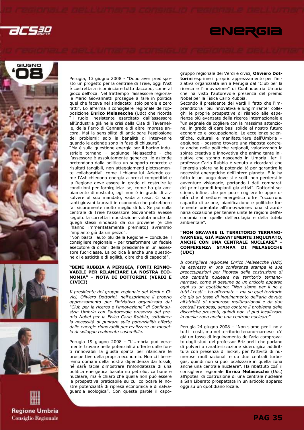

## ENERGIA









Perugia, 13 giugno 2008 - "Dopo aver predisposto un progetto per la centrale di Treie, oggi l'Ast è costretta a ricominciare tutto daccapo, come al gioco dell'oca. Nel frattempo l'assessore regionale Mario Giovannetti prosegue a fare in politica quel che faceva nel sindacato: solo parole e zero fatti". Lo afferma il consigliere regionale dell'opposizione Enrico Melasecche (Udc) che ricorda "il ruolo inesistente esercitato dall'assessore all'Industria già nelle crisi della Cisa di Tavernelle, della Ferro di Cannara e di altre imprese ancora. Mai la sensibilità di anticipare l'esplosione dei problemi; solo la banalità di intervenire quando le aziende sono in fase di chiusura".

"Ma è sulla questione energia per il bacino industriale ternano – aggiunge Melasecche - che l'assessore è assolutamente generico: le aziende pretendono dalla politica un supporto concreto e risultati tangibili, non atteggiamenti pietosamente 'collaborativi', come li chiama lui. Aziende come l'Ast chiedono energia a prezzi competitivi e la Regione deve essere in grado di costruire le condizioni per fornirgliela: se, come ha già ampiamente dimostrato, egli non è in grado di assolvere al suo mandato, vada a casa. Ci sono tanti giovani laureati in economia che potrebbero far sicuramente molto meglio di lui. Se poi sulla centrale di Treie l'assessore Giovannetti avesse seguito la corretta impostazione voluta anche da quegli stessi sindacati da cui proviene (e che l'hanno immeritatamente premiato) avremmo l'impianto già da un pezzo".

"Non basta l'auto blu della Regione – conclude il consigliere regionale - per trasformare un fedele esecutore di ordini della presidente in un assessore fuoriclasse. La politica è anche una questione di elasticità e di agilità, oltre che di capacità".

#### "BENE RUBBIA A PERUGIA, FONTI RINNO-VABILI PER RILANCIARE LA NOSTRA ECO-NOMIA" – NOTA DI DOTTORINI (VERDI E CIVICI)

Il presidente del gruppo regionale dei Verdi e Civici, Oliviero Dottorini, nell'esprimere il proprio apprezzamento per l'iniziativa organizzata dal "Club per la ricerca e l'innovazione" di Confindustria Umbria con l'autorevole presenza del premio Nobel per la Fisica Carlo Rubbia, sottolinea la necessità di puntare sulle potenzialità offerte dalle energie rinnovabili per realizzare un modello di sviluppo realmente sostenibile.

Perugia 19 giugno 2008 - "L'Umbria può veramente trovare nelle potenzialità offerte dalle fonti rinnovabili la giusta spinta per rilanciare le prospettive della propria economia. Non ci libereremo domani della nostra dipendenza dai fossili, né sarà facile dimostrare l'infondatezza di una politica energetica basata su petrolio, carbone e nucleare, ma è chiaro che quella non può essere la prospettiva praticabile su cui collocare le nostre potenzialità di ripresa economica e di salvaguardia ecologica". Con queste parole il capogruppo regionale dei Verdi e civici, Oliviero Dottorini esprime il proprio apprezzamento per l'iniziativa organizzata ieri a Perugia dal "Club per la ricerca e l'innovazione" di Confindustria Umbria che ha visto l'autorevole presenza del premio Nobel per la Fisica Carlo Rubbia.

Secondo il presidente dei Verdi il fatto che l'imprenditoria "più innovativa e lungimirante" colleghi le proprie prospettive di rilancio alle esperienze più avanzate della ricerca internazionale è "un segnale da cogliere con la massima attenzione, in grado di dare basi solide al nostro futuro economico e occupazionale. Le eccellenze scientifiche, culturali e manifatturiere dell'Umbria – aggiunge - possono trovare una risposta concreta anche nelle politiche regionali, valorizzando la spinta creativa e innovativa che anima tante iniziative che stanno nascendo in Umbria. Ieri il professor Carlo Rubbia è venuto a ricordarci che l'energia solare ha le potenzialità per garantire le necessità energetiche dell'intero pianeta. E lo ha fatto in un luogo dove si è soliti non perdersi in avventure visionarie, portando i dati comparati dei primi grandi impianti già attivi". Dottorini sostiene, infine, che per poter cogliere le opportunità che il settore energetico offre "occorrono capacità di azione, pianificazione e politiche fortemente orientate all'innovazione: una straordinaria occasione per tenere unite le ragioni dell'economia con quelle dell'ecologia e della tutela ambientale".

#### "NON GRAVARE IL TERRITORIO TERNANO-NARNESE, GIÀ PESANTEMENTE INQUINATO, ANCHE CON UNA CENTRALE NUCLEARE" – CONFERENZA STAMPA DI MELASECCHE (UDC)

Il consigliere regionale Enrico Melasecche (Udc) ha espresso in una conferenza stampa le sue preoccupazioni per l'ipotesi della costruzione di una centrale nucleare nel territorio ternanonarnese, come si desume da un articolo apparso oggi su un quotidiano: "Non siamo per il no a tutti i costi – ha affermato – ma su quel territorio c'è già un tasso di inquinamento dell'aria dovuto all'attività di numerose multinazionali e da due centrali turbogas, senza contare il problema delle discariche presenti, quindi non si può localizzare in quella zona anche una centrale nucleare"

Perugia 24 giugno 2008 – "Non siamo per il no a tutti i costi, ma nel territorio tenano-narnese c'è già un tasso di inquinamento dell'aria comprovato dagli studi del professor Briziarelli che parlano di polveri a caratterizzazione siderurgica addirittura con presenza di nickel, per l'attività di numerose multinazionali e da due centrali turbogas, quindi non si può localizzare in quella zona anche una centrale nucleare". Ha ribattuto così il consigliere regionale Enrico Melasecche (Udc) all'ipotesi di costruzione di una centrale nucleare a San Liberato prospettata in un articolo apparso oggi su un quotidiano locale.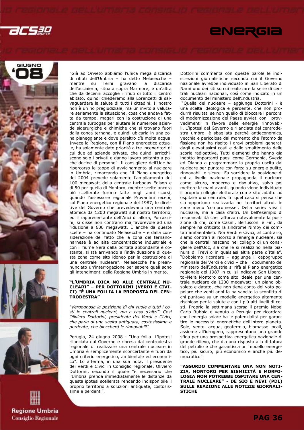











"Già ad Orvieto abbiamo l'unica mega discarica di rifiuti dell'Umbria – ha detto Melasecche – aravano dell'acciaieria, situata sopra Marmore, e un'altra che da decenni accoglie i rifiuti di tutto il centro abitato, quindi chiederemo alla Lorenzetti di salvaguardare la salute di tutti i cittadini. Il nostro non è un no pregiudiziale, ma un invito a valutare seriamente la situazione, cosa che andava fatta da tempo, magari con la costruzione di una centrale turbogas per aiutare le numerose aziende siderurgiche e chimiche che si trovano fuori dalla conca ternana, e quindi ubicarla in una zona pianeggiante e dove peraltro c'è molta acqua. Invece la Regione, con il Piano energetico attuale, ha solamente dato priorità a tre inceneritori di cui due ad aziende private, che quindi arricchiscono solo i privati e danno lavoro soltanto a poche decine di persone". Il consigliere dell'Udc ha ripercorso le tappe di avvicinamento al nucleare in Umbria, rimarcando che "il Piano energetico del 2004 prevede solamente l'ampliamento dei 100 megawatt della centrale turbogas Edison e di 50 per quella di Montoro, mentre scelte ancora più scellerate furono fatte negli anni scorsi, quando l'assessore regionale Provantini recepì, col Piano energetico regionale del 1987, le direttive del Governo che prevedevano una centrale atomica da 1200 megawatt sul nostro territorio, ed il rappresentante dell'Anci di allora, Porrazzini, si disse non contrario ma favorevole ad una riduzione a 600 megawatt. È anche da queste scelte – ha continuato Melasecche – e dalla considerazione del fatto che la zona del ternanonarnese è ad alta concentrazione industriale e con il fiume Nera dalla portata abbondante e costante, si sta arrivando all'individuazione di questa zona come sito idoneo per la costruzione di una centrale nucleare". Melasecche ha preannunciato un'interrogazione per sapere quali sono gli intendimenti della Regione Umbria in merito.

#### "L'UMBRIA DICA NO ALLE CENTRALI NU-CLEARI" – PER DOTTORINI (VERDI E CIVI-CI) "È UNA FOLLIA LA PROPOSTA DEL CEN-TRODESTRA"

"Vergognosa la posizione di chi vuole a tutti i costi le centrali nucleari, ma a casa d'altri". Così Oliviero Dottorini, presidente dei Verdi e Civici, che parla di una scelta antiquata, costosissima e perdente, che bloccherà le rinnovabili".

Perugia, 24 giugno 2008 - "Una follia. L'ipotesi rilanciata dal Governo e ripresa dal centrodestra regionale di realizzare una centrale nucleare in Umbria è semplicemente sconcertante e fuori da ogni criterio energetico, ambientale ed economico". Lo afferma, in una sua nota, il presidente dei Verdi e Civici in Consiglio regionale, Oliviero Dottorini, secondo il quale "è necessario che l'Umbria prenda immediatamente le distanze da questa ipotesi scellerata rendendo indisponibile il proprio territorio a soluzioni antiquate, costosissime e perdenti".

Dottorini commenta con queste parole le indiscrezioni giornalistiche secondo cui il Governo nazionale avrebbe individuato in San Liberato di Narni uno dei siti su cui realizzare la serie di centrali nucleari nazionali, così come indicato in un documento del ministero dell'Industria.

 "Quella del nucleare – aggiunge Dottorini - è una scelta ideologica e perdente, che non produrrà risultati se non quello di bloccare i percorsi di modernizzazione del Paese avviati con i provvedimenti in favore delle energie rinnovabili. L'ipotesi del Governo e rilanciata dal centrodestra umbro, è sbagliata perché antieconomica, vecchia e pericolosa dal momento che l'atomo da fissione non ha risolto i gravi problemi generati dagli elevatissimi costi e dallo smaltimento delle scorie radioattive. Tutti elementi che hanno già indotto importanti paesi come Germania, Svezia ed Olanda a programmare la propria uscita dal nucleare per puntare con forza su energie pulite, rinnovabili e sicure. Fa sorridere la posizione di chi a livello nazionale propaganda il nucleare come sicuro, moderno e risolutivo, salvo poi mettere le mani avanti, quando viene individuato il proprio collegio elettorale come sito adatto ad ospitare una centrale. In quel caso si pensa che sia opportuno realizzarla nei territori altrui, in zone meno 'compromesse'. Della serie: viva il nucleare, ma a casa d'altri. Un bell'esempio di responsabilità che rafforza notevolmente la posizione di chi, come Casini, Berlusconi e Fini, da sempre ha criticato la sindrome Nimby dei comitati ambientalisti. Noi Verdi e Civici, al contrario, siamo contrari al ricorso all'energia nucleare, sia che le centrali nascano nel collegio di un consigliere dell'Udc, sia che le si realizzino nella pianura di Trevi o in qualsiasi altra parte d'Italia". "Dobbiamo ricordare – aggiunge il capogruppo regionale dei Verdi e civici – che il documento del Ministero dell'Industria si rifà al Piano energetico regionale del 1987 in cui si indicava San Liberato–Nera Montoro come sito ideale per una centrale nucleare da 1200 megawatt: un piano obsoleto e datato, che non tiene conto del voto popolare che venti anni fa ha sancito la sconfitta di chi puntava su un modello energetico altamente rischioso per la salute e con i più alti livelli di costi. Proprio la settimana scorsa il premio Nobel Carlo Rubbia è venuto a Perugia per ricordarci che l'energia solare ha le potenzialità per garantire le necessità energetiche dell'intero pianeta. Sole, vento, acqua, geotermia, biomasse locali, assieme all'idrogeno, rappresentano una grande sfida per una prospettiva energetica nazionale di grande rilievo, che dia una risposta alla dittatura del petrolio e che garantisca un modello energetico, più sicuro, più economico e anche più democratico".

"ASSURDO COMMENTARE UNA NON NOTI-ZIA, MONTORO PER SISMICITÀ E MORFO-LOGIA NON POTREBBE OSPITARE UNA CEN-TRALE NUCLEARE" - DE SIO E NEVI (PDL) SULLE REAZIONI ALLE NOTIZIE GIORNALI-**STICHE**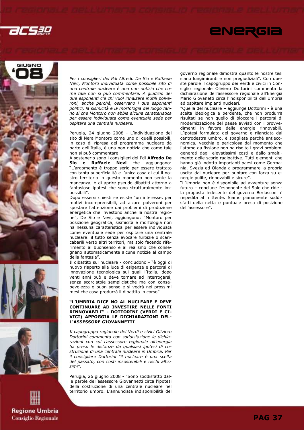

# ENERGIA









Per i consiglieri del Pdl Alfredo De Sio e Raffaele Nevi, Montoro individuata come possibile sito di una centrale nucleare è una non notizia che come tale non si può commentare. A giudizio dei due esponenti c'è chi vuol innalzare inutili polveroni, anche perché, osservano i due esponenti politici, la sismicità e la morfologia del luogo fanno sì che Montoro non abbia alcuna caratteristica per essere individuata come eventuale sede per ospitare una centrale nucleare.

Perugia, 24 giugno 2008 - L'individuazione del sito di Nera Montoro come uno di quelli possibili, in caso di ripresa del programma nucleare da parte dell'Italia, è una non notizia che come tale non si può commentare.

A sostenerlo sono i consiglieri del Pdl Alfredo De Sio e Raffaele Nevi che aggiungono: "L'argomento è troppo serio per essere trattato con tanta superficialità e l'unica cosa di cui il nostro territorio in questo momento non sente la mancanza, è di aprire pseudo dibattiti attorno a fantasiose ipotesi che sono strutturalmente impossibili".

Dopo essersi chiesti se esiste "un interesse, per motivi incomprensibili, ad alzare polveroni per spostare l'attenzione dai problemi di produzione energetica che investono anche la nostra regione", De Sio e Nevi, aggiungono: "Montoro per posizione geografica, sismicità e morfologia non ha nessuna caratteristica per essere individuata come eventuale sede per ospitare una centrale nucleare: il tutto senza evocare furbizie o scaricabarili verso altri territori, ma solo facendo riferimento al buonsenso e al realismo che consegnano automaticamente alcune notizie al campo della fantasia".

Il dibattito sul nucleare - concludono - "è oggi di nuovo riaperto alla luce di esigenze e percorsi di innovazione tecnologica sui quali l'Italia, dopo venti anni può e deve tornare ad interrogarsi, senza scorciatoie semplicistiche ma con consapevolezza e buon senso e si vedrà nei prossimi mesi che cosa produrrà il dibattito in corso".

### "L'UMBRIA DICE NO AL NUCLEARE E DEVE CONTINUARE AD INVESTIRE NELLE FONTI RINNOVABILI" - DOTTORINI (VERDI E CI-VICI) APPOGGIA LE DICHIARAZIONI DEL-L'ASSESSORE GIOVANNETTI

Il capogruppo regionale dei Verdi e civici Oliviero Dottorini commenta con soddisfazione le dichiarazioni con cui l'assessore regionale all'energia ha preso le distanze da qualsiasi ipotesi di costruzione di una centrale nucleare in Umbria. Per il consigliere Dottorini "il nucleare è una scelta del passato, con costi insostenibili e rischi altissimi".

Perugia, 26 giugno 2008 - "Sono soddisfatto dalle parole dell'assessore Giovannetti circa l'ipotesi della costruzione di una centrale nucleare nel territorio umbro. L'annunciata indisponibilità del governo regionale dimostra quanto le nostre tesi siano lungimiranti e non pregiudiziali". Con queste parole il capogruppo dei Verdi e civici in Consiglio regionale Oliviero Dottorini commenta la dichiarazione dell'assessore regionale all'Energia Mario Giovanetti circa l'indisponibilità dell'Umbria ad ospitare impianti nucleari.

"Quella del nucleare – aggiunge Dottorini - è una scelta ideologica e perdente, che non produrrà risultati se non quello di bloccare i percorsi di modernizzazione del paese avviati con i provvedimenti in favore delle energie rinnovabili. L'ipotesi formulata del governo e rilanciata dal centrodestra umbro, è sbagliata perché antieconomica, vecchia e pericolosa dal momento che l'atomo da fissione non ha risolto i gravi problemi generati dagli elevatissimi costi e dallo smaltimento delle scorie radioattive. Tutti elementi che hanno già indotto importanti paesi come Germania, Svezia ed Olanda a programmare la propria uscita dal nucleare per puntare con forza su energie pulite, rinnovabili e sicure".

"L'Umbria non è disponibile ad avventure senza futuro – conclude l'esponente del Sole che ride la proposta indecente del governo Berlusconi è rispedita al mittente. Siamo pianamente soddisfatti della netta e puntuale presa di posizione dell'assessore".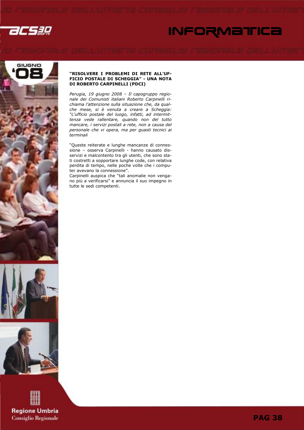

# **INFORMATICA**





**Regione Umbria Consiglio Regionale** 

### "RISOLVERE I PROBLEMI DI RETE ALL'UF-FICIO POSTALE DI SCHEGGIA" - UNA NOTA DI ROBERTO CARPINELLI (PDCI)

Perugia, 19 giugno 2008 – Il capogruppo regionale dei Comunisti italiani Roberto Carpinelli richiama l'attenzione sulla situazione che, da qualche mese, si è venuta a creare a Scheggia: "L'ufficio postale del luogo, infatti, ad intermittenza vede rallentare, quando non del tutto mancare, i servizi postali a rete, non a causa del personale che vi opera, ma per guasti tecnici ai .<br>terminali

"Queste reiterate e lunghe mancanze di connessione – osserva Carpinelli - hanno causato disservizi e malcontento tra gli utenti, che sono stati costretti a sopportare lunghe code, con relativa perdita di tempo, nelle poche volte che i computer avevano la connessione".

Carpinelli auspica che "tali anomalie non vengano più a verificarsi" e annuncia il suo impegno in tutte le sedi competenti.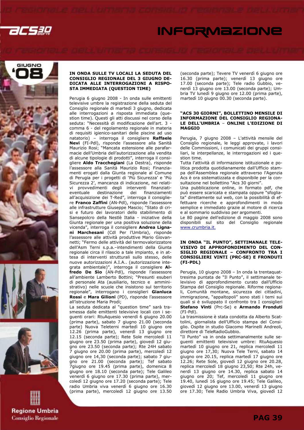

# **INFORMAZIONE**









### IN ONDA SULLE TV LOCALI LA SEDUTA DEL CONSIGLIO REGIONALE DEL 3 GIUGNO DE-DICATA ALLE INTERROGAZIONI A RISPO-STA IMMEDIATA (QUESTION TIME)

Perugia 6 giugno 2008 - In onda sulle emittenti televisive umbre la registrazione della seduta del Consiglio regionale di martedì 3 giugno, dedicata alle interrogazioni a risposta immediata (question time). Questi gli atti discussi nel corso della seduta: "Necessità di modificazione dell'art. 3 comma 6 - del regolamento regionale in materia di requisiti igienico-sanitari delle piscine ad uso natatorio) – interroga il consigliere Raffaele Nevi (FI-Pdl), risponde l'assessore alla Sanità Maurizio Rosi; "Mancata estensione alle parafarmacie dell'Umbria dell'autorizzazione alla vendita di alcune tipologie di prodotti", interroga il consigliere Aldo Tracchegiani (La Destra), risponde l'assessore alla Sanità Maurizio Rosi; Finanziamenti erogati dalla Giunta regionale al Comune di Perugia per i progetti di 'Più Sicurezza' e 'Più Sicurezza 2', mancanza di indicazione, nei relativi provvedimenti degli interventi finanziatieventuale destinazione dei finanziamenti all'acquisizione dei T-Red", interroga il consigliere Franco Zaffini (AN-Pdl), risponde l'assessore alle infrastrutture Giuseppe Mascio; "Stato di crisi e futuro dei lavoratori dello stabilimento di Sansepolcro della Nestlè Italia - iniziative della Giunta regionale per una positiva soluzione della vicenda", interroga il consigliere Andrea Lignani Marchesani (Cdl Per l'Umbria), risponde l'assessore alle attività produttive Mario Giovannetti; "Fermo delle attività del termovalorizzatore dell'Asm Terni s.p.a.–intendimenti della Giunta regionale circa il rilascio a tale impianto, e in attesa di interventi strutturali sullo stesso, delle nuove autorizzazioni A.I.A.. (autorizzazione integrata ambientale)", interroga il consigliere Alfredo De Sio (AN-Pdl), risponde l'assessore all'ambiente Lamberto Bottini; "Presunti esuberi di personale Ata (ausiliario, tecnico e amministrativo) nelle scuole che insistono sul territorio regionale", interrogano i consiglieri Gianluca Rossi e Mara Gilioni (PD), risponde l'assessore all'istruzione Maria Prodi;

La seduta dedicata al "question time" sarà trasmessa dalle emittenti televisive locali con i seguenti orari: RtuAquesio venerdì 6 giugno 20.00 (prima parte), sabato 7 giugno 21.00 (seconda parte) Nuova Teleterni martedì 10 giugno ore 12.26 (prima parte), venerdì 13 giugno ore 12.15 (seconda parte); Rete Sole mercoledì 11 giugno ore 23.50 (prima parte), giovedì 12 giugno ore 23.50 (seconda parte); Rte 24H sabato 7 giugno ore 20.00 (prima parte), mercoledì 12 giugno ore 14,30 (seconda parte); sabato 7 giugno ore 21.00 (seconda parte); Tef sabato 7giugno ore 19.45 (prima parte), domenica 8 giugno ore 18.10 (seconda parte); Tele Galileo venerdì 6 giugno ore 17.30 (prima parte), mercoledì 12 giugno ore 17.20 (seconda parte); Tele radio Umbria viva venerdì 6 giugno ore 16.30 (prima parte), mercoledì 12 giugno ore 13.50

(seconda parte); Tevere TV venerdì 6 giugno ore 16.30 (prima parte); venerdì 13 giugno ore 17.00 (seconda parte); Tele radio Gubbio, venerdì 13 giugno ore 13.00 (seconda parte); Umbria TV lunedì 9 giugno ore 12.00 (prima parte), martedì 10 giugno 00.30 (seconda parte).

### "ACS 30 GIORNI", BOLLETTINO MENSILE DI INFORMAZIONE DEL CONSIGLIO REGIONA-LE DELL'UMBRIA – ONLINE L'EDIZIONE DI MAGGIO

Perugia, 7 giugno 2008 – L'attività mensile del Consiglio regionale, le leggi approvate, i lavori delle Commissioni, i comunicati dei gruppi consiliari, le interpellanze, le interrogazioni ed i question time.

Tutta l'attività di informazione istituzionale e politica prodotta quotidianamente dall'Ufficio stampa dell'Assemblea regionale attraverso l'Agenzia .<br>Acs è ora sistematizzata e disponibile per la consultazione nel bollettino "Acs 30 giorni".

Una pubblicazione online, in formato pdf, che può essere scaricata e stampata oppure "sfogliata" direttamente sul web, con la possibilità di effettuare ricerche e approfondimenti in modo semplice e immediato grazie al motore di ricerca e al sommario suddiviso per argomenti.

Le 80 pagine dell'edizione di maggio 2008 sono disponibili sul sito del Consiglio regionale www.crumbria.it.

### IN ONDA "IL PUNTO", SETTIMANALE TELE-VISIVO DI APPROFONDIMENTO DEL CON-SIGLIO REGIONALE – CONFRONTO TRA I CONSIGLIERI VINTI (PRC-SE) E FRONDUTI (FI-PDL)

Perugia, 10 giugno 2008 – In onda la trentaquattresima puntata de "Il Punto", il settimanale televisivo di approfondimento curato dall'Ufficio Stampa del Consiglio regionale. Riforme regionali, Comunità montane, sicurezza dei cittadini, immigrazione, "appaltopoli" sono stati i temi sui quali si è sviluppato il confronto tra I consiglieri Stefano Vinti (Prc-Se) e Armando Fronduti (FI-Pdl).

La trasmissione è stata condotta da Alberto Scattolini, giornalista dell'Ufficio stampa del Consiglio. Ospite in studio Giacomo Marinelli Andreoli, direttore di TeleRadioGubbio.

"Il Punto" va in onda settimanalmente sulle seguenti emittenti televisive umbre: RtuAquesio martedì 10 giugno ore 21, replica mercoledì 11 giugno ore 17,30; Nuova Tele Terni, sabato 14 giugno ore 20.15, replica martedì 17 giugno ore 12.26; Rete Sole, giovedì 12 giugno ore 20.28, replica mercoledì 18 giugno 23,50; Rte 24h, venerdì 13 giugno ore 14.30, replica sabato 14 giugno ore 20; Tef, mercoledì 11 giugno ore 19.40, lunedì 16 giugno ore 19.45; Tele Galileo, giovedì 12 giugno ore 13.00, venerdì 13 giugno ore 17.30; Tele Radio Umbria Viva, giovedì 12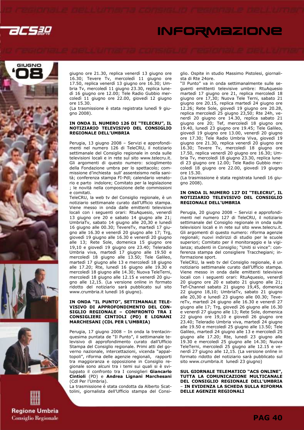

# **INFORMAZIONE**









giugno ore 21.30, replica venerdì 13 giugno ore 16.30; Tevere Tv, mercoledì 11 giugno ore 17.50, replica venerdì 13 giugno ore 16.30; Umbria Tv, mercoledì 11 giugno 23.30, replica lunedì 16 giugno ore 12.00; Tele Radio Gubbio mercoledì 11 giugno ore 22.00, giovedì 12 giugno ore 15.30.

(La trasmissione è stata registrata lunedì 9 giugno 2008).

### IN ONDA IL NUMERO 126 DI "TELECRU", IL NOTIZIARIO TELEVISIVO DEL CONSIGLIO REGIONALE DELL'UMBRIA

Perugia, 13 giugno 2008 – Servizi e approfondimenti nel numero 126 di TeleCRU, il notiziario settimanale del Consiglio regionale in onda sulle televisioni locali e in rete sul sito www.telecru.it. Gli argomenti di questo numero: scioglimento della Fondazione umbra per lo spettacolo; commissione d'inchiesta sull' assenteismo nella sanità; conferenza stampa FI-Pdl; calendario venatorio e parto indolore; Comitato per la legislazione ; le novità nella composizione delle commissioni e comitati.

TeleCRU, la web tv del Consiglio regionale, è un notiziario settimanale curato dall'Ufficio stampa. Viene messo in onda dalle emittenti televisive locali con i seguenti orari: RtuAquesio, venerdì 13 giugno ore 20 e sabato 14 giugno alle 21; UmbriaTv, sabato 14 giugno alle 20,30 e lunedì 16 giugno alle 00.30; TevereTv, martedì 17 giugno alle 16.30 e venerdì 20 giugno alle 17; Trg, giovedì 19 giugno alle 16.30 e venerdì 20 giugno alle 13; Rete Sole, domenica 15 giugno ore 19,10 e giovedì 19 giugno ore 23.40; Teleradio Umbria viva, martedì 17 giugno alle 19.50 e mercoledì 18 giugno alle 13.50; Tele Galileo, martedì 17 giugno alle 13 e mercoledì 18 giugno alle 17.20; Rte, lunedì 16 giugno alle 19.30 e mercoledì 18 giugno alle 14.30; Nuova TeleTerni, mercoledì 18 giugno alle 12.15 e venerdì 20 giugno alle 12,15. (La versione online in formato ridotto del notiziario sarà pubblicato sul sito www.crumbria.it lunedì 16 giugno).

### IN ONDA "IL PUNTO", SETTIMANALE TELE-VISIVO DI APPROFONDIMENTO DEL CON-SIGLIO REGIONALE – CONFRONTO TRA I CONSIGLIERI CINTIOLI (PD) E LIGNANI MARCHESANI (CDL PER L'UMBRIA)

Perugia, 17 giugno 2008 – In onda la trentacinquesima puntata de "Il Punto", il settimanale televisivo di approfondimento curato dall'Ufficio Stampa del Consiglio regionale. Primi atti del governo nazionale, intercettazioni, vicenda "appaltopoli", riforma delle agenzie regionali, rapporti tra maggioranza e opposizione in Consiglio regionale sono alcuni tra i temi sui quali si è sviluppato il confronto tra I consiglieri Giancarlo Cintioli (PD) e Andrea Lignani Marchesani (Cdl Per l'Umbria).

La trasmissione è stata condotta da Alberto Scattolini, giornalista dell'Ufficio stampa del Consiglio. Ospite in studio Massimo Pistolesi, giornalista di Rte 24ore.

"Il Punto" va in onda settimanalmente sulle seguenti emittenti televisive umbre: RtuAquesio martedì 17 giugno ore 21, replica mercoledì 18 giugno ore 17,30; Nuova Tele Terni, sabato 21 giugno ore 20.15, replica martedì 24 giugno ore 12.26; Rete Sole, giovedì 19 giugno ore 20.28, replica mercoledì 25 giugno 23,50; Rte 24h, venerdì 20 giugno ore 14.30, replica sabato 21 giugno ore 20; Tef, mercoledì 18 giugno ore 19.40, lunedì 23 giugno ore 19.45; Tele Galileo, giovedì 19 giugno ore 13.00, venerdì 20 giugno ore 17.30; Tele Radio Umbria Viva, giovedì 19 giugno ore 21.30, replica venerdì 20 giugno ore 16.30; Tevere Tv, mercoledì 18 giugno ore 17.50, replica venerdì 20 giugno ore 16.30; Umbria Tv, mercoledì 18 giugno 23.30, replica lunedì 23 giugno ore 12.00; Tele Radio Gubbio mercoledì 18 giugno ore 22.00, giovedì 19 giugno ore 15.30.

(La trasmissione è stata registrata lunedì 16 giugno 2008).

### IN ONDA IL NUMERO 127 DI "TELECRU", IL NOTIZIARIO TELEVISIVO DEL CONSIGLIO REGIONALE DELL'UMBRIA

Perugia, 20 giugno 2008 – Servizi e approfondimenti nel numero 127 di TeleCRU, il notiziario settimanale del Consiglio regionale in onda sulle televisioni locali e in rete sul sito www.telecru.it. Gli argomenti di questo numero: riforma agenzie regionali; nuovi indirizzi di studio per le scuole superiori; Comitato per il monitoraggio e la vigilanza; studenti in Consiglio; "Uniti si vince": conferenza stampa del consigliere Tracchegiani; informazione sport.

TeleCRU, la web tv del Consiglio regionale, è un notiziario settimanale curato dall'Ufficio stampa. Viene messo in onda dalle emittenti televisive locali con i seguenti orari: RtuAquesio, venerdì 20 giugno ore 20 e sabato 21 giugno alle 21; Tef-Channel sabato 21 giugno 19,45, domenica 22 giugno 18,10; UmbriaTv, sabato 21 giugno alle 20,30 e lunedì 23 giugno alle 00.30; TevereTv, martedì 24 giugno alle 16.30 e venerdì 27 giugno alle 17; Trg, giovedì 26 giugno alle 16.30 e venerdì 27 giugno alle 13; Rete Sole, domenica 22 giugno ore 19,10 e giovedì 26 giugno ore 23.40; Teleradio Umbria viva, martedì 24 giugno alle 19.50 e mercoledì 25 giugno alle 13.50; Tele Galileo, martedì 24 giugno alle 13 e mercoledì 25 giugno alle 17.20; Rte, lunedì 23 giugno alle 19.30 e mercoledì 25 giugno alle 14.30; Nuova TeleTerni, mercoledì 25 giugno alle 12.15 e venerdì 27 giugno alle 12,15. (La versione online in formato ridotto del notiziario sarà pubblicato sul sito www.crumbria.it lunedì 23 giugno)

SUL GIORNALE TELEMATICO "ACS ONLINE", TUTTA LA COMUNICAZIONE MULTICANALE DEL CONSIGLIO REGIONALE DELL'UMBRIA – IN EVIDENZA LA SCHEDA SULLA RIFORMA DELLE AGENZIE REGIONALI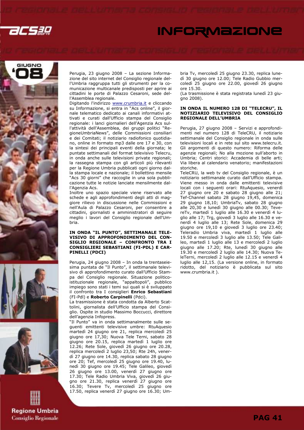

# **INFORMAZIONE**









Perugia, 23 giugno 2008 – La sezione Informazione del sito internet del Consiglio regionale dell'Umbria raggruppa tutti gli strumenti per la comunicazione multicanale predisposti per aprire ai cittadini le porte di Palazzo Cesaroni, sede dell'Assemblea regionale.

Digitando l'indirizzo www.crumbria.it e cliccando su Informazione, si entra in "Acs online", il giornale telematico dedicato ai canali informativi attivati e curati dall'Ufficio stampa del Consiglio regionale: i lanci giornalieri dell'Agenzia Acs sull'attività dell'Assemblea, dei gruppi politici "RegioneUmbriaNews", delle Commissioni consiliari e dei Comitati; il notiziario radiofonico quotidiano, online in formato mp3 dalle ore 17 e 30, con la sintesi dei principali eventi della giornata; le puntate settimanali del format televisivo Telecru, in onda anche sulle televisioni private regionali; la rassegna stampa con gli articoli più rilevanti per la Regione Umbria pubblicati ogni giorno dalla stampa locale e nazionale; il bollettino mensile "Acs 30 giorni" che raccoglie in una sola pubblicazione tutte le notizie lanciate mensilmente dall'Agenzia Acs.

Inoltre uno spazio speciale viene riservato alle schede e agli approfondimenti degli atti di maggiore rilievo in discussione nelle Commissioni e nell'Aula di Palazzo Cesaroni, per consentire a cittadini, giornalisti e amministratori di seguire meglio i lavori del Consiglio regionale dell'Umbria.

### IN ONDA "IL PUNTO", SETTIMANALE TELE-VISIVO DI APPROFONDIMENTO DEL CON-SIGLIO REGIONALE – CONFRONTO TRA I CONSIGLIERI SEBASTIANI (FI-PDL) E CAR-PINELLI (PDCI)

Perugia, 24 giugno 2008 – In onda la trentaseiesima puntata de "Il Punto", il settimanale televisivo di approfondimento curato dall'Ufficio Stampa del Consiglio regionale. Situazione politicoistituzionale regionale, "appaltopoli", pubblico impiego sono stati i temi sui quali si è sviluppato il confronto tra I consiglieri Enrico Sebastiani (FI-Pdl) e Roberto Carpinelli (Pdci).

La trasmissione è stata condotta da Alberto Scattolini, giornalista dell'Ufficio stampa del Consiglio. Ospite in studio Massimo Boccucci, direttore dell'agenzia Infopress.

"Il Punto" va in onda settimanalmente sulle seguenti emittenti televisive umbre: RtuAquesio martedì 24 giugno ore 21, replica mercoledì 25 giugno ore 17,30; Nuova Tele Terni, sabato 28 giugno ore 20.15, replica martedì 1 luglio ore 12.26; Rete Sole, giovedì 26 giugno ore 20.28, replica mercoledì 2 luglio 23,50; Rte 24h, venerdì 27 giugno ore 14.30, replica sabato 28 giugno ore 20; Tef, mercoledì 25 giugno ore 19.40, lunedì 30 giugno ore 19.45; Tele Galileo, giovedì 26 giugno ore 13.00, venerdì 27 giugno ore 17.30; Tele Radio Umbria Viva, giovedì 26 giugno ore 21.30, replica venerdì 27 giugno ore 16.30; Tevere Tv, mercoledì 25 giugno ore 17.50, replica venerdì 27 giugno ore 16.30; Umbria Tv, mercoledì 25 giugno 23.30, replica lunedì 30 giugno ore 12.00; Tele Radio Gubbio mercoledì 25 giugno ore 22.00, giovedì 26 giugno ore 15.30.

(La trasmissione è stata registrata lunedì 23 giugno 2008).

### IN ONDA IL NUMERO 128 DI "TELECRU", IL NOTIZIARIO TELEVISIVO DEL CONSIGLIO REGIONALE DELL'UMBRIA

Perugia, 27 giugno 2008 – Servizi e approfondimenti nel numero 128 di TeleCRU, il notiziario settimanale del Consiglio regionale in onda sulle televisioni locali e in rete sul sito www.telecru.it. Gli argomenti di questo numero: Riforma delle agenzie regionali; No alla mozione sull'aborto in Umbria; Centri storici: Accademia di belle arti; Via libera al calendario venatorio; manifestazioni storiche.

TeleCRU, la web tv del Consiglio regionale, è un notiziario settimanale curato dall'Ufficio stampa. Viene messo in onda dalle emittenti televisive locali con i seguenti orari: RtuAquesio, venerdì 27 giugno ore 20 e sabato 28 giugno alle 21; Tef-Channel sabato 28 giugno 19,45, domenica 29 giugno 18,10; UmbriaTv, sabato 28 giugno alle 20,30 e lunedì 30 giugno alle 00.30; TevereTv, martedì 1 luglio alle 16.30 e venerdì 4 luglio alle 17; Trg, giovedì 3 luglio alle 16.30 e venerdì 4 luglio alle 13; Rete Sole, domenica 29 giugno ore 19,10 e giovedì 3 luglio ore 23.40; Teleradio Umbria viva, martedì 1 luglio alle 19.50 e mercoledì 3 luglio alle 13.50; Tele Galileo, martedì 1 luglio alle 13 e mercoledì 2 luglio giugno alle 17.20; Rte, lunedì 30 giugno alle 19.30 e mercoledì 2 luglio alle 14.30; Nuova TeleTerni, mercoledì 2 luglio alle 12.15 e venerdì 4 luglio alle 12,15. (La versione online, in formato ridotto, del notiziario è pubblicata sul sito www.crumbria.it ).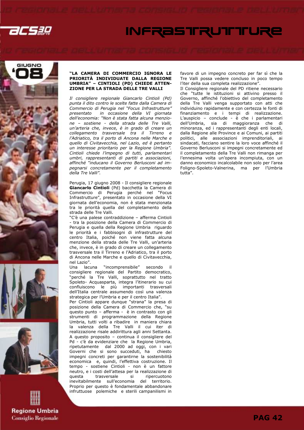

# **INFRASTRUTTTURE**









### "LA CAMERA DI COMMERCIO IGNORA LE PRIORITÀ INDIVIDUATE DALLA REGIONE UMBRIA" – CINTIOLI (PD) CHIEDE ATTEN-ZIONE PER LA STRADA DELLE TRE VALLI

Il consigliere regionale Giancarlo Cintioli (Pd) punta il dito contro le scelte fatte dalla Camera di Commercio di Perugia nel "Focus Infrastrutture" presentato in occasione della VI giornata dell'economia: "Non è stata fatta alcuna menzione – sostiene - della strada delle Tre Valli, un'arteria che, invece, è in grado di creare un collegamento trasversale tra il Tirreno e l'Adriatico, tra il porto di Ancona nelle Marche e quello di Civitavecchia, nel Lazio, ed è pertanto un interesse prioritario per la Regione Umbria". Cintioli chiede l'impegno di tutti, parlamentari umbri, rappresentanti di partiti e associazioni, affinché "inducano il Governo Berlusconi ad impegnarsi concretamente per il completamento della Tre Valli".

Perugia, 17 giugno 2008 - Il consigliere regionale Giancarlo Cintioli (Pd) bacchetta la Camera di Commercio di Perugia perché nel "Focus Infrastrutture", presentato in occasione della VI giornata dell'economia, non è stata menzionata tra le priorità quella del completamento della strada delle Tre Valli.

"C'è una palese contraddizione – afferma Cintioli - tra la posizione della Camera di Commercio di Perugia e quella della Regione Umbria riguardo le priorità e i fabbisogni di infrastrutture del centro Italia, poiché non viene fatta alcuna menzione della strada delle Tre Valli, un'arteria che, invece, è in grado di creare un collegamento trasversale tra il Tirreno e l'Adriatico, tra il porto di Ancona nelle Marche e quello di Civitavecchia, nel Lazio".

Una lacuna "incomprensibile" secondo il consigliere regionale del Partito democratico, "perché la Tre Valli, soprattutto nel tratto Spoleto- Acquasparta, integra l'itinerario su cui confluiscono le più importanti trasversali dell'Italia centrale assumendo così una valenza strategica per l'Umbria e per il centro Italia". Per Cintioli appare dunque "strana" la presa di posizione della Camera di Commercio che, "su questo punto – afferma - è in contrasto con gli strumenti di programmazione della Regione Umbria, tutti volti a ribadire in maniera chiara la valenza della Tre Valli il cui iter di realizzazione risale addirittura agli anni Settanta. A questo proposito – continua il consigliere del Pd - c'è da evidenziare che la Regione Umbria, ripetutamente dal 2000 ad oggi, con i vari Governi che si sono succeduti, ha chiesto impegni concreti per garantirne la sostenibilità economica e, quindi, l'effettiva costruzione. Il tempo - sostiene Cintioli - non è un fattore neutro, e i costi dell'attesa per la realizzazione di questa trasversale si ripercuotono inevitabilmente sull'economia del territorio. Proprio per questo è fondamentale abbandonare infruttuose polemiche e sterili campanilismi in

favore di un impegno concreto per far sì che la Tre Valli possa vedere concluso in poco tempo l'iter della sua completa realizzazione".

Il Consigliere regionale del PD ritiene necessario che "tutte le istituzioni si attivino presso il Governo, affinché l'obiettivo del completamento della Tre Valli venga supportato con atti che individuino rapidamente e con certezza le fonti di finanziamento e i tempi di realizzazione. L'auspicio – conclude - è che i parlamentari dell'Umbria, sia di maggioranza che di minoranza, ed i rappresentanti degli enti locali, dalla Regione alle Province e ai Comuni, ai partiti politici, alle associazioni imprenditoriali, ai sindacati, facciano sentire la loro voce affinché il Governo Berlusconi si impegni concretamente ed il completamento della Tre Valli non rimanga per l'ennesima volta un'opera incompiuta, con un danno economico incalcolabile non solo per l'area Foligno-Spoleto-Valnerina, ma per l'Umbria tutta".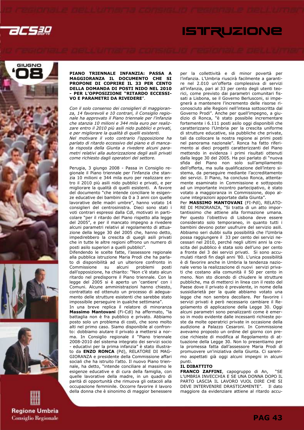









### PIANO TRIENNALE INFANZIA: PASSA A MAGGIORANZA IL DOCUMENTO CHE SI PROPONE DI COPRIRE IL 33 PER CENTO DELLA DOMANDA DI POSTI NIDO NEL 2010 - PER L'OPPOSIZIONE "RITARDO ECCESSI-VO E PARAMETRI DA RIVEDERE".

Con il solo consenso dei consiglieri di maggioranza, 14 favorevoli e 10 contrari, il Consiglio regionale ha approvato il Piano triennale per l'infanzia che stanzia 10 milioni e 344 mila euro per realizzare entro il 2010 più asili nido pubblici e privati, e per migliorare la qualità di quelli esistenti. Nel motivare il voto contrario l'opposizione ha parlato di ritardo eccessivo del piano e di mancata risposta della Giunta a rivedere alcuni parametri relativi alla autorizzazione degli asili privati come richiesto dagli operatori del settore.

Perugia, 3 giungo 2008 - Passa in Consiglio regionale il Piano triennale per l'infanzia che stanzia 10 milioni e 344 mila euro per realizzare entro il 2010 più asili nido pubblici e privati, e per migliorare la qualità di quelli esistenti. A favore del documento "che intende conciliare le esigenze educative dei bambini da 0 a 3 anni con quelle lavorative delle madri umbre", hanno votato 14 consiglieri del centrosinistra. Dieci sono stati i voti contrari espressi dalla Cdl, motivati in particolare "per il ritardo del Piano rispetto alla legge del 2005", e per il mancato impegno a rivedere alcuni parametri relativi al regolamento di attuazione della legge 30 del 2005 che, hanno detto, impedirebbero la crescita di quegli asili privati che in tutte le altre regioni offrono un numero di posti asilo superiori a quelli pubblici".

Difendendo le scelte fatte, l'assessore regionale alla pubblica istruzione Maria Prodi che ha parlato di disponibilità ad un ulteriore confronto in Commissione su alcuni problemi posti dall'opposizione, ha chiarito: "Non c'è stato alcun ritardo nel predisporre il Piano triennale. Con la legge del 2005 si è aperto un 'cantiere' con i Comuni. Alcune amministrazioni hanno chiesto, contrattato ed ottenuto un processo di adeguamento delle strutture esistenti che sarebbe stato impossibile perseguire in qualche settimana".

In una breve replica il relatore di minoranza Massimo Mantovani (Fi-Cdl) ha affermato, "la battaglia non è fra pubblico e privato. Abbiamo posto solo un problema di costi, che sono molto alti nel primo caso. Siamo disponibile al confronto: dobbiamo aiutare il privato a mettersi a norma. In Consiglio regionale il "Piano triennale 2008-2010 del sistema integrato dei servizi socio - educativi per la prima infanzia" è stato illustrato da ENZO RONCA (Pd), RELATORE DI MAG-GIORANZA e presidente della Commissione affari sociali che ha istruito l'atto. Il nuovo Piano triennale, ha detto, "intende conciliare al massimo le esigenze educative e di cura della famiglia, con quelle lavorative della madre, in un quadro di parità di opportunità che rimuova gli ostacoli alla occupazione femminile. Occorre favorire il lavoro della donna che è sinonimo di maggior benessere per la collettività e di minor povertà per l'infanzia. L'Umbria riuscirà facilmente a garantire nel 2.010 un'offerta complessiva di servizi all'infanzia, pari al 33 per cento degli utenti teorici, come previsto dai parametri comunitari fissati a Lisbona, se il Governo Berlusconi, si impegnerà a mantenere l'incremento delle risorse riconosciuto alle Regioni nell'intesa sottoscritta dal Governo Prodi". Anche per quell'impegno, a giudizio di Ronca, "è stato possibile incrementare fortemente i 6.111 posti asilo oggi disponibili che caratterizzano l'Umbria per la crescita uniforme di strutture educative, sia pubbliche che private, tali da collocare la nostra regione ai primi posti nel panorama nazionale". Ronca ha fatto riferimento ai dieci progetti caratterizzanti del Piano mettendo in evidenza i primi risultati ottenuti dalla legge 30 del 2005. Ha poi parlato di "nuova sfida del Piano non solo sull'ampliamento dell'offerta, ma sulla qualificazione dell'intero sistema, da perseguire mediante l'accreditamento dei servizi. Il Piano, ha concluso Ronca, attentamente esaminato in Commissione e sottoposto ad un importante incontro partecipativo, è stato votato a maggioranza in Commissione, dopo alcune integrazioni apportate dalla Giunta". Per **MASSIMO MANTOVANI** (FI-Pdl), RELATO-

**ISTRUZIONE** 

RE DI MINORANZA, "Si tratta di un atto importantissimo che attiene alla formazione umana. Per questo l'obiettivo di Lisbona deve essere considerato solo temporaneo, in quanto tutti i bambini devono poter usufruire del servizio asili. Abbiamo seri dubbi sulla possibilità che l'Umbria possa raggiungere il 33 per cento dei servizi necessari nel 2010, perché negli ultimi anni la crescita del pubblico è stata solo dell'uno per cento a fronte del 3 dei servizi privati. Si sono accumulati ritardi fin dagli anni '80. L'unica possibilità è di favorire anche in Umbria la tendenza nazionale verso la realizzazione di nuovi servizi privati che costano alla comunità il 50 per cento in meno. Non sto dicendo di chiudere le strutture pubbliche, ma di metterci in linea con il resto del Paese dove il privato è prevalente, in nome della sussidiarietà per la quale abbiamo votato una legge che non sembra decollare. Per favorire i servizi privati è però necessario cambiare il Regolamento di applicazione della Legge 30. Oggi alcuni parametri sono penalizzanti come è emerso in modo evidente dalle incessanti richieste poste da molte operatrici private in occasione della audizione a Palazzo Cesaroni. In Commissione avevamo proposto un ordine del giorno con precise richieste di modifica al Regolamento di attuazione della Legge 30. Non lo presentiamo per la promessa fatta dall'assessore Maria Prodi di promuovere un'iniziativa della Giunta. Ci saremmo aspettati già oggi alcuni impegni in alcuni punti.

### IL DIBATTITO

FRANCO ZAFFINI, capogruppo di An, L'UMBRIA INVECCHIA E SE UNA DONNA DOPO IL PARTO LASCIA IL LAVORO VUOL DIRE CHE SI DEVE INTERVENIRE DRASTICAMENTE". Il dato maggiore da evidenziare attiene al ritardo accu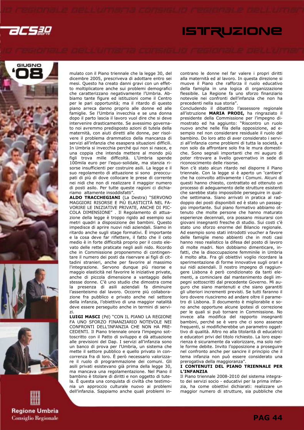2C530











mulato con il Piano triennale che la legge 30, del dicembre 2005, prescriveva di adottare entro sei mesi. Questo ha creato danni gravi con un effetto moltiplicatore anche sui problemi demografici che caratterizzano negativamente l'Umbria. Abbiamo tante figure ed istituzioni come il Centro per le pari opportunità; ma il ritardo di questo piano arreca danno proprio alle donne ed alle famiglie. Se l'Umbria invecchia e se una donna dopo il parto lascia il lavoro vuol dire che si deve intervenire drasticamente. Se avessimo governato noi avremmo predisposto azioni di tutela della maternità, con aiuti diretti alle donne, per risolvere il problema drammatico della mancanza di servizi all'infanzia che esaspera situazioni difficili. In Umbria si invecchia perché qui non si nasce, e una coppia che intenda mettere al mondo più figli trova mille difficoltà. L'Umbria spende 100mila euro per l'equo-solidale, ma stanzia risorse insufficienti per costruire asili. La legge e il suo regolamento di attuazione si sono preoccupati di più di dove collocare le prese di corrente nei nidi che non di realizzare il maggior numero di posti asilo. Per tutte queste ragioni ci dichiariamo altamente insoddisfatti".

ALDO TRACCHEGIANI (La Destra) "SERVONO MAGGIORI RISORSE E PiÙ ELASTICITÀ NEL FA-VORIRE LE INIZIATIVE PRIVATE, ANCHE DI PIC-COLA DIMENSIONE" . Il Regolamento di attuazione della legge è troppo rigido ad esempio sui metri quadri a disposizione dei bambini. Questo impedisce di aprire nuovi nidi aziendali. Siamo in ritardo anche sugli stage formativi. È importante e la cosa deve far riflettere, il fatto che il ceto medio è in forte difficoltà proprio per il costo elevato delle rette praticate negli asili nido. Ricordo che in Commissione proponemmo di contingentare il numero dei posti da riservare ai figli di cittadini stranieri, anche per favorire al massimo l'integrazione. Servono dunque più risorse e maggio elasticità nel favorire le iniziative private, anche di piccola dimensione a vantaggio delle stesse donne. C'è uno studio che dimostra come la presenza di asili aziendali fa diminuire l'assenteismo dal lavoro. Occorre più collaborazione fra pubblico e privato anche nel settore della infanzia, l'obiettivo di una maggior natalità deve essere perseguito anche in termini di servizi.

LUIGI MASCI (Pd) "CON IL PIANO LA REGIONE FA UNO SFORZO FINANZIARIO NOTEVOLE NEI CONFRONTI DELL'INFANZIA CHE NON HA PRE-CEDENTI. Il Piano triennale onora l'impegno sottoscritto con il Patto di sviluppo e dà attuazione alle previsioni del Dap. I servizi all'infanzia sono un banco di prova per l'Umbria, un sistema che mette il settore pubblico e quello privato in concorrenza fra di loro. È però necessario valorizzare il ruolo di programmazione dei comuni. Gli asili privati esistevano già prima della legge 30, ma mancava una regolamentazione. Nel Piano il bambino è titolare di diritti e non oggetto di tutela. È questa una conquista di civiltà che testimonia un approccio culturale nuovo ai problemi dell'infanzia. Sappiamo anche quali problemi incontrano le donne nel far valere i propri diritti alla maternità ed al lavoro. In questa direzione si muove il Piano che rafforza il ruolo educativo della famiglia in una logica di organizzazione flessibile. La Regione fa uno sforzo finanziario notevole nei confronti dell'infanzia che non ha precedenti nella sua storia".

Concludendo il dibattito l'assessore regionale all'istruzione MARIA PRODI, ha ringraziato il presidente della Commissione per l'impegno dimostrato ed ha aggiunto: "Riscontro un ruolo nuovo anche nelle fila della opposizione, ad esempio nel non considerare residuale il ruolo del bambino. Do loro atto di aver considerato i servizi all'infanzia come problemi di tutta la società, e non solo da affrontare solo fra le mura domestiche. Sono segnali importanti che mi auguro di poter ritrovare a livello governativo in sede di riconoscimento delle risorse.

Non c'è stato alcun ritardo nel disporre il Piano triennale. Con la legge si è aperto un 'cantiere' che ha coinvolto attivamente i Comuni. Alcuni di questi hanno chiesto, contrattato ed ottenuto un processo di adeguamento delle strutture esistenti che sarebbe stato impossibile perseguire in qualche settimana. Siano arrivati in pratica al raddoppio dei posti disponibili ed è stato un passaggio importante. Sul piano formativo abbiamo ottenuto che molte persone che hanno maturato esperienze decennali, ora possano misurarsi con giovani insegnanti fresche di studio. Sui costi c'è stato uno sforzo enorme del Bilancio regionale. Ad esempio sono stati introdotti voucher a favore delle famiglie meno abbienti che in moti casi hanno reso realistico la difesa del posto di lavoro di molte madri. Non dobbiamo dimenticare, infatti, che la disoccupazione femminile in Umbria è molto alta. Fra gli obiettivi voglio ricordare la sperimentazione di forme innovative sugli orari e sui nidi aziendali. Il nostro impegno di raggiungere Lisbona è però condizionato da tanti elementi, a cominciare dal mantenimento degli impegni sottoscritti dal precedente Governo. Mi auguro che siano mantenuti e che siano garantiti gli ulteriori incrementi previsti. Se tutti faranno il loro dovere riusciremo ad andare oltre il parametro di Lisbona. Il documento è migliorabile e sono anche opportune alcune ipotesi di correzione per le quali si può tornare in Commissione. No invece alla modifica del rapporto insegnanti bambini, perché se è vero che ci sono assenze frequenti, si modificherebbe un parametro oggettivo di qualità. Altro no alla titolarità di educatrici e educatori privi del titolo richiesto. La loro esperienza è sicuramente da valorizzare, ma solo nelle forme debite. Invito l'opposizione a proseguire nel confronto anche per sancire il principio che il tema infanzia non può essere considerato una prerogativa della maggioranza".

### I CONTENUTI DEL PIANO TRIENNALE PER L'INFANZIA

Il Piano triennale 2008-2010 del sistema integrato dei servizi socio - educativi per la prima infanzia, ha come obiettivi dichiarati: realizzare un maggior numero di strutture, sia pubbliche che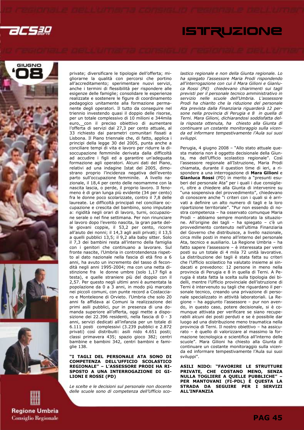acsag











private; diversificare le tipologie dell'offerta; migliorarne la qualità con percorsi che portino all'accreditamento; sperimentare nuovi servizi, anche i termini di flessibilità per rispondere alle esigenze delle famiglie; consolidare le esperienze realizzate e sostenere le figure di coordinamento pedagogico unitamente alla formazione permanente degli operatori. Il tutto da conseguire nel triennio investendo quasi il doppio delle risorse, per un totale complessivo di 10 milioni e 344mila euro, con il preciso obiettivo di aumentare l'offerta di servizi dal 27,3 per cento attuale, al 33 richiesto dai parametri comunitari fissati a Lisbona. Il Piano triennale che, di fatto, applica i principi della legge 30 del 2005, punta anche a conciliare tempi di vita e lavoro per ridurre la disoccupazione femminile derivata dalla difficoltà ad accudire i figli ed a garantire un'adeguata formazione agli operatori. Alcuni dati del Piano, relativi ad una indagine Istat del 2005, dimostrano proprio l'incidenza negativa dell'evento parto sull'occupazione femminile. A livello nazionale, il 18,4 per cento delle neomamme con la nascita lascia, o perde, il proprio lavoro. Il fenomeno è di gran lunga più evidente (34 per cento) fra le donne poco scolarizzate, contro il 7,8 delle laureate. Le difficoltà principali nel conciliare occupazione e crescita del bambino, sono imputate a: rigidità negli orari di lavoro, turni, occupazione serale o nel fine settimana. Per non rinunciare al lavoro dopo l'evento nascita, la gran parte delle giovani coppie, il 53,2 per cento, ricorre all'aiuto dei nonni; il 14,3 agli asili privati; il 13,5 a quelli pubblici 13,5; il 9,2 alla baby sitter. Solo il 7,3 dei bambini resta all'interno della famiglia con i genitori che continuano a lavorare. Sul fronte nascite, l'Umbria in controtendenza rispetto al dato nazionale nella fascia di età fino a 6 anni, ha avuto un incremento del tasso di fecondità negli anni 1995-2004; ma con una netta distinzione fra le donne umbre (solo 1,17 figli a testa), e quelle straniere più del doppio con il 2,57. Per questo negli ultimi anni è aumentata la popolazione da 0 a 3 anni, in modo più marcato nei piccoli comuni, con punte record a Costacciaro e Monteleone di Orvieto. l'Umbria che solo 20 anni fa affidava ai Comuni la realizzazione dei primi asili pubblici, pur in presenza di una domanda superiore all'offerta, oggi mette a disposizione dei 22.396 residenti, nella fascia di 0 - 3 anni, servizi dedicati all'infanzia per un totale di 6.111 posti complessivi (3.239 pubblici e 2.872 privati) così distribuiti: asili nido 4.651 posti; classi primavera 435; spazio gioco 382; centri bambine e bambini 342, centri bambini e famiglie 138.

"I TAGLI DEL PERSONALE ATA SONO DI COMPETENZA DELL'UFFICIO SCOLASTICO REGIONALE" – L'ASSESSORE PRODI HA RI-SPOSTO A UNA INTERROGAZIONE DI GI-LIONI E ROSSI (PD)

Le scelte e le decisioni sul personale non docente delle scuole sono di competenza dell'Ufficio scolastico regionale e non della Giunta regionale. Lo ha spiegato l'assessore Maria Prodi rispondendo all'interrogazione con cui il Mara Gilioni e Gianluca Rossi (Pd) chiedevano chiarimenti sui tagli previsti per il personale tecnico amministrativo in servizio nelle scuole dell'Umbria. L'assessore Prodi ha chiarito che la riduzione del personale Ata prevista dalla Finanziaria riguarderà 12 persone nella provincia di Perugia e 8 in quella di Terni. Mara Gilioni, dichiarandosi soddisfatta della risposta ottenuta, ha chiesto alla Giunta di continuare un costante monitoraggio sulla vicenda ed informare tempestivamente l'Aula sui suoi sviluppi.

Perugia, 4 giugno 2008 – "Allo stato attuale questa materia non è oggetto decisionale della Giunta, ma dell'Ufficio scolastico regionale". Così l'assessore regionale all'Istruzione, Maria Prodi chiamata, durante il question time di ieri, a rispondere a una interrogazione di Mara Gilioni e Gianluca Rossi (PD) in merito a "presunti esuberi del personale Ata" per i quali i due consiglieri, oltre a chiedere alla Giunta di intervenire su "una sospensiva del provvedimento", chiedevano di conoscere anche "i criteri con i quali si è arrivati a definire un alto numero di tagli e la loro ripartizione territoriale". "Pur non essendo di nostra competenza – ha osservato comunque Maria Prodi – abbiamo sempre monitorato la situazione. All'origine dei tagli – ha spiegato – c'è un provvedimento contenuto nell'ultima Finanziaria del Governo che distribuisce, a livello nazionale, circa mille posti in meno all'interno del personale Ata, tecnico e ausiliario. La Regione Umbria – ha fatto sapere l'assessore – è interessata per venti posti su un totale di 4 mila 72 unità lavorative. La distribuzione dei tagli è stata fatta su criteri che l'Ufficio scolastico ha valutato insieme ai sindacati e prevedono: 12 persone in meno nella provincia di Perugia e 8 in quella di Terni. A Perugia è stata fatta la scelta sulla tipologia dei bidelli, mentre l'Ufficio provinciale dell'istruzione di Terni è intervenuto su tagli che riguardano il personale tecnico, creando una privazione di personale specializzato in attività laboratoriali. La Regione – ha aggiunto l'assessore – pur non avendo, in questo caso, potere decisionale, si è comunque attivata per verificare se siano recuperabili alcuni dei posti perduti e se è possibile dar luogo ad una distribuzione meno traumatica nella provincia di Terni. Il nostro obiettivo – ha assicurato – è quello di valorizzare al massimo la formazione tecnologica e scientifica all'interno delle scuole". Mara Gilioni ha chiesto alla Giunta di continuare un costante monitoraggio sulla vicenda ed informare tempestivamente l'Aula sui suoi sviluppi".

ASILI NIDO: "FAVORIRE LE STRUTTURE PRIVATE, CHE COSTANO MENO, SENZA NULLA TOGLIERE A QUELLE PUBBLICHE" – PER MANTOVANI (FI-PDL) È QUESTA LA STRADA DA SEGUIRE PER I SERVIZI ALL'INFANZIA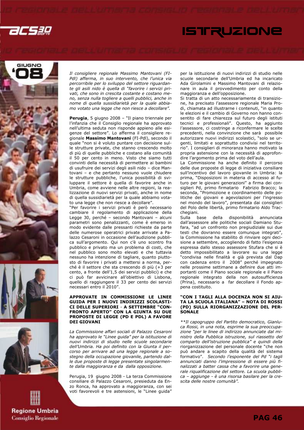2CS3Q











Il consigliere regionale Massimo Mantovani (FI-Pdl) afferma, in suo intervento, che l'unica via percorribile per lo sviluppo del settore riguardante gli asili nido è quella di "favorire i servizi privati, che sono in crescita costante e costano meno, senza nulla togliere a quelli pubblici, anche in nome di quella sussidiarietà per la quale abbiamo votato una legge che non riesce a decollare".

Perugia, 5 giugno 2008 - "Il piano triennale per l'infanzia che il Consiglio regionale ha approvato nell'ultima seduta non risponde appieno alle esigenze del settore". Lo afferma il consigliere regionale Massimo Mantovani (FI-Pdl), secondo il quale "non si è voluto puntare con decisione sulle strutture private, che stanno crescendo molto di più di quelle pubbliche e costano alla comunità il 50 per cento in meno. Visto che siamo tutti convinti della necessità di permettere ai bambini di usufruire dei servizi degli asili nido – dice Mantovani - e che pertanto nessuno vuole chiudere le strutture pubbliche, l'unica possibilità di sviluppare il settore è quella di favorire anche in Umbria, come avviene nelle altre regioni, la realizzazione di nuovi servizi privati, anche in nome di quella sussidiarietà per la quale abbiamo votato una legge che non riesce a decollare".

"Per favorire i servizi privati è però necessario cambiare il regolamento di applicazione della Legge 30, perché – secondo Mantovani – alcuni parametri sono penalizzanti, come è emerso in modo evidente dalle pressanti richieste da parte delle numerose operatrici private arrivate a Palazzo Cesaroni in occasione dell'audizione pubblica sull'argomento. Qui non c'è uno scontro fra pubblico e privato ma un problema di costi, che nel pubblico sono molto elevati e che tuttavia nessuno ha intenzione di tagliare, quanto piuttosto di favorire i privati a mettersi a norma, perché è il settore che sta crescendo di più (+3 per cento, a fronte dell'1,5 dei servizi pubblici) e che ci può far avvicinare all'obiettivo di Lisbona, quello di raggiungere il 33 per cento dei servizi necessari entro il 2010".

### APPROVATE IN COMMISSIONE LE LINEE GUIDA PER I NUOVI INDIRIZZI SCOLASTI-CI DELLE SUPERIORI - A SETTEMBRE "CON-FRONTO APERTO" CON LA GIUNTA SU DUE PROPOSTE DI LEGGE (PD E PDL) A FAVORE DEI GIOVANI

La Commissione affari sociali di Palazzo Cesaroni ha approvato le "Linee guida" per la istituzione di nuovi indirizzi di studio nelle scuole secondarie dell'Umbria. Ha poi definito con la Giunta il percorso per arrivare ad una legge regionale a sostegno della occupazione giovanile, partendo dalle due proposte di legge presentate singolarmente dalla maggioranza e da dalla opposizione.

Perugia, 19 giugno 2008 - La terza Commissione consiliare di Palazzo Cesaroni, presieduta da Enzo Ronca, ha approvato a maggioranza, con sei voti favorevoli e tre astensioni, le "Linee guida"

per la istituzione di nuovi indirizzi di studio nelle scuole secondarie dell'Umbria ed ha incaricato Ada Girolamini e Massimo Mantovani di relazionare in aula il provvedimento per conto della maggioranza e dell'opposizione.

Si tratta di un atto necessariamente di transizione, ha precisato l'assessore regionale Maria Prodi, chiamata ad illustrarne i contenuti, "in quanto le elezioni e il cambio di Governo non hanno consentito di fare chiarezza sul futuro degli istituti tecnici e professionali". Questo, ha aggiunto l'assessore, ci costringe a riconfermare le scelte precedenti, nella convinzione che sarà possibile autorizzare nuovi indirizzi scolastici, "solo se urgenti, limitati e soprattutto condivisi nel territorio". I consiglieri di minoranza hanno motivato la propria astensione con la necessità di approfondire l'argomento prima del voto dell'aula.

La Commissione ha anche definito il percorso delle due proposte di legge di iniziativa consiliare sull'incentivo del lavoro giovanile in Umbria: la prima, "Disposizioni in materia di accesso al futuro per le giovani generazioni" a firma dei consiglieri Pd, primo firmatario Fabrizio Bracco; la seconda, "Promozione e coordinamento delle politiche dei giovani e agevolazioni per l'ingresso nel mondo del lavoro", presentata dai consiglieri del Polo delle libertà, primo firmatario Aldo Tracchegiani.

Sulla base della disponibilità annunciata dall'assessore alle politiche sociali Damiano Stufara, "ad un confronto non pregiudiziale sui due testi che dovranno essere comunque integrati", la Commissione ha stabilito di rinviare ogni decisione a settembre, accogliendo di fatto l'esigenza espressa dallo stesso assessore Stufara che si è detto impossibilitato a lavorare su una legge "condivisa nelle finalità e già prevista dal Dap con cadenza entro il 2008" perché impegnato nelle prossime settimane a definire due atti importanti come il Piano sociale regionale e il Piano regionale integrato della non autosufficienza (Prina), necessario a far decollare il Fondo appena costituito.

### "CON I TAGLI ALLA DOCENZA NON SI AIU-TA LA SCUOLA ITALIANA" – NOTA DI ROSSI (PD) SULLA RIORGANIZZAZIONE DEL PER-**SONALE**

\*\*Il capogruppo del Partito democratico, Gianluca Rossi, in una nota, esprime la sua preoccupazione "per le linee di indirizzo annunciate dal ministro della Pubblica istruzione, sul riassetto del comparto dell'istruzione pubblica" e quindi della riorganizzazione del personale docente "che non può andare a scapito della qualità del sistema formativo". Secondo l'esponente del Pd "i tagli annunciati danno l'impressione di essere più finalizzati a batter cassa che a favorire una generale riqualificazione del settore. La scuola pubblica – aggiunge - è una risorsa basilare per la crescita delle nostre comunità".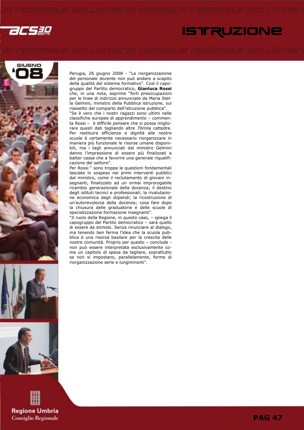2CS3Q

# **ISTRUZIONE**







**Regione Umbria Consiglio Regionale**  Perugia, 26 giugno 2008 - "La riorganizzazione del personale docente non può andare a scapito della qualità del sistema formativo". Così il capogruppo del Partito democratico, Gianluca Rossi che, in una nota, esprime "forti preoccupazioni per le linee di indirizzo annunciate da Maria Stella Gelmini, ministro della Pubblica istruzione, sul riassetto del comparto dell'istruzione pubblica".

"Se è vero che i nostri ragazzi sono ultimi nelle classifiche europee di apprendimento – commenta Rossi – è difficile pensare che si possa migliorare questi dati tagliando altre 70mila cattedre. Per restituire efficienza e dignità alle nostre scuole è certamente necessario riorganizzare in maniera più funzionale le risorse umane disponibili, ma i tagli annunciati dal ministro Gelmini danno l'impressione di essere più finalizzati a batter cassa che a favorire una generale riqualificazione del settore".

Per Rossi " sono troppe le questioni fondamentali lasciate in sospeso nei primi interventi pubblici dal ministro, come il reclutamento di giovani insegnanti, finalizzato ad un ormai improrogabile ricambio generazionale della docenza; il destino degli istituti tecnici e professionali; la rivalutazione economica degli stipendi; la ricostruzione di un'autorevolezza della docenza; cosa fare dopo la chiusura delle graduatorie e delle scuole di specializzazione formazione insegnanti".

"Il ruolo della Regione, in questo caso, – spiega il capogruppo del Partito democratico – sarà quello di essere da stimolo. Senza rinunciare al dialogo, ma tenendo ben ferma l'idea che la scuola pubblica è una risorsa basilare per la crescita delle nostre comunità. Proprio per questo – conclude non può essere interpretata esclusivamente come un capitolo di spesa da tagliare, soprattutto se non si impostano, parallelamente, forme di riorganizzazione serie e lungimiranti".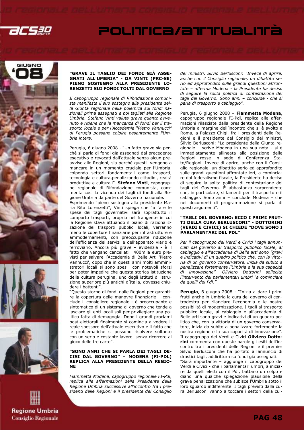









Il capogruppo regionale di Rifondazione comunista manifesta il suo sostegno alla presidente della Giunta regionale nella polemica sui fondi nazionali prima assegnati e poi tagliati alla Regione Umbria. Stefano Vinti valuta grave quanto avvenuto e ritiene che la mancanza di fondi per il trasporto locale e per l'Accademia "Pietro Vannucci" di Perugia possano colpire pesantemente l'Umbria intera.

Perugia, 6 giugno 2008 - "Un fatto grave sia perché si parla di fondi già assegnati dal precedente esecutivo e revocati dall'attuale senza alcun preavviso alle Regioni, sia perché questi vengono a mancare in un momento cruciale per l'Umbria, colpendo settori fondamentali come trasporti, tecnologia e cultura,penalizzando cittadini, realtà produttive e culturali". Stefano Vinti, capogruppo regionale di Rifondazione comunista, commenta così la vicenda dei tagli di fondi alla Regione Umbria da parte del Governo nazionale.

Esprimendo "pieno sostegno alla presidente Maria Rita Lorenzetti", Vinti spiega che "a fare le spese dei tagli governativi sarà soprattutto il comparto trasporti, proprio nel frangente in cui la Regione stava attuando il piano di razionalizzazione dei trasporti pubblici locali, verranno meno le coperture finanziarie per infrastrutture e ammodernamenti, con preoccupante riduzione dell'efficienza dei servizi e dell'apparato viario e ferroviario. Ancora più grave – evidenzia - è il fatto che vengano cancellati i 400mila euro previsti per salvare l'Accademia di Belle Arti 'Pietro Vannucci', dopo che in questi anni molti amministratori locali si sono spesi con notevoli sforzi per poter impedire che questa storica istituzione della cultura perugina, uno degli istituti di istruzione superiore più antichi d'Italia, dovesse chiudere i battenti".

"Questo storno di fondi dalle Regioni per garantire la copertura delle manovre finanziarie – conclude il consigliere regionale - è preoccupante e sintomatico di un sistema di governo che tende a lasciare gli enti locali soli per privilegiare una politica fatta di demagogia. Dopo i grandi proclami post-elettorali finalmente si comincia a vedere il reale spessore dell'attuale esecutivo e il fatto che le problematiche si possono risolvere soltanto con un serio e costante lavoro, senza ricorrere al gioco delle tre carte".

### "SONO ANNI CHE SI PARLA DEI TAGLI DE-CISI DAL GOVERNO" – MODENA (FI-PDL) REPLICA ALLA PRESIDENTE DELLA REGIO-NE

Fiammetta Modena, capogruppo regionale FI-Pdl, replica alle affermazioni della Presidente della Regione Umbria successive all'incontro fra i presidenti delle Regioni e il presidente del Consiglio dei ministri, Silvio Berlusconi: "Invece di aprire, anche con il Consiglio regionale, un dibattito serio ed approfondito sulle grandi questioni affrontate – afferma Modena - la Presidente ha deciso di seguire la solita politica di contestazione dei tagli del Governo. Sono anni – conclude - che si parla di trasporto e cablaggio".

Perugia, 6 giugno 2008 - Fiammetta Modena, capogruppo regionale FI-Pdl, replica alle affermazioni rilasciate dalla presidente della Regione Umbria a margine dell'incontro che si è svolto a Roma, a Palazzo Chigi, fra i presidenti delle Regioni e il presidente del Consiglio dei ministri, Silvio Berlusconi: "La presidente della Giunta regionale – scrive Modena in una sua nota - si è immediatamente allineata alla posizione delle Regioni rosse in sede di Conferenza Stato/Regioni. Invece di aprire, anche con il Consiglio regionale, un dibattito serio ed approfondito sulle grandi questioni affrontate ieri, a cominciare dal federalismo fiscale, la Presidente ha deciso di seguire la solita politica di contestazione dei tagli del Governo. È abbastanza sorprendente che, in particolare, si lamenti per il trasporto e il cablaggio. Sono anni – conclude Modena - che nei documenti di programmazione si parla di questi argomenti".

### "TAGLI DEL GOVERNO: ECCO I PRIMI FRUT-TI DELLA CURA BERLUSCONI" - DOTTORINI (VERDI E CIVICI) SI CHIEDE "DOVE SONO I PARLAMENTARI DEL PDL"

Per il capogruppo dei Verdi e Civici i tagli annunciati dal governo al trasporto pubblico locale, al cablaggio e all'accademia di Belle arti sono "gravi e indicativi di un quadro politico che, con la vittoria di un governo conservatore, inizia da subito a penalizzare fortemente l'Umbria e la sua capacità di innovazione". Oliviero Dottorini sollecita l'intervento dei parlamentari umbri "a cominciare da quelli del Pdl."

Perugia, 6 giugno 2008 - "Inizia a dare i primi frutti anche in Umbria la cura del governo di centrodestra per rilanciare l'economia e le nostre possibilità di modernizzazione. I tagli al trasporto pubblico locale, al cablaggio e all'accademia di Belle arti sono gravi e indicativi di un quadro politico che, con la vittoria di un governo conservatore, inizia da subito a penalizzare fortemente la nostra regione e la sua capacità di innovazione". Il capogruppo dei Verdi e Civici Oliviero Dottorini commenta con queste parole gli esiti dell'incontro tra i presidenti delle Regioni e il premier Silvio Berlusconi che ha portato all'annuncio di drastici tagli, addirittura su fondi già assegnati. "Sarà importante – aggiunge il capogruppo dei Verdi e Civici - che i parlamentari umbri, a iniziare da quelli eletti con il Pdl, battano un colpo e diano una qualche spiegazione plausibile della grave penalizzazione che subisce l'Umbria sotto il loro sguardo indifferente. I tagli previsti dalla cura Berlusconi vanno a toccare i settori della cul-

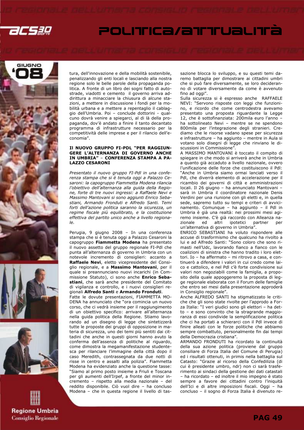

# POLITICa/attualità







tura, dell'innovazione e della mobilità sostenibile, penalizzando gli enti locali e lasciando alla nostra regione solo le belle parole della propaganda politica. A fronte di un libro dei sogni fatto di autostrade, viadotti e cemento il governo arriva addirittura a minacciare la chiusura di alcune stazioni, a mettere in discussione i fondi per la mobilità urbana e a mettere a repentaglio il cablaggio dell'Umbria. Poi – conclude dottorini - qualcuno dovrà venire a spiegarci, al di là della propaganda, dov'è andato a finire il tanto decantato programma di infrastrutture necessario per la competitività delle imprese e per il rilancio dell'economia".

### Il NUOVO GRUPPO FI-PDL "PER RAGGIUN-GERE L'ALTERNANZA DI GOVERNO ANCHE IN UMBRIA" – CONFERENZA STAMPA A PA-LAZZO CESARONI

Presentato il nuovo gruppo FI-Pdl in una conferenza stampa che si è tenuta oggi a Palazzo Cesaroni: la capogruppo Fiammetta Modena rilancia l'obiettivo dell'alternanza alla guida della Regione, forte di tre nuovi ingressi: a Raffaele Nevi e Massimo Mantovani si sono aggiunti Enrico Sebastiani, Armando Fronduti e Alfredo Santi. Temi forti dell'azione politica saranno la sicurezza, un regime fiscale più equilibrato, e la costituzione effettiva del partito unico anche a livello regiona- $\overline{a}$ 

Perugia, 9 giugno 2008 – In una conferenza stampa che si è tenuta oggi a Palazzo Cesaroni la capogruppo Fiammetta Modena ha presentato il nuovo assetto del gruppo regionale FI-Pdl che punta all'alternanza di governo in Umbria con un notevole incremento di consiglieri: accanto a Raffaele Nevi, eletto vicepresidente del Consiglio regionale, e a Massimo Mantovani, per il quale si preannunciano nuovi incarichi (in Commissione Statuto), ci sono anche Enrico Sebastiani, che sarà anche presidente del Comitato di vigilanza e controllo, e i nuovi consiglieri regionali Alfredo Santi e Armando Fronduti.

Fatte le dovute presentazioni, FIAMMETTA MO-DENA ha annunciato che "ora comincia un nuovo corso, che ci vedrà insieme per il raggiungimento di un obiettivo specifico: arrivare all'alternanza nella guida politica della Regione. Stiamo lavorando ad un disegno di legge che sintetizzerà tutte le proposte dei gruppi di opposizione in materia di sicurezza, uno dei temi più sentiti dai cittadini che anche in questi giorni hanno avuto la conferma dell'assenza di politiche al riguardo, come dimostra la megamanifestazione studentesca per rilanciare l'immagine della città dopo il caso Meredith, contrassegnata da due notti di risse in centro e assalti alla polizia". Fiammetta Modena ha evidenziato anche la questione tasse: "Siamo al primo posto insieme a Friuli e Toscana per gli aumenti dell'Irpef, a fronte del minor incremento – rispetto alla media nazionale – del reddito disponibile. Ciò vuol dire – ha concluso Modena – che in questa regione il livello di tassazione blocca lo sviluppo, e su questi temi daremo battaglia per dimostrare ai cittadini umbri che si può fare diversamente, se loro decideranno di votare diversamente da come è avvenuto fino ad oggi".

Sulla sicurezza si è espresso anche RAFFAELE NEVI: "Servono risposte con leggi che funzionino, e ricordo che come centrodestra avevamo presentato una proposta riguardante la Legge 12, che è sottofinanziata: 200mila euro l'anno – ha sottolineato Nevi – mentre se ne spendono 800mila per l'integrazione degli stranieri. Crediamo che le risorse vadano spese per sicurezza e infrastrutture – ha aggiunto – mentre in Aula si votano solo disegni di legge che rinviano le discussioni in Commissione".

A MASSIMO MANTOVANI è toccato il compito di spiegare in che modo si arriverà anche in Umbria a quanto già accaduto a livello nazionale, ovvero l'unificazione delle forze che costituiscono il Pdl: "Anche in Umbria siamo ormai lanciati verso il Pdl, che diverrà elemento di accelerazione per il ricambio dei governi di città e amministrazioni locali. Il 26 giugno – ha annunciato Mantovani – sarà in Umbria il coordinatore nazionale Denis Verdini per una riunione con gli eletti e, in quella sede, sapremo tutto su tempi e criteri di avvicinamento. Comunque – ha aggiunto – il Pdl in Umbria è già una realtà: nei prossimi mesi agiremo insieme. C'è già raccordo con Alleanza nazionale ed altri ipotetici partner per un'alternativa di governo in Umbria".

ENRICO SEBASTIANI ha voluto rispondere alle accuse di trasformismo che qualcuno ha rivolto a lui e ad Alfredo Santi: "Sono coloro che sono rimasti nell'Udc, lavorando fianco a fianco con le coalizioni di sinistra che hanno tradito i loro elettori. Io – ha affermato – mi ritrovo a casa, e continuerò a difendere i valori in cui credo come laico e cattolico, e nel Pdl c'è forte condivisione sui valori non negoziabili come la famiglia, a proposito della quale appoggeremo la proposta di legge regionale elaborata con il Forum delle famiglie che entro sei mesi dalla presentazione approderà in Consiglio regionale".

Anche ALFREDO SANTI ha stigmatizzato le critiche che gli sono state rivolte per l'approdo a Forza Italia: "I veri giudici sono gli elettori – ha detto – e sono convinto che la stragrande maggioranza di essi condivide la semplificazione politica che ci ha portati a schierarci con il Pdl invece di finire alleati con le forze politiche che abbiamo sempre combattuto, personalmente fin dai tempi della Democrazia cristiana".

ARMANDO FRONDUTI ha ricordato la continuità della sua azione politica (proviene dal gruppo consiliare di Forza Italia del Comune di Perugia) ed i risultati ottenuti, in primis nella battaglia sul Catasto: "Grazie al ricorso della Confedilizia (di cui è presidente umbro, ndr) non ci sarà trasferimento ai sindaci della gestione dei dati catastali – ha ricordato – ed inoltre il mio impegno è stato sempre a favore dei cittadini contro l'iniquità dell'Ici e di altre imposizioni fiscali. Oggi – ha concluso – il sogno di Forza Italia è divenuto re-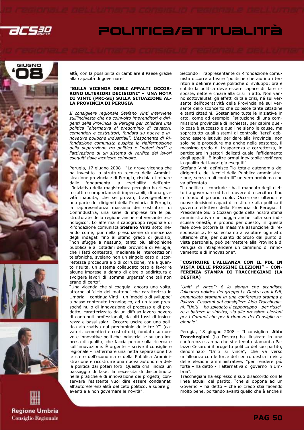









altà, con la possibilità di cambiare il Paese grazie alla capacità di governare".

### "SULLA VICENDA DEGLI APPALTI OCCOR-RONO ULTERIORI DECISIONI" - UNA NOTA DI VINTI (PRC-SE) SULLA SITUAZIONE AL-LA PROVINCIA DI PERUGIA

Il consigliere regionale Stefano Vinti interviene sull'inchiesta che ha coinvolto imprenditori e dirigenti della Provincia di Perugia per chiedere una politica "alternativa al predominio di cavatori, cementieri e costruttori, fondata su nuove e innovative politiche industriali". L'esponente di Rifondazione comunista auspica la riaffermazione della separazione tra politica e "poteri forti" e l'attivazione di un sistema di verifica dei lavori eseguiti dalle inchieste coinvolte.

Perugia, 17 giugno 2008 - "La grave vicenda che ha investito la struttura tecnica della Amministrazione provinciale di Perugia, rischia di minare dalle fondamenta la credibilità dell'ente. L'iniziativa della magistratura perugina ha rilevato fatti e comportamenti impensabili, di una gravità inaudita, che se provati, travolgerebbero una parte dei dirigenti della Provincia di Perugia, la rappresentanza massima dei costruttori di Confindustria, una serie di imprese tra le più strutturate della regione anche sul versante tecnologico". Lo afferma il capogruppo regionale di Rifondazione comunista Stefano Vinti sottolineando come, pur nella presunzione di innocenza degli indagati fino all'ultimo grado di giudizio, "non sfugge a nessuno, tanto più all'opinione pubblica e ai cittadini della provincia di Perugia, che i fatti contestati, mediante le intercettazioni telefoniche, svelano non un singolo caso di scorrettezza procedurale o di corruzione, ma a quanto risulta, un sistema collaudato teso a favorire alcune imprese a danno di altre o addirittura a svolgere lavori di 'somma urgenza' che tali non erano di certo".

"Una vicenda che si coagula, ancora una volta, attorno al 'ciclo del mattone' che caratterizza in Umbria – continua Vinti - un 'modello di sviluppo' a basso contenuto tecnologico, ad un tasso pressoché nullo di innovazione di processo e di prodotto, caratterizzato da un diffuso lavoro povero di contenuti professionali, da alti tassi di insicurezza e bassi salari. Occorre uscire con una politica alternativa dal predominio delle tre 'C' (cavatori, cementieri e costruttori), fondata su nuove e innovative politiche industriali e su una impresa di qualità, che faccia perno sulla ricerca e sull'innovazione. È urgente – scrive il consigliere regionale - riaffermare una netta separazione tra le sfere dell'economia e della Pubblica Amministrazione e ricostruire una nuova autonomia della politica dai poteri forti. Questa crisi indica un passaggio di fase: la necessità di discontinuità nelle pratiche e di innovazione dei progetti; conservare l'esistente vuol dire essere condannati all'autoreferenzialità del ceto politico, a subire gli eventi e a non governare le novità".

Secondo il rappresentante di Rifondazione comunista occorre attivare "politiche che aiutino i territori a definire nuove politiche di sviluppo; ora e subito la politica deve essere capace di dare risposte, nette e chiare alla crisi in atto. Non vanno sottovalutati gli effetti di tale crisi, né sul versante dell'operatività della Provincia né sul versante dello sconcerto che colpisce tante cittadine e tanti cittadini. Sosteniamo tutte le iniziative in atto, come ad esempio l'istituzione di una commissione provinciale di inchiesta, per capire quello cosa è successo e quali ne siano le cause, ma soprattutto quali sistemi di controllo 'terzi' debbono essere istituiti per dare alla Provincia, non solo nelle procedure ma anche nella sostanza, il massimo grado di trasparenza e correttezza, in particolare in settori delicati quale l'affidamento degli appalti. È inoltre ormai inevitabile verificare la qualità dei lavori già eseguiti".

Stefano Vinti definisce "la totale autonomia dei dirigenti e dei tecnici della Pubblica amministrazione, senza reali controlli" un vero problema che va affrontato.

"La politica – conclude - ha il mandato degli elettori a governare ed ha il dovere di esercitare fino in fondo il proprio ruolo. Occorrono ulteriori e nuove decisioni capaci di restituire alla politica il governo effettivo della Provincia di Perugia. Il Presidente Giulio Cozzari gode della nostra stima amministrativa che poggia anche sulla sua indiscussa onestà, e proprio per questo, in questa fase dove occorre la massima assunzione di responsabilità, lo sollecitiamo a valutare ogni atto ulteriore che, per quanto doloroso dal punto di vista personale, può permettere alla Provincia di Perugia di intraprendere un cammino di rinnovamento e di innovazione".

### "COSTRUIRE L'ALLEANZA CON IL PDL IN VISTA DELLE PROSSIME ELEZIONI" – CON-FERENZA STAMPA DI TRACCHEGIANI (LA DESTRA)

"Uniti si vince": è lo slogan che scandisce l'alleanza politica del gruppo La Destra con il Pdl, annunciata stamani in una conferenza stampa a Palazzo Cesaroni dal consigliere Aldo Tracchegiani. "Uniti – ha spiegato il capogruppo - per riuscire a battere la sinistra, sia alle prossime elezioni per i Comuni che per il rinnovo del Consiglio regionale".

Perugia, 18 giugno 2008 - Il consigliere Aldo Tracchegiani (La Destra) ha illustrato in una conferenza stampa che si è tenuta stamani a Palazzo Cesaroni il progetto politico del suo partito, denominato "Uniti si vince", che va verso un'alleanza con le forze del centro destra in vista delle elezioni amministrative, "per rendere più forte – ha detto - l'alternativa di governo in Umbria".

Tracchegiani ha espresso il suo disaccordo con le linee attuali del partito, "che si oppone ad un Governo – ha detto – che io credo stia facendo molto bene, portando avanti quello che è anche il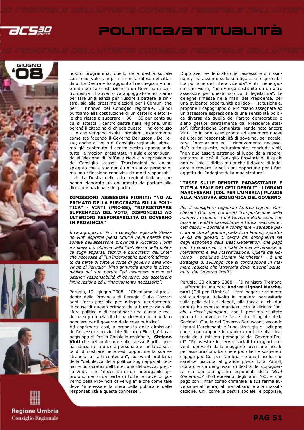









nostro programma, quello della destra sociale con i suoi valori, in primis con la difesa del cittadino. La Destra – ha aggiunto Tracchegiani – non è nata per fare ostruzione a un Governo di centro destra: il Governo va appoggiato e noi siamo per fare un'alleanza per riuscire a battere la sinistra, sia alle prossime elezioni per i Comuni che per il rinnovo del Consiglio regionale. Quindi puntiamo alla costituzione di un cartello elettorale che riesca a superare il 30 – 35 per cento su cui si attesta il centro destra nella regione. Uniti perché il cittadino ci chiede questo – ha concluso – e che vengano risolti i problemi, esattamente come sta facendo il Governo Berlusconi. Del resto, anche a livello di Consiglio regionale, abbiamo già sostenuto il centro destra appoggiando tutte le mozioni presentate in aula e contribuendo all'elezione di Raffaele Nevi a vicepresidente del Consiglio stesso". Tracchegiani ha anche spiegato che la sua non è un'iniziativa personale, ma una riflessione condivisa da molti responsabili de La Destra delle altre regioni italiane, che hanno elaborato un documento da portare alla direzione nazionale del partito.

### DIMISSIONI ASSESSORE FIORITI: "NO AL PRIMATO DELLA BUROCRAZIA SULLA POLI-TICA" - VINTI (PRC-SE), "RIPRISTINARE SUPREMAZIA DEL VOTO; DISPONIBILI AD ULTERIORI RESPONSABILITÀ DI GOVERNO IN PROVINCIA"

Il capogruppo di Prc in consiglio regionale Stefano vinti esprime piena fiducia nella onestà personale dell'assessore provinciale Riccardo Fioriti e solleva il problema della "debolezza della politica sugli apparati tecnici e burocratici dell'Ente" che necessita di "un'inderogabile approfondimento da parte di tutte le forze di governo della Provincia di Perugia". Vinti annuncia anche la disponibilità del suo partito "ad assumere nuove ed ulteriori responsabilità di governo, per accelerare l'innovazione ed il rinnovamento necessario".

Perugia, 19 giugno 2008 - "Chiediamo al presidente della Provincia di Perugia Giulio Cozzari ogni sforzo possibile per indagare ulteriormente le cause di questo primato della burocrazia sulla sfera politica e di ripristinare una giusta e moderna supremazia di chi ha ricevuto un mandato popolare per il governo della cosa pubblica". Ad esprimersi così, a proposito delle dimissioni dell'assessore provinciale Riccardo Fioriti, è il capogruppo di Prc in Consiglio regionale, Stefano Vinti che nel confermare allo stesso Fioriti, "piena fiducia nella onestà personale e nella capacità di dimostrare nelle sedi opportune la sua estraneità ai fatti contestati", solleva il problema della "debolezza della politica sugli apparati tecnici e burocratici dell'Ente, una debolezza, precisa Vinti, che "necessita di un inderogabile approfondimento da parte di tutte le forze di governo della Provincia di Perugia" e che come tale deve "interessare la sfera della politica e delle responsabilità a questa connesse".

Dopo aver evidenziato che l'assessore dimissionario, "ha assunto sulla sua figura le responsabilità politiche dell'intera vicenda" Vinti ritiene giusto che Fioriti, "non venga sostituito da un altro assessore per questo scorcio di legislatura". Le deleghe rimesse nelle mani del Presidente, per una evidente opportunità politico – istituzionale, propone il capogruppo di Prc "siano assegnate ad un assessore espressione di una sensibilità politica diversa da quella del Partito democratico o siano gestite direttamente dal Presidente stesso". Rifondazione Comunista, rende noto ancora Vinti, "è in ogni caso pronta ad assumere nuove ed ulteriori responsabilità di governo, per accelerare l'innovazione ed il rinnovamento necessario": tutto questo, naturalmente, conclude Vinti, "non può essere estraneo al luogo della rappresentanza e cioè il Consiglio Provinciale, il quale non ha solo il diritto ma anche il dovere di indagare e trovare le soluzioni opportune per i fatti oggetto dell'indagine della magistratura".

### "TASSE SULLE RENDITE PARASSITARIE E TUTELA REALE DEI CETI DEBOLI" - LIGNANI MARCHESANI (CDL PER L'UMBRIA) PLAUDE ALLA MANOVRA ECONOMICA DEL GOVERNO

Per il consigliere regionale Andrea Lignani Marchesani (Cdl per l'Umbria) "l'impostazione della manovra economica del Governo Berlusconi, che tassa le rendite parassitarie e tutela realmente i ceti deboli – sostiene il consigliere - sarebbe piaciuta anche al grande poeta Ezra Pound, ispiratore sia dei giovani di destra del dopoguerra sia degli esponenti della Beat Generation, che pagò con il manicomio criminale la sua avversione al mercatismo e alla massificazione. Quella del Governo – aggiunge Lignani Marchesani – è una strategia di sviluppo che si contrappone in maniera radicale alla 'strategia della miseria' perseguita dal Governo Prodi".

Perugia, 20 giugno 2008 – "Il ministro Tremonti – afferma in una nota Andrea Lignani Marchesani (Cdl per l'Umbria) - farà pagare realmente chi guadagna, talvolta in maniera parassitaria sulla pelle dei ceti deboli, alla faccia di chi due anni fa ha esposto manifesti con la dicitura 'anche i ricchi piangano', con il pessimo risultato però di impoverire le fasce più disagiate della Società". Quella del Governo Berlusconi, secondo Lignani Marchesani, è "una strategia di sviluppo che si contrappone in maniera radicale alla strategia della 'miseria' perseguita dal Governo Prodi". "Reinvestire in servizi sociali i maggiori proventi derivanti dalla maggiore pressione fiscale per assicurazioni, banche e petrolieri – sostiene il capogruppo Cdl per l'Umbria - è una filosofia che sarebbe piaciuta al grande poeta Ezra Pound, ispiratore sia dei giovani di destra del dopoguerra sia dei più grandi esponenti della 'Beat Generation' d'oltreoceano degli anni '60, e che pagò con il manicomio criminale la sua ferma avversione all'usura, al mercatismo e alla massificazione. Chi, come la destra sociale e popolare,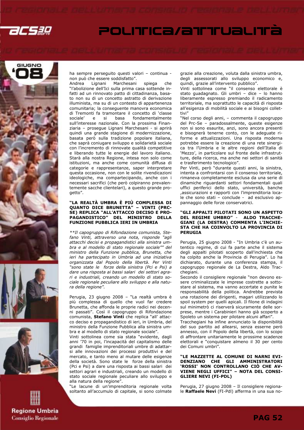









ha sempre perseguito questi valori – continua non può che essere soddisfatto".

Marchesani spiega che "l'abolizione dell'Ici sulla prima casa sottende infatti ad un rinnovato patto di cittadinanza, basato non su di un concetto astratto di derivazione illuminista, ma su di un contesto di appartenenza comunitaria; la conseguente manovra economica di Tremonti fa tramontare il concetto di 'classe e si basa fondamentalmente sull'interesse nazionale. Con la prossima Finanziaria – prosegue Lignani Marchesani - si aprirà quindi una grande stagione di modernizzazione, basata però sulla tradizione popolare italiana, che saprà coniugare sviluppo e solidarietà sociale con l'incremento di rinnovate qualità competitive e liberando tutte le energie del lavoro italiano. Starà alla nostra Regione, intesa non solo come istituzioni, ma anche come comunità diffusa di categorie e rappresentanze, saper interpretare questa occasione, non con le solite rivendicazioni ideologiche, ma compartecipando, anche con i necessari sacrifici (che però colpiranno prevalentemente sacche clientelari), a questo grande progetto".

### "LA REALTÀ UMBRA È PIÙ COMPLESSA DI QUANTO DICE BRUNETTA" – VINTI (PRC-SE) REPLICA "ALL'ATTACCO DECISO E PRO-PAGANDISTICO" DEL MINISTRO DELLA FUNZIONE PUBBLICA IERI IN UMBRIA

\*\*Il capogruppo di Rifondazione comunista, Stefano Vinti, attraverso una nota, risponde "agli attacchi decisi e propagandistici alla sinistra umbra e al modello di stato regionale sociale"" del ministro della Funzione pubblica, Brunetta, che ieri ha partecipato in Umbria ad una iniziativa organizzata dal Popolo della libertà. Per Vinti "sono state le forze della sinistra (Pci e Psi) a dare una risposta ai bassi salari dei settori agrari e industriali, creando un modello di stato sociale regionale peculiare allo sviluppo e alla natura della regione".

Perugia, 23 giugno 2008 – "La realtà umbra è più complessa di quello che vuol far credere Brunetta, che affonda le proprie radici nei decenni passati". Così il capogruppo di Rifondazione comunista, Stefano Vinti che replica "all' attacco deciso e propagandistico di ieri, in Umbria, del ministro della Funzione Pubblica alla sinistra umbra e al modello di stato regionale sociale".

Vinti sottolinea come sia stata "evidente, dagli anni '70 in poi, l'incapacità del capitalismo delle grandi famiglie imprenditoriali umbre di adattarsi alle innovazioni dei processi produttivi e del mercato, e tanto meno al mutare delle esigenze della società. Sono state le forze della sinistra (Pci e Psi) a dare una risposta ai bassi salari dei settori agrari e industriali, creando un modello di stato sociale regionale peculiare allo sviluppo e alla natura della regione".

"Le lacune di un'imprenditoria regionale volta soltanto all'accumulo di capitale, si sono colmate grazie alla creazione, voluta dalla sinistra umbra, degli assessorati allo sviluppo economico e, quindi, grazie all'intervento pubblico".

Vinti sottolinea come "il consenso elettorale è stato guadagnato. Gli umbri – dice – lo hanno liberamente espresso premiando il radicamento territoriale, ma soprattutto le capacità di risposta all'esigenza di mobilità sociale e ai bisogni collettivi"

"Nel corso degli anni, – commenta il capogruppo del Prc-Se – paradossalmente, queste esigenze non si sono esaurite, anzi, sono ancora presenti e bisognerà tenerne conto, con le adeguate riforme e attualizzazioni. Una risposta moderna potrebbe essere la creazione di una rete sinergica tra l'Umbria e le altre regioni dell'Italia di 'Mezzo', in particolare sul fronte delle infrastrutture, della ricerca, ma anche nei settori di sanità e trasferimento tecnologico".

Per Vinti, però "durante questi anni, la sinistra, intenta a confrontarsi con il consenso territoriale, rimaneva completamente esclusa da una serie di dinamiche riguardanti settori fondamentali quali uffici periferici dello stato, università, banche ,assicurazioni e rapporti con l'imprenditoria locale che sono stati – conclude - ad esclusivo appannaggio delle forze conservatrici.

### "GLI APPALTI PILOTATI SONO UN ASPETTO DEL REGIME UMBRO" - ALDO TRACCHE-GIANI (LA DESTRA) COMMENTA L'INCHIE-STA CHE HA COINVOLTO LA PROVINCIA DI PERUGIA

Perugia, 25 giugno 2008 - "In Umbria c'è un autentico regime, di cui fa parte anche il sistema degli appalti pilotati scoperto dall'inchiesta che ha colpito anche la Provincia di Perugia". Lo ha dichiarato, durante una conferenza stampa, il capogruppo regionale de La Destra, Aldo Tracchegiani.

Secondo il consigliere regionale "non devono essere criminalizzate le imprese costrette a sottostare al sistema, ma vanno accertate e punite le responsabilità della politica. Andrebbe prevista una rotazione dei dirigenti, magari utilizzando lo spoil system per quelli apicali. Il filone di indagini sul minimetrò ci riserverà sicuramente delle sorprese, mentre i Carabinieri hanno già scoperto a Spoleto un sistema per pilotare alcuni affari".

Tracchegiani ha infine annunciato la disponibilità del suo partito ad allearsi, senza esserne però annesso, con il Popolo della libertà, con lo scopo di affrontare unitariamente le prossime scadenze elettorali e "conquistare almeno il 30 per cento dei Comuni umbri".

### "LE MAZZETTE AL COMUNE DI NARNI EVI-DENZIANO CHE GLI AMMINISTRATORI 'ROSSI' NON CONTROLLANO CIÒ CHE AV-VIENE NEGLI UFFICI" – NOTA DEL CONSI-GLIERE NEVI (FI-PDL)

Perugia, 27 giugno 2008 – Il consigliere regionale Raffaele Nevi (FI-Pdl) afferma in una sua no-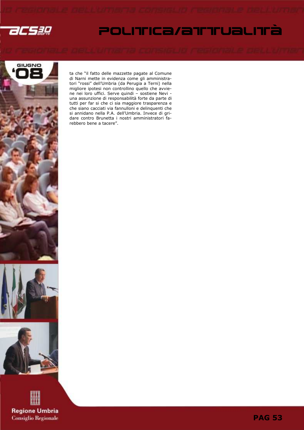

# POLITICa/aTTTUaLITà



ta che "il fatto delle mazzette pagate al Comune di Narni mette in evidenza come gli amministratori "rossi" dell'Umbria (da Perugia a Terni) nella migliore ipotesi non controllino quello che avviene nei loro uffici. Serve quindi – sostiene Nevi una assunzione di responsabilità forte da parte di tutti per far si che ci sia maggiore trasparenza e che siano cacciati via fannulloni e delinquenti che si annidano nella P.A. dell'Umbria. Invece di gridare contro Brunetta i nostri amministratori farebbero bene a tacere".



**PAG 53**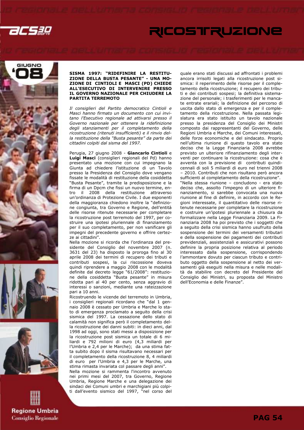2CS3Q

# RICOSTRUZIONE









### SISMA 1997: "RIDEFINIRE LA RESTITU-ZIONE DELLA BUSTA PESANTE" - UNA MO-ZIONE DI CINTIOLI E MASCI (PD) CHIEDE ALL'ESECUTIVO DI INTERVENIRE PRESSO IL GOVERNO NAZIONALE PER CHIUDERE LA PARTITA TERREMOTO

Il consiglieri del Partito democratico Cintioli e Masci hanno firmato un documento con cui invitano l'Esecutivo regionale ad attivarsi presso il Governo nazionale per ottenere la ridefinizione degli stanziamenti per il completamento della ricostruzione (ritenuti insufficienti) e il rinvio della restituzione della "Busta pesante" da parte dei cittadini colpiti dal sisma del 1997.

Perugia, 27 giugno 2008 - Giancarlo Cintioli e Luigi Masci (consiglieri regionali del Pd) hanno presentato una mozione con cui impegnano la Giunta ad chiedere l'istituzione di un Tavolo presso la Presidenza del Consiglio dove vengano fissate le modalità di restituzione della cosiddetta "Busta Pesante", tramite la predisposizione e la firma di un Dpcm che fissi un nuovo termine, entro il 2008 della restituzione attraverso un'ordinanza di Protezione Civile. I due esponenti della maggioranza chiedono inoltre la "definizione congiunta, tra Governo e Regione, dell'entità delle risorse ritenute necessarie per completare la ricostruzione post terremoto del 1997, per costruire una ipotesi pluriennale di finanziamento per il suo completamento, per non vanificare gli impegni del precedente governo e offrire certezze ai cittadini".

Nella mozione si ricorda che l'ordinanza del presidente del Consiglio del novembre 2007 (n. 3631 del 23) ha disposto la proroga fino al 30 aprile 2008 dei termini di recupero dei tributi e contributi sospesi, la cui riscossione doveva quindi riprendere a maggio 2008 con le modalità definite dal decreto legge "61/2008": restituzione della cosiddetta "Busta pesante" in misura ridotta pari al 40 per cento, senza aggravio di interessi o sanzioni, mediante una rateizzazione pari a 10 anni.

Ricostruendo le vicende del terremoto in Umbria, i consiglieri regionali ricordano che "dal 1 gennaio 2008 è cessato per Umbria e Marche lo stato di emergenza proclamato a seguito della crisi sismica del 1997. La cessazione dello stato di calamità non significa però il completamento della ricostruzione dei danni subiti: in dieci anni, dal 1998 ad oggi, sono stati messi a disposizione per la ricostruzione post sismica un totale di 6 miliardi e 792 milioni di euro (4,3 miliardi per l'Umbria e 2,4 per le Marche); da una stima fatta subito dopo il sisma risultavano necessari per il completamento della ricostruzione 8, 4 miliardi di euro per l'Umbria e 4,3 per le Marche, una stima rimasta invariata col passare degli anni".

Nella mozione si rammenta l'incontro avvenuto nei primi mesi del 2007, tra Governo, Regione Umbria, Regione Marche e una delegazione dei sindaci dei Comuni umbri e marchigiani più colpiti dall'evento sismico del 1997, "nel corso del quale erano stati discussi ad affrontati i problemi ancora irrisolti legati alla ricostruzione post sismica: il reperimento delle risorse per il completamento della ricostruzione; il recupero dei tributi e dei contributi sospesi; la definitiva sistemazione del personale; i trasferimenti per le mancate entrate erariali; la definizione del percorso di uscita dallo stato di emergenza e per il completamento della ricostruzione. Nella passata legislatura era stato istituito un tavolo nazionale presso la presidenza del Consiglio dei Ministri composto dai rappresentanti del Governo, delle Regioni Umbria e Marche, dei Comuni interessati, delle forze economiche e del sindacato. Proprio nell'ultima riunione di questo tavolo era stato deciso che la Legge Finanziaria 2008 avrebbe previsto un ulteriore rifinanziamento degli interventi per continuare la ricostruzione: cosa che è avventa con la previsione di contributi quindicennali di soli 5 miliardi di euro nel trienni 2008 – 2010. Contributi che non risultano però ancora sufficienti al completamento della ricostruzione". "Nella stessa riunione – concludono - era stato deciso che, assolto l'impegno di un ulteriore finanziamento, si sarebbe convocata una nuova riunione al fine di definire, in accordo con le Regioni interessate, il quantitativo delle risorse ritenute necessarie per completare la ricostruzione e costruire un'ipotesi pluriennale a chiusura da formalizzare nella Legge Finanziaria 2009. La Finanziaria 2008 ha poi previsto che i soggetti che a seguito della crisi sismica hanno usufruito della sospensione dei termini dei versamenti tributari e della sospensione dei pagamenti dei contributi previdenziali, assistenziali e assicurativi possono definire la propria posizione relativa al periodo interessato dalla sospensione, corrispondendo l'ammontare dovuto per ciascun tributo e contributo oggetto della sospensione al netto dei versamenti già eseguiti nella misura e nelle modalità da stabilire con decreto del Presidente del Consiglio dei Ministri, su proposta del Ministro dell'Economia e delle Finanze".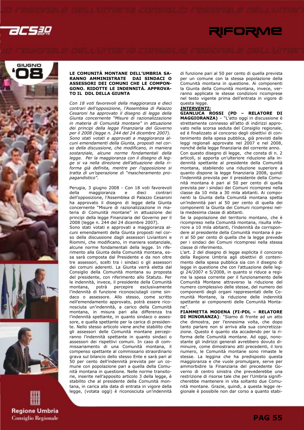

# GIUGNO





### LE COMUNITÀ MONTANE DELL'UMBRIA SA-RANNO AMMINISTRATE DAI SINDACI O ASSESSORI DEI COMUNI CHE LE COMPON-GONO. RIDOTTE LE INDENNITÀ. APPROVA-TO IL DDL DELLA GIUNTA

Con 18 voti favorevoli della maggioranza e dieci contrari dell'opposizione, l'Assemblea di Palazzo Cesaroni ha approvato il disegno di legge della Giunta concernente "Misure di razionalizzazione in materia di Comunità montane" in attuazione dei principi della legge Finanziaria del Governo per il 2008 (legge n. 244 del 24 dicembre 2007). Sono stati votati e approvati a maggioranza alcuni emendamenti della Giunta, proposti nel corso della discussione, che modificano, in maniera sostanziale, alcune norme fondamentali della legge. Per la maggioranza con il disegno di legge si va nella direzione dell'attuazione della riforma già definita, mentre per l'opposizione si tratta di un'operazione di "mascheramento propagandistico".

Perugia, 3 giugno 2008 - Con 18 voti favorevoli<br>della maggioranza e dieci contrari maggioranza e dell'opposizione, l'Assemblea di Palazzo Cesaroni ha approvato il disegno di legge della Giunta concernente "Misure di razionalizzazione in materia di Comunità montane" in attuazione dei principi della legge Finanziaria del Governo per il 2008 (legge n. 244 del 24 dicembre 2007). Sono stati votati e approvati a maggioranza alcuni emendamenti della Giunta proposti nel corso della discussione dagli assessori Liviantoni e Riommi, che modificano, in maniera sostanziale, alcune norme fondamentali della legge. In riferimento alla Giunta della Comunità montana, essa sarà composta dal Presidente e da non oltre tre assessori, scelti tra i sindaci o gli assessori dei comuni aderenti. La Giunta verrà eletta dal Consiglio della Comunità montana su proposta del presidente, con riferimento allo Statuto. Per le indennità, invece, il presidente della Comunità montana, potrà percepire esclusivamente l'indennità di funzione riconosciutagli come sindaco o assessore. Allo stesso, come scritto nell'emendamento approvato, potrà essere riconosciuta un'indennità, a carico della Comunità montana, in misura pari alla differenza tra l'indennità spettante, in quanto sindaco o assessore, e quella spettante per la carica di presidente. Nello stesso articolo viene anche stabilito che gli assessori delle Comunità montane percepiranno l'indennità spettante in quanto sindaci o assessori dei rispettivi comuni. In caso di commissariamento di una Comunità montana, il compenso spettante al commissario straordinario grava sul bilancio dello stesso Ente e sarà pari al 50 per cento dell'indennità prevista per un comune con popolazione pari a quella della Comunità montana in questione. Nelle norme transitorie, inserite nell'apposito articolo 3 della legge, è stabilito che al presidente della Comunità montana, in carica alla data di entrata in vigore della legge, (votata oggi) è riconosciuta un'indennità

di funzione pari al 50 per cento di quella prevista per un comune con la stessa popolazione della Comunità montana in questione. Ai componenti la Giunta della Comunità montana, invece, verranno applicate le stesse condizioni ricomprese nel testo vigente prima dell'entrata in vigore di questa legge.

RIFORME

### INTERVENTI:

GIANLUCA ROSSI (PD – RELATORE DI MAGGIORANZA) – "L'atto oggi in discussione è strettamente connesso all'atto di indirizzi approvato nella scorsa seduta del Consiglio regionale, ed è finalizzato al concorso degli obiettivi di contenimento della spesa pubblica, già previsti dalle leggi regionali approvate nel 2007 e nel 2008, nonché della legge finanziaria del corrente anno. Con questo disegno di legge, che consta di n. 2 articoli, si apporta un'ulteriore riduzione alla indennità spettante al presidente della Comunità montana, stabilendo una riduzione superiore a quanto dispone la legge finanziaria 2008, quindi l'indennità prevista per il presidente della Comunità montana è pari al 50 per cento di quella prevista per i sindaci dei Comuni ricompresi nella classe da 10 mila a 30 mila abitanti. Ai componenti la Giunta della Comunità montana spetta un'indennità pari al 50 per cento di quella dei componenti la Giunta dei Comuni ricompresi nella medesima classe di abitanti.

Se la popolazione del territorio montano, che è ricompreso nella Comunità montana, risulta inferiore a 10 mila abitanti, l'indennità da corrispondere al presidente della Comunità montana è pari al 50 per cento di quella che la legge prevede per i sindaci dei Comuni ricompresi nella stessa classe di riferimento.

L'art. 2 del disegno di legge esplicita il concorso della Regione Umbria agli obiettivi di contenimento della spesa pubblica sia con il disegno di legge in questione che con l'attuazione delle leggi 24/2007 e 5/2008, in quanto si riduce a regime la spesa corrente per il funzionamento delle Comunità Montane attraverso la riduzione del numero complessivo delle stesse, del numero dei componenti degli organi rappresentati delle Comunità Montane, la riduzione delle indennità spettante ai componenti delle Comunità Montane".

FIAMMETTA MODENA (FI-PDL – RELATORE DI MINORANZA): "Siamo di fronte ad un atto che dimostra, per l'ennesima volta, che dopo tanto parlare non si arriva alla sua concretizzazione. Questo è quanto sta accadendo per la riforma delle Comunità montane. Ad oggi, nonostante gli indirizzi generali avrebbero dovuto diminuire, come dimostrano atti precedenti, il loro numero, le Comunità montane sono rimaste le stesse. La leggina che ha predisposto questa maggioranza e che vuole promulgare, serve per ammorbidire la Finanziaria del precedente Governo di centro sinistra che prevederebbe una restrizione di risorse tale che per l'Umbria significherebbe mantenere in vita soltanto due Comunità montane. Grazie, quindi, a questa legge regionale è possibile non dar corso a quanto stabi-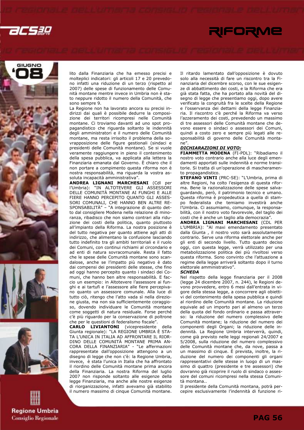







lito dalla Finanziaria che ha emesso precisi e molteplici indicatori: gli articoli 17 e 20 prevedono infatti una riduzione di un terzo (rispetto al 2007) delle spese di funzionamento delle Comunità montane mentre invece in Umbria non è stato neppure ridotto il numero della Comunità, che sono sempre 9.

La Regione non ha lavorato ancora su precisi indirizzi dai quali è possibile dedurre la composizione dei territori ricompresi nelle Comunità montane. Ci troviamo davanti ad uno spot propagandistico che riguarda soltanto le indennità degli amministratori e il numero delle Comunità montane, ma resta irrisolto il problema della sovrapposizione delle figure gestionali (sindaci e presidenti delle Comunità montane). Se si vuole veramente raggiungere in pieno il contenimento della spesa pubblica, va applicata alla lettera la Finanziaria emanata dal Governo. È chiaro che il non portare a compimento questa riforma non è nostra responsabilità, ma riguarda la vostra assoluta incapacità amministrativa".

ANDREA LIGNANI MARCHESANI (Cdl per l'Umbria): "IN ALTOTEVERE GLI ASSESSORI DELLE COMUNITÀ MONTANE AI FUNGHI E ALLE FIERE HANNO PERCEPITO QUANTO GLI ASSES-SORI COMUNALI, CHE HANNO BEN ALTRE RE-SPONSABILITÀ" – "A integrazione di quanto detto dal consigliere Modena nella relazione di minoranza, ribadisco che non siamo contrari alla riduzione dei costi della politica, quanto piuttosto all'impianto della Riforma. La nostra posizione è del tutto negativa per quanto attiene agli atti di indirizzo, che alimentano la confusione lasciando tutto indefinito tra gli ambiti territoriali e il ruolo dei Comuni, con continui richiami al circondario e ad enti di natura sovracomunale. Resta il fatto che le spese delle Comunità montane sono scandalose, anche se l'impatto più negativo è dato dai compensi dei presidenti delle stesse, che fino ad oggi hanno percepito quanto i sindaci dei Comuni, che hanno ben altre responsabilità. E faccio un esempio: in Altotevere l'assessore ai funghi e ai tartufi e l'assessore alle fiere percepivano quanto un assessore comunale. Alla luce di tutto ciò, ritengo che l'atto vada sì nella direzione giusta, ma non sia sufficientemente coraggioso, dovendo individuare le Comunità montane come soggetti di natura residuale. Forse perché c'è più riguardo per la conservazione di poltrone che per le questioni di federalismo fiscale".

CARLO LIVIANTONI (vicepresidente della Giunta regionale): "LA REGIONE UMBRIA È STA-TA L'UNICA IN ITALIA AD AFFRONTARE IL RIOR-DINO DELLE COMUNITÀ MONTANE PRIMA AN-CORA DELLA FINANZIARIA" - "Le affermazioni rappresentate dall'opposizione attengono a un disegno di legge che non c'è: la Regione Umbria, invece, è stata l'unica in Italia che ha affrontato il riordino delle Comunità montane prima ancora della Finanziaria. La nostra Riforma del luglio 2007 non risponde soltanto alle esigenze della legge Finanziaria, ma anche alle nostre esigenze di riorganizzazione, infatti avevamo già stabilito il numero massimo di cinque Comunità montane.

Il ritardo lamentato dall'opposizione è dovuto solo alla necessità di fare un riscontro tra la Finanziaria del dicembre scorso, con le sue esigenze di abbattimento dei costi, e la Riforma che era già stata fatta, che ha portato alla novità del disegno di legge che presentiamo oggi, dopo avere verificato la congruità fra le scelte della Regione e l'osservanza dei dettami della legge Finanziaria. Il riscontro c'è perché la Riforma va verso l'azzeramento dei costi, prevedendo un massimo di tre assessori delle Comunità montane che devono essere o sindaci o assessori dei Comuni, quindi a costo zero e sempre più legati alle responsabilità di governo delle Comunità montane".

### DICHIARAZIONI DI VOTO:

FIAMMETTA MODENA (FI-PDL): "Ribadiamo il nostro voto contrario anche alla luce degli emendamenti apportati sulle indennità e norme transitorie. Si tratta di un'operazione di mascheramento propagandistico.

STEFANO VINTI (PRC-SE): "L'Umbria, prima di altre Regioni, ha colto l'esigenza di questa riforma. Bene la razionalizzazione delle spese salvaguardando, però, il patrimonio tecnico e umano. Questa riforma è propedeutica a quella di stampo federalista che temiamo investirà anche l'Umbria. Ci assumiamo, comunque, la responsabilità, con il nostro voto favorevole, del taglio dei costi che è anche un taglio alla democrazia".

ANDREA LIGNANI MARCHESANI (CDL PER L'UMBRIA): "Al maxi emendamento presentato dalla Giunta , il nostro voto sarà assolutamente contrario. Serve una riforma elettorale anche per gli enti di secondo livello. Tutto quanto deciso oggi, con questa legge, verrà utilizzato per una metabolizzazione politica dei più rivoltosi verso questa riforma. Sono convinto che l'attuazione a regime della legge arriverà soltanto dopo il turno elettorale amministrativo".

### **SCHEDA**

Nel rispetto della legge finanziaria per il 2008 (legge 24 dicembre 2007, n. 244), le Regioni devono provvedere, entro 6 mesi dall'entrata in vigore della stessa legge, a concorrere agli obiettivi del contenimento della spesa pubblica e quindi al riordino delle Comunità montane. La riduzione equivale ad un importo pari al almeno un terzo della quota del fondo ordinario e passa attraverso: la riduzione del numero complessivo delle Comunità montane; la riduzione del numero dei componenti degli Organi; la riduzione delle indennità. La Regione Umbria interverrà, quindi, come già previsto nelle leggi regionali 24/2007 e 5/2008, sulla riduzione del numero complessivo delle Comunità montane che, da nove, passa a un massimo di cinque. È prevista, inoltre, la riduzione del numero dei componenti gli organi rappresentativi delle stesse in luogo di un massimo di quattro (presidente e tre assessori) che dovranno già ricoprire il ruolo di sindaco o assessore del comuni ricompresi nella stessa Comunità montana..

Il presidente della Comunità montana, potrà percepire esclusivamente l'indennità di funzione ri-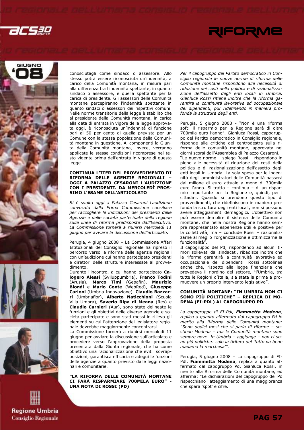









conosciutagli come sindaco o assessore. Allo stesso potrà essere riconosciuta un'indennità, a carico della Comunità montana, in misura pari alla differenza tra l'indennità spettante, in quanto sindaco o assessore, e quella spettante per la carica di presidente. Gli assessori delle Comunità montane percepiranno l'indennità spettante in quanto sindaci o assessori dei rispettivi comuni. Nelle norme transitorie della legge è stabilito che al presidente della Comunità montana, in carica alla data di entrata in vigore della legge approvata oggi, è riconosciuta un'indennità di funzione pari al 50 per cento di quella prevista per un Comune con la stessa popolazione della Comunità montana in questione. Ai componenti la Giunta della Comunità montana, invece, verranno applicate le stesse condizioni ricomprese nel testo vigente prima dell'entrata in vigore di questa legge.

### CONTINUA L'ITER DEL PROVVEDIMENTO DI RIFORMA DELLE AGENZIE REGIONALI OGGI A PALAZZO CESARONI L'AUDIZIONE CON I PRESIDENTI. DA MERCOLEDÌ PROS-SIMO L'ESAME DELL'ARTICOLATO

Si è svolta oggi a Palazzo Cesaroni l'audizione convocata dalla Prima Commissione consiliare per raccogliere le indicazioni dei presidenti delle Agenzie e delle società partecipate della regione sulle linee di riforma predisposte dall'Esecutivo. La Commissione tornerà a riunirsi mercoledì 11 giugno per avviare la discussione dell'articolato.

Perugia, 4 giugno 2008 – La Commissione Affari Istituzionali del Consiglio regionale ha ripreso il percorso verso la riforma delle agenzie regionali con un'audizione cui hanno partecipato presidenti e direttori delle strutture interessate al provvedimento.

Durante l'incontro, a cui hanno partecipato Calogero Alessi (Sviluppumbria), Franco Todini (Arusia), Marco Timi (Gepafin), Maurizio Biondi e Mario Conte (WebRed), Giuseppe Carloni (Umbria Innovazione), Claudio Bazzarri (Umbriaflor), Alberto Naticchioni (Scuola Villa Umbra), Saverio Ripa di Meana (Res) e Claudio Carnieri (Aur), sono state delineate le funzioni e gli obiettivi delle diverse agenzie e società partecipate e sono stati messi in rilievo gli elementi su cui l'attenzione del legislatore regionale dovrebbe maggiormente concentrarsi.

La Commissione tornerà a riunirsi mercoledì 11 giugno per avviare la discussione sull'articolato e procedere verso l'approvazione della proposta presentata dalla Giunta regionale, che ha come obiettivo una razionalizzazione che eviti sovrapposizioni, garantisca efficacia e adegui le funzioni delle agenzie a quanto previsto dalle leggi nazionali e comunitarie.

"LA RIFORMA DELLE COMUNITÀ MONTANE CI FARÀ RISPARMIARE 700MILA EURO" - UNA NOTA DI ROSSI (PD)

Per il capogruppo del Partito democratico in Consiglio regionale le nuove norme di riforma delle Comunità montane rispondono alle necessità di riduzione dei costi della politica e di razionalizzazione dell'assetto degli enti locali in Umbria. Gianluca Rossi ritiene inoltre che la riforma garantirà la continuità lavorativa ed occupazionale dei dipendenti, pur ridefinendo in maniera profonda la struttura degli enti.

Perugia, 5 giugno 2008 - "Non è una riforma soft: il risparmio per la Regione sarà di oltre 700mila euro l'anno". Gianluca Rossi, capogruppo del Partito democratico in Consiglio regionale, risponde alle critiche del centrodestra sulla riforma delle comunità montane, approvata nei giorni scorsi dall'Assemblea di Palazzo Cesaroni.

"Le nuove norme – spiega Rossi – rispondono in pieno alle necessità di riduzione dei costi della politica e di razionalizzazione dell'assetto degli enti locali in Umbria. La sola spesa per le indennità degli amministratori delle Comunità passerà dal milione di euro attuale a meno di 300mila euro l'anno. Si tratta – continua – di un risparmio importante per la Regione e, quindi, per i cittadini. Quando si prendono questo tipo di provvedimenti, che ridefiniscono in maniera profonda la struttura degli enti locali, non si possono avere atteggiamenti demagogici. L'obiettivo non può essere demolire il sistema delle Comunità montane, che nella nostra Regione hanno sempre rappresentato esperienze utili e positive per la collettività, ma – conclude Rossi – razionalizzarne al meglio l'organizzazione e ottimizzarne la funzionalità".

Il capogruppo del Pd, rispondendo ad alcuni timori sollevati dai sindacati, ribadisce inoltre che la riforma garantirà la continuità lavorativa ed occupazionale dei dipendenti. Rossi sottolinea anche che, rispetto alla legge finanziaria che prevedeva il riordino del settore, "l'Umbria, tra tutte le Regioni d'Italia, sia stata la prima a promuovere un proprio intervento legislativo".

### COMUNITÀ MONTANE: "IN UMBRIA NON CI SONO PIÙ POLITICHE" – REPLICA DI MO-DENA (FI-PDL) AL CAPOGRUPPO PD

La capogruppo di FI-Pdl, Fiammetta Modena, replica a quanto affermato dal capogruppo Pd in merito alla Riforma delle Comunità montane: "Sono dodici mesi che si parla di riforme – sostiene Modena – ma le Comunità montane sono sempre nove. In Umbria – aggiunge – non ci sono più politiche: solo la tiritera del 'tutto va bene madama la marchesa'".

Perugia, 5 giugno 2008 – La capogruppo di FI-Pdl, Fiammetta Modena, replica a quanto affermato dal capogruppo Pd, Gianluca Rossi, in merito alla Riforma delle Comunità montane, ed afferma: "Le dichiarazioni del capogruppo del Pd rispecchiano l'atteggiamento di una maggioranza che spara 'spot' e cifre.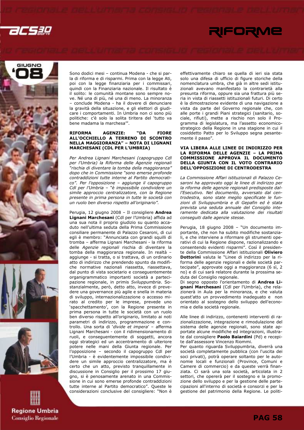







Sono dodici mesi – continua Modena - che si parla di riforma e di risparmi. Prima con la legge Ati, poi con la legge finanziaria per i commissari, quindi con la Finanziaria nazionale. Il risultato è il solito: le comunità montane sono sempre nove. Né una di più, né una di meno. La minoranza – conclude Modena - ha il dovere di denunciare la gravità della situazione, e gli elettori di giudicare i comportamenti. In Umbria non ci sono più politiche: c'è solo la solita tiritera del 'tutto va bene madama la marchesa'".

### RIFORMA AGENZIE: "DA FIORE ALL'OCCHIELLO A TERRENO DI SCONTRO NELLA MAGGIORANZA" – NOTA DI LIGNANI MARCHESANI (CDL PER L'UMBRIA)

Per Andrea Lignani Marchesani (capogruppo Cdl per l'Umbria) la Riforma delle Agenzie regionali "rischia di diventare la tomba della maggioranza" dopo che in Commissione "sono emerse profonde contraddizioni tutte interne al Partito democratico". Per l'opposizione – aggiunge il capogruppo Cdl per l'Umbria – "è impossibile condividere un simile approccio centralizzatore, con la Regione presente in prima persona in tutte le società con un ruolo ben diverso rispetto all'originario".

Perugia, 12 giugno 2008 - Il consigliere Andrea Lignani Marchesani (Cdl per l'Umbria) affida ad una sua nota il proprio giudizio su quanto accaduto nell'ultima seduta della Prima Commissione consiliare permanente di Palazzo Cesaroni, di cui egli è membro: "Annunciata con grandi squilli di tromba – afferma Lignani Marchesani - la riforma delle Agenzie regionali rischia di diventare la tomba della maggioranza regionale. In realtà – aggiunge - si tratta, o si trattava, di un ordinario atto di indirizzo che prendendo spunto da modifiche normative nazionali riassetta, riassettava, dal punto di vista societario e conseguentemente organigrammatico importanti società a partecipazione regionale, in primis Sviluppumbria. Sostanzialmente, però, detto atto, invece di prevedere una governance più agile e snella in materia di sviluppo, internazionalizzazione o accesso mirato al credito per le imprese, prevede uno 'spacchettamento', con la Regione presente in prima persona in tutte le società con un ruolo ben diverso rispetto all'originario, limitato ai noti parametri di indirizzo, programmazione e controllo. Una sorta di 'divide et impera' – afferma Lignani Marchesani - con il ridimensionamento di ruoli, e conseguentemente di soggetti, ancora oggi strategici ed un accentramento di ulteriore potere nelle mani della Giunta regionale. Per l'opposizione – secondo il capogruppo Cdl per l'Umbria - è evidentemente impossibile condividere un simile approccio centralizzatore, ma è certo che un atto, previsto tranquillamente in discussione in Consiglio per il prossimo 17 giugno, si è penosamente arenato in una Commissione in cui sono emerse profonde contraddizioni tutte interne al Partito democratico". Queste le considerazioni conclusive del consigliere: "Non è effettivamente chiaro se quella di ieri sia stata solo una difesa di ufficio di figure storiche della nomenclatura umbra, che già in altre sedi istituzionali avevano manifestato la contrarietà alla presunta riforma, oppure sia una frattura più seria in vista di riassetti istituzionali futuri. Di certo è la dimostrazione evidente di una navigazione a vista da parte del Governo regionale che, con alle porte i grandi Piani strategici (sanitario, sociale, rifiuti), mette a rischio non solo il Programma di legislatura, ma l'assetto economicostrategico della Regione in una stagione in cui il cosiddetto Patto per lo Sviluppo segna pesantemente il passo".

### VIA LIBERA ALLE LINEE DI INDIRIZZO PER LA RIFORMA DELLE AGENZIE – LA PRIMA COMMISSIONE APPROVA IL DOCUMENTO DELLA GIUNTA CON IL VOTO CONTRARIO DELL'OPPOSIZIONE DI CENTRODESTRA

La Commissione Affari istituzionali di Palazzo Cesaroni ha approvato oggi le linee di indirizzo per la riforma delle agenzie regionali predisposte dall'Esecutivo. Nel documento, avversato dal centrodestra, sono state meglio specificate le funzioni di Sviluppumbria e di Gepafin ed è stata prevista una seduta annuale del Consiglio interamente dedicata alla valutazione dei risultati conseguiti dalle agenzie stesse.

Perugia, 18 giugno 2008 – "Un documento importante, che non ha subito modifiche sostanziali, e che interviene a riformare gli strumenti operativi di cui la Regione dispone, razionalizzando e consentendo evidenti risparmi". Così il presidente della Commissione Affari istituzionali Oliviero Dottorini valuta le "Linee di indirizzo per la riforma delle agenzie regionali e delle società partecipate", approvate oggi a maggioranza (6 sì, 2 no) e di cui sarà relatore durante la prossima seduta del Consiglio regionale.

Di segno opposto l'orientamento di Andrea Lignani Marchesani (Cdl per l'Umbria), che relazionerà in Aula per la minoranza, e che valuta quest'atto un provvedimento inadeguato e non orientato al sostegno dello sviluppo dell'economia e della società regionale.

Alle linee di indirizzo, contenenti interventi di razionalizzazione, integrazione e rimodulazione del sistema delle agenzie regionali, sono state apportate alcune modifiche ed integrazioni, illustrate dal consigliere Paolo Baiardini (Pd) e recepite dall'assessore Vincenzo Riommi.

Per quanto riguarda Sviluppumbria, diverrà una società completamente pubblica (con l'uscita dei soci privati), potrà operare soltanto per le autonomie locali e funzionali (Province, Comuni e Camere di commercio) e da queste verrà finanziata. Ci sarà una sola società, articolata in 2 settori, che opererà per il sostegno e la promozione dello sviluppo e per la gestione delle partecipazioni all'interno di società e consorzi e per la gestione del patrimonio della Regione. Le politi-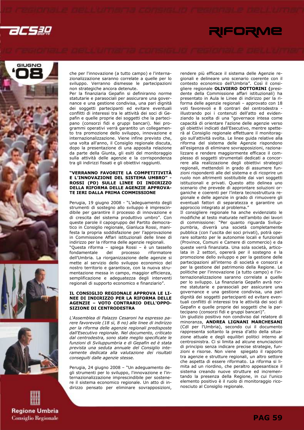









che per l'innovazione (a tutto campo) e l'internazionalizzazione saranno correlate a quelle per lo sviluppo. Verranno dismesse le partecipazioni non strategiche ancora detenute.

Per la finanziaria Gepafin si definiranno norme statutarie e parasociali per assicurare una governance e una gestione condivisa, una pari dignità dei soggetti partecipanti ed evitare eventuali conflitti di interessi tra le attività dei soci di Gepafin e quelle proprie dei soggetti che la partecipano (consorzi fidi e gruppi bancari). Nei programmi operativi verrà garantito un collegamento tra promozione dello sviluppo, innovazione e internazionalizzazione. Viene infine previsto che, una volta all'anno, il Consiglio regionale discuta, dopo la presentazione di una apposita relazione da parte della Giunta, gli esiti del monitoraggio sulla attività delle agenzie e la corrispondenza tra gli indirizzi fissati e gli obiettivi raggiunti.

### "VERRANNO FAVORITE LA COMPETITIVITÀ E L'INNOVAZIONE DEL SISTEMA UMBRO" ROSSI (PD) SULLE LINEE DI INDIRIZZO DELLA RIFORMA DELLE AGENZIE APPROVA-TE IERI DALLA PRIMA COMMISSIONE

Perugia, 19 giugno 2008 - "L'adeguamento degli strumenti di sostegno allo sviluppo è imprescindibile per garantire il processo di innovazione e di crescita del sistema produttivo umbro". Con queste parole il capogruppo del Partito democratico in Consiglio regionale, Gianluca Rossi, manifesta la propria soddisfazione per l'approvazione in Commissione Affari istituzionali delle linee di indirizzo per la riforma delle agenzie regionali. "Questa riforma – spiega Rossi – è un tassello fondamentale del processo riformatore dell'Umbria. La riorganizzazione delle agenzie si mette al servizio dello sviluppo economico del nostro territorio e garantisce, con la nuova strumentazione messa in campo, maggior efficienza, semplificazione e adeguatezza degli interventi regionali di supporto economico e finanziario".

### IL CONSIGLIO REGIONALE APPROVA LE LI-NEE DI INDIRIZZO PER LA RIFORMA DELLE AGENZIE – VOTO CONTRARIO DELL'OPPO-SIZIONE DI CENTRODESTRA

L'Assemblea di Palazzo Cesaroni ha espresso parere favorevole (18 sì, 8 no) alle linee di indirizzo per la riforma delle agenzie regionali predisposte dall'Esecutivo regionale. Nel documento, criticato dal centrodestra, sono state meglio specificate le funzioni di Sviluppumbria e di Gepafin ed è stata prevista una seduta annuale del Consiglio interamente dedicata alla valutazione dei risultati conseguiti dalle agenzie stesse.

Perugia, 24 giugno 2008 – "Un adeguamento degli strumenti per lo sviluppo, l'innovazione e l'internazionalizzazione imprescindibile per sostenere il sistema economico regionale. Un atto di indirizzo pensato per eliminare sovrapposizioni, rendere più efficace il sistema delle Agenzie regionali e delineare uno scenario coerente con il contesto economico dell'Umbria". Così il consigliere regionale OLIVIERO DOTTORINI (presidente della Commissione affari istituzionali) ha presentato in Aula le Linee di indirizzo per la riforma delle agenzie regionali – approvato con 18 voti favorevoli e 8 contrari del centrodestra illustrando poi i contenuti dell'atto ed evidenziando la scelta di una "governace intesa come capacità di orientare l'azione delle agenzie verso gli obiettivi indicati dall'Esecutivo, mentre spetterà al Consiglio regionale effettuare il monitoraggio sull'attività svolta. Le linee guida relative alla riforma del sistema delle Agenzie rispondono all'esigenza di eliminare sovrapposizioni, razionalizzare e rendere maggiormente efficace il complesso di soggetti strumentali dedicati a concorrere alla realizzazione degli obiettivi strategici regionali, mettendoli in grado di assumere funzioni rispondenti alle del sistema e di ricoprire un ruolo non altrimenti sostituibile dai vari soggetti istituzionali e privati. Questo atto delinea uno scenario che prevede di approntare soluzioni organiche e coerenti per l'intera tecnostruttura regionale e delle agenzie in grado di rimuovere gli eventuali fattori di separatezza e garantire un approccio integrato al problema."

Il consigliere regionale ha anche evidenziato le modifiche al testo maturate nell'ambito dei lavori di commissione: "Per quanto riguarda Sviluppumbria, diverrà una società completamente pubblica (con l'uscita dei soci privati), potrà operare soltanto per le autonomie locali e funzionali (Province, Comuni e Camere di commercio) e da queste verrà finanziata. Una sola società, articolata in 2 settori, opererà per il sostegno e la promozione dello sviluppo e per la gestione delle partecipazioni all'interno di società e consorzi e per la gestione del patrimonio della Regione. Le politiche per l'innovazione (a tutto campo) e l'internazionalizzazione saranno correlate a quelle per lo sviluppo. La finanziaria Gepafin avrà norme statutarie e parasociali per assicurare una governance e una gestione condivisa, una pari dignità dei soggetti partecipanti ed evitare eventuali conflitti di interessi tra le attività dei soci di Gepafin e quelle proprie dei soggetti che la partecipano (consorzi fidi e gruppi bancari)".

Un giudizio positivo non condiviso dal relatore di minoranza, ANDREA LIGNANI MARCHESANI (Cdl per l'Umbria), secondo cui il documento rappresenta soltanto la presa d'atto della situazione attuale e degli equilibri politici interno al centrosinistra. Ci si limita ad alcune enunciazioni di principio senza indicare precise strategie, funzioni e risorse. Non viene spiegato il rapporto tra agenzie e strutture regionali, un altro settore che aspetta di essere riformato. La riforma si limita ad un riordino, che peraltro appesantisce il sistema creando nuove strutture ed incrementando la presenza della Regione, in cui l'unico elemento positivo è il ruolo di monitoraggio riconosciuto al Consiglio regionale.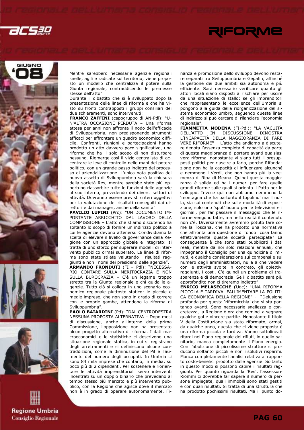









Mentre sarebbero necessarie agenzie regionali snelle, agili e radicate sul territorio, viene proposto un modello che centralizza il potere sulla Giunta regionale, contraddicendo le premesse stesse dell'atto".

Durante il dibattito che si è sviluppato dopo la presentazione delle linee di riforma e che ha visto su fronti contrapposti i gruppi consiliari dei due schieramenti, sono intervenuti:

FRANCO ZAFFINI (capogruppo di AN-Pdl): "U-N'ALTRA OCCASIONE PERDUTA – Una riforma attesa per anni non affronta il nodo dell'efficacia di Sviluppumbria, non predisponendo strumenti efficaci per affrontare un quadro economico difficile. Confronti, riunioni e partecipazioni hanno prodotto un atto davvero poco significativo, una riforma che ha il solo scopo di non disturbare nessuno. Riemerge così il vizio centralista di accentrare le leve di controllo nelle mani del potere politico, con un grande passo indietro del processo di aziendalizzazione. L'unica nota positiva del nuovo assetto di Sviluppumbria sarà la chiusura della società Res, mentre sarebbe stato più opportuno riassorbire tutte le funzioni delle agenzie al suo interno, prevedendo dei diversi settori di attività. Dovranno essere previsti criteri oggettivi per la valutazione dei risultati conseguiti dai direttori e dai manager, anche della sanità".

PAVILIO LUPINI (Prc): "UN DOCUMENTO IM-PORTANTE ARRICCHITO DAL LAVORO DELLA COMMISSIONE – L'atto che stiamo discutendo ha soltanto lo scopo di fornire un indirizzo politico a cui le agenzie devono attenersi. Condividiamo la scelta di elevare il livello di governance della Regione con un approccio globale e integrato: si tratta di uno sforzo per superare modelli di intervento pubblico ormai superato. Le linee di riforma sono state stilate valutando i risultati raggiunti e non i nomi dei presidenti delle agenzie".

ARMANDO FRONDUTI (FI - Pdl): "NECESSA-RIO CONTARE SULLA MERITOCRAZIA E NON SULLA BUROCRAZIA – C'è un legame troppo stretto tra la Giunta regionale e chi guida le agenzie. Tutto ciò si colloca in uno scenario economico regionale piuttosto statico: le piccole e medie imprese, che non sono in grado di correre con le proprie gambe, attendono la riforma di Sviluppumbria".

PAOLO BAIARDINI (Pd): "DAL CENTRODESTRA NESSUNA PROPOSTA ALTERNATIVA – Dopo mesi di discussione, anche all'interno della prima Commissione, l'opposizione non ha presentato alcun progetto alternativo di riforma. I dati macroeconomici e le statistiche ci descrivono una situazione regionale statica, in cui si registrano degli arretramenti e si definiscono alcune contraddizioni, come la diminuzione del Pil e l'aumento del numero degli occupati. In Umbria ci sono 84 mila imprese che contano, in media, su poco più di 2 dipendenti. Per sostenere e riorientare le attività imprenditoriali servo interventi incentrati su un doppio binario che prevedano al tempo stesso più mercato e più intervento pubblico, con la Regione che agisce dove il mercato non è in grado di operare autonomamente. Finanza e promozione dello sviluppo devono restare separati tra Sviluppumbria e Gepafin, affinché la gestione dei due ambiti sia autonoma e più efficiente. Sarà necessario verificare quanto gli attori locali siano disposti a rischiare per uscire da una situazione di stallo: se gli imprenditori che rappresentano le eccellenze dell'Umbria si pongono alla guida della riorganizzazione del sistema economico umbro, seguendo queste linee di indirizzo si può cercare di rilanciare l'economia regionale".

FIAMMETTA MODENA (FI-Pdl): "LA VACUITÀ DELL'ATTO IN DISCUSSIONE DIMOSTRA L'INCAPACITÀ DELLA MAGGIORANZA DI FARE VERE RIFORME" – L'atto che andiamo a discutere denota l'assenza completa di capacità da parte di questa maggioranza di portare avanti qualsiasi vera riforma, nonostante vi siano tutti i presupposti politici per riuscire a farlo, perché Rifondazione non ha la capacità di influenzare alcunché e nemmeno i Verdi, che non hanno più la veemenza di Ripa di Meana. Quindi questa maggioranza è solida ed ha i numeri per fare quelle grandi riforme sulle quali si orienta il Patto per lo sviluppo. Invece qui non abbiamo nemmeno la 'montagna che ha partorito il topolino' ma il nulla, sia sui contenuti che sulle modalità di esposizione, solo uno 'spot' buono per le televisioni e i giornali, per far passare il messaggio che le riforme vengono fatte, ma nella realtà il contenuto non c'è. Diversamente avremmo potuto fare come la Toscana, che ha prodotto una normativa che affronta una questione di fondo: cosa fanno effettivamente queste società partecipate? La conseguenza è che sono stati pubblicati i dati reali, mentre da noi solo relazioni annuali, che impegnano il Consiglio per una quindicina di minuti, e qualche considerazione sui compensi e sul numero degli amministratori, nulla a che vedere con le attività svolte in concreto, gli obiettivi raggiunti, i costi. C'è quindi un problema di trasparenza e di democrazia. Se il dibattito sarà più approfondito non ci tireremo indietro".

ENRICO MELASECCHE (Udc): "UNA RIFORMA PICCOLA E TARDIVA. FALLIMENTARE LA POLITI-CA ECONOMICA DELLA REGIONE" - "Delusione profonda per questa 'riformicchia' che si sta portando avanti. Sono necessarie snellezza e concretezza, la Regione è ora che cominci a segnare qualche gol e vincere partite. Nonostante il titolo V della Costituzione sia stato riformato, ormai, da qualche anno, questa che ci viene proposta è una riforma piccola e tardiva. Vanno sottolineati ritardi nel Piano regionale dei rifiuti, in quello sanitario, manca completamente il Piano energia. Con l'abolizione di piccolissime strutture si producono soltanto piccoli e non risolutivi risparmi. Manca completamente l'analisi relativa al rapporto costo-benefici prodotto dalle agenzie. Soltanto in questo modo si possono capire i risultati raggiunti. Per quanto riguarda la 'Res', l'assessore Riommi ci dovrebbe far sapere il numero di persone impiegate, quali immobili sono stati gestiti e con quali risultati. Si tratta di una struttura che ha prodotto pochissimi risultati. Ma il punto do-

**PAG 60**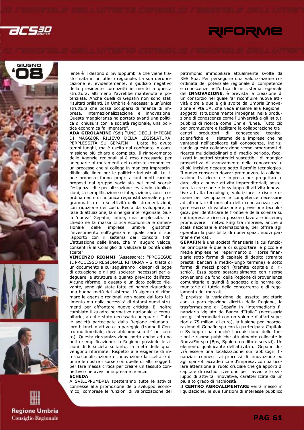







**Regione Umbria Consiglio Regionale**  lente è il destino di Sviluppumbria che viene trasformata in un ufficio regionale. La sua derubricazione è, evidentemente, il giudizio negativo della presidente Lorenzetti in merito a questa struttura, altrimenti l'avrebbe mantenuta e potenziata. Anche quelli di Gepafin non sono stati risultati brillanti. In Umbria è necessaria un'unica struttura che possa occuparsi di finanza di impresa, internazionalizzazione e innovazione. Questa maggioranza ha portato avanti una politica di chiusura con la società regionale, una politica economica fallimentare".

ADA GIROLAMINI (Sdi) "UNO DEGLI IMPEGNI DI MAGGIOR RILIEVO DELLA LEGISLATURA. PERPLESSITÀ SU GEPAFIN – L'atto ha avuto tempi lunghi, ma è uscito dal confronto in commissione più chiaro e completo. Il rinnovamento delle Agenzie regionali si è reso necessario per adeguarle ai mutamenti del contesto economico, un processo che si collega in maniera imprescindibile alle linee per le politiche industriali. Le linee proposte fanno propri alcuni punti cardine proposti dal gruppo socialista nei mesi scorsi: l'esigenza di specializzazione evitando duplicazioni; la semplificazione e integrazione, con il coordinamento di un'unica regia istituzionale e programmatica e la selettività delle strumentazioni, con riduzione dei costi. Resta da sviluppare, in fase di attuazione, la sinergia interregionale. Sulla 'nuova' Gepafin, infine, una perplessità: mi chiedo se la massa critica economica e dimensionale delle imprese umbre giustifichi l'investimento sull'agenzia e quale sarà il suo rapporto con il sistema dei 'consorzi fidi'. L'attuazione delle linee, che mi auguro veloce, consentirà al Consiglio di valutare la bontà delle scelte".

VINCENZO RIOMMI (Assessore): "PROSEGUE IL PROCESSO REGIONALE RIFORMA – Si tratta di un documento a cui seguiranno i disegni di legge di attuazione e gli atti societari necessari per adeguare le strutture a quanto previsto dall'atto. Alcune riforme, e questo è un dato politico rilevante, sono già state fatte ed hanno riguardato una buona metà del sistema. L'esigenza di riformare le agenzie regionali non nasce dal loro fallimento ma dalla necessità di dotarsi nuovi strumenti per affrontare nuove criticità. È inoltre cambiato il quadro normativo nazionale e comunitario, a cui è stato necessario adeguarsi. Tutte le società partecipate dalla Regione chiudono i loro bilanci in attivo o in pareggio (tranne il Centro multimediale, dove abbiamo solo il 4 per cento). Questa riorganizzazione porta anche ad una netta semplificazione: la Regione possiede le azioni di 6 società soltanto, la metà delle quali vengono riformate. Rispetto alle esigenze di internazionalizzazione e innovazione la scelta è di unire le nostre risorse con quelle di altri soggetti per fare massa critica per creare un tessuto connettivo che avvicini impresa e ricerca.

### **SCHEDA**

A SVILUPPUMBRIA spetteranno tutte le attività connesse alla promozione dello sviluppo economico, comprese le funzioni di valorizzazione del patrimonio immobiliare attualmente svolte da RES Spa. Per perseguire una valorizzazione coordinata del potenziale regionale di competenze e conoscenze nell'ottica di un sistema regionale dell'INNOVAZIONE, è prevista la creazione di un consorzio nel quale far riconfluire nuove attività oltre a quelle già svolte da Umbria Innovazione e Pta 3A, che veda insieme alla Regione i soggetti istituzionalmente impegnati nella produzione di conoscenza come l'Università e gli istituti pubblici di ricerca come Cnr e l'Enea. Tutto ciò per promuovere e facilitare la collaborazione tra i centri produttori di conoscenze tecnicoscientifiche e il sistema delle imprese che ha vantaggi nell'applicare tali conoscenze, indirizzando questa collaborazione verso programmi di ricerca multidisciplinari e di medio periodo, focalizzati in settori strategici suscettibili di maggior prospettiva di avanzamento della conoscenza e di più incisive ricadute sotto il profilo tecnologico. Il nuovo consorzio dovrà: promuovere la collaborazione tra ricerca e impresa per progettare e dare vita a nuove attività imprenditoriali; sostenere la creazione e lo sviluppo di attività innovative ad alta tecnologia; valorizzare le risorse umane per sviluppare le competenze necessarie ad affrontare il mercato della conoscenza; svolgere esercizi di valutazione e previsione tecnologica, per identificare le frontiere della scienza su cui impresa e ricerca possono lavorare insieme; promuovere il networking tra imprese, anche a scala nazionale e internazionale, per offrire agli operatori la possibilità di nuovi spazi, nuovi partner e mercati.

GEPAFIN è una società finanziaria la cui funzione principale è quella di supportare le piccole e medie imprese nel reperimento di risorse finanziarie sotto forma di capitale di debito (tramite prestiti bancari a medio-lungo termine) e sotto forma di mezzi propri (tramite capitale di rischio). Essa opera sostanzialmente con risorse provenienti da fondi della Regione di provenienza comunitaria e quindi è soggetta alle norme comunitarie di tutela della concorrenza e di regolamento dei mercati.

È prevista la variazione dell'assetto societario con la partecipazione diretta della Regione, la trasformazione di Gepafin in "intermediario finanziario vigilato da Banca d'Italia" (necessaria per gli intermediari con un volume d'affari superiori a 75 milioni di euro), la fusione per incorporazione di Gepafin spa con la partecipata Capitale e Sviluppo spa nonché l'acquisizione delle funzioni e risorse pubbliche attualmente collocate in NuovaFin spa (Bps, Spoleto credito e servizi). Un elemento qualificante dell'attività di Gepafin dovrà essere una localizzazione sui fabbisogni finanziari connessi ai processi di innovazione ed agli spin-off accademici e d'impresa, con particolare attenzione al ruolo cruciale che gli apporti di capitale di rischio rivestono per l'avvio e lo sviluppo di attività innovative, caratterizzate da un più alto grado di rischiosità.

Il CENTRO AGROALIMENTARE verrà messo in liquidazione, le sue funzioni di interesse pubblico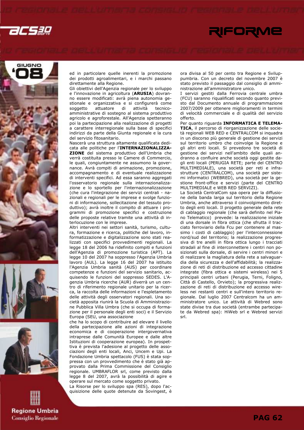









ed in particolare quelle inerenti la promozione dei prodotti agroalimentari, e i marchi passano direttamente alla Regione.

Gli obiettivi dell'Agenzia regionale per lo sviluppo e l'innovazione in agricoltura (ARUSIA) dovranno essere modificati: avrà piena autonomia gestionale e organizzativa e si configurerà come soggetto attuatore di attività tecnicoamministrative di sostegno al sistema produttivo agricolo e agroforestale. All'Agenzia spetteranno poi la partecipazione alla realizzazione di progetti a carattere interregionale sulla base di specifici indirizzi da parte della Giunta regionale e la cura del servizio fitosanitario.

Nascerà una struttura altamente qualificata dedicata alle politiche per l'INTERNAZIONALIZZA-ZIONE del sistema produttivo dell'Umbria che verrà costituita presso le Camere di Commercio, le quali, congiuntamente ne assumono la governance. Avrà compiti di animazione, promozione, accompagnamento e di eventuale realizzazione di interventi specifici. Ad essa saranno aggregati l'osservatorio regionale sulla internazionalizzazione e lo sportello per l'internazionalizzazione (che cura l'integrazione dei servizi centrali - nazionali e regionali per le imprese e svolge funzioni di informazione, sollecitazione del tessuto produttivo); avrà inoltre il compito di attuare i programmi di promozione specifici e costruzione delle proposte relative tramite una attività di interlocuzione con le imprese.

Altri interventi nei settori sanità, turismo, cultura, formazione e ricerca, politiche del lavoro, informatizzazione e digitalizzazione sono stati realizzati con specifici provvedimenti regionali. La legge 18 del 2006 ha ridefinito compiti e funzioni dell'Agenzia di promozione turistica (APT). La legge 10 del 2007 ha soppresso l'Agenzia Umbria lavoro (AUL). La legge 16 del 2007 ha istituito l'Agenzia Umbria sanità (AUS) per coordinare competenze e funzioni del servizio sanitario, acquisendo le funzioni del soppresso SEDES. L'Agenzia Umbria ricerche (AUR) diverrà un un centro di riferimento regionale unitario per la ricerca, la raccolta delle informazioni e l'espletamento delle attività degli osservatori regionali. Una società apposita riunirà la Scuola di Amministrazione Pubblica Villa Umbra (che si occupa di formazione per il personale degli enti soci) e il Servizio Europa (SEU, una associazione

che ha lo scopo di contribuire ad elevare il livello della partecipazione alle azioni di integrazione economica e di cooperazione intergovernativa intraprese dalle Comunità Europee e dalle altre Istituzioni di cooperazione europea). In prospettiva è prevista l'adesione al progetto delle associazioni degli enti locali, Anci, Uncem e Upi. La Fondazione Umbria spettacolo (FUS) è stata soppressa con un provvedimento che è stato già approvato dalla Prima Commissione del Consiglio regionale. UMBRAFLOR srl, come previsto dalla legge 8 del 2007, avrà la possibilità di agire e operare sul mercato come soggetto privato.

La Risorse per lo sviluppo spa (RES), dopo l'acquisizione delle quote detenute da Sovingest, è ora divisa al 50 per cento tra Regione e Sviluppumbria. Con un decreto del novembre 2007 è stato previsto il passaggio dal consiglio di amministrazione all'amministratore unico.

I servizi gestiti dalla Ferrovia centrale umbra (FCU) saranno riqualificati secondo quanto previsto dal Documento annuale di programmazione 2007/2009 per ottenere miglioramenti in termini di velocità commerciale e di qualità del servizio offerto.

Per quanto riguarda INFORMATICA E TELEMA-TICA, il percorso di riorganizzazione delle società regionali WEB RED e CENTRALCOM si inquadra in un discorso più generale di gestione dei servizi sul territorio umbro che coinvolge la Regione e gli altri enti locali. Si prevedono tre società di gestione dei servizi nell'ambito delle quali andranno a confluire anche società oggi gestite dagli enti locali (PERUGIA RETE; parte del CENTRO MULTIMEDIALE), una società per reti e infrastrutture (CENTRALCOM), una società per sistemi informatici (WEBRED), una società per la gestione front-office e servizi (parte del CENTRO MULTIMEDIALE e WEB RED SERVIZI).

La Società CentralCom spa opera per la diffusione della banda larga sul territorio della Regione Umbria, anche attraverso il coinvolgimento diretto degli enti locali. Il progetto generale della rete di cablaggio regionale (che sarà definito nel Piano Telematico) prevede: la realizzazione iniziale di una dorsale in fibra ottica (che sfrutta il tracciato ferroviario della Fcu per contenere al massimo i costi di cablaggio) per l'interconnessione nord/sud del territorio; la realizzazione progressiva di tre anelli in fibra ottica lungo i tracciati stradali al fine di interconnettere i centri non posizionati sulla dorsale, di servire i centri minori e di realizzare la magliatura della rete a salvaguardia della sicurezza e dell'affidabilità; la realizzazione di reti di distribuzione ed accesso cittadine integrate (fibra ottica e sistemi wireless) nei 5 principali centri urbani (Perugia, Terni, Foligno, Città di Castello, Orvieto); la progressiva realizzazione di reti di distribuzione ed accesso wireless nei restanti centri e sull'intero territorio regionale. Dal luglio 2007 Centralcom ha un amministratore unico. Le attività di Webred sono state divise tra due società (entrambe partecipate da Webred spa): HiWeb srl e Webred servizi srl.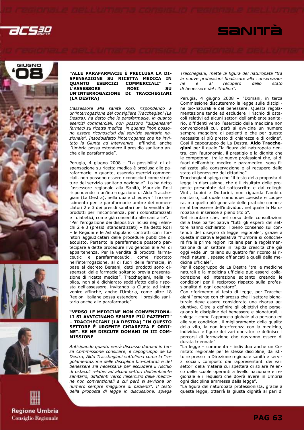









### "ALLE PARAFARMACIE È PRECLUSA LA DI-SPENSAZIONE SU RICETTA MEDICA IN<br>QUANTO ESERCIZI COMMERCIALI" -COMMERCIALI" –<br>ROST SU L'ASSESSORE ROSI UN'INTERROGAZIONE DI TRACCHEGIANI (LA DESTRA)

L'assessore alla sanità Rosi, rispondendo a un'interrogazione del consigliere Tracchegiani (La Destra), ha detto che le parafarmacie, in quanto esercizi commerciali, non possono "dispensare" farmaci su ricetta medica in quanto "non possono essere riconosciuti dal servizio sanitario nazionale". Insoddisfatto l'interrogante che ha invitato la Giunta ad intervenire affinché, anche l'Umbria possa estendere il presidio sanitario anche alla parafarmacie".

Perugia, 4 giugno 2008 – "La possibilità di dispensazione su ricetta medica è preclusa alle parafarmacie in quanto, essendo esercizi commerciali, non possono essere riconosciuti come strutture del servizio sanitario nazionale". Lo ha detto l'assessore regionale alla Sanità, Maurizio Rosi rispondendo a un'interrogazione di Aldo Tracchegiani (La Destra), nella quale chiedeva "il riconoscimento per le parafarmacie umbre dei nomenclatori 2 e 3 dei presidi sanitari per la vendita dei prodotti per l'incontinenza, per i colonstomizzati e i diabetici, come già consentito alle sanitarie". "Per l'erogazione dei dispositivi inclusi negli elenchi 2 e 3 (presidi standardizzati) – ha detto Rosi – le Regioni e le Asl stipulano contratti con i fornitori aggiudicatari delle procedure pubbliche di acquisto. Pertanto le parafarmacie possono partecipare a dette procedure rivolgendosi alle Asl di appartenenza. Per la vendita di prodotti farmaceutici e parafarmaceutici, come riportato nell'interrogazione, al di fuori delle farmacie, in base al decreto Bersani, detti prodotti sono dispensati dalle farmacie soltanto previa presentazione di ricetta medica". Tracchegiani, nella replica, non si è dichiarato soddisfatto della risposta dell'assessore, invitando la Giunta ad intervenire affinché, anche l'Umbria, come altre 18 Regioni italiane possa estendere il presidio sanitario anche alle parafarmacie".

### "VERSO LE MEDICINE NON CONVENZIONA-LI SI AVVICINANO SEMPRE PIÙ PAZIENTI" – TRACCHEGIANI (LA DESTRA) "IN QUESTO SETTORE È URGENTE CHIAREZZA E ORDI-NE". SE NE DISCUTE DOMANI IN III COM-MISSIONE

Anticipando quanto verrà discusso domani in terza Commissione consiliare, il capogruppo de La Destra, Aldo Tracchegiani sottolinea come la "regolamentazione delle discipline bio-naturali e del benessere sia necessaria per escludere il rischio di ostacoli relativi ad alcuni settori dell'ambiente sanitario, diffidenti verso l'esercizio delle medicine non convenzionali a cui però si avvicina un numero sempre maggiore di pazienti". Il testo della proposta di legge in discussione, spiega

Tracchegiani, mette la figura del naturopata "tra le nuove professioni finalizzate alla conservazione e al recupero di benessere del cittadino".

SANITÀ

Perugia, 4 giugno 2008 – "Domani, in terza Commissione discuteremo la legge sulle discipline bio-naturali e del benessere. Questa regolamentazione tende ad escludere il rischio di ostacoli relativi ad alcuni settori dell'ambiente sanitario, diffidenti verso l'esercizio delle medicine non convenzionali cui, però si avvicina un numero sempre maggiore di pazienti e che per questo necessita al più presto di chiarezza e di ordine". Così il capogruppo de La Destra, Aldo Tracchegiani per il quale "la figura del naturopata rientra, con l'autonomia, il prestigio e la dignità che le competono, tra le nuove professioni che, al di fuori dell'ambito medico e paramedico, sono finalizzate alla conservazione e al recupero dello stato di benessere del cittadino".

Tracchegiani spiega che "il testo della proposta di legge in discussione, che è il risultato delle proposte presentate dal sottoscritto e dai colleghi Vinti, Lupini e Dottorini, non riguarda l'ambito sanitario, col quale comunque coesiste e coopera, ma quello più generale delle pratiche connesse al benessere dell'individuo, nel quale la Naturopatia si inserisce a pieno titolo".

Nel ricordare che, nel corso delle consultazioni della fase partecipativa "tutti gli esperti del settore hanno dichiarato il pieno consenso sui contenuti del disegno di legge regionale", grazie a questa iniziativa legislativa "l'Umbria si collocherà fra le prime regioni italiane per la regolamentazione di un settore in rapida crescita che già oggi vede un italiano su quattro far ricorso ai rimedi naturali, spesso affiancati a quelli della medicina ufficiale".

Per il capogruppo de La Destra "tra le medicine naturali e la medicina ufficiale può esserci collaborazione ed interazione soltanto creando le condizioni per il reciproco rispetto sulla professionalità di ogni operatore".

Con riferimento al testo di legge, per Tracchegiani "emerge con chiarezza che il settore bionaturale deve essere considerato una risorsa aggiuntiva. Oltre a definire gli obiettivi che perseguono le discipline del benessere e bionaturali, spiega - come l'approccio globale alla persona ed alle sue condizioni, il miglioramento della qualità della vita, la non interferenza con la medicina, individua le figure dei vari operatori e definisce i percorsi di formazione che dovranno essere di durata triennale".

"La legge – commenta - individua anche un Comitato regionale per le stesse discipline, da istituire presso la Direzione regionale sanità e servizi sociali, composto dai rappresentanti dei vari settori della materia cui spetterà di stilare l'elenco delle scuole operanti a livello nazionale e regionale e i requisiti che dovrà avere in Umbria ogni disciplina ammessa dalla legge".

"La figura del naturopata professionista, grazie a questa legge, otterrà la giusta dignità al pari di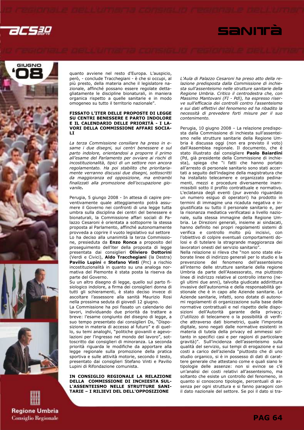











quanto avviene nel resto d'Europa. L'auspicio, però, - conclude Tracchegiani - è che si occupi, al più presto, della materia anche il legislatore nazionale, affinché possano essere regolate dettagliatamente le discipline bionaturali, in maniera organica rispetto a quelle sanitarie e in modo omogeneo su tutto il territorio nazionale".

### FISSATO L'ITER DELLE PROPOSTE DI LEGGE SU CENTRI BENESSERE E PARTO INDOLORE E IL CALENDARIO DELLE PRIORITÀ - I LA-VORI DELLA COMMISSIONE AFFARI SOCIA-LI

La terza Commissione consiliare ha preso in esame i due disegni, sui centri benessere e sul parto indolore, orientandosi a proporre il primo all'esame del Parlamento per ovviare ai rischi di incostituzionalità, tipici di un settore non ancora regolamentato. Ha poi stabilito che prioritariamente verranno discussi due disegni, sottoscritti da maggioranza ed opposizione, ma entrambi finalizzati alla promozione dell'occupazione giovanile.

Perugia, 5 giungo 2008 - In attesa di capire preventivamente quale atteggiamento potrà assumere il Governo nei confronti di una legge tutta umbra sulla disciplina dei centri del benessere e bionaturali, la Commissione affari sociali di Palazzo Cesaroni è orientata a sottoporre la stessa proposta al Parlamento, affinché autonomamente provveda a coprire il vuoto legislativo sul settore Lo ha deciso alla unanimità la terza Commissione, presieduta da Enzo Ronca a proposito del proseguimento dell'iter della proposta di legge presentata dai consiglieri Oliviero Dottorini (Verdi e Civici), Aldo Tracchegiani (la Destra) Pavilio Lupini e Stefano Vinti (Prc) a rischio incostituzionalità in quanto su una analoga normativa del Piemonte è stata posta la riserva da parte del Governo.

Su un altro disegno di legge, quello sul parto fisiologico indolore, a firma dei consiglieri donna di tutti gli schieramenti, è stato deciso invece di ascoltare l'assessore alla sanità Maurizio Rosi nella prossima seduta di giovedì 12 giugno.

La Commissione ha poi fissato un calendario dei lavori, individuando due priorità da trattare a breve: l'esame congiunto del disegno di legge, a suo tempo presentato dai consiglieri Ds, "Disposizione in materia di accesso al futuro" e di quello, su temi analoghi, "politiche giovanili e agevolazioni per l'ingresso nel mondo del lavoro", sottoscritto dai consiglieri di minoranza. La seconda priorità riguarda le modifiche da apportare alla legge regionale sulla promozione della pratica sportiva e sulle attività motorie, secondo il testo, presentato dai consiglieri Stefano Vinti e Pavilio Lupini di Rifondazione comunista.

IN CONSIGLIO REGIONALE LA RELAZIONE DELLA COMMISSIONE DI INCHIESTA SUL-L'ASSENTEISMO NELLE STRUTTURE SANI-TARIE – I RILIEVI DEL DELL'OPPOSIZIONE

L'Aula di Palazzo Cesaroni ha preso atto della relazione predisposta dalla Commissione di inchiesta sull'assenteismo nelle strutture sanitarie della Regione Umbria. Critico il centrodestra che, con Massimo Mantovani (FI - Pdl), ha espresso riserve sull'efficacia dei controlli contro l'assenteismo e sui dati effettivi del fenomeno ed ha ribadito la necessità di prevedere forti misure per il suo contenimento.

Perugia, 10 giugno 2008 – La relazione predisposta dalla Commissione di inchiesta sull'assenteismo nelle strutture sanitarie della Regione Umbria è discussa oggi (non era previsto il voto) dall'Assemblea regionale. Il documento, che è stato illustrato dal consigliere Paolo Baiardini (Pd, già presidente della Commissione di inchiesta), spiega che "i fatti che hanno portato all'arresto di personale sanitario sono stati accertati a seguito dell'indagine della magistratura che ha installato telecamere e organizzato pedinamenti, mezzi e procedure diversamente inammissibili sotto il profilo contrattuale e normativo. L'eclatanza degli eventi (pur avendo riguardato un numero esiguo di operatori) ha prodotto in termini di immagine una ricaduta negativa e ingiustificata su tutto il personale sanitario e, per la risonanza mediatica verificatasi a livello nazionale, sulla stessa immagine della Regione Umbria. Le Direzioni generali, insieme ai sindacati, hanno definito nei propri regolamenti sistemi di verifica e controllo molto più incisivi, con l'obiettivo di colpire eventuali comportamenti dolosi e di tutelare la stragrande maggioranza dei lavoratori onesti del servizio sanitario".

Nella relazione si rileva che "non sono state elaborate linee di indirizzo generali per lo studio e la prevenzione del fenomeno dell'assenteismo all'interno delle strutture sanitarie della regione Umbria da parte dell'Assessorato, ma piuttosto linee di indirizzo relative al controllo interno (negli ultimi due anni), talvolta giudicate addirittura invasive dell'autonomia e della responsabilità gestionale che è in capo alle Aziende sanitarie. Le Aziende sanitarie, infatti, sono dotate di autonomi regolamenti di organizzazione sulla base delle normative contrattuali e nel rispetto delle disposizioni dell'Autorità garante della privacy; (l'utilizzo di telecamere o la possibilità di verifiche attraverso dati biometrici, quale l'impronta digitale, sono negati dalle normative esistenti in materia di tutela della privacy ed ammessi soltanto in specifici casi e per ragioni di particolare gravità)". Sull'incidenza dell'assenteismo sulla qualità del servizio, sui tempi di erogazione e sui costi a carico dell'azienda "piuttosto che di uno studio organico, si è in possesso di dati di carattere generale che attestano come e quali siano le tipologie delle assenze: non si evince se c'è un'analisi dei costi relativi all'assenteismo, ma soltanto che esiste un controllo del fenomeno, in quanto si conoscono tipologie, percentuali di assenza per ogni struttura e si fanno paragoni con il dato nazionale del settore. Se poi il dato si tra-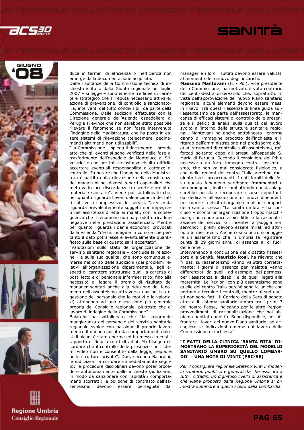









duca in termini di efficienza o inefficienza non emerge dalla documentazione acquisita.

Dalle risultanze della Commissione tecnica di inchiesta istituita dalla Giunta regionale nel luglio 2007 – si legge – sono emerse tre linee di carattere strategico che si reputa necessario attivare: azione di prevenzione, di controllo e sanzionatoria, interventi del tutto condivisibili da parte della Commissione. Dalle audizioni effettuate con la Direzione generale dell'Azienda ospedaliera di Perugia si evince che non sarebbe stato possibile rilevare il fenomeno se non fosse intervenuta l'indagine della Magistratura, che ha posto in essere sistemi di rilevazione (telecamere, pedinamenti) altrimenti non utilizzabili".

"La Commissione – spiega il documento - prende atto che gli eventi si sono verificati nella fase di trasferimento dell'ospedale da Monteluce al Silvestrini e che per tali circostanze risulta difficile accertare eventuali responsabilità o carenze di controllo. Fa notare che l'indagine della Magistratura è partita dalla rilevazione della consistenza dei magazzini nei diversi reparti ospedalieri che metteva in luce discordanze tra scorte e ordini di materiale sanitario". Viene poi sottolineato che, per quanto riguarda l'eventuale incidenza dei fatti sul livello complessivo dei servizi, "la vicenda riguarda prevalentemente soggetti non impegnati nell'assistenza diretta ai malati, con la conseguenza che il fenomeno non ha prodotto ricadute negative nelle prestazioni assistenziali. Mentre per quanto riguarda i danni economici provocati dalla vicenda "c'è un'indagine in corso e che pertanto il dato potrà essere eventualmente quantificato sulla base di quanto sarà accertato".

"Valutazioni sullo stato dell'organizzazione del servizio sanitario regionale – conclude la relazione - e sulla sua qualità, che sono comunque emerse nel corso delle audizioni (dai problemi relativi all'organizzazione dipartimentale, agli aspetti di carattere strutturale quali la carenza di posti letto e di personale infermieristico, fino alla necessità di legare il premio di risultato dei manager sanitari anche alla riduzione del fenomeno dell'assenteismo attraverso una politica di gestione del personale che lo motivi e lo valorizzi) attengono ad una discussione più generale propria del Consiglio regionale, piuttosto che al lavoro di indagine della Commissione".

Baiardini ha sottolineato che "la stragrande maggioranza del personale del servizio sanitario regionale svolge con passione il proprio lavoro mentre il danno causato da comportamenti dolosi di alcuni è stato enorme ed ha messo in crisi il rapporto di fiducia con i cittadini. Ma bisogna ricordare che il controllo delle presenze con sistemi video non è consentito dalla legge, neppure nelle strutture private". Due, secondo Baiardini, le indicazioni a cui dare immediatamente seguito: le procedure disciplinari devono poter procedere autonomamente dalle inchieste giudiziarie, in modo da sanzionare con rapidità i comportamenti scorretti; le politiche di contrasto dell'assenteismo devono essere perseguite dai manager e i loro risultati devono essere valutati al momento del rinnovo degli incarichi.

Massimo Mantovani (FI - PdI), vice presidente della Commissione, ha motivato il voto contrario del centrodestra osservando che, soprattutto in vista dell'approvazione del nuovo Piano sanitario regionale, alcuni elementi devono essere messi in rilievo. Tra questi l'assenza di linee guida sull'assenteismo da parte dell'assessorato, la mancanza di efficaci sistemi di controllo delle presenze e il deficit di analisi sulla qualità del lavoro svolto all'interno delle strutture sanitarie regionali. Mantovani ha anche sottolineato l'enorme danno di immagine prodotto dall'inchiesta e il ritardo dell'amministrazione nel predisporre adeguati strumenti di controllo sull'assenteismo, rafforzati soltanto dopo gli arresti all'ospedale S. Maria di Perugia. Secondo il consigliere del Pdl è necessario un forte impegno contro l'assenteismo, che non va mai considerato fisiologico, e che nelle regioni del centro Italia avrebbe raggiunto livelli preoccupanti. I dati forniti delle Asl su questo fenomeno sarebbero frammentari e non omogenei, inoltre combattendo questa piaga sarebbe possibile recuperare risorse importanti da dedicare all'assunzione di nuovi dipendenti per coprire i deficit di organico in alcuni comparti della sanità stessa. "La sanità umbra – ha concluso – sconta un'organizzazione troppo macchinosa, che rende ancora più difficile la razionalizzazione dei servizi. Gli incentivi a pioggia non servono: i premi devono essere mirati ed attribuiti ai meritevoli. Anche così si potrò sconfiggere un assenteismo che in Umbria fa registrare punte di 29 giorni annui di assenza al di fuori delle ferie".

Intervenendo a conclusione del dibattito l'assessore alla Sanità, Maurizio Rosi, ha rilevato che "i dati sull'assenteismo vanno valutati correttamente: i giorni di assenza per malattia vanno differenziati da quelli, ad esempio, dei permessi per l'assistenza ai disabili e da quelli legati alla maternità. Le Regioni con più assenteismo sono quelle del centro Italia perché sono le uniche che portano a termine i controlli, mentre al sud questi non sono fatti. Il Corriere della Sera di sabato attesta il sistema sanitario umbro tra i primi 3 del nostro Paese, indicando per le altre Regioni provvedimenti di razionalizzazione che noi abbiamo adottato anni fa. Sono disponibile, nell'affrontare i lavori del nuovo Piano sanitario, ad accogliere le indicazioni emerse dal lavoro della Commissione di inchiesta".

### "I FATTI DELLA CLINICA 'SANTA RITA' DI-MOSTRANO LA SUPERIORITÀ DEL MODELLO SANITARIO UMBRO SU QUELLO LOMBAR-DO" - UNA NOTA DI VINTI (PRC-SE)

Per il consigliere regionale Stefano Vinti il modello sanitario pubblico e generalista che assicura a tutti i cittadini un dignitoso livello di assistenza e che viene proposto dalla Regione Umbria si dimostra superiore a quello scelto dalla Lombardia.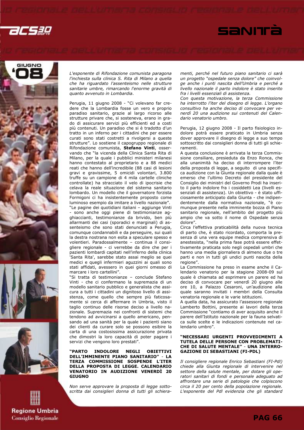











L'esponente di Rifondazione comunista paragona l'inchiesta sulla clinica S. Rita di Milano a quella che ha riguardato l'assenteismo nelle strutture sanitarie umbre, rimarcando l'enorme gravità di quanto avvenuto in Lombardia.

Perugia, 11 giugno 2008 - "Ci volevano far credere che la Lombardia fosse un vero e proprio paradiso sanitario, grazie al largo ricorso alle strutture privare che, si sosteneva, erano in grado di assicurare servizi più efficienti ed a costi più contenuti. Un paradiso che si è tradotto d'un tratto in un inferno per i cittadini che per essere curati sono stati costretti a rivolgersi a queste strutture". Lo sostiene il capogruppo regionale di Rifondazione comunista, Stefano Vinti, osservando che "la vicenda della Clinica Santa Rita di Milano, per la quale i pubblici ministeri milanesi hanno contestato al proprietario e a 88 medici reati che hanno dell'incredibile (88 casi di lesioni gravi e gravissime, 5 omicidi volontari, 3.800 truffe su un campione di 4 mila cartelle cliniche controllate) ha stracciato il velo di ipocrisie che celava la reale situazione del sistema sanitario lombardo. Un modello che il governatore forzista Formigoni ci ha insistentemente proposto come luminoso esempio da imitare a livello nazionale". "Le pagine dei quotidiani italiani – aggiunge Vinti - sono anche oggi piene di testimonianze agghiaccianti, testimonianze da brivido, ben più allarmanti dei casi (sporadici e marginali) di assenteismo che sono stati denunciati a Perugia, comunque condannabili e da perseguire, sui quali la destra nostrana non esita a speculare spesso e volentieri. Paradossalmente – continua il consigliere regionale - ci verrebbe da dire che per i pazienti lombardi capitati nell'inferno della clinica

'Santa Rita', sarebbe stato assai meglio se quei medici e quegli infermieri aguzzini ai quali sono stati affidati, avessero in quei giorni omesso di marcare i loro cartellini". "Si tratta di testimonianze – conclude Stefano Vinti - che ci confermano la supremazia di un modello sanitario pubblico e generalista che assicura a tutti i cittadini un dignitoso livello di assi-

stenza, come quello che sempre più faticosamente si cerca di affermare in Umbria, visto il taglio continuo delle risorse deciso a livello nazionale. Supremazia nei confronti di sistemi che tendono ad avvicinarsi a quello americano, pensando ad una sanità per la quale i pazienti siano dei clienti da curare solo se possono esibire la carta di una costosissima assicurazione privata che dimostri la loro capacità di poter pagare i servizi che vengono loro prestati".

"PARTO INDOLORE NEGLI OBIETTIVI DELL'IMMINENTE PIANO SANITARIO" - LA TERZA COMMISSIONE SOSPENDE L'ITER DELLA PROPOSTA DI LEGGE. CALENDARIO VENATORIO IN AUDIZIONE VENERDÌ 20 GIUGNO

Non serve approvare la proposta di legge sottoscritta dai consiglieri donna di tutti gli schieramenti, perché nel futuro piano sanitario ci sarà un progetto "ospedale senza dolore" che coinvolge anche i punti nascita dell'Umbria e perché a livello nazionale il parto indolore è stato inserito fra i livelli essenziali di assistenza.

Con questa motivazione, la terza Commissione ha interrotto l'iter del disegno di legge. L'organo consultivo ha anche deciso di convocare per venerdì 20 una audizione sui contenuti del Calendario venatorio umbro.

Perugia, 12 giugno 2008 - Il parto fisiologico indolore potrà essere praticato in Umbria senza dover approvare il disegno di legge a suo tempo sottoscritto dai consiglieri donna di tutti gli schieramenti.

A questa conclusione è arrivata la terza Commissione consiliare, presieduta da Enzo Ronca, che alla unanimità ha deciso di interrompere l'iter della proposta di legge, a seguito di una specifica audizione con la Giunta regionale dalla quale è emerso che l'ultimo Decreto del presidente del Consiglio dei ministri del Governo Prodi ha inserito il parto indolore fra i cosiddetti Lea (livelli essenziali di assistenza). Un obiettivo - è stato ufficiosamente anticipato dalla Giunta - che indipendentemente dalla normativa nazionale, "è comunque presente nella imminente bozza di Piano sanitario regionale, nell'ambito del progetto più ampio che va sotto il nome di Ospedale senza dolore".

Circa l'effettiva praticabilità della nuova tecnica di parto che, è stato ricordato, comporta la presenza di una vera equipe medica comprensiva di anestesista, "nella prima fase potrà essere effettivamente praticata solo negli ospedali umbri che hanno una media giornaliera di almeno due o tre parti e non in tutti gli undici punti nascita della regione".

La Commissione ha preso in esame anche il Calendario venatorio per la stagione 2008-09 sul quale è chiamata ad esprimere un parere ed ha deciso di convocare per venerdì 20 giugno alle ore 10, a Palazzo Cesaroni, un'audizione alla quale saranno invitati i membri della Consulta venatoria regionale e le varie istituzioni.

A quella data, ha assicurato l'assessore regionale Lamberto Bottini, presente ai lavori della terza Commissione "contiamo di aver acquisito anche il parere dell'Istituto nazionale per la fauna selvatica sulle scelte e le indicazioni contenute nel calendario umbro".

### "NECESSARI URGENTI PROVVEDIMENTI A TUTELA DELLE PERSONE CON PROBLEMATI-CHE DI SALUTE MENTALE" - UNA INTERRO-GAZIONE DI SEBASTIANI (FI-PDL)

Il consigliere regionale Enrico Sebastiani (FI-Pdl) chiede alla Giunta regionale di intervenire nel settore della salute mentale, per dotare gli operatori sanitari di fondi e personale adeguato ad affrontare una serie di patologie che colpiscono circa il 20 per cento della popolazione regionale. L'esponente del Pdl evidenzia che gli standard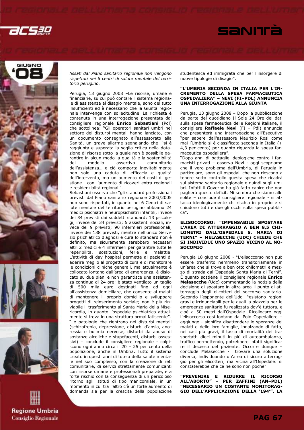







fissati dal Piano sanitario regionale non vengono rispettati nei 6 centri di salute mentale del territorio perugino.

Perugia, 13 giugno 2008 –Le risorse, umane e finanziarie, su cui può contare il sistema regionale di assistenza al disagio mentale, sono del tutto insufficienti ed è necessario che la Giunta regionale intervenga con sollecitudine. La richiesta è contenuta in una interrogazione presentata dal consigliere regionale Enrico Sebastiani (Pdl) che sottolinea: "Gli operatori sanitari umbri nel settore dei disturbi mentali hanno lanciato, con un documento consegnato all'assessorato alla Sanità, un grave allarme segnalando che 'si è raggiunta e superata la soglia critica nella dotazione di risorse sotto la quale non è possibile garantire in alcun modo la qualità e la sostenibilità del modello assertivo comunitario dell'assistenza… e ciò comporta inevitabilmente non solo una caduta di efficacia e qualità dell'intervento, ma un aumento dei costi di gestione… con l'aumento di ricoveri extra regionali e residenzialità regionali".

Sebastiani osserva che "gli standard professionali previsti dal Piano sanitario regionale 2003/2005 non sono rispettati, in quanto nei 6 Centri di salute mentale del territorio perugino abbiamo 24 medici psichiatri e neuropsichiatri infantili, invece dei 34 previsti dai suddetti standard; 13 psicologi, invece dei 34 previsti; 5 assistenti sociali, invece dei 9 previsti; 90 infermieri professionali, invece dei 138 previsti, mentre nell'unico Servizio psichiatrico diagnosi e cura lo standard non è definito, ma sicuramente sarebbero necessari altri 2 medici e 4 infermieri per garantire tutte le reperibilità, sostituzioni, ferie e malattie. L'attività di day hospital permette ai pazienti di aderire meglio al progetto di cura e di monitorare le condizioni cliniche generali, ma attualmente è collocato lontano dall'area di emergenza, è dislocato su due piani e non garantisce una assistenza continua di 24 ore; è stato ventilato un taglio di 500 mila euro destinati fino ad oggi all'assistenza domiciliare, che consente ai malati di mantenere il proprio domicilio e sviluppare progetti di reinserimento sociale; non è più rinviabile il trasferimento al Santa Maria della Misericordia, in quanto l'ospedale psichiatrico attualmente si trova in una struttura ormai fatiscente". "Le patologie che rientrano nei disturbi mentali (schizofrenia, depressione, disturbi d'ansia, anoressia e bulimia nervose, disturbi da abuso di sostanze alcoliche e stupefacenti, disturbi ossessivi) – conclude il consigliere regionale - colpiscono ogni anno circa il 20 – 25 per cento della popolazione, anche in Umbria. Tutto il sistema creato in questi anni di tutela della salute mentale nel suo complesso, con la creazione di reti comunitarie, di servizi strettamente comunicanti con risorse umane e professionali preparate, è a forte rischio con la conseguenza di un pericoloso ritorno agli istituti di tipo manicomiale, in un momento in cui tra l'altro c'è un forte aumento di domanda sia per la crescita della popolazione

studentesca ed immigrata che per l'insorgere di nuove tipologie di disagio".

SANITÀ

### "L'UMBRIA SECONDA IN ITALIA PER L'IN-CREMENTO DELLA SPESA FARMACEUTICA OSPEDALIERA" – NEVI (FI–PDL) ANNUNCIA UNA INTERROGAZIONE ALLA GIUNTA

Perugia, 13 giugno 2008 – Dopo la pubblicazione da parte del quotidiano Il Sole 24 Ore dei dati sulla spesa farmaceutica delle Regioni italiane, il consigliere Raffaele Nevi (FI – Pdl) annuncia che presenterà una interrogazione all'Esecutivo per sapere dall'assessore Maurizio Rosi come mai l'Umbria si è classificata seconda in Italia (+ 4,3 per cento) per quanto riguarda la spesa farmaceutica ospedaliera".

"Dopo anni di battaglie ideologiche contro i farmacisti privati – osserva Nevi - oggi scopriamo che il vero problema dell'Umbria, di Perugia in particolare, sono gli ospedali che non riescono a tenere sotto controllo questa spesa che ricadrà sul sistema sanitario regionale e quindi sugli umbri. Infatti il Governo ha già fatto capire che non pagherà questo deficit. Mi sembra che siamo alle solite – conclude il consigliere regionale - si attacca ideologicamente chi rischia in proprio e si chiudono tutti e due gli occhi sulla spesa pubblica".

### ELISOCCORSO: "IMPENSABILE SPOSTARE L'AREA DI ATTERRAGGIO A BEN 8,5 CHI-LOMETRI DALL'OSPEDALE S. MARIA DI TERNI" – MELASECCHE (UDC) CHIEDE CHE SI INDIVIDUI UNO SPAZIO VICINO AL NO-**SOCOMIO**

Perugia 18 giugno 2008 - "L'elisoccorso non può essere trasferito nemmeno transitoriamente in un'area che si trova a ben otto chilometri e mezzo di strada dall'Ospedale Santa Maria di Terni". È quanto sostiene il consigliere regionale Enrico Melasecche (Udc) commentando la notizia della decisione di spostare in altra area il punto di atterraggio degli elicotteri del soccorso sanitario. Secondo l'esponente dell'Udc "esistono ragioni gravi e irrinunciabili per le quali la piazzola per le emergenze sanitarie fu realizzata dov'è tuttora, e cioè a 50 metri dall'Ospedale. Ricollocare oggi l'elisoccorso così lontano dal Polo Ospedaliero – aggiunge - significa disattendere le speranze dei malati e delle loro famiglie, innalzando di fatto, nei casi più gravi, il tasso di mortalità dei trasportati: dieci minuti in più di autoambulanza, traffico permettendo, potrebbero infatti significare il decesso del paziente. Occorre dunque – conclude Melasecche - trovare una soluzione diversa, individuando un'area di sicuro atterraggio per gli elicotteri, ma vicina all'Ospedale: si constaterebbe che ce ne sono non poche".

"PREVENIRE E RIDURRE IL RICORSO - PER ZAFFINI (AN-PDL) "NECESSARIO UN COSTANTE MONITORAG-GIO DELL'APPLICAZIONE DELLA '194'". LA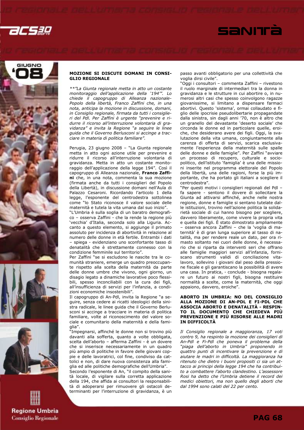











### MOZIONE SI DISCUTE DOMANI IN CONSI-GLIO REGIONALE

\*\*"La Giunta regionale metta in atto un costante monitoraggio dell'applicazione della '194'". Lo chiede il capogruppo di Alleanza nazionale-Popolo della libertà, Franco Zaffini che, in una nota, anticipa la mozione in discussione, domani, in Consiglio regionale, firmata da tutti i consiglieri del Pdl. Per Zaffini è urgente "prevenire e ridurre il ricorso all'interruzione volontaria di gravidanza" e invita la Regione "a seguire le linee guida che il Governo Berlusconi si accinge a tracciare in materia di politica familiare".

Perugia, 23 giugno 2008 – "La Giunta regionale metta in atto ogni azione utile per prevenire e ridurre il ricorso all'interruzione volontaria di gravidanza. Metta in atto un costante monitoraggio dell'applicazione della legge 194". Così il capogruppo di Alleanza nazionale, Franco Zaffini che, in una nota, commenta la sua mozione (firmata anche da tutti i consiglieri del Popolo della Libertà), in discussione domani nell'Aula di Palazzo Cesaroni. Ricordando l'articolo 1 della legge, l'esponente del centrodestra sottolinea come "lo Stato riconosce il valore sociale delle maternità e tutela la vita umana dal suo inizio".

"L'Umbria è sulla soglia di un baratro demografico – osserva Zaffini - che la rende la regione più 'vecchia' d'Italia, seconda solo alla Liguria. Accanto a questo elemento, si aggiunge il primato assoluto per incidenza di abortività in relazione al numero delle donne in età fertile. Entrambi i dati – spiega - evidenziano uno sconfortante tasso di denatalità che è strettamente connesso con la condizione femminile sul territorio".

Per Zaffini "se si escludono le nascite tra le comunità straniere, emerge un quadro preoccupante rispetto alla scelta della maternità da parte delle donne umbre che vivono, ogni giorno, un disagio legato a dinamiche lavorative poco flessibili, spesso inconciliabili con la cura dei figli, all'insufficienza di servizi per l'infanzia, a condizioni economiche insostenibili".

Il capogruppo di An-Pdl, invita la Regione "a seguire, senza cedere ai ricatti ideologici della sinistra radicale, le linee guida che il Governo Berlusconi si accinge a tracciare in materia di politica familiare, volte al riconoscimento del valore sociale e comunitario della maternità e della famiglia".

"Impegnarsi, affinché le donne non si trovino più davanti alla sofferta, quanto a volte obbligata, scelta dell'aborto – afferma Zaffini - è un dovere che si inserisce necessariamente in un quadro più ampio di politiche in favore delle giovani coppie e delle lavoratrici, col fine, condiviso da cattolici e non, di dare nuova consistenza alla famiglia ed alle politiche demografiche dell'Umbria". Secondo l'esponente di An, "il compito della sanità locale, di vigilare sulla corretta applicazione della 194, che affida ai consultori la responsabilità di adoperarsi per rimuovere gli ostacoli de-

terminanti per l'interruzione di gravidanza, è un

passo avanti obbligatorio per una collettività che voglia dirsi civile".

"Oggi i consultori – commenta Zaffini – rivestono il ruolo marginale di intermediari tra la donna in gravidanza e le strutture in cui abortire o, in numerosi altri casi che spesso coinvolgono ragazze giovanissime, si limitano a dispensare farmaci abortivi. Questo 'sistema', ormai collaudato e figlio delle ipocrisie pseudolibertarie propagandate dalla sinistra, sin dagli anni '70, non è altro che un granello del devastante 'deserto sociale' che circonda le donne ed in particolare quelle, eroiche, che desiderano avere dei figli. Oggi, la svalutazione della vita umana, congiuntamente alla carenza di offerta di servizi, scarica esclusivamente l'esperienza della maternità sulle spalle delle donne e delle famiglie". Per Zaffini "avviare un processo di recupero, culturale e sociopolitico, dell'istituto 'famiglia' è una delle missioni inserite nel programma elettorale del Popolo della libertà, una delle ragioni, forse la più importante, che ha portato gli italiani a scegliere il centrodestra".

"Per questi motivi i consiglieri regionali del Pdl – fa sapere - sentono il dovere di sollecitare la Giunta ad attivarsi affinché, anche nelle nostra regione, donne e famiglie si sentano tutelate dalle istituzioni, trovino nell'azione politica la solidarietà sociale di cui hanno bisogno per scegliere, davvero liberamente, come vivere la propria vita e quella dei figli. È stato dimostrato ampliamente – osserva ancora Zaffini – che la 'voglia di maternità' è di gran lunga superiore al tasso di natalità, ma per rendere reale un dato, per ora rimasto soltanto nei cuori delle donne, è necessario che si riparta da interventi seri che offrano alle famiglie maggiori servizi all'infanzia, forniscano strumenti validi di conciliazione vitalavoro, sollevino i giovani dal peso della pressione fiscale e gli garantiscano la possibilità di avere una casa. In pratica, - conclude - bisogna regalare un futuro ai nostri figli, bisogna restituire normalità a scelte, come la maternità, che oggi appaiono, davvero, eroiche".

### ABORTO IN UMBRIA: NO DEL CONSIGLIO ALLA MOZIONE DI AN-PDL E FI-PDL CHE ASSOCIA ABORTO E DENATALITÀ - RESPIN-TO IL DOCUMENTO CHE CHIEDEVA PIÙ PREVENZIONE E PIÙ RISORSE ALLE MADRI IN DIFFICOLTÀ

Il Consiglio regionale a maggioranza, 17 voti contro 9, ha respinto la mozione dei consiglieri di An-Pdl e Fi-Pdl che poneva il problema della "piaga dell'aborto in Umbria" proponendo in quattro punti di incentivare la prevenzione e di aiutare le madri in difficoltà. La maggioranza ha ritenuto che dietro i buoni propositi ci sia un attacco ai principi della legge 194 che ha contribuito a combattere l'aborto clandestino. L'assessore Rosi ha detto che l'Umbria detiene il record dei medici obiettori, ma non quello degli aborti che dal 1994 sono calati del 22 per cento.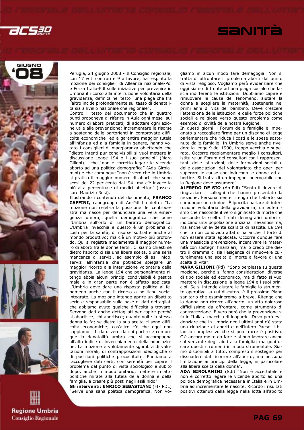







Perugia, 24 giugno 2008 - Il Consiglio regionale, con 17 voti contrari e 9 a favore, ha respinto la mozione dei consiglieri di Alleanza nazionale-Pdl e Forza Italia-Pdl sulle iniziative per prevenire in Umbria il ricorso alla interruzione volontaria della gravidanza, definita nel testo "una piaga che tra l'altro incide profondamente sul tasso di denatalità sia a livello nazionale che regionale".

Contro il testo del documento che in quattro punti proponeva di riferire in Aula ogni mese sul numero di aborti praticati; di adottare ogni azione utile alla prevenzione; incrementare le risorse a sostegno delle partorienti in comprovate difficoltà economiche ed a garantire maggior tutela all'infanzia ed alla famiglia in genere, hanno votato i consiglieri di maggioranza obiettando che "dietro intenti pur condivisibili si vuol mettere in discussione Legge 194 e i suoi principi" (Mara Gilioni); che "non è corretto legare le vicende aborto ad una politica demografica" (Ada Girolamini) e che comunque "non è vero che in Umbria si pratica il maggior numero di aborti che sono scesi del 22 per cento dal '94; ma c'è invece la più alta percentuale di medici obiettori" (assessore Maurizio Rosi).

Illustrando i contenuti del documento, FRANCO ZAFFINI, capogruppo di An-Pdl ha detto: "La mozione non celebra la posizione del centrodestra ma nasce per denunciare una vera emergenza umbra, quella demografica che pone l'Umbria sull'orlo di un baratro demografico. L'Umbria invecchia e questo è un problema di costi per la sanità, di risorse sottratte anche al mondo produttivo; ma c'è un motivo più profondo. Qui si registra mediamente il maggior numero di aborti fra le donne fertili. Ci siamo chiesti se dietro l'aborto ci sia una libera scelta, o una seria mancanza di servizi, ad esempio di asili nido, servizi all'infanzia che potrebbe spiegare un maggior ricorso alla interruzione volontaria della gravidanza. La legge 194 che personalmente ritengo abbia alcuni principi condivisibili è gestita male e in gran parte non è affatto applicata. L'Umbria deve dare una risposta politica al fenomeno anche con il ricorso a politiche sociali integrate. La mozione intende aprire un dibattito serio e responsabile sulla base di dati dettagliati che abbiamo avuto qualche difficoltà a trovare. Servono dati anche dettagliati per capire perché si abortisce; chi abortisce; quante volte la stessa donna lo fa; se dietro la sua scelta ci sono difficoltà economiche; cos'altro c'è che oggi non sappiamo. Il dato vero da cui partire è comunque la denatalità umbra che si accompagna all'alto indice di invecchiamento della popolazione. La mozione è volutamente sgombra di valutazioni morali, di contrapposizioni ideologiche o di posizioni politiche precostituite. Puntiamo a raccogliere dati certi, con serenità per capire il problema dal punto di vista sociologico e subito dopo, anche in modo unitario, mettere in atto politiche mirate alla tutela della donna e della famiglia, a creare più posti negli asili nido".

Gli interventi: ENRICO SEBASTIANI (FI- PDL) "Serve una sana politica demografica. Non vogliamo in alcun modo fare demagogia. Non si tratta di affrontare il problema aborti dal punto di vista religioso. Vogliamo però evidenziare che oggi siamo di fronte ad una piaga sociale che lascia indifferenti le istituzioni. Dobbiamo capire e rimuovere le cause del fenomeno, aiutare la donna a scegliere la maternità, sostenerla nei primi anni di vita del bambino. Deve crescere l'attenzione delle istituzioni e delle forze politiche sociali e religiose verso questo problema come esempio di civiltà della nostra Regione.

SANITÀ

In questi giorni il Forum delle famiglie è impegnato a raccogliere firme per un disegno di legge parlamentare che riduca i costi e le spese sostenute dalle famiglie. In Umbria serve anche rivedere la legge 9 del 1990, troppo vecchia e superata. Occorre regolamentare meglio i consultori, istituire un Forum dei consultori con i rappresentanti delle istituzioni, delle formazioni sociali e delle associazioni del volontariato che operi per superare le cause che inducono le donne ad abortire. Si tratta di un impegno inderogabile che la Regione deve assumere".

ALFREDO DE SIO (An-Pdl) "Sento il dovere di ringraziare i colleghi che hanno presentato la mozione. Personalmente ritengo che l'aborto sia comunque un crimine. È ipocrita parlare di interruzione volontaria della gravidanza, un eufemismo che nasconde il vero significato di morte che nasconde la scelta. I dati demografici umbri ci indicano una popolazione anziana rilevantissima, ma anche un'evidente scarsità di nascite. La 194 che io non condivido affatto ha anche il torto di non essere stata applicata. Occorre dunque fare una massiccia prevenzione, incentivare la maternità con sostegni finanziari; ma io credo che dietro il dramma ci sia l'esigenza di rimuovere culturalmente una scelta di morte a favore di una scelta di vita".

MARA GILIONI (Pd) "Sono perplessa su questa mozione, perché si fanno considerazioni diverse di tipo sociale ed economico, ma di fatto si vuol mettere in discussione la legge 194 e i suoi principi. Se si intende aiutare le famiglie lo strumento operativo su cui discutere è il prossimo Piano sanitario che esamineremo a breve. Ritengo che la donna non ricorre all'aborto, un atto doloroso difficilissimo da affrontare, come strumento di contraccezione. È vero però che la prevenzione si fa in Italia a macchia di leopardo. Devo però evidenziare che in Umbria negli ultimi anni c'è stata una riduzione di aborti e nell'intero Paese il bilancio complessivo che si può trarre è positivo. C'è ancora molto da fare e si può lavorare anche sul versante degli aiuti alla famiglia; ma guai usare questi strumenti in modo strumentale. Siamo disponibili a tutto, compreso il sostegno per dissuadere dal ricorrere all'aborto; ma nessuna limitazione ai principi della legge, in particolare alla libera scelta della donna".

ADA GIROLAMINI (Sdi) "Non è accettabile e non è corretto legare le vicende aborto ad una politica demografica necessaria in Italia e in Umbria ad incrementare le nascite. Ricordo i risultati positivi ottenuti dalla legge nella lotta all'aborto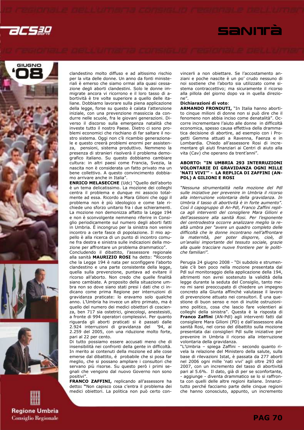











clandestino molto diffuso e ad altissimo rischio per la vita delle donne. Un anno da fonti ministeriali è emerso che siamo ormai alla quasi cessazione degli aborti clandestini. Solo le donne immigrate ancora vi ricorrono e il loro tasso di abortività è tre volte superiore a quello delle italiane. Dobbiamo lavorare sulla piena applicazione della legge, forse su questo è calata l'attenzione iniziale, con una prevenzione massiccia da condurre nelle scuole, fra le giovani generazioni. Diverso il discorso sulla emergenza natalità che investe tutto il nostro Paese. Dietro ci sono problemi economici che rischiano di far saltare il nostro sistema. Oggi non c'è ricambio generazionale e questo creerà problemi enormi per assistenza, pensioni, sistema produttivo. Nemmeno la presenza di stranieri risolverà il problema demografico italiano. Su questo dobbiamo cambiare cultura: in altri paesi come Francia, Svezia, la nascita non è considerata un fatto privato ma un bene collettivo. A questo convincimento dobbiamo arrivare anche in Italia".

ENRICO MELASECCHE (Udc) "Quello dell'aborto è un tema delicatissimo. La mozione dei colleghi centra il problema e dunque mi associo totalmente ad essa. Ricordo a Mara Gilioni che oggi il problema non è più ideologico e come tale richiede uno sforzo unitario fra i due schieramenti. La mozione non demonizza affatto la Legge 194 e non è sconvolgente nemmeno riferire in Consiglio periodicamente sul numero degli aborti fatti in Umbria. È incongruo per la sinistra non venire incontro a certe fasce di popolazione. Il mio appello è alla ricerca di un punto di incontro comune fra destra e sinistra sulle indicazioni della mozione per affrontare un problema drammatico".

Concludendo il dibattito, l'assessore regionale alla sanità MAURIZIO ROSI ha detto: "Ricordo che la Legge 194 è nata per sconfiggere l'aborto clandestino e una parte consistente della legge, quella sulla prevenzione, puntava ad evitare il ricorso all'aborto. Non credo che quelle finalità siano cambiate. A proposito della situazione umbra non so dove siano stati presi i dati che ci indicano come prima Regione per interruzioni di gravidanza praticate: lo eravamo solo qualche anno. L'Umbria ha invece un altro primato, ma è quello del numero dei medici obiettori di coscienza, ben 717 sia ostetrici, ginecologi, anestesisti, a fronte di 994 operatori complessivi. Per quanto riguarda gli aborti praticati si è passati dalle 2.924 interruzioni di gravidanza del '94, ai 2.259 del 2005, con una riduzione molto forte, pari al 22 per cento.

Di tutto possiamo essere accusati meno che di insensibilità nei confronti della gente in difficoltà. In merito ai contenuti della mozione ed alle cose emerse dal dibattito, é probabile che si posa far meglio, che si possano ampliare i consultori che servano più risorse. Su questo però i primi segnali che vengono dal nuovo Governo non sono positivi".

FRANCO ZAFFINI, replicando all'assessore ha detto: "Non capisco cosa c'entra il problema dei medici obiettori. La politica non può certo convincerli a non obiettare. Se l'accostamento anziani e poche nascite è un po' crudo nessuno di noi sostiene che l'aborto sia utilizzato come sistema contraccettivo; ma sicuramente il ricorso alla pillola del giorno dopo va in quella direzione".

### Dichiarazioni di voto:

ARMANDO FRONDUTI, "In Italia hanno abortito cinque milioni di donne non si può dire che il fenomeno non abbia inciso come denatalità". Occorre incrementare l'aiuto alle donne in difficoltà economica, spesso causa effettiva della drammatica decisione di abortire, ad esempio con i Progetti Gemma attuati a Ravenna, Faenza e in Lombardia. Chiedo all'assessore Rosi di incrementare gli aiuti finanziari ai Centri di aiuto alla vita (Cav) che operano da trent'anni".

### ABORTO: "IN UMBRIA 293 INTERRUZIONI VOLONTARIE DI GRAVIDANZA OGNI MILLE 'NATI VIVI'" - LA REPLICA DI ZAFFINI (AN-PDL) A GILIONI E ROSI

"Nessuna strumentalità nella mozione del Pdl sulle iniziative per prevenire in Umbria il ricorso alla interruzione volontaria della gravidanza. In Umbria il tasso di abortività è in forte aumento". Così il capogruppo di An-Pdl, Franco Zaffini replica agli interventi del consigliere Mara Gilioni e dell'assessore alla sanità Rosi. Per l'esponente del centrodestra occorre analizzare meglio la realtà umbra per "avere un quadro completo delle difficoltà che le donne incontrano nell'affrontare la maternità, per poter disporre, cioè, di un'analisi importante del tessuto sociale, grazie alla quale tracciare nuove frontiere per le politiche familiari".

Perugia 24 giugno 2008 - "Di subdolo e strumentale c'è ben poco nella mozione presentata dal Pdl sul monitoraggio della applicazione della 194, altrimenti non avrei sostenuto la validità della legge durante la seduta del Consiglio, tanto meno mi sarei preoccupato di chiedere un impegno concreto alla Giunta affinché valutasse il lavoro di prevenzione attuato nei consultori. È una questione di buon senso e non di inutile ostruzionismo politico, cosa che lascio fare volentieri ai colleghi della sinistra". Questa è la risposta di Franco Zaffini (AN-Pdl) agli interventi fatti dal consigliere Mara Gilioni (PD) e dall'assessore alla sanità Rosi, nel corso del dibattito sulla mozione presentata dai consiglieri Pdl sulle iniziative per prevenire in Umbria il ricorso alla interruzione volontaria della gravidanza.

"L'Umbria – spiega Zaffini – secondo quanto rivela la relazione del Ministero della salute, sulla base di rilevazioni Istat, è passata da 277 aborti nel 2006 ogni mille 'nati vivi' agli oltre 293 del 2007, con un incremento del tasso di abortività pari al 5.6%. Il dato, già di per se sconfortante, aggiunge - diventa drammatico se lo si raffronta con quelli delle altre regioni italiane. Innanzitutto perché facciamo parte delle cinque regioni che hanno conosciuto, appunto, un incremento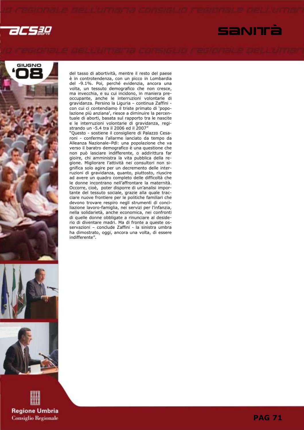









del tasso di abortività, mentre il resto del paese è in controtendenza, con un picco in Lombardia del -9.1%. Poi, perché evidenzia, ancora una volta, un tessuto demografico che non cresce, ma invecchia, e su cui incidono, in maniera preoccupante, anche le interruzioni volontarie di gravidanza. Persino la Liguria – continua Zaffini con cui ci contendiamo il triste primato di 'popolazione più anziana', riesce a diminuire la percentuale di aborti, basata sul rapporto tra le nascite e le interruzioni volontarie di gravidanza, registrando un -5.4 tra il 2006 ed il 2007"

"Questo - sostiene il consigliere di Palazzo Cesaroni - conferma l'allarme lanciato da tempo da Alleanza Nazionale–Pdl: una popolazione che va verso il baratro demografico è una questione che non può lasciare indifferente, o addirittura far gioire, chi amministra la vita pubblica della regione. Migliorare l'attività nei consultori non significa solo agire per un decremento delle interruzioni di gravidanza, quanto, piuttosto, riuscire ad avere un quadro completo delle difficoltà che le donne incontrano nell'affrontare la maternità. Occorre, cioè, poter disporre di un'analisi importante del tessuto sociale, grazie alla quale tracciare nuove frontiere per le politiche familiari che devono trovare respiro negli strumenti di conciliazione lavoro-famiglia, nei servizi per l'infanzia, nella solidarietà, anche economica, nei confronti di quelle donne obbligate a rinunciare al desiderio di diventare madri. Ma di fronte a queste osservazioni - conclude Zaffini - la sinistra umbra ha dimostrato, oggi, ancora una volta, di essere indifferente".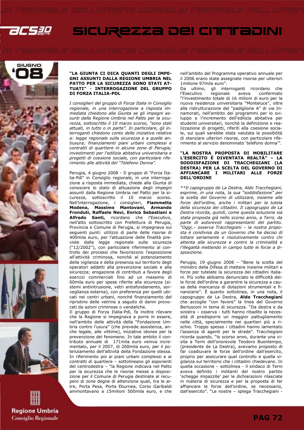

# GIUGNO





### "LA GIUNTA CI DICA QUANTI DEGLI IMPE-GNI ASSUNTI DALLA REGIONE UMBRIA NEL PATTO PER LA SICUREZZA SONO STATI AT-TUATI" – INTERROGAZIONE DEL GRUPPO DI FORZA ITALIA-PDL

I consiglieri del gruppo di Forza Italia in Consiglio regionale, in una interrogazione a risposta immediata chiedono alla Giunta se gli impegni assunti dalla Regione Umbria nel Patto per la sicurezza, sottoscritto il 10 marzo scorso, "sono stati attuati, in tutto o in parte". In particolare, gli interroganti chiedono conto delle iniziative relative a: legge regionale sulla sicurezza e a quelle antiusura; finanziamenti piani urbani complessi e contratti di quartiere in alcune zone di Perugia; investimenti per l'edilizia abitativa universitaria e progetti di coesione sociale, con particolare riferimento alle attività del "Telefono Donna".

Perugia, 4 giugno 2008 - Il gruppo di "Forza Italia-Pdl" in Consiglio regionale, in una interrogazione a risposta immediata, chiede alla Giunta di conoscere lo stato di attuazione degli impegni assunti dalla Regione Umbria nel Patto per la sicurezza, sottoscritto il 10 marzo scorso. Nell'interrogazione, i consiglieri, Fiammetta Modena, Massimo Mantovani, Armando Fronduti, Raffaele Nevi, Enrico Sebastiani e Alfredo Santi, ricordano che l'Esecutivo, nell'atto sottoscritto con Prefettura di Perugia, Provincia e Comune di Perugia, si impegnava sui seguenti punti: utilizzo di parte delle risorse di 400mila euro, per l'attuazione delle finalità previste dalla legge regionale sulla sicurezza ("12/2002"), con particolare riferimento al controllo dei processi che favoriscono l'esposizione all'attività criminosa, nonché al potenziamento della vigilanza e della presenza sul territorio degli operatori addetti alla prevenzione sociale e alla sicurezza; erogazione di contributi a favore degli esercizi commerciali fino ad un massimo di 60mila euro per spese riferite alla sicurezza (sistemi antiintrusione, vetri antisfondamento, sorveglianza esterna), con preferenza per quelli ubicati nei centri urbani, nonché finanziamento del ripristino delle vetrine a seguito di danni provocati da azioni criminose o vandaliche.

Il gruppo di Forza Italia-Pdl, fa inoltre rilevare che la Regione si impegnava a porre in essere, nell'ambito delle attività della "Fondazione Umbria contro l'usura" (che prevede assistenza, anche legale, alle vittime), iniziative idonee per la prevenzione del fenomeno. In tale ambito il contributo annuale di 171mila euro veniva incrementato, per il 2007, di 200mila euro, per il potenziamento dell'attività della Fondazione stessa. In riferimento poi ai piani urbani complessi e ai contratti di quartiere – sottolineano gli esponenti del centrodestra – "la Regione indicava nel Patto per la sicurezza che le risorse messe a disposizione per il Comune di Perugia destinate al recupero di zone degne di attenzione quali, tra le altre, Porta Pesa, Porta Eburnea, Corso Garibaldi ammontavano a 15milioni 500mila euro, e che nell'ambito del Programma operativo annuale per il 2006 erano state assegnate risorse per ulteriori 1milione 97mila euro".

SICUREZZA DEI CITTEADINI

Da ultimo, gli interroganti ricordano che<br>l'Esecutivo regionale aveva confermato confermato "l'investimento totale di 16 milioni di euro per la nuova residenza universitaria "Monteluce", oltre alla ristrutturazione del "padiglione A" di via Innamorati, nell'ambito dei programmi per lo sviluppo e l'incremento dell'edilizia abitativa per studenti universitari, nonché la definizione e realizzazione di progetti, riferiti alla coesione sociale, sui quali sarebbe stata valutata la possibilità di stanziare ulteriori risorse, con particolare riferimento al servizio denominato 'telefono donna'".

### "LA NOSTRA PROPOSTA DI MOBILITARE L'ESERCITO È DIVENTATA REALTÀ" – LA SODDISFAZIONE DI TRACCHEGIANI (LA DESTRA) PER LA SCELTA DEL GOVERNO DI AFFIANCARE I MILITARI ALLE FORZE DELL'ORDINE

\*\*Il capogruppo de La Destra, Aldo Tracchegiani, esprime, in una nota, la sua "soddisfazione" per la scelta del Governo di utilizzare, insieme alle forze dell'ordine, anche i militari per la tutela della sicurezza dei cittadini. Il capogruppo de La Destra ricorda, quindi, come questa soluzione sia stata proposta già nello scorso anno, a Terni, da parte di autorevoli rappresentanti del partito. "Oggi,– osserva Tracchegiani – la nostra proposta è condivisa da un Governo che ha deciso di lottare seriamente e risolutivamente contro chi attenta alla sicurezza e contro la criminalità e l'illegalità mettendo in campo tutte le forze a disposizione.

Perugia, 19 giugno 2008 – "Bene la scelta del ministro della Difesa di mettere insieme militari e forze per tutelate la sicurezza dei cittadini italiani. Più volte abbiamo denunciato le difficoltà delle forze dell'ordine a garantire la sicurezza a causa della mancanza di dotazioni strumentali e finanziarie". È quanto sottolinea, in una nota, il capogruppo de La Destra, Aldo Tracchegiani che accoglie "con favore" la linea del Governo Berlusconi in tema di sicurezza. "Da destra e da sinistra – osserva - tutti hanno ribadito la necessità di predisporre un maggior pattugliamento nelle città, specialmente nei quartieri più a rischio. Troppo spesso i cittadini hanno lamentato l'assenza di agenti per le strade". Tracchegiani ricorda quando, "lo scorso anno, durante una visita a Terni dell'onorevole Teodoro Buontempo, (presidente de La Destra), avevamo proposto di far coadiuvare le forze dell'ordine dall'esercito, proprio per assicurare quel controllo e quella vigilanza sul territorio che i cittadini chiedevano. In quella occasione – sottolinea - il sindaco di Terni aveva definito i militanti del nostro partito 'schegge impazzite' per le dichiarazioni rilasciate in materia di sicurezza e per la proposta di far affiancare le forze dell'ordine, se necessario, dall'esercito". "Le nostre – spiega Tracchegiani -

**PAG 72**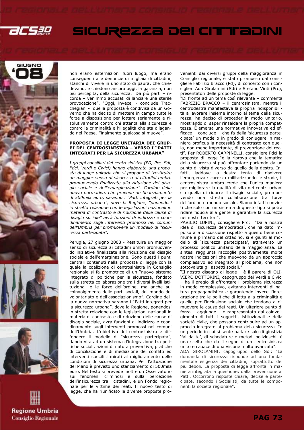

## SICUREZZA DEI CITTEADINI







non erano esternazioni fuori luogo, ma erano conseguenti alle denuncie di migliaia di cittadini, stanchi di vivere in uno stato di paura, che chiedevano, e chiedono ancora oggi, la garanzia, non più percepita, della sicurezza. Da più parti – ricorda – venimmo accusati di lanciare una sterile provocazione". "Oggi, invece, - conclude Tracchegiani - quella proposta è condivisa da un Governo che ha deciso di mettere in campo tutte le forze a disposizione per lottare seriamente e risolutivamente contro chi attenta alla sicurezza e contro la criminalità e l'illegalità che sta dilagando nel Paese. Finalmente qualcosa si muove".

### PROPOSTA DI LEGGE UNITARIA DEI GRUP-PI DEL CENTROSINISTRA – VERSO I "PATTI INTEGRATI PER LA SICUREZZA URBANA"

I gruppi consiliari del centrosinistra (PD, Prc, Sdi, Pdci, Verdi e Civici) hanno elaborato una proposta di legge unitaria che si propone di "restituire un maggior senso di sicurezza ai cittadini umbri. promuovendo finalizzate alla riduzione del disagio sociale e dell'emarginazione". Cardine della nuova normativa, che prevede un finanziamento di 500mila euro, saranno i "Patti integrati per la sicurezza urbana", dove la Regione, "ponendosi in stretta relazione con le legislazioni nazionali in materia di contrasto e di riduzione delle cause di disagio sociale" avrà funzioni di indirizzo e coordinamento sugli interventi promossi nei comuni dell'Umbria per promuovere un modello di "sicurezza partecipata".

Perugia, 27 giugno 2008 - Restituire un maggior senso di sicurezza ai cittadini umbri promuovendo iniziative finalizzate alla riduzione del disagio sociale e dell'emarginazione. Sono questi i punti centrali contenuti nella proposta di legge con la quale la coalizione di centrosinistra in Consiglio regionale si fa promotrice di un "nuovo sistema integrato di politiche per la sicurezza, fondato sulla stretta collaborazione tra i diversi livelli istituzionali e le forze dell'ordine, ma anche sul coinvolgimento delle parti sociali, del mondo del volontariato e dell'associazionismo". Cardine della nuova normativa saranno i "Patti integrati per la sicurezza urbana", dove la Regione, ponendosi in stretta relazione con le legislazioni nazionali in materia di contrasto e di riduzione delle cause di disagio sociale, avrà funzioni di indirizzo e coordinamento sugli interventi promossi nei comuni dell'Umbria. L'obiettivo del centrosinistra è diffondere il modello di "sicurezza partecipata", dando vita ad un sistema d'integrazione tra politiche sociali, azioni di natura preventiva, pratiche di conciliazione e di mediazione dei conflitti ed interventi specifici mirati al miglioramento delle condizioni di sicurezza urbana. Per l'attuazione del Piano è previsto uno stanziamento di 500mila euro. Nel testo si prevede inoltre un Osservatorio sui fenomeni criminosi e sulla percezione dell'insicurezza tra i cittadini, e un Fondo regionale per le vittime dei reati. Il nuovo testo di legge, che ha riunificato le diverse proposte provenienti dai diversi gruppi della maggioranza in Consiglio regionale, è stato promosso dal consigliere Fabrizio Bracco (Pd), di concerto con i consiglieri Ada Girolamini (Sdi) e Stefano Vinti (Prc), presentatori delle proposte di legge.

"Di fronte ad un tema così rilevante – commenta FABRIZIO BRACCO – il centrosinistra, mentre il centrodestra manifestava la propria indisponibilità a lavorare insieme intorno al tema della sicurezza, ha deciso di proceder in modo unitario, mostrando di saper rinsaldare la propria compattezza. È emersa una normativa innovativa ed efficace – conclude – che fa della 'sicurezza partecipata' un modello in grado di coniugare in maniera proficua la necessità di contrasto con quella, non meno importante, di prevenzione dei reati". Per ROBERTO CARPINELLI, consigliere Pdci la proposta di legge "è la riprova che la tematica della sicurezza si può affrontare partendo da un punto di vista diverso da quello della destra. Infatti, laddove la destra tenta di risolvere l'emergenza sicurezza militarizzando le strade, il centrosinistra umbro crede che l'unica maniera per migliorare la qualità di vita nei centri urbani sia quella di ridurre il disagio sociale, promuovendo una stretta collaborazione tra forze dell'ordine e mondo sociale. Siamo infatti convinti che solo con un sistema di questo tipo si potrà ridare fiducia alla gente e garantire la sicurezza nei nostri territori".

PAVILIO LUPINI, consigliere Prc: "Dalla nostra idea di 'sicurezza democratica', che ha dato impulso alla discussione rispetto a questo bene comune e primario del cittadino, si è giunti al modello di 'sicurezza partecipata', attraverso un processo politico unitario della maggioranza. La sintesi raggiunta raccoglie positivamente molte nostre indicazioni che muovono da un approccio complessivo ed integrato al problema, che non sottovaluta gli aspetti sociali.'

"Il nostro disegno di legge – è il parere di OLI-VIERO DOTTORINI, capogruppo dei Verdi e Civici – ha il pregio di affrontare il problema sicurezza in modo complessivo, evitando interventi di natura propagandistica e garantendo invece l'integrazione tra le politiche di lotta alla criminalità e quelle per l'inclusione sociale che tendono a rimuovere le cause dei reati. Un ulteriore punto di forza – aggiunge – è rappresentato dal coinvolgimento di tutti i soggetti, istituzionali e della società civile, che possono contribuire ad un approccio integrato al problema della sicurezza. In un periodo in cui si sente parlare solo di giustizia 'fai da te', di schedature e metodi polizieschi, è una scelta che dà il segno di un centrosinistra unito e capace di una visione molto avanzata".

ADA GIROLAMINI, capogruppo dello Sdi: "La domanda di sicurezza risponde ad una fondamentale esigenza dei cittadini, soprattutto dei più deboli. La proposta di legge affronta in maniera integrata la questione: dalla prevenzione ai Patti. Occorrono risposte chiare, decise e partecipate, secondo i Socialisti, da tutte le componenti la società regionale".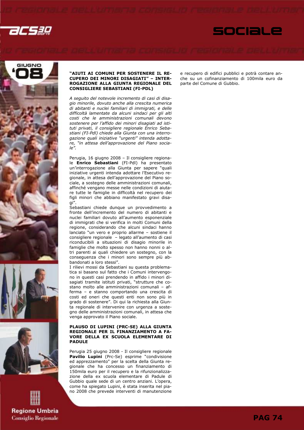









### "AIUTI AI COMUNI PER SOSTENERE IL RE-CUPERO DEI MINORI DISAGIATI" – INTER-ROGAZIONE ALLA GIUNTA REGIONALE DEL CONSIGLIERE SEBASTIANI (FI-PDL)

A seguito del notevole incremento di casi di disagio minorile, dovuto anche alla crescita numerica di abitanti e nuclei familiari di immigrati, e delle difficoltà lamentate da alcuni sindaci per gli alti costi che le amministrazioni comunali devono sostenere per l'affido dei minori disagiati ad istituti privati, il consigliere regionale Enrico Sebastiani (FI-Pdl) chiede alla Giunta con una interrogazione quali iniziative "urgenti" intenda adottare, "in attesa dell'approvazione del Piano sociale".

Perugia, 16 giugno 2008 – Il consigliere regionale Enrico Sebastiani (FI-Pdl) ha presentato un'interrogazione alla Giunta per sapere "quali iniziative urgenti intenda adottare l'Esecutivo regionale, in attesa dell'approvazione del Piano sociale, a sostegno delle amministrazioni comunali, affinché vengano messe nelle condizioni di aiutare tutte le famiglie in difficoltà nel recupero dei figli minori che abbiano manifestato gravi disagi".

Sebastiani chiede dunque un provvedimento a fronte dell'incremento del numero di abitanti e nuclei familiari dovuto all'aumento esponenziale di immigrati che si verifica in molti Comuni della regione, considerando che alcuni sindaci hanno lanciato "un vero e proprio allarme – sostiene il consigliere regionale – legato all'aumento di casi riconducibili a situazioni di disagio minorile in famiglie che molto spesso non hanno nonni o altri parenti ai quali chiedere un sostegno, con la conseguenza che i minori sono sempre più abbandonati a loro stessi".

I rilievi mossi da Sebastiani su questa problematica si basano sul fatto che i Comuni intervengono in questi casi prendendo in affido i minori disagiati tramite istituti privati, "strutture che costano molto alle amministrazioni comunali – afferma – e stanno comportando una crescita di costi ed oneri che questi enti non sono più in grado di sostenere". Di qui la richiesta alla Giunta regionale di intervenire con urgenza a sostegno delle amministrazioni comunali, in attesa che venga approvato il Piano sociale.

### PLAUSO DI LUPINI (PRC-SE) ALLA GIUNTA REGIONALE PER IL FINANZIAMENTO A FA-VORE DELLA EX SCUOLA ELEMENTARE DI PADULE

Perugia 25 giugno 2008 - Il consigliere regionale Pavilio Lupini (Prc-Se) esprime "condivisione ed apprezzamento" per la scelta della Giunta regionale che ha concesso un finanziamento di 150mila euro per il recupero e la rifunzionalizzazione della ex scuola elementare di Padule di Gubbio quale sede di un centro anziani. L'opera, come ha spiegato Lupini, è stata inserita nel piano 2008 che prevede interventi di manutenzione e recupero di edifici pubblici e potrà contare anche su un cofinanziamento di 100mila euro da parte del Comune di Gubbio.

SOCIALE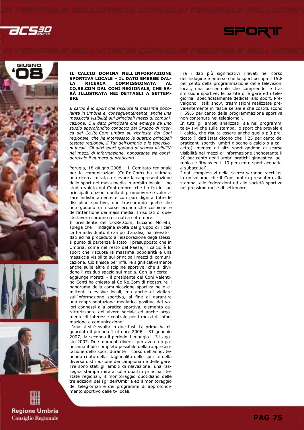









### IL CALCIO DOMINA NELL'INFORMAZIONE SPORTIVA LOCALE – IL DATO EMERGE DAL-<br>LA RICERCA COMMISSIONATA AL LA RICERCA COMMISSIONATA AL CO.RE.COM DAL CONI REGIONALE, CHE SA-RÀ ILLUSTRATA NEI DETTAGLI A SETTEM-BRE

Il calcio è lo sport che riscuote la massima popolarità in Umbria e, conseguentemente, anche una massiccia visibilità sui principali mezzi di comunicazione. È il dato principale che emerge da uno studio approfondito condotto dal Gruppo di ricerca del Co.Re.Com umbro su richiesta del Coni regionale, che ha interessato le quattro principali testate regionali, il Tgr dell'Umbria e le televisioni locali. Gli altri sport godono di scarsa visibilità nei mezzi di informazione, nonostante sia considerevole il numero di praticanti.

Perugia, 18 giugno 2008 – Il Comitato regionale per le comunicazioni (Co.Re.Com) ha ultimato una ricerca mirata a rilevare la rappresentazione dello sport nei mass media in ambito locale. Uno studio voluto dal Coni umbro, che ha fra le sue principali funzioni quella di promuovere e valorizzare indistintamente e con pari dignità tutte le discipline sportive, non trascurando quelle che non godono di risorse economiche cospicue e dell'attenzione dei mass media. I risultati di questo lavoro saranno resi noti a settembre.

Il presidente del Co.Re.Com, Luciano Moretti, spiega che "l'indagine svolta dal gruppo di ricerca ha individuato il campo d'analisi, ha rilevato i dati ed ha proceduto all'elaborazione degli stessi. Il punto di partenza è stato il presupposto che in Umbria, come nel resto del Paese, il calcio è lo sport che riscuote la massima popolarità e una massiccia visibilità sui principali mezzi di comunicazione. Ciò finisce per influire significativamente anche sulle altre discipline sportive, che si dividono il residuo spazio sui media. Con la ricerca – aggiunge Moretti - il presidente del Coni Valentino Conti ha chiesto al Co.Re.Com di ricostruire il panorama della comunicazione sportiva nelle emittenti televisive locali, ma anche di vigilare sull'informazione sportiva, al fine di garantire una rappresentazione mediatica positiva dei valori connessi alla pratica sportiva, elemento caratterizzante del vivere sociale ed anche argomento di interesse centrale per i mezzi di informazione e comunicazione".

L'analisi si è svolta in due fasi. La prima ha riguardato il periodo 1 ottobre 2006 – 31 gennaio 2007; la seconda il periodo 1 maggio – 31 agosto 2007. Due momenti diversi per avere un panorama il più completo possibile della rappresentazione dello sport durante il corso dell'anno, tenendo conto della stagionalità dello sport e della diversa distribuzione dei campionati e delle gare. Tre sono stati gli ambiti di rilevazione: una rassegna stampa mirata sulle quattro principali testate regionali, il monitoraggio quotidiano delle tre edizioni del Tgr dell'Umbria ed il monitoraggio dei telegiornali e dei programmi di approfondimento sportivo delle tv locali.

Fra i dati più significativi rilevati nel corso dell'indagine è emerso che lo sport occupa il 15,8 per cento della programmazione delle televisioni locali, una percentuale che comprende le trasmissioni sportive, le partite o le gare ed i telegiornali specificatamente dedicati allo sport. Prevalgono i talk show, trasmissioni realizzate prevalentemente in fascia serale e che costituiscono il 59,5 per cento della programmazione sportiva non contenuta nei telegiornali.

SPORT

In tutti gli ambiti analizzati, sia nei programmi televisivi che sulla stampa, lo sport che prevale è il calcio, che risulta essere anche quello più praticato (i dati Istat dicono che il 25 per cento dei praticanti sportivi umbri giocano a calcio o a calcetto), mentre gli altri sport godono di scarsa visibilità nei mezzi di informazione (nonostante il 20 per cento degli umbri pratichi ginnastica, aerobica e fitness ed il 19 per cento sport acquatici e subacquei).

I dati complessivi della ricerca saranno racchiusi in un volume che il Coni umbro presenterà alla stampa, alle federazioni ed alle società sportive nel prossimo mese di settembre.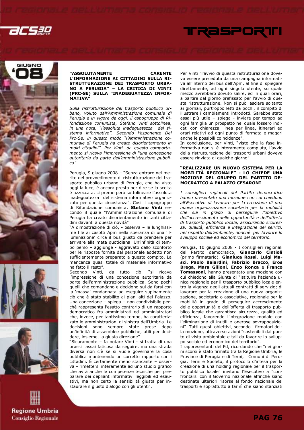









### "ASSOLUTAMENTE CARENTE L'INFORMAZIONE AI CITTADINI SULLA RI-STRUTTURAZIONE DEI TRASPORTO URBA-NO A PERUGIA" – LA CRITICA DI VINTI (PRC-SE) SULLA "INADEGUATEZZA INFOR-MATIVA"

Sulla ristrutturazione del trasporto pubblico urbano, voluto dall'Amministrazione comunale di Perugia e in vigore da oggi, il capogruppo di Rifondazione comunista, Stefano Vinti sottolinea, in una nota, "l'assoluta inadeguatezza del sistema informativo". Secondo l'esponente Del Prc-Se, in questo modo "l'Amministrazione comunale di Perugia ha creato disorientamento in molti cittadini". Per Vinti, da questo comportamento si ricava l'impressione di "una concezione autoritaria da parte dell'amministrazione pubblica".

Perugia, 9 giugno 2008 – "Senza entrare nel merito del provvedimento di ristrutturazione del trasporto pubblico urbano di Perugia, che ha visto oggi la luce, è ancora presto per dire se la scelta è azzeccata, ci preme però sottolineare l'assoluta inadeguatezza del sistema informativo organizzato per questa circostanza". Così il capogruppo di Rifondazione comunista, Stefano Vinti secondo il quale "l'Amministrazione comunale di Perugia ha creato disorientamento in tanti cittadini davanti a questa novità"

"A dimostrazione di ciò, - osserva – le lunghissime file ai casotti Apm nella speranza di una 'illuminazione' circa il bus giusto da prendere per arrivare alla meta quotidiana. Un'infinità di tempo perso – aggiunge - aggravato dallo sconforto per le risposte fornite dal personale addetto non sufficientemente preparato a questo compito. La mancanza quasi totale di materiale informativo ha fatto il resto".<br>Secondo Vinti,

da tutto ciò, "si ricava l'impressione di una concezione autoritaria da parte dell'amministrazione pubblica. Sono pochi quelli che comandano e decidono sul da farsi con la 'massa' condannata ad eseguire supinamente ciò che è stato stabilito ai piani alti del Palazzo. Una concezione – spiega – non condivisibile perché rappresenta l'esatto contrario di un rapporto democratico fra amministrati ed amministratori che, invece, per tantissimo tempo, ha caratterizzato le amministrazioni di sinistra dell'Umbria. Le decisioni sono sempre state prese dopo un'infinità di assemblee pubbliche, utili per decidere, insieme, la giusta direzione".

"Sicuramente – fa notare Vinti - si tratta di una prassi assai faticosa da seguire, ma una strada diversa non c'è se si vuole governare la cosa pubblica mantenendo un corretto rapporto con i cittadini. È certamente meno stancante – osserva - rimettersi interamente ad uno studio grafico che avrà anche le competenze tecniche per preparare dei depliant informativi leggibili ed esaustivi, ma non certo la sensibilità giusta per instaurare il giusto dialogo con gli utenti".

Per Vinti "l'avvio di questa ristrutturazione doveva essere preceduta da una campagna informativa all'interno dei bus dell'Apm, al fine di spiegare direttamente, ad ogni singolo utente, su quale mezzo avrebbero dovuto salire, ed in quali orari, a partire dal giorno prefissato per l'avvio di questa ristrutturazione. Non si può lasciare soltanto ai giornali, purtroppo letti da pochi, il compito di illustrare i cambiamenti introdotti. Sarebbe stato assai più utile – spiega - inviare per tempo ad ogni famiglia un prospetto nel quale fossero indicati con chiarezza, linea per linea, itinerari ed orari relativi ad ogni punto di fermata e magari anche le possibili coincidenze".

TRASPORTI

In conclusione, per Vinti, "visto che la fase informativa non si è interamente compiuta, l'avvio della ristrutturazione dei trasporti urbani doveva essere rinviata di qualche giorno".

#### "REALIZZARE UN NUOVO SISTEMA PER LA MOBILITÀ REGIONALE" - LO CHIEDE UNA MOZIONE DEL GRUPPO DEL PARTITO DE-MOCRATICO A PALAZZO CESARONI

I consiglieri regionali del Partito democratico hanno presentato una mozione con cui chiedono all'Esecutivo di lavorare per la creazione di una nuova organizzazione societaria per la mobilità che sia in grado di perseguire l'obiettivo dell'accrescimento delle opportunità e dell'offerta di trasporto pubblico locale, assicurando sicurezza, qualità, efficienza e integrazione dei servizi, nel rispetto dell'ambiente, nonché per favorire lo sviluppo sociale ed economico del territorio.

Perugia, 10 giugno 2008 - I consiglieri regionali del Partito democratico, Giancarlo Cintioli (primo firmatario), Gianluca Rossi, Luigi Masci, Paolo Baiardini, Fabrizio Bracco, Eros Brega, Mara Gilioni, Enzo Ronca e Franco Tomassoni, hanno presentato una mozione con cui chiedono alla Giunta di "istituire l'azienda unica regionale per il trasporto pubblico locale entro la vigenza degli attuali contratti di servizio; di lavorare per la creazione di una nuova organizzazione, societaria o associativa, regionale per la mobilità in grado di perseguire accrescimento delle opportunità e dell'offerta di trasporto pubblico locale che garantisca sicurezza, qualità ed efficienza, favorendo l'integrazione modale con l'eliminazione di inutili e onerose sovrapposizioni". Tutti questi obiettivi, secondo i firmatari della mozione, attraverso azioni "sostenibili dal punto di vista ambientale e tali da favorire lo sviluppo sociale ed economico del territorio".

I rappresentanti del Pd, ricordando che "nei giorni scorsi è stato firmato tra la Regione Umbria, le Province di Perugia e di Terni, i Comuni di Perugia, Terni e Spoleto, il protocollo d'intesa per la creazione di una holding regionale per il trasporto pubblico locale" invitano l'Esecutivo a "confrontarsi con il Governo nazionale affinché siano destinate ulteriori risorse al fondo nazionale dei trasporti e soprattutto a far sì che siano stanziati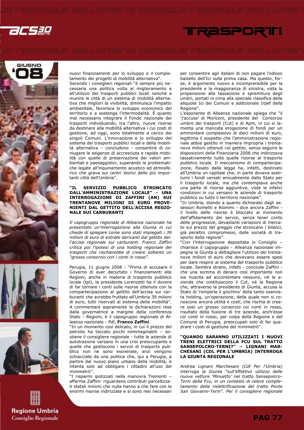











nuovi finanziamenti per lo sviluppo e il completamento dei progetti di mobilità alternativa".

Secondo i consiglieri regionali "è sempre più necessaria una politica volta al miglioramento e all'utilizzo dei trasporti pubblici locali nonché a munire le città di un sistema di mobilità alternativa che migliori la vivibilità, diminuisca l'impatto ambientale, favorisca lo sviluppo economico del territorio e a sostenga l'intermodalità. È quanto mai necessario integrare il Fondo nazionale dei trasporti individuando, tra l'altro, nuove risorse da destinare alla mobilità alternativa i cui costi di gestione, ad oggi, sono totalmente a carico dei singoli Comuni. L'innovazione e lo sviluppo del sistema dei trasporti pubblici locali e della mobilità alternativa – concludono - consentirà di coniugare le esigenze di accresciuta e rapida mobilità con quelle di preservazione dei valori ambientali e paesaggistici, superando le problematiche legate all'inquinamento acustico ed atmosferico che grava sui centri storici delle più importanti città dell'Umbria".

### "IL SERVIZIO PUBBLICO STRONCATO DALL'AMMINISTRAZIONE LOCALE" - UNA INTERROGAZIONE DI ZAFFINI (AN) SUI TRENTANOVE MILIONI DI EURO PROVE-NIENTI DAL GETTITO DELL'ACCISA REGIO-NALE SUI CARBURANTI

Il capogruppo regionale di Alleanza nazionale ha presentato un'interrogazione alla Giunta in cui chiede di spiegare come sono stati impiegati i 39 milioni di euro di entrate derivanti dal gettito dell'accisa regionale sui carburanti. Franco Zaffini critica poi l'ipotesi di una holding regionale dei trasporti che rischierebbe di creare soltanto un "grosso consorzio con i conti in rosso".

Perugia, 11 giugno 2008 - "Prima di accusare il Governo di aver decurtato i finanziamenti alle Regioni, anche in materia di trasporto pubblico locale (tpl), la presidente Lorenzetti ha il dovere di far tornare i conti sulle risorse ottenute con la compartecipazione al gettito dell'accisa sui carburanti che avrebbe fruttato all'Umbria 39 milioni di euro, tutti riservati al sistema della mobilità". A commentare aspramente le dichiarazioni rese dalla governatrice a margine della conferenza Stato - Regioni, è il capogruppo regionale di Alleanza nazionale - Pdl, Franco Zaffini.

"In un momento così delicato, in cui il prezzo del petrolio ha toccato picchi inimmaginabili – sostiene il consigliere regionale - tutte le aziende di autotrazione versano in una crisi preoccupante e quelle che gestiscono i servizi di trasporto pubblico non ne sono esonerate, anzi vengono schiacciate da una politica che, qui a Perugia, a partire dal nuovo piano urbano della mobilità, è intenta solo ad obbligare i cittadini all'uso del minimetrò".

"I risparmi ipotizzati nella manovra Tremonti – afferma Zaffini- riguardano contributi parcellizzati statali minimi che nulla hanno a che fare con le enormi risorse indirizzate e si sono resi necessari per consentire agli italiani di non pagare l'odioso balzello dell'Ici sulla prima casa. Ma questo, forse, è argomento nuovo e incomprensibile per la presidente e la maggioranza di sinistra, vista la propensione alla tassazione e spremitura degli umbri, portati in cima alla speciale classifica delle aliquote Ici dei Comuni e addizionale Irpef della Regione".

L'esponente di Alleanza nazionale spiega che "il 'j'accuse' di Moriconi, presidente del Consorzio umbro dei trasporti (Cut) e di Apm, in cui si lamenta una mancata erogazione di fondi per un ammontare complessivo di dieci milioni di euro, legittima il sospetto che l'amministrazione regionale abbia gestito in maniera impropria i trentanove milioni ottenuti col gettito, senza seguire le disposizioni della Finanziaria 2008 che indirizzava tassativamente tutte quelle risorse al trasporto pubblico locale. Il meccanismo di compartecipazione, fissato dalla legge ha, infatti, destinato all'Umbria un capitale che, in parte doveva sostituire i fondi versati annualmente dallo Stato per il trasporto locale, ma che contemplava anche una parte di risorse aggiuntive, viste le infelici condizioni in cui versano le aziende di trasporto pubblico su tutto il territorio nazionale".

"In Umbria, stando a quanto dichiarato dagli assessori Rometti e Riommi - dice ancora Zaffini il livello delle risorse è bloccato al momento dell'affidamento dei servizi, senza tener conto delle progressive, devastanti variazioni di mercato sul prezzo del greggio che stroncano i bilanci, già peraltro compromessi, delle società di trasporto della regione".

"Con l'interrogazione depositata in Consiglio – chiarisce il capogruppo - Alleanza nazionale impegna la Giunta a dettagliare l'utilizzo dei trentanove milioni di euro che dovevano essere spesi per dare respiro al sistema del trasporto pubblico locale. Sembra strano, infatti - conclude Zaffini che una somma di denaro così importante non sia riuscita ad accontentare nessuno, né le aziende che costituiscono il Cut, né la Regione che, attraverso la presidente di Giunta, accusa lo Stato di 'romperle il giochino' della tanto osannata holding, un'operazione, della quale non si conoscono ancora utilità e costi, che rischia di creare solo un grosso consorzio coi conti in rosso, risultato della fusione di tre aziende, anch'esse coi conti in rosso, per colpa della Regione e del Comune di Perugia, preoccupati solo di far quadrare i costi di gestione del minimetrò".

### "QUANDO SARANNO UTILIZZATI I NUOVI TRENI ELETTRICI DELLA FCU SUL TRATTO SANSEPOLCRO-TERNI?" – LIGNANI MAR-CHESANI (CDL PER L'UMBRIA) INTERROGA LA GIUNTA REGIONALE

Andrea Lignani Marchesani (Cdl Per l'Umbria) interroga la Giunta "sull'effettivo utilizzo delle nuove vetture 'Minuetto' nel tratto Sansepolcro-Terni della Fcu, in un contesto di celere completamento della rielettrificazione del tratto Ponte San Giovanni-Terni". Per il consigliere regionale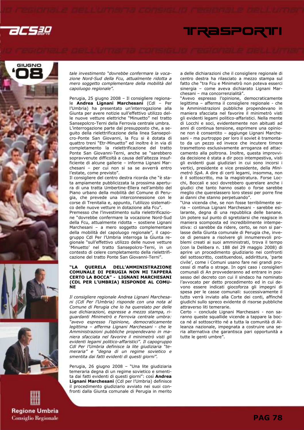











tale investimento "dovrebbe confermare la vocazione Nord-Sud della Fcu, attualmente ridotta a mero soggetto complementare della mobilità del capoluogo regionale".

Perugia, 25 giugno 2008 – Il consigliere regionale Andrea Lignani Marchesani (Cdl – Per l'Umbria) ha presentato un'interrogazione alla Giunta per avere notizie sull'effettivo utilizzo delle nuove vetture elettriche "Minuetto" nel tratto Sansepolcro-Terni della Ferrovia centrale umbra. L'interrogazione parte dal presupposto che, a seguito della rielettrificazione della linea Sansepolcro-Ponte San Giovanni, la Fcu si è dotata di quattro treni "Etr-Minuetto" ed inoltre è in via di completamento la rielettrificazione del tratto Ponte San Giovanni-Terni, anche se "sarebbero sopravvenute difficoltà a causa dell'altezza insufficiente di alcune gallerie – informa Lignani Marchesani – per cui non si sa se avverrà entro l'estate, come previsto".

Il consigliere del centro destra ricorda che "è stata ampiamente pubblicizzata la prossima apertura di una tratta Umbertine-Ellera nell'ambito del Piano urbano della mobilità del Comune di Perugia, che prevede una interconnessione con le corse di Trenitalia e, appunto, l'utilizzo sistematico delle nuove vetture in dotazione alla Fcu".

Premesso che l'investimento sulla rielettrificazione "dovrebbe confermare la vocazione Nord-Sud della Fcu, attualmente ridotta – sostiene Lignani Marchesani – a mero soggetto complementare della mobilità del capoluogo regionale", il capogruppo Cdl Per l'Umbria interroga la Giunta regionale "sull'effettivo utilizzo delle nuove vetture 'Minuetto' nel tratto Sansepolcro-Terni, in un contesto di celere completamento della rielettrificazione del tratto Ponte San Giovanni-Terni".

### "LA QUERELA DELL'AMMINISTRAZIONE COMUNALE DI PERUGIA NON MI TAPPERÀ CERTO LA BOCCA" - LIGNANI MARCHESANI (CDL PER L'UMBRIA) RISPONDE AL COMU-**NE**

Il consigliere regionale Andrea Lignani Marchesani (Cdl Per l'Umbria) risponde con una nota al Comune di Perugia che lo ha querelato per delle sue dichiarazioni, espresse a mezzo stampa, riguardanti Minimetrò e Ferrovia centrale umbra: "avevo espresso l'opinione, democraticamente legittima – afferma Lignani Marchesani - che le Amministrazioni pubbliche propendevano in maniera sfacciata nel favorire il minimetrò visti gli evidenti legami politico-affaristici". Il capogruppo Cdl Per l'Umbria definisce la lite giudiziaria "temeraria" e "degna di un regime sovietico e smentita dai fatti evidenti di questi giorni".

Perugia, 26 giugno 2008 – "Una lite giudiziaria temeraria degna di un regime sovietico e smentita dai fatti evidenti di questi giorni": così Andrea Lignani Marchesani (Cdl per l'Umbria) definisce il procedimento giudiziario avviato nei suoi confronti dalla Giunta comunale di Perugia in merito a delle dichiarazioni che il consigliere regionale di centro destra ha rilasciato a mezzo stampa sul fatto che "tra Fcu e Minimetrò non poteva esserci sinergia – come aveva dichiarato Lignani Marchesani – ma concorrenzialità".

"Avevo espresso l'opinione, democraticamente legittima – afferma il consigliere regionale - che le Amministrazioni pubbliche propendevano in maniera sfacciata nel favorire il minimetrò visti gli evidenti legami politico-affaristici. Nella mente di Locchi e soci, evidentemente non abituati ad anni di continua tensione, esprimere una opinione non è consentito – aggiunge Lignani Marchesani - ma purtroppo per loro il soviet è tramontato da un pezzo ed invece che incutere timore trasmettono esclusivamente arroganza ed attaccamento alla poltrona. Inoltre, questa improvvida decisione è stata a dir poco intempestiva, visti gli evidenti guai giudiziari in cui sono incorsi i vertici, presidente e vice presidente, della Minimetrò SpA. A dire di certi legami, insomma, non è il sottoscritto, ma la magistratura. Forse Locchi, Boccali e soci dovrebbero querelare anche i giudici che tanto hanno osato o forse sarebbe meglio che querelassero loro stessi per porre fine ai danni che stanno perpetuando".

"Una vicenda che, se non fosse terribilmente seria – continua Lignani Marchesani - sarebbe esilarante, degna di una repubblica delle banane. Un potere sul punto di sgretolarsi che reagisce in maniera scomposta ed incredibilmente intempestiva: ci sarebbe da ridere, certo, se non si parlasse della Giunta comunale di Perugia che, invece di pensare a risolvere gli innumerevoli problemi creati ai suoi amministrati, trova il tempo (con la Delibera n. 188 del 29 maggio 2008) di aprire un procedimento giudiziario nei confronti del sottoscritto, costituendosi, addirittura, 'parte civile', come i Comuni usano fare nei grandi processi di mafia o strage. In ogni caso i consiglieri comunali di An provvederanno ad entrare in possesso del decreto con cui il sindaco ha nominato l'avvocato per detto procedimento ed in cui devono essere indicati giocoforza gli impegni di spesa per le casse comunali: successivamente il tutto verrà inviato alla Corte dei conti, affinché giudichi sullo spreco evidente di risorse pubbliche attraverso liti temerarie.

Certo – conclude Lignani Marchesani - non saranno queste squallide vicende a tappare la bocca né al sottoscritto né a tutta la comunità di Alleanza nazionale, impegnata a costruire una seria alternativa che garantisca pari opportunità a tutte le genti umbre".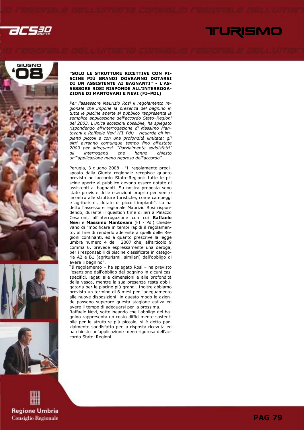

### TURISMO







**Regione Umbria Consiglio Regionale** 

### "SOLO LE STRUTTURE RICETTIVE CON PI-SCINE PIÙ GRANDI DOVRANNO DOTARSI DI UN ASSISTENTE AI BAGNANTI" - L'AS-SESSORE ROSI RISPONDE ALL'INTERROGA-ZIONE DI MANTOVANI E NEVI (FI–PDL)

Per l'assessore Maurizio Rosi il regolamento regionale che impone la presenza del bagnino in tutte le piscine aperte al pubblico rappresenta la semplice applicazione dell'accordo Stato–Regioni del 2003. L'unica eccezioni possibile, ha spiegato rispondendo all'interrogazione di Massimo Mantovani e Raffaele Nevi (FI–Pdl) - riguarda gli impianti piccoli e con una profondità limitata: gli altri avranno comunque tempo fino all'estate 2009 per adeguarsi. "Parzialmente soddisfatti" gli interroganti che hanno chiesto un'"applicazione meno rigorosa dell'accordo".

Perugia, 3 giugno 2008 - "Il regolamento predisposto dalla Giunta regionale recepisce quanto previsto nell'accordo Stato–Regioni: tutte le piscine aperte al pubblico devono essere dotate di assistenti ai bagnanti. Su nostra proposta sono state previste delle esenzioni proprio per venire incontro alle strutture turistiche, come campeggi e agriturismi, dotate di piccoli impianti". Lo ha detto l'assessore regionale Maurizio Rosi rispondendo, durante il question time di ieri a Palazzo Cesaroni, all'interrogazione con cui Raffaele Nevi e Massimo Mantovani (FI - Pdl) chiedevano di "modificare in tempi rapidi il regolamento, al fine di renderlo aderente a quelli delle Regioni confinanti, ed a quanto prescrive la legge umbra numero 4 del 2007 che, all'articolo 9 comma 6, prevede espressamente una deroga, per i responsabili di piscine classificate in categoria A2 e B1 (agriturismi, similari) dall'obbligo di avere il bagnino".

"Il regolamento – ha spiegato Rosi – ha previsto l'esenzione dall'obbligo del bagnino in alcuni casi specifici, legati alle dimensioni e alle profondità della vasca, mentre la sua presenza resta obbligatoria per le piscine più grandi. Inoltre abbiamo previsto un termine di 6 mesi per l'adeguamento alle nuove disposizioni: in questo modo le aziende possono superare questa stagione estiva ed avere il tempo di adeguarsi per la prossima.

Raffaele Nevi, sottolineando che l'obbligo del bagnino rappresenta un costo difficilmente sostenibile per le strutture più piccole, si è detto parzialmente soddisfatto per la risposta ricevuta ed ha chiesto un'applicazione meno rigorosa dell'accordo Stato–Regioni.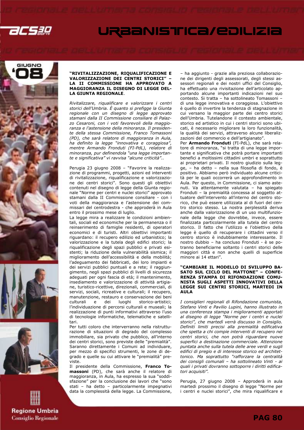

### URBANISTICA/EDILIZIA









### "RIVITALIZZAZIONE, RIQUALIFICAZIONE E VALORIZZAZIONE DEI CENTRI STORICI" – LA II COMMISSIONE HA APPROVATO A MAGGIORANZA IL DISEGNO DI LEGGE DEL-LA GIUNTA REGIONALE.

Rivitalizzare, riqualificare e valorizzare i centri storici dell'Umbria. È quanto si prefigge la Giunta regionale con un disegno di legge approvato stamani dalla II Commissione consiliare di Palazzo Cesaroni, con i voti favorevoli della maggioranza e l'astensione della minoranza. Il presidente della stessa Commissione, Franco Tomassoni (PD), che sarà relatore di maggioranza in Aula, ha definito la legge "innovativa e coraggiosa", mentre Armando Fronduti (FI-PdL), relatore di minoranza, pur definendola "una legge importante e significativa" vi ravvisa "alcune criticità"..

Perugia 23 giugno 2008 – "Favorire la realizzazione di programmi, progetti, azioni ed interventi di rivitalizzazione, riqualificazione e valorizzazione dei centri storici". Sono questi gli obiettivi contenuti nel disegno di legge della Giunta regionale "Norme per centri e nuclei storici" approvato stamani dalla II Commissione consiliare - con i voti della maggioranza e l'astensione dei commissari del centrodestra - che approderà in Aula entro il prossimo mese di luglio.

La legge mira a realizzare le condizioni ambientali, sociali ed economiche per la permanenza o il reinserimento di famiglie residenti, di operatori economici e di turisti. Altri obiettivi importanti riguardano: il recupero edilizio ed urbanistico; la valorizzazione e la tutela degli edifici storici; la riqualificazione degli spazi pubblici e privati esistenti; la riduzione della vulnerabilità sismica; il miglioramento dell'accessibilità e della mobilità; l'adeguamento dei fabbricati, dei loro impianti e dei servizi pubblici puntuali e a rete; il raggiungimento, negli spazi pubblici di livelli di sicurezza adeguati per ogni fascia di età; il mantenimento, insediamento e valorizzazione di attività artigiane, turistico-ricettive, direzionali, commerciali, di servizi, sociali, ricreative e culturali; il recupero, manutenzione, restauro e conservazione dei beni culturali e dei luoghi storico-artistici; l'individuazione di percorsi culturali e museali; la realizzazione di punti informativi attraverso l'uso di tecnologie informatiche, telematiche e satellitari.

Per tutti coloro che interverranno nella ristrutturazione di situazioni di degrado del complesso immobiliare, sia privato che pubblico, all'interno dei centri storici, sono previste delle "premialità". Saranno direttamente i Comuni ad individuare, per mezzo di specifici strumenti, le zone di degrado e quelle su cui attivare le "premialità" previste.

Il presidente della Commissione, Franco Tomassoni (PD), che sarà anche il relatore di maggioranza, in Aula, ha espresso la sua "soddisfazione" per la conclusione dei lavori che "sono stati – ha detto – particolarmente impegnativi data la complessità della legge. La Commissione,

– ha aggiunto - grazie alla preziosa collaborazione dei dirigenti degli assessorati, degli stessi assessori regionali e dei nostri uffici del Consiglio, ha effettuato una rivisitazione dell'articolato apportando alcune importanti indicazioni nel suo contesto. Si tratta – ha sottolineato Tomassoni – di una legge innovativa e coraggiosa. L'obiettivo è quello di invertire la tendenza di stagnazione in cui versano la maggior parte dei centro storici dell'Umbria. Tutelandone il contesto ambientale, storico ed artistico in cui i centri storici sono ubicati, è necessario migliorare la loro funzionalità, la qualità dei servizi, attraverso alcune liberalizzazioni del commercio e dell'artigianato".

Per Armando Fronduti (FI-PdL), che sarà relatore di minoranza, "si tratta di una legge importante e significativa che potrà portare importanti benefici a moltissimi cittadini umbri e soprattutto ai proprietari privati. Il nostro giudizio sulla legge, – ha detto – nella sua filosofia di fondo, è positivo. Abbiamo però individuato alcune criticità per le quali occorrerà un approfondimento in Aula. Per questo, in Commissione, ci siamo astenuti. Va attentamente valutata – ha spiegato Fronduti – la premialità concessa al soggetto attuatore dell'intervento all'interno del centro storico, che può essere utilizzata al di fuori del centro storico stesso. La nostra perplessità deriva anche dalla valorizzazione di un uso multifunzionale della legge che dovrebbe, invece, essere finalizzata particolarmente alla tutela del centro storico. Il fatto che l'utilizzo e l'obiettivo della legge è quello di recuperare i cittadini verso il centro storico è indubbiamente interessante. Il nostro dubbio – ha concluso Fronduti - è se potranno beneficiarne soltanto i centri storici delle maggiori città e non anche quelli di superficie minore ai 14 ettari".

### "CAMBIARE IL MODELLO DI SVILUPPO BA-SATO SUL CICLO DEL MATTONE" – CONFE-RENZA STAMPA DI RIFONDAZIONE COMU-NISTA SUGLI ASPETTI INNOVATIVI DELLA LEGGE SUI CENTRI STORICI, MARTEDI IN AULA

I consiglieri regionali di Rifondazione comunista, Stefano Vinti e Pavilio Lupini, hanno illustrato in una conferenza stampa i miglioramenti apportati al disegno di legge "Norme per i centri e nuclei storici", che martedì verrà discusso in Consiglio. Definiti limiti precisi alla premialità edificativa che spetta a chi compie interventi di recupero nei centri storici, che non potrà riguardare nuove superfici a destinazione commerciale. Attenzione puntata anche sulla tutela delle aree verdi e sugli edifici di pregio e di interesse storico ed architettonico. Ma soprattutto "rafforzare la centralità dei consigli comunali – ha sottolineato Vinti - ai quali i privati dovranno sottoporre i diritti edificatori acquisiti".

Perugia, 27 giugno 2008 – Approderà in aula martedi prossimo il disegno di legge "Norme per i centri e nuclei storici", che mira riqualificare e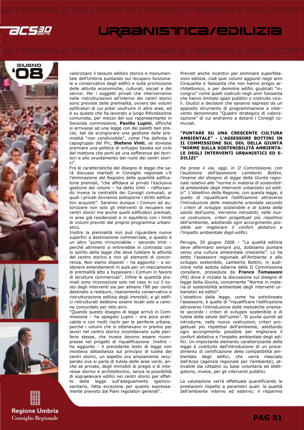

### URBANISTICA/EDILIZIA









valorizzare il tessuto edilizio storico e monumentale dell'Umbria puntando sul recupero funzionale e conservativo degli edifici e sulla promozione delle attività economiche, culturali, sociali e dei servizi. Per i soggetti privati che interverranno nelle ristrutturazioni all'interno dei centri storici sono previste delle premialità, ovvero dei volumi edificatori di cui poter usufruire in altre aree, ed è su questo che ha lavorato a lungo Rifondazione comunista, per mezzo del suo rappresentante in Seconda commissione, Pavilio Lupini, affinché si arrivasse ad una legge con dei paletti ben precisi, tali da scongiurare una gestione delle premialità "non condivisibile", come l'ha definita il capogruppo del Prc, Stefano Vinti, se dovesse premiare una politica di sviluppo basata sul ciclo del mattone che porti ad una sofferenza dei territori e allo svuotamento del ruolo dei centri storici".

Fra le caratteristiche del disegno di legge che sarà discusso martedì in Consiglio regionale c'è l'eliminazione del Registro delle quantità edificatorie premiali, "che affidava ai privati l'esclusiva gestione dei volumi – ha detto Vinti – rafforzando invece la centralità dei Consigli comunali, ai quali i privati dovranno sottoporre i diritti edificatori acquisiti". Saranno dunque i Comuni ad autorizzare non solo gli interventi di recupero nei centri storici ma anche quelli edificatori premiali, in aree già residenziali e in equilibrio con i limiti di volumi previsti dal proprio programma urbanistico.

Inoltre la premialità non può riguardare nuove superfici a destinazione commerciale, e questo è un altro "punto irrinunciabile – secondo Vinti – perché altrimenti si entrerebbe in contrasto con lo spirito della legge che deve tutelare le attività del centro storico e non gli elementi di concorrenza. Non siamo disposti – ha aggiunto - a sostenere emendamenti in aula per un meccanismo di premialità atto a bypassare i Comuni in favore di strutture commerciali". Infine le quantità premiali sono riconosciute solo nel caso in cui il costo degli interventi sia per almeno l'80 per cento destinato a restauro, risanamento conservativo e ristrutturazione edilizia degli immobili, e gli edifici ristrutturati debbono essere locati solo a canone concordato per otto anni.

"Quando questo disegno di legge arrivò in Commissione – ha spiegato Lupini – era poco praticabile e con molti rischi per le periferie urbane, perché i volumi che si ottenevano in premio per lavori nel centro storico incombevano sulle periferie stesse, che invece devono essere ricompresse nei progetti di riqualificazione. Inoltre – ha aggiunto - il precedente testo di legge non insisteva abbastanza sul principio di tutela dei centri storici, un aspetto ora ampiamente recuperato ove si parla di tutela delle aree verdi, anche se private, degli immobili di pregio e di interesse storico e architettonico, senza la possibilità di sopraelevare edifici nei centri storici per effetto della legge sull'adeguamento igienicosanitario, fatta eccezione per quanto espressamente previsto dai Piani regolatori generali".

Previsti anche incentivi per eliminare superfetazioni edilizie, cioè quei volumi aggiunti negli anni Cinquanta e Sessanta che non hanno pregio architettonico, o per demolire edifici giudicati "incongrui" come quelli costruiti negli anni Sessanta che hanno limitato spazi pubblici o costruito vicoli. Giudizi e decisioni che saranno espressi da un apposito strumento di programmazione e intervento denominato "Quadro strategico di valorizzazione" di cui andranno a dotarsi i Consigli comunali.

### "PUNTARE SU UNA CRESCENTE CULTURA AMBIENTALE" - L'ASSESSORE BOTTINI IN II COMMISSIONE SUL DDL DELLA GIUNTA "NORME SULLA SOSTENIBILITÀ AMBIENTA-LE DEGLI INTERVENTI URBANISTICI ED E-DILIZI"

Ha preso il via, oggi, in II Commissione, con l'audizione dell'assessore Lamberto Bottini, l'esame del disegno di legge della Giunta regionale relativo alle "norme in materia di sostenibilità ambientale degli interventi urbanistici ed edilizi". L'obiettivo della Regione, con questa legge, è quello di riqualificare l'edificazione attraverso l'introduzione delle metodiche orientate secondo i criteri di sviluppo sostenibile e di tutela della salute dell'uomo. Verranno introdotti, nelle nuove costruzioni, criteri progettuali più rispettosi dell'ambiente, adottando ogni accorgimento possibile per migliorare il confort abitativo e l'impatto ambientale degli edifici.

Perugia, 30 giugno 2008 – "La qualità edilizia deve affermarsi sempre più, dobbiamo puntare verso una cultura ambientale crescente". Lo ha detto l'assessore regionale all'Ambiente e allo sviluppo sostenibile, Lamberto Bottini, in audizione nella seduta odierna della II Commissione consiliare, presieduta da Franco Tomassoni (Pd) dove è iniziata la discussione sul disegno di legge della Giunta, concernente "Norme in materia di sostenibilità ambientale degli interventi urbanistici ed edilizi".

L'obiettivo della legge, come ha sottolineato l'assessore, è quello di "riqualificare l'edificazione attraverso l'introduzione delle metodiche orientate secondo i criteri di sviluppo sostenibile e di tutela della salute dell'uomo". Si punta quindi ad introdurre, nelle nuove costruzioni, criteri progettuali più rispettosi dell'ambiente, adottando ogni accorgimento possibile per migliorare il confort abitativo e l'impatto ambientale degli edifici. Un importante elemento caratterizzante della legge è costituito dall'introduzione di un procedimento di certificazione della compatibilità ambientale degli edifici, che verrà rilasciato dall'Arpa (agenzia regionale per l'ambiente), attivabile dai cittadini su base volontaria ed obbligatorio, invece, per gli interventi pubblici.

La valutazione verrà effettuata quantificando le prestazioni rispetto a parametri quali: la qualità dell'ambiente interno ed esterno; il risparmio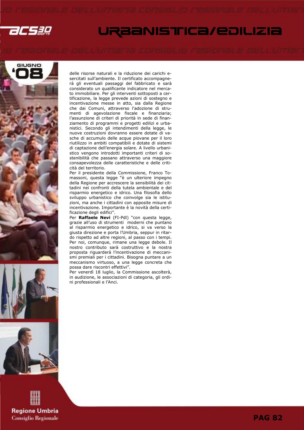

### URBANISTICA/EDILIZIA









delle risorse naturali e la riduzione dei carichi esercitati sull'ambiente. Il certificato accompagnerà gli eventuali passaggi del fabbricato e sarà considerato un qualificante indicatore nel mercato immobiliare. Per gli interventi sottoposti a certificazione, la legge prevede azioni di sostegno e incentivazione messe in atto, sia dalla Regione che dai Comuni, attraverso l'adozione di strumenti di agevolazione fiscale e finanziaria; l'assunzione di criteri di priorità in sede di finanziamento di programmi e progetti edilizi e urbanistici. Secondo gli intendimenti della legge, le nuove costruzioni dovranno essere dotate di vasche di accumulo delle acque piovane per il loro riutilizzo in ambiti compatibili e dotate di sistemi di captazione dell'energia solare. A livello urbanistico vengono introdotti importanti criteri di sostenibilità che passano attraverso una maggiore consapevolezza delle caratteristiche e delle criticità del territorio.

Per il presidente della Commissione, Franco Tomassoni, questa legge "è un ulteriore impegno della Regione per accrescere la sensibilità dei cittadini nei confronti della tutela ambientale e del risparmio energetico e idrico. Una filosofia dello sviluppo urbanistico che coinvolge sia le istituzioni, ma anche i cittadini con apposite misure di incentivazione. Importante è la novità della certificazione degli edifici".

Per Raffaele Nevi (FI-Pdl) "con questa legge, grazie all'uso di strumenti moderni che puntano al risparmio energetico e idrico, si va verso la giusta direzione e porta l'Umbria, seppur in ritardo rispetto ad altre regioni, al passo con i tempi. Per noi, comunque, rimane una legge debole. Il nostro contributo sarà costruttivo e la nostra proposta riguarderà l'incentivazione di meccanismi premiali per i cittadini. Bisogna puntare a un meccanismo virtuoso, a una legge concreta che possa dare riscontri effettivi".

Per venerdì 18 luglio, la Commissione ascolterà, in audizione, le associazioni di categoria, gli ordini professionali e l'Anci.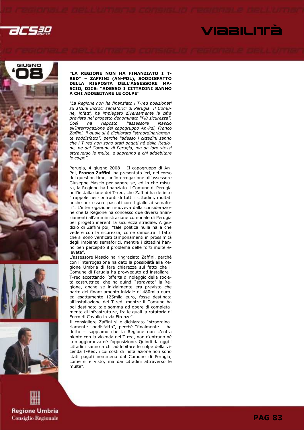VIABILITÀ









# **Regione Umbria Consiglio Regionale**

### "LA REGIONE NON HA FINANZIATO I T-RED" – ZAFFINI (AN-PDL), SODDISFATTO DELLA RISPOSTA DELL'ASSESSORE MA-SCIO, DICE: "ADESSO I CITTADINI SANNO A CHI ADDEBITARE LE COLPE"

"La Regione non ha finanziato i T-red posizionati su alcuni incroci semaforici di Perugia. Il Comune, infatti, ha impiegato diversamente la cifra prevista nel progetto denominato "Più sicurezza". Così ha risposto l'assessore Mascio all'interrogazione del capogruppo An-Pdl, Franco Zaffini, il quale si è dichiarato "straordinariamente soddisfatto", perché "adesso i cittadini sanno che i T-red non sono stati pagati né dalla Regione, né dal Comune di Perugia, ma da loro stessi attraverso le multe, e sapranno a chi addebitare le colpe".

Perugia, 4 giugno 2008 – Il capogruppo di An-Pdl, Franco Zaffini, ha presentato ieri, nel corso del question time, un'interrogazione all'assessore Giuseppe Mascio per sapere se, ed in che misura, la Regione ha finanziato il Comune di Perugia nell'installazione dei T-red, che Zaffini ha definito "trappole nei confronti di tutti i cittadini, multati anche per essere passati con il giallo ai semafori". L'interrogazione muoveva dalla considerazione che la Regione ha concesso due diversi finanziamenti all'amministrazione comunale di Perugia per progetti inerenti la sicurezza stradale. A giudizio di Zaffini poi, "tale politica nulla ha a che vedere con la sicurezza, come dimostra il fatto che si sono verificati tamponamenti in prossimità degli impianti semaforici, mentre i cittadini hanno ben percepito il problema delle forti multe elevate".

L'assessore Mascio ha ringraziato Zaffini, perché con l'interrogazione ha dato la possibilità alla Regione Umbria di fare chiarezza sul fatto che il Comune di Perugia ha provveduto ad installare i T-red accettando l'offerta di noleggio della società costruttrice, che ha quindi "sgravato" la Regione, anche se inizialmente era previsto che parte del finanziamento iniziale di 480mila euro, ed esattamente 125mila euro, fosse destinata all'installazione dei T-red, mentre il Comune ha poi destinato tale somma ad opere di completamento di infrastrutture, fra le quali la rotatoria di Ferro di Cavallo in via Firenze".

Il consigliere Zaffini si è dichiarato "straordinariamente soddisfatto", perché "finalmente – ha detto – sappiamo che la Regione non c'entra niente con la vicenda dei T-red, non c'entrano né la maggioranza né l'opposizione. Quindi da oggi i cittadini sanno a chi addebitare le colpe della vicenda T-Red, i cui costi di installazione non sono stati pagati nemmeno dal Comune di Perugia, come si è visto, ma dai cittadini attraverso le multe".